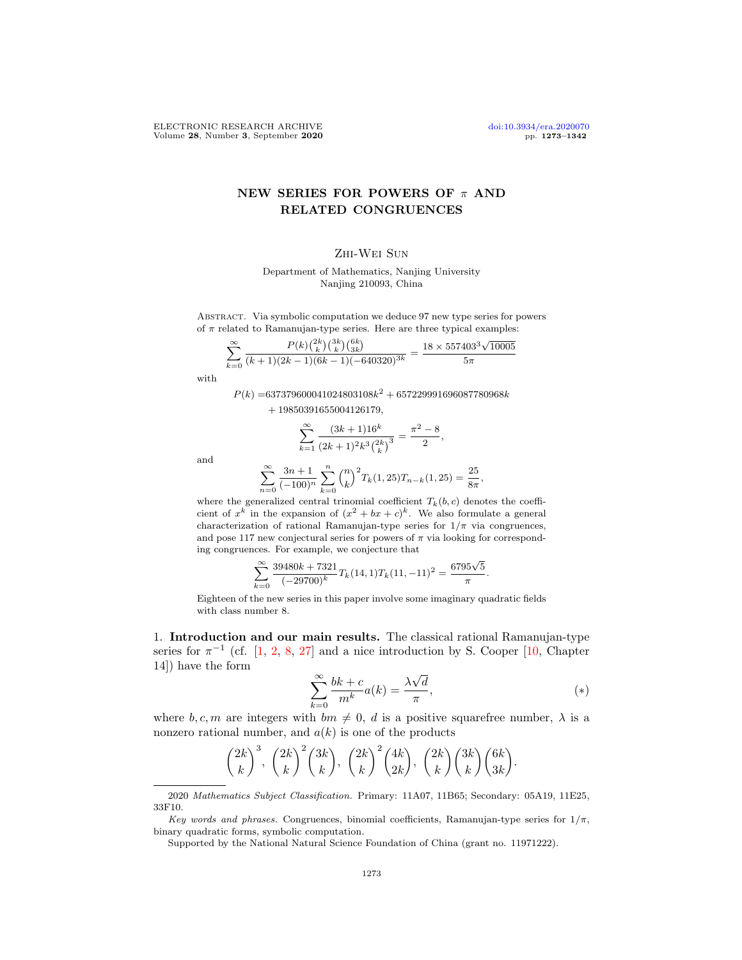# NEW SERIES FOR POWERS OF  $\pi$  AND RELATED CONGRUENCES

## Zhi-Wei Sun

Department of Mathematics, Nanjing University Nanjing 210093, China

Abstract. Via symbolic computation we deduce 97 new type series for powers of  $\pi$  related to Ramanujan-type series. Here are three typical examples:

$$
\sum_{k=0}^{\infty} \frac{P(k) {2k \choose k} {3k \choose k} {6k \choose 3k}}{(k+1)(2k-1)(6k-1)(-640320)^{3k}} = \frac{18 \times 557403^3 \sqrt{10005}}{5\pi}
$$

with

 $P(k) = 637379600041024803108k^2 + 657229991696087780968k$  $+ 19850391655004126179,$ 

$$
\sum_{k=1}^{\infty}\frac{(3k+1)16^k}{\left(2k+1\right)^2k^3{2k\choose k}^3}=\frac{\pi^2-8}{2},
$$

and

$$
\sum_{n=0}^{\infty} \frac{3n+1}{(-100)^n} \sum_{k=0}^n {n \choose k}^2 T_k(1, 25) T_{n-k}(1, 25) = \frac{25}{8\pi},
$$

where the generalized central trinomial coefficient  $T_k(b, c)$  denotes the coefficient of  $x^k$  in the expansion of  $(x^2 + bx + c)^k$ . We also formulate a general characterization of rational Ramanujan-type series for  $1/\pi$  via congruences, and pose 117 new conjectural series for powers of  $\pi$  via looking for corresponding congruences. For example, we conjecture that

$$
\sum_{k=0}^{\infty} \frac{39480k + 7321}{(-29700)^k} T_k(14,1) T_k(11,-11)^2 = \frac{6795\sqrt{5}}{\pi}.
$$

Eighteen of the new series in this paper involve some imaginary quadratic fields with class number 8.

1. Introduction and our main results. The classical rational Ramanujan-type series for  $\pi^{-1}$  (cf. [\[1,](#page-67-0) [2,](#page-67-1) [8,](#page-67-2) [27\]](#page-68-0) and a nice introduction by S. Cooper [\[10,](#page-67-3) Chapter 14]) have the form √

$$
\sum_{k=0}^{\infty} \frac{bk+c}{m^k} a(k) = \frac{\lambda \sqrt{d}}{\pi},
$$
\n<sup>(\*)</sup>

where b, c, m are integers with  $bm \neq 0$ , d is a positive squarefree number,  $\lambda$  is a nonzero rational number, and  $a(k)$  is one of the products

$$
\binom{2k}{k}^3, \binom{2k}{k}^2\binom{3k}{k}, \binom{2k}{k}^2\binom{4k}{2k}, \binom{2k}{k}\binom{3k}{k}\binom{6k}{3k}.
$$

<sup>2020</sup> Mathematics Subject Classification. Primary: 11A07, 11B65; Secondary: 05A19, 11E25, 33F10.

Key words and phrases. Congruences, binomial coefficients, Ramanujan-type series for  $1/\pi$ , binary quadratic forms, symbolic computation.

Supported by the National Natural Science Foundation of China (grant no. 11971222).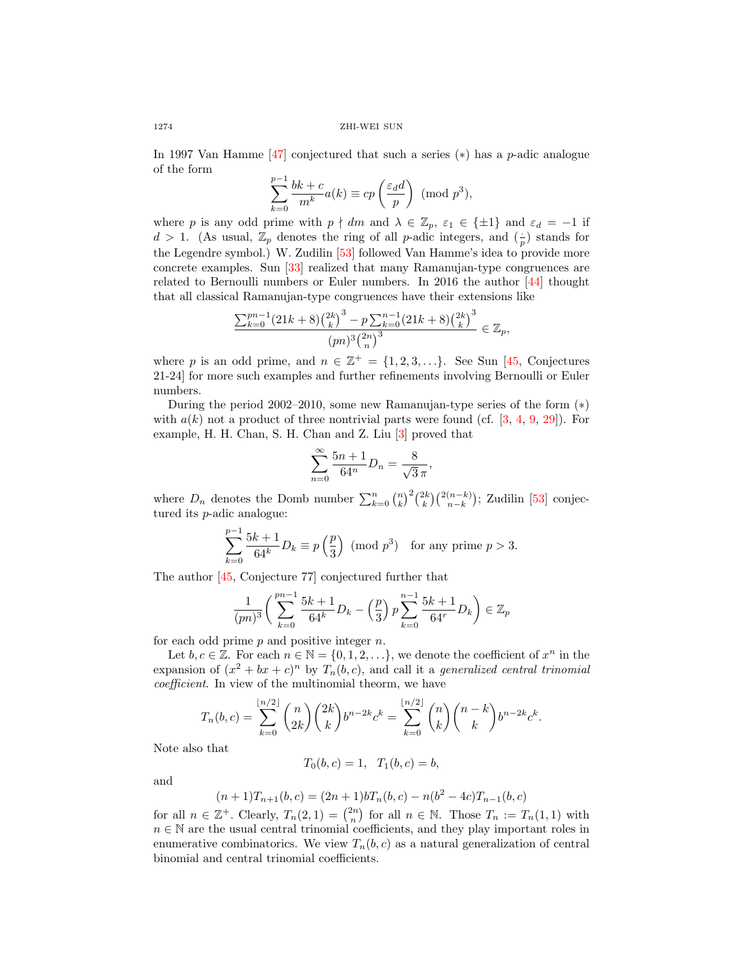1274 ZHI-WEI SUN

In 1997 Van Hamme  $[47]$  conjectured that such a series  $(*)$  has a p-adic analogue of the form

$$
\sum_{k=0}^{p-1} \frac{bk+c}{m^k} a(k) \equiv cp \left(\frac{\varepsilon_d d}{p}\right) \pmod{p^3},
$$

where p is any odd prime with  $p \nmid dm$  and  $\lambda \in \mathbb{Z}_p$ ,  $\varepsilon_1 \in \{\pm 1\}$  and  $\varepsilon_d = -1$  if  $d > 1$ . (As usual,  $\mathbb{Z}_p$  denotes the ring of all *p*-adic integers, and  $\left(\frac{1}{p}\right)$  stands for the Legendre symbol.) W. Zudilin [\[53\]](#page-69-0) followed Van Hamme's idea to provide more concrete examples. Sun [\[33\]](#page-68-2) realized that many Ramanujan-type congruences are related to Bernoulli numbers or Euler numbers. In 2016 the author [\[44\]](#page-68-3) thought that all classical Ramanujan-type congruences have their extensions like

$$
\frac{\sum_{k=0}^{pn-1} (21k+8) {\binom{2k}{k}}^3 - p \sum_{k=0}^{n-1} (21k+8) {\binom{2k}{k}}^3}{(pn)^3 {\binom{2n}{n}}^3} \in \mathbb{Z}_p,
$$

where p is an odd prime, and  $n \in \mathbb{Z}^+ = \{1, 2, 3, ...\}$ . See Sun [\[45,](#page-68-4) Conjectures 21-24] for more such examples and further refinements involving Bernoulli or Euler numbers.

During the period 2002–2010, some new Ramanujan-type series of the form (∗) with  $a(k)$  not a product of three nontrivial parts were found (cf. [\[3,](#page-67-4) [4,](#page-67-5) [9,](#page-67-6) [29\]](#page-68-5)). For example, H. H. Chan, S. H. Chan and Z. Liu [\[3\]](#page-67-4) proved that

$$
\sum_{n=0}^{\infty} \frac{5n+1}{64^n} D_n = \frac{8}{\sqrt{3} \pi},
$$

where  $D_n$  denotes the Domb number  $\sum_{k=0}^n {n \choose k}^2 {2k \choose k} {2(n-k) \choose n-k}$ ; Zudilin [\[53\]](#page-69-0) conjectured its p-adic analogue:

$$
\sum_{k=0}^{p-1} \frac{5k+1}{64^k} D_k \equiv p\left(\frac{p}{3}\right) \pmod{p^3} \text{ for any prime } p > 3.
$$

The author [\[45,](#page-68-4) Conjecture 77] conjectured further that

$$
\frac{1}{(pn)^3} \left( \sum_{k=0}^{pn-1} \frac{5k+1}{64^k} D_k - \left(\frac{p}{3}\right) p \sum_{k=0}^{n-1} \frac{5k+1}{64^r} D_k \right) \in \mathbb{Z}_p
$$

for each odd prime  $p$  and positive integer  $n$ .

Let  $b, c \in \mathbb{Z}$ . For each  $n \in \mathbb{N} = \{0, 1, 2, \ldots\}$ , we denote the coefficient of  $x^n$  in the expansion of  $(x^2 + bx + c)^n$  by  $T_n(b, c)$ , and call it a *generalized central trinomial* coefficient. In view of the multinomial theorm, we have

$$
T_n(b,c) = \sum_{k=0}^{\lfloor n/2 \rfloor} \binom{n}{2k} \binom{2k}{k} b^{n-2k} c^k = \sum_{k=0}^{\lfloor n/2 \rfloor} \binom{n}{k} \binom{n-k}{k} b^{n-2k} c^k.
$$

Note also that

$$
T_0(b, c) = 1, T_1(b, c) = b,
$$

and

$$
(n+1)T_{n+1}(b,c) = (2n+1)bT_n(b,c) - n(b^2 - 4c)T_{n-1}(b,c)
$$

for all  $n \in \mathbb{Z}^+$ . Clearly,  $T_n(2, 1) = \binom{2n}{n}$  for all  $n \in \mathbb{N}$ . Those  $T_n := T_n(1, 1)$  with  $n \in \mathbb{N}$  are the usual central trinomial coefficients, and they play important roles in enumerative combinatorics. We view  $T_n(b, c)$  as a natural generalization of central binomial and central trinomial coefficients.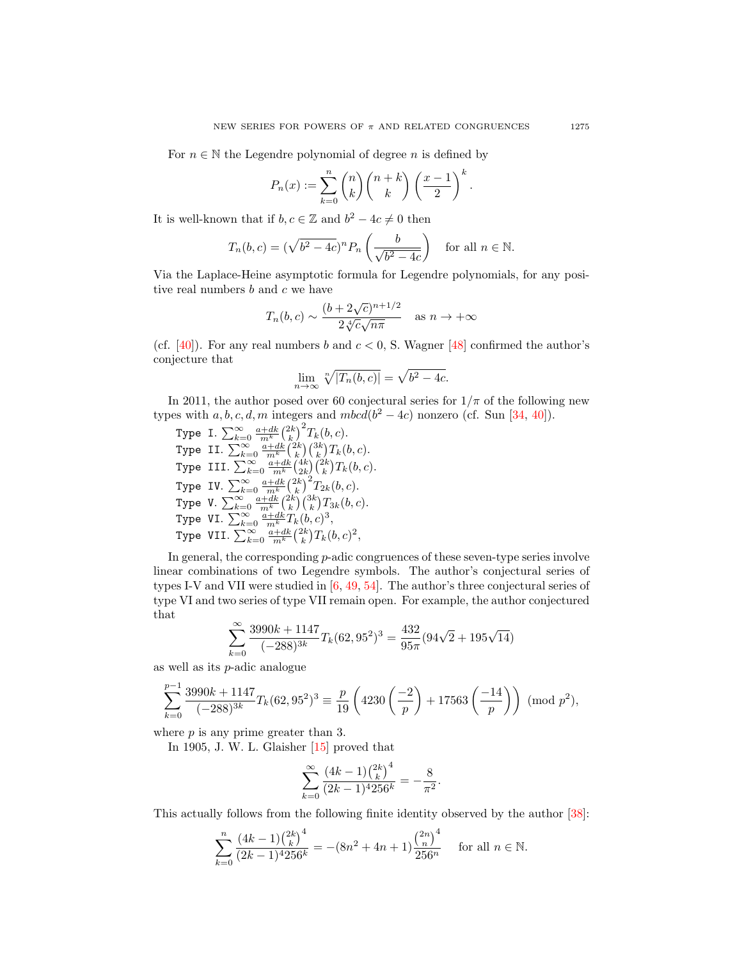For  $n \in \mathbb{N}$  the Legendre polynomial of degree n is defined by

$$
P_n(x) := \sum_{k=0}^n \binom{n}{k} \binom{n+k}{k} \left(\frac{x-1}{2}\right)^k.
$$

It is well-known that if  $b, c \in \mathbb{Z}$  and  $b^2 - 4c \neq 0$  then

$$
T_n(b,c) = (\sqrt{b^2 - 4c})^n P_n\left(\frac{b}{\sqrt{b^2 - 4c}}\right) \text{ for all } n \in \mathbb{N}.
$$

Via the Laplace-Heine asymptotic formula for Legendre polynomials, for any positive real numbers  $b$  and  $c$  we have

$$
T_n(b,c) \sim \frac{(b+2\sqrt{c})^{n+1/2}}{2\sqrt[4]{c}\sqrt{n\pi}}
$$
 as  $n \to +\infty$ 

(cf.  $[40]$ ). For any real numbers b and  $c < 0$ , S. Wagner  $[48]$  confirmed the author's conjecture that

$$
\lim_{n \to \infty} \sqrt[n]{|T_n(b, c)|} = \sqrt{b^2 - 4c}.
$$

In 2011, the author posed over 60 conjectural series for  $1/\pi$  of the following new types with  $a, b, c, d, m$  integers and  $mbcd(b^2-4c)$  nonzero (cf. Sun [\[34,](#page-68-8) [40\]](#page-68-6)).

Type I.  $\sum_{k=0}^{\infty} \frac{a+dk}{m^k} {2k \choose k}^2 T_k(b,c)$ . Type II.  $\sum_{k=0}^{\infty} \frac{a+dk}{m^k} {2k \choose k} {3k \choose k} T_k(b,c)$ . Type III.  $\sum_{k=0}^{\infty} \frac{a+dk}{m^k} \binom{4k}{2k} \binom{2k}{k} T_k(b, c)$ . Type IV.  $\sum_{k=0}^{\infty} \frac{a+dk}{m^k} {2k \choose k}^2 T_{2k}(b, c)$ . Type V.  $\sum_{k=0}^{\infty} \frac{a+dk}{m^k} {2k \choose k} {3k \choose k} T_{3k}(b, c)$ . Type VI.  $\sum_{k=0}^{\infty} \frac{a+dk}{m^k} T_k(b,c)^3$ , Type VII.  $\sum_{k=0}^{\infty} \frac{a+dk}{m^k} {2k \choose k} T_k(b,c)^2$ ,

In general, the corresponding *p*-adic congruences of these seven-type series involve linear combinations of two Legendre symbols. The author's conjectural series of types I-V and VII were studied in [\[6,](#page-67-7) [49,](#page-68-9) [54\]](#page-69-1). The author's three conjectural series of type VI and two series of type VII remain open. For example, the author conjectured that

$$
\sum_{k=0}^{\infty} \frac{3990k + 1147}{(-288)^{3k}} T_k(62, 95^2)^3 = \frac{432}{95\pi} (94\sqrt{2} + 195\sqrt{14})
$$

as well as its  $p$ -adic analogue

$$
\sum_{k=0}^{p-1} \frac{3990k + 1147}{(-288)^{3k}} T_k(62, 95^2)^3 \equiv \frac{p}{19} \left( 4230 \left( \frac{-2}{p} \right) + 17563 \left( \frac{-14}{p} \right) \right) \pmod{p^2},
$$

where  $p$  is any prime greater than 3.

In 1905, J. W. L. Glaisher [\[15\]](#page-67-8) proved that

$$
\sum_{k=0}^{\infty} \frac{(4k-1)\binom{2k}{k}^4}{(2k-1)^4 256^k} = -\frac{8}{\pi^2}
$$

.

This actually follows from the following finite identity observed by the author [\[38\]](#page-68-10):

$$
\sum_{k=0}^{n} \frac{(4k-1)\binom{2k}{k}^4}{(2k-1)^4 256^k} = -(8n^2+4n+1)\frac{\binom{2n}{n}^4}{256^n} \quad \text{ for all } n \in \mathbb{N}.
$$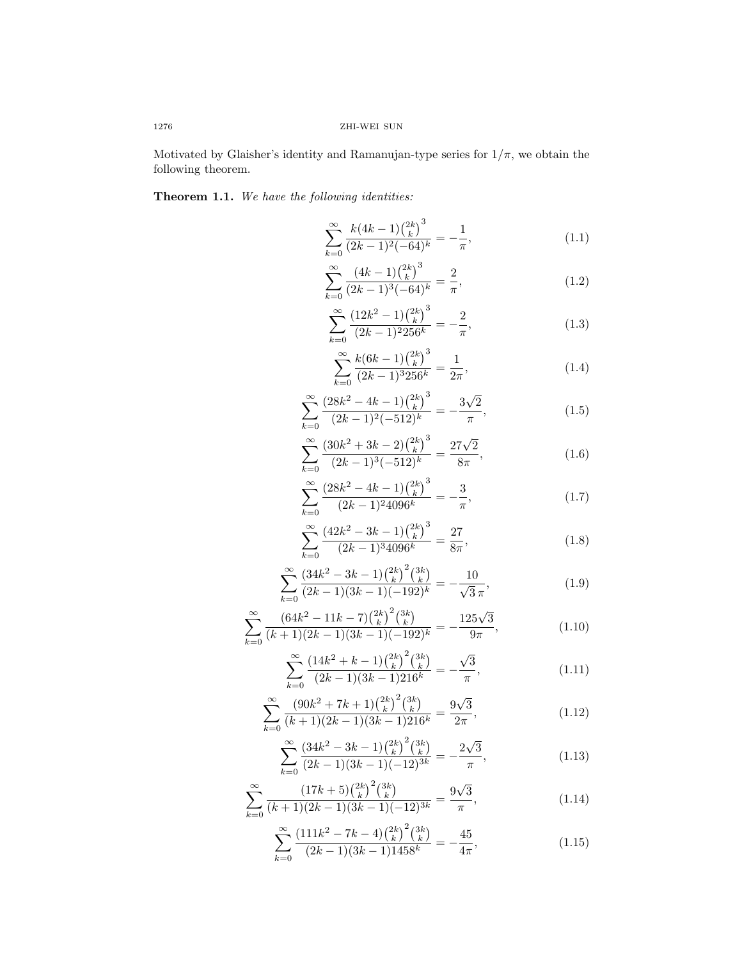Motivated by Glaisher's identity and Ramanujan-type series for  $1/\pi$ , we obtain the following theorem.

# Theorem 1.1. We have the following identities:

$$
\sum_{k=0}^{\infty} \frac{k(4k-1)\binom{2k}{k}^3}{(2k-1)^2(-64)^k} = -\frac{1}{\pi},\tag{1.1}
$$

$$
\sum_{k=0}^{\infty} \frac{(4k-1)\binom{2k}{k}^3}{(2k-1)^3(-64)^k} = \frac{2}{\pi},\tag{1.2}
$$

$$
\sum_{k=0}^{\infty} \frac{(12k^2 - 1)\binom{2k}{k}^3}{(2k-1)^2 256^k} = -\frac{2}{\pi},\tag{1.3}
$$

$$
\sum_{k=0}^{\infty} \frac{k(6k-1)\binom{2k}{k}^3}{(2k-1)^3 256^k} = \frac{1}{2\pi},\tag{1.4}
$$

$$
\sum_{k=0}^{\infty} \frac{(28k^2 - 4k - 1)\binom{2k}{k}^3}{(2k-1)^2(-512)^k} = -\frac{3\sqrt{2}}{\pi},\tag{1.5}
$$

$$
\sum_{k=0}^{\infty} \frac{(30k^2 + 3k - 2) {2k \choose k}^3}{(2k-1)^3(-512)^k} = \frac{27\sqrt{2}}{8\pi},
$$
\n(1.6)

$$
\sum_{k=0}^{\infty} \frac{\left(28k^2 - 4k - 1\right)\binom{2k}{k}^3}{(2k-1)^2 4096^k} = -\frac{3}{\pi},\tag{1.7}
$$

$$
\sum_{k=0}^{\infty} \frac{\left(42k^2 - 3k - 1\right)\binom{2k}{k}^3}{(2k-1)^3 4096^k} = \frac{27}{8\pi},\tag{1.8}
$$

$$
\sum_{k=0}^{\infty} \frac{\left(34k^2 - 3k - 1\right)\binom{2k}{k}^2 \binom{3k}{k}}{\left(2k - 1\right)\left(3k - 1\right)\left(-192\right)^k} = -\frac{10}{\sqrt{3}\,\pi},\tag{1.9}
$$

$$
\sum_{k=0}^{\infty} \frac{\left(64k^2 - 11k - 7\right)\binom{2k}{k}^2 \binom{3k}{k}}{(k+1)(2k-1)(3k-1)(-192)^k} = -\frac{125\sqrt{3}}{9\pi},\tag{1.10}
$$

$$
\sum_{k=0}^{\infty} \frac{\left(14k^2 + k - 1\right)\binom{2k}{k}^2 \binom{3k}{k}}{\left(2k-1\right)\left(3k-1\right)216^k} = -\frac{\sqrt{3}}{\pi},\tag{1.11}
$$

$$
\sum_{k=0}^{\infty} \frac{\left(90k^2 + 7k + 1\right)\binom{2k}{k}^2\binom{3k}{k}}{(k+1)(2k-1)(3k-1)216^k} = \frac{9\sqrt{3}}{2\pi},\tag{1.12}
$$

$$
\sum_{k=0}^{\infty} \frac{\left(34k^2 - 3k - 1\right)\binom{2k}{k}^2 \binom{3k}{k}}{(2k-1)(3k-1)(-12)^{3k}} = -\frac{2\sqrt{3}}{\pi},\tag{1.13}
$$

$$
\sum_{k=0}^{\infty} \frac{\left(17k+5\right)\binom{2k}{k}^2 \binom{3k}{k}}{(k+1)(2k-1)(3k-1)(-12)^{3k}} = \frac{9\sqrt{3}}{\pi},\tag{1.14}
$$

$$
\sum_{k=0}^{\infty} \frac{(111k^2 - 7k - 4)\binom{2k}{k}^2\binom{3k}{k}}{(2k-1)(3k-1)1458^k} = -\frac{45}{4\pi},\tag{1.15}
$$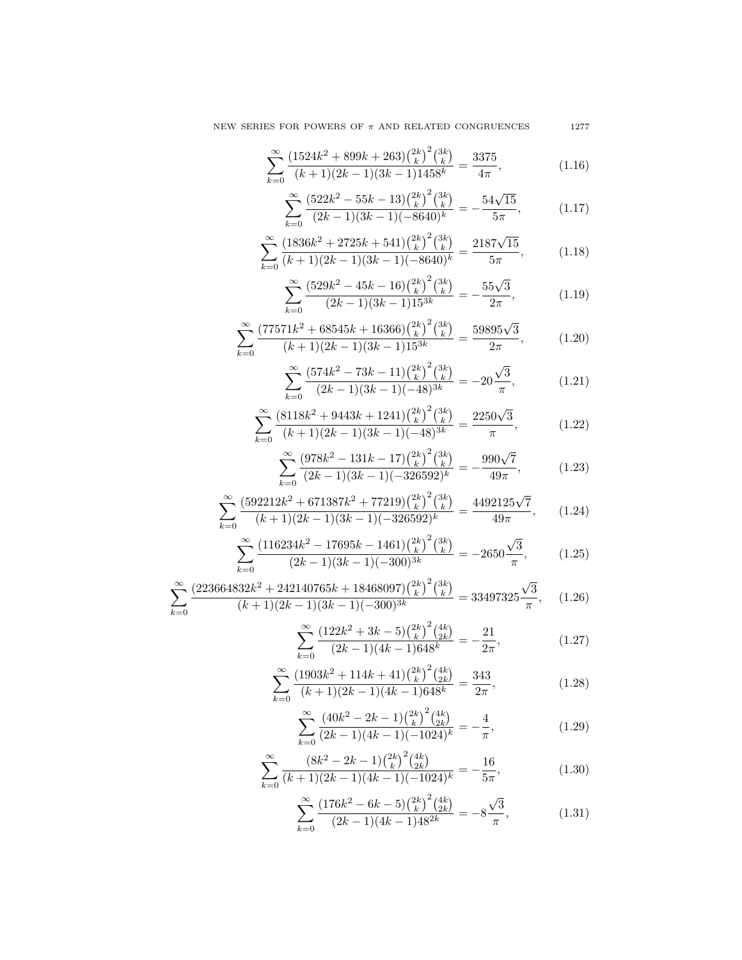$$
\sum_{k=0}^{\infty} \frac{\left(176k^2 - 6k - 5\right) \binom{2k}{k}^2 \binom{4k}{2k}}{\left(2k - 1\right)\left(4k - 1\right)48^{2k}} = -8 \frac{\sqrt{3}}{\pi},\tag{1.31}
$$

$$
\sum_{k=0}^{\infty} \frac{(8k^2 - 2k - 1) {2k \choose k}^2 {4k \choose 2k}}{(k+1)(2k-1)(4k-1)(-1024)^k} = -\frac{16}{5\pi},
$$
\n(1.30)

$$
\sum_{k=0}^{\infty} \frac{(40k^2 - 2k - 1) {2k \choose k}^2 {4k \choose 2k}}{(2k-1)(4k-1)(-1024)^k} = -\frac{4}{\pi},
$$
\n(1.29)

$$
\sum_{k=0}^{\infty} \frac{(1903k^2 + 114k + 41) {2k \choose k}^2 {4k \choose 2k}}{(k+1)(2k-1)(4k-1)648^k} = \frac{343}{2\pi},
$$
\n(1.28)

$$
\sum_{k=0}^{\infty} \frac{\left(122k^2 + 3k - 5\right) \binom{2k}{k}^2 \binom{4k}{2k}}{\left(2k - 1\right)\left(4k - 1\right)648^k} = -\frac{21}{2\pi},\tag{1.27}
$$

$$
\sum_{k=0}^{\infty} \frac{\left(223664832k^2 + 242140765k + 18468097\right)\binom{2k}{k}^2\binom{3k}{k}}{(k+1)(2k-1)(3k-1)(-300)^{3k}} = 33497325\frac{\sqrt{3}}{\pi},\qquad(1.26)
$$

$$
\sum_{k=0}^{\infty} \frac{(116234k^2 - 17695k - 1461)\binom{2k}{k}^2\binom{3k}{k}}{(2k-1)(3k-1)(-300)^{3k}} = -2650\frac{\sqrt{3}}{\pi},\tag{1.25}
$$

$$
\sum_{k=0}^{\infty} \frac{(592212k^2 + 671387k^2 + 77219)\binom{2k}{k}^2\binom{3k}{k}}{(k+1)(2k-1)(3k-1)(-326592)^k} = \frac{4492125\sqrt{7}}{49\pi},\qquad(1.24)
$$

$$
\sum_{k=0}^{\infty} \frac{(978k^2 - 131k - 17)\binom{2k}{k}^2\binom{3k}{k}}{(2k-1)(3k-1)(-326592)^k} = -\frac{990\sqrt{7}}{49\pi},\tag{1.23}
$$

$$
\sum_{k=0}^{\infty} \frac{(8118k^2 + 9443k + 1241) {2k \choose k}^2 {3k \choose k}}{(k+1)(2k-1)(3k-1)(-48)^{3k}} = \frac{2250\sqrt{3}}{\pi},
$$
\n(1.22)

$$
\sum_{k=0}^{\infty} \frac{(574k^2 - 73k - 11) {2k \choose k}^2 {3k \choose k}}{(2k-1)(3k-1)(-48)^{3k}} = -20\frac{\sqrt{3}}{\pi},
$$
\n(1.21)

$$
\sum_{k=0}^{\infty} \frac{(77571k^2 + 68545k + 16366){\binom{2k}{k}}^2 {\binom{3k}{k}}}{(k+1)(2k-1)(3k-1)15^{3k}} = \frac{59895\sqrt{3}}{2\pi},\tag{1.20}
$$

$$
\sum_{k=0}^{\infty} \frac{\left(529k^2 - 45k - 16\right)\left(\frac{2k}{k}\right)^2\left(\frac{3k}{k}\right)}{(2k-1)(3k-1)15^{3k}} = -\frac{55\sqrt{3}}{2\pi},\tag{1.19}
$$

$$
\sum_{k=0}^{\infty} \frac{\left(1836k^2 + 2725k + 541\right)\binom{2k}{k}^2\binom{3k}{k}}{(k+1)(2k-1)(3k-1)(-8640)^k} = \frac{2187\sqrt{15}}{5\pi},\tag{1.18}
$$

$$
\sum_{k=0}^{\infty} \frac{(522k^2 - 55k - 13)\binom{2k}{k}^2\binom{3k}{k}}{(2k-1)(3k-1)(-8640)^k} = -\frac{54\sqrt{15}}{5\pi},\tag{1.17}
$$

$$
\sum_{k=0}^{\infty} \frac{(1524k^2 + 899k + 263)\binom{2k}{k}^2\binom{3k}{k}}{(k+1)(2k-1)(3k-1)1458^k} = \frac{3375}{4\pi},\tag{1.16}
$$

NEW SERIES FOR POWERS OF  $\pi$  AND RELATED CONGRUENCES 1277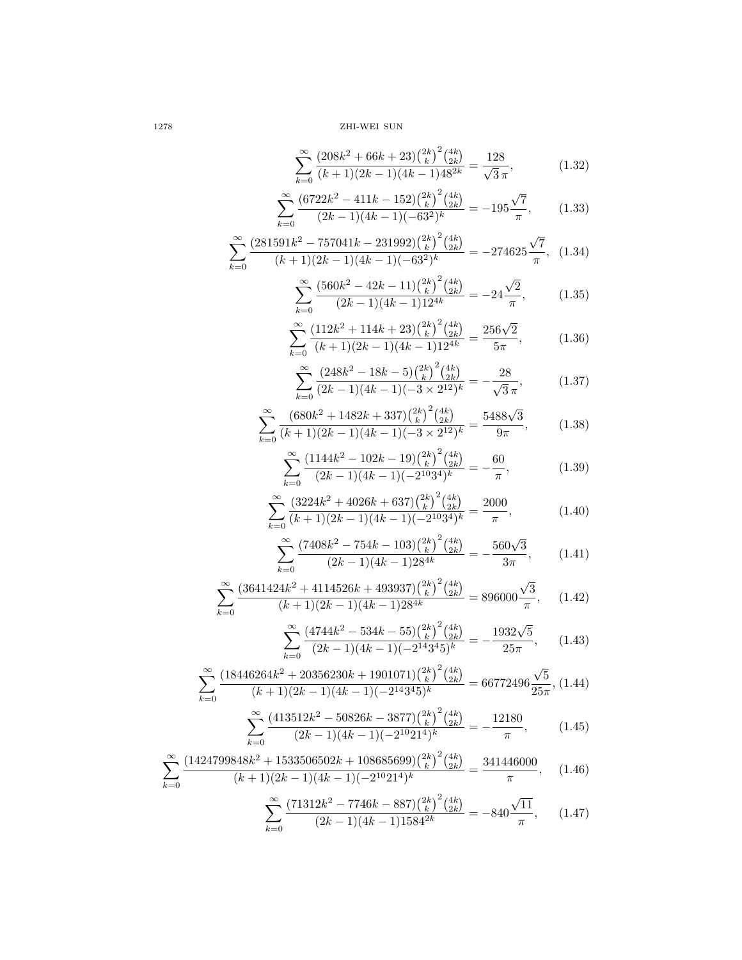$$
+1(2k-1)(4k-1)(-2k-21)^{k}
$$
  

$$
\sum_{k=0}^{\infty} \frac{(71312k^{2} - 7746k - 887)\binom{2k}{k}^{2}\binom{4k}{2k}}{(2k-1)(4k-1)1584^{2k}} = -840\frac{\sqrt{11}}{\pi}, \qquad (1.47)
$$

$$
\sum_{k=0}^{\infty} \frac{(1424799848k^2 + 1533506502k + 108685699)\binom{2k}{k}^2\binom{4k}{2k}}{(k+1)(2k-1)(4k-1)(-2^{10}21^4)^k} = \frac{341446000}{\pi}, \quad (1.46)
$$

$$
\sum_{k=0}^{\infty} \frac{(413512k^2 - 50826k - 3877)\binom{2k}{k}^2\binom{4k}{2k}}{(2k-1)(4k-1)(-2^{10}21^4)^k} = -\frac{12180}{\pi},\tag{1.45}
$$

$$
\sum_{k=0}^{\infty} \frac{(18446264k^2 + 20356230k + 1901071)\binom{2k}{k}^2\binom{4k}{2k}}{(k+1)(2k-1)(4k-1)(-2^{14}3^45)^k} = 66772496\frac{\sqrt{5}}{25\pi}, (1.44)
$$

$$
\sum_{k=0}^{\infty} \frac{(4744k^2 - 534k - 55) \binom{2k}{k}^2 \binom{4k}{2k}}{(2k-1)(4k-1)(-2^{14}3^45)^k} = -\frac{1932\sqrt{5}}{25\pi},
$$
 (1.43)

$$
\sum_{k=0}^{\infty} \frac{\left(3641424k^2 + 4114526k + 493937\right)\left(\frac{2k}{k}\right)^2\left(\frac{4k}{2k}\right)}{(k+1)(2k-1)(4k-1)28^{4k}} = 896000\frac{\sqrt{3}}{\pi},\qquad(1.42)
$$

$$
\sum_{k=0}^{\infty} \frac{(7408k^2 - 754k - 103)\binom{2k}{k}^2 \binom{4k}{2k}}{(2k-1)(4k-1)28^{4k}} = -\frac{560\sqrt{3}}{3\pi},\qquad(1.41)
$$

$$
\sum_{k=0}^{\infty} \frac{(3224k^2 + 4026k + 637)\binom{2k}{k}^2\binom{4k}{2k}}{(k+1)(2k-1)(4k-1)(-2^{10}3^4)^k} = \frac{2000}{\pi},
$$
\n(1.40)

$$
\sum_{k=0}^{\infty} \frac{(1144k^2 - 102k - 19){\binom{2k}{k}}^2 {\binom{4k}{2k}}}{(2k-1)(4k-1)(-2^{10}3^4)^k} = -\frac{60}{\pi},\tag{1.39}
$$

$$
\sum_{k=0}^{\infty} \frac{(680k^2 + 1482k + 337)\binom{2k}{k}^2 \binom{4k}{2k}}{(k+1)(2k-1)(4k-1)(-3 \times 2^{12})^k} = \frac{5488\sqrt{3}}{9\pi},\tag{1.38}
$$

$$
\sum_{k=0}^{\infty} \frac{\left(248k^2 - 18k - 5\right)\binom{2k}{k}^2 \binom{4k}{2k}}{\left(2k - 1\right)\left(4k - 1\right)\left(-3 \times 2^{12}\right)^k} = -\frac{28}{\sqrt{3} \pi},\tag{1.37}
$$

$$
\sum_{k=0}^{\infty} \frac{(112k^2 + 114k + 23)\binom{2k}{k}^2 \binom{4k}{2k}}{(k+1)(2k-1)(4k-1)12^{4k}} = \frac{256\sqrt{2}}{5\pi},\tag{1.36}
$$

$$
\sum_{k=0}^{\infty} \frac{(560k^2 - 42k - 11) {2k \choose k}^2 {4k \choose 2k}}{(2k - 1)(4k - 1)12^{4k}} = -24 \frac{\sqrt{2}}{\pi},
$$
 (1.35)

$$
\sum_{k=0}^{\infty} \frac{(281591k^2 - 757041k - 231992) \binom{2k}{k}^2 \binom{4k}{2k}}{(k+1)(2k-1)(4k-1)(-63^2)^k} = -274625 \frac{\sqrt{7}}{\pi}, \quad (1.34)
$$

$$
\sum_{k=0}^{\infty} \frac{(6722k^2 - 411k - 152)\binom{2k}{k}^2\binom{4k}{2k}}{(2k-1)(4k-1)(-63^2)^k} = -195\frac{\sqrt{7}}{\pi},\qquad(1.33)
$$

$$
\sum_{k=0}^{\infty} \frac{\left(208k^2 + 66k + 23\right) \binom{2k}{k}^2 \binom{4k}{2k}}{(k+1)(2k-1)(4k-1)48^{2k}} = \frac{128}{\sqrt{3}\pi},\tag{1.32}
$$

1278 ZHI-WEI SUN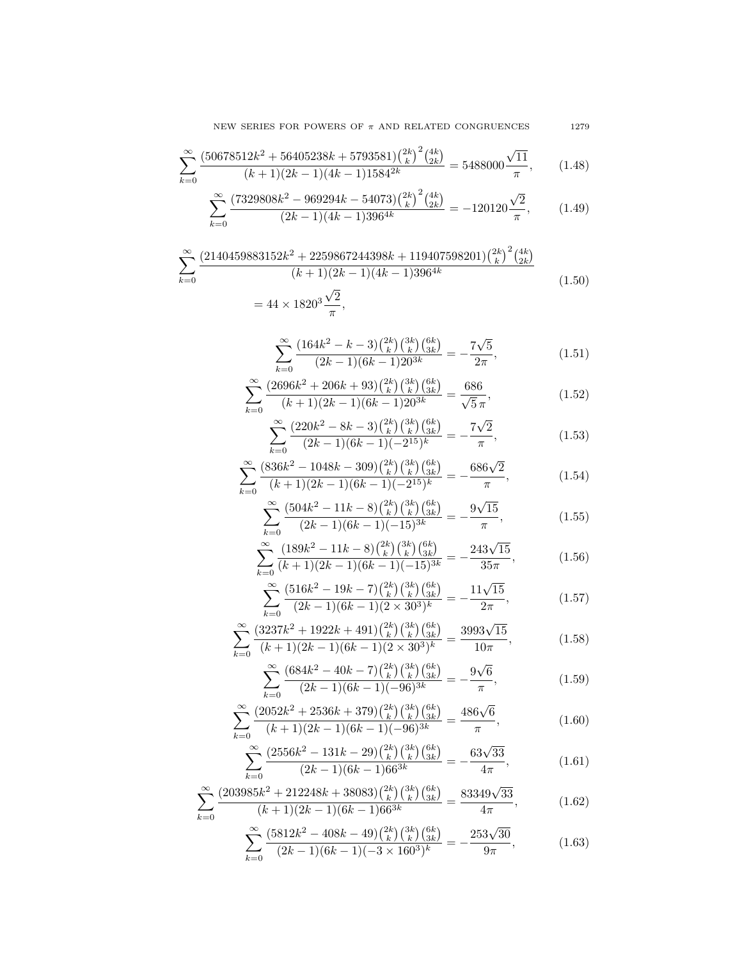$$
\sum_{k=0}^{\infty} \frac{(5812k^2 - 408k - 49) \binom{2k}{k} \binom{3k}{k} \binom{6k}{3k}}{(2k-1)(6k-1)(-3 \times 160^3)^k} = -\frac{253\sqrt{30}}{9\pi},\tag{1.63}
$$

$$
\sum_{k=0}^{\infty} \frac{(203985k^2 + 212248k + 38083)\binom{2k}{k}\binom{3k}{k}\binom{6k}{3k}}{(k+1)(2k-1)(6k-1)66^{3k}} = \frac{83349\sqrt{33}}{4\pi},\tag{1.62}
$$

$$
\sum_{k=0}^{\infty} \frac{(2556k^2 - 131k - 29)\binom{2k}{k}\binom{3k}{k}\binom{6k}{3k}}{(2k-1)(6k-1)66^{3k}} = -\frac{63\sqrt{33}}{4\pi},\tag{1.61}
$$

$$
\sum_{k=0}^{\infty} \frac{(2052k^2 + 2536k + 379)\binom{2k}{k}\binom{3k}{k}\binom{6k}{3k}}{(k+1)(2k-1)(6k-1)(-96)^{3k}} = \frac{486\sqrt{6}}{\pi},\tag{1.60}
$$

$$
\sum_{k=0}^{\infty} \frac{(2k-1)(6k-1)(-96)^{3k}}{(2052k^2+2536k+379)\binom{2k}{k}\binom{3k}{k}\binom{6k}{3k}} \frac{\pi}{486\sqrt{6}}
$$
\n(1.68)

$$
\sum^{\infty} \frac{(684k^2 - 40k - 7)\binom{2k}{k}\binom{3k}{k}\binom{6k}{3k}}{(2k - 1)(6k - 1)(-96)^{3k}} = -\frac{9\sqrt{6}}{\pi},
$$
\n(1.59)

$$
\sum_{k=0}^{\infty} \frac{(3237k^2 + 1922k + 491)\binom{2k}{k}\binom{3k}{k}\binom{6k}{3k}}{(k+1)(2k-1)(6k-1)(2 \times 30^3)^k} = \frac{3993\sqrt{15}}{10\pi},\tag{1.58}
$$

$$
\sum_{k=0}^{\infty} \frac{(516k^2 - 19k - 7)\binom{2k}{k}\binom{3k}{k}\binom{6k}{3k}}{(2k-1)(6k-1)(2 \times 30^3)^k} = -\frac{11\sqrt{15}}{2\pi},\tag{1.57}
$$

$$
\sum_{k=0}^{\infty} \frac{(189k^2 - 11k - 8) \binom{2k}{k} \binom{3k}{k} \binom{6k}{3k}}{(k+1)(2k-1)(6k-1)(-15)^{3k}} = -\frac{243\sqrt{15}}{35\pi},\tag{1.56}
$$

$$
\sum_{k=0}^{\infty} \frac{(2k-1)(6k-1)(-15)^{3k}}{(2k-1)(8k^2-11k-8)\binom{2k}{k}\binom{3k}{3k}} \frac{\pi}{(3k)^{3k}} = -\frac{243\sqrt{15}}{35\pi},
$$
(1.56)

$$
\sum_{k=0}^{\infty} \frac{(504k^2 - 11k - 8)\binom{2k}{k}\binom{3k}{k}\binom{6k}{3k}}{(2k-1)(6k-1)(-15)^{3k}} = -\frac{9\sqrt{15}}{\pi},
$$
\n(1.55)

$$
\sum_{k=0}^{\infty} \frac{(836k^2 - 1048k - 309)\binom{2k}{k}\binom{3k}{k}\binom{6k}{3k}}{(k+1)(2k-1)(6k-1)(-2^{15})^k} = -\frac{686\sqrt{2}}{\pi},\tag{1.54}
$$

$$
\sum_{k=0}^{\infty} \frac{(220k^2 - 8k - 3) {2k \choose k} {3k \choose k} {6k \choose 3k}}{(2k-1)(6k-1)(-2^{15})^k} = -\frac{7\sqrt{2}}{\pi},
$$
\n(1.53)

$$
\sum_{k=0}^{\infty} \frac{(2696k^2 + 206k + 93) {2k \choose k} {3k \choose k} {6k \choose 3k}}{(k+1)(2k-1)(6k-1)20^{3k}} = \frac{686}{\sqrt{5}\pi},
$$
\n(1.52)

$$
\sum_{k=0}^{k} (2k-1)(6k-1)20^{3k} = 2\pi
$$
\n(1.51)\n
$$
(2696k^2 + 206k + 93)\binom{2k}{k}\binom{3k}{k}\binom{6k}{3k} = 686
$$
\n(1.52)

$$
\sum_{k=0}^{\infty} \frac{(164k^2 - k - 3)\binom{2k}{k}\binom{3k}{k}\binom{6k}{3k}}{(2k-1)(6k-1)20^{3k}} = -\frac{7\sqrt{5}}{2\pi},\tag{1.51}
$$

$$
(k+1)(2k-1)(4k-1)396^{4k}
$$
\n
$$
= 44 \times 1820^{3} \frac{\sqrt{2}}{\pi},
$$
\n(1.50)

$$
\sum_{k=0}^{\infty} \frac{\left(2140459883152k^2 + 2259867244398k + 119407598201\right)\binom{2k}{k}^2 \binom{4k}{2k}}{(k+1)(2k-1)(4k-1)396^{4k}}
$$
\n(1.50)

$$
\sum_{k=0}^{\infty} \frac{(7329808k^2 - 969294k - 54073) \binom{2k}{k}^2 \binom{4k}{2k}}{(2k-1)(4k-1)396^{4k}} = -120120 \frac{\sqrt{2}}{\pi},\qquad(1.49)
$$

$$
\sum_{k=0}^{\infty} \frac{(50678512k^2 + 56405238k + 5793581){{2k} \choose k}^2 {4k \choose 2k}}{(k+1)(2k-1)(4k-1)1584^{2k}} = 5488000 \frac{\sqrt{11}}{\pi}, \qquad (1.48)
$$

NEW SERIES FOR POWERS OF  $\pi$  AND RELATED CONGRUENCES 1279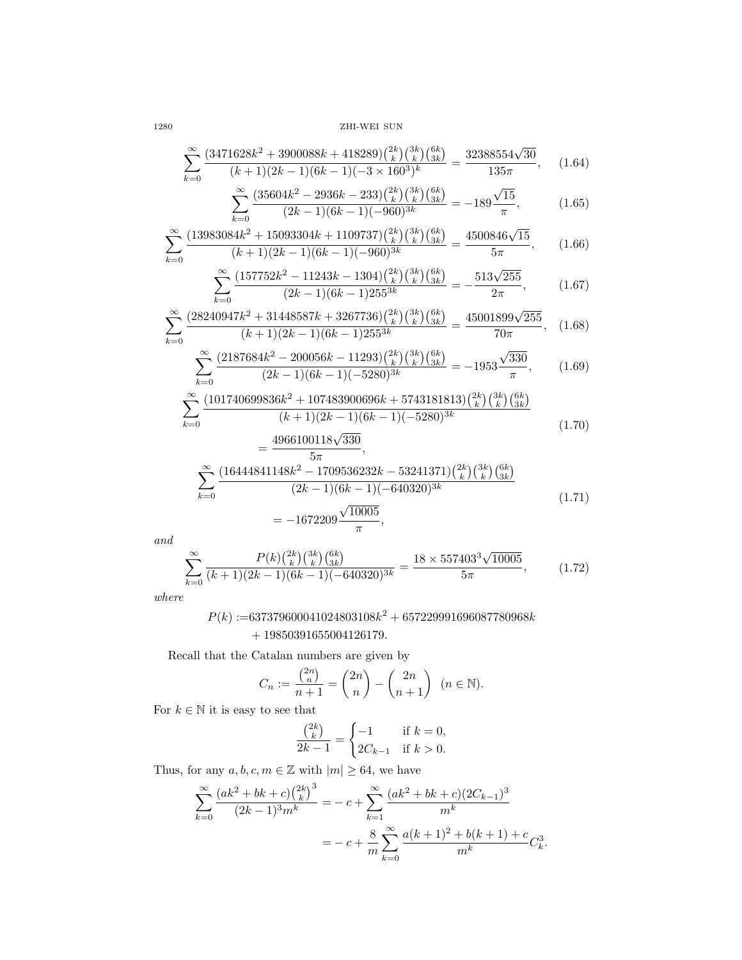1280 ZHI-WEI SUN

$$
\sum_{k=0}^{\infty} \frac{(3471628k^2 + 3900088k + 418289) \binom{2k}{k} \binom{3k}{k} \binom{6k}{3k}}{(k+1)(2k-1)(6k-1)(-3 \times 160^3)^k} = \frac{32388554\sqrt{30}}{135\pi},
$$
 (1.64)

$$
\sum_{k=0}^{\infty} \frac{(35604k^2 - 2936k - 233) \binom{2k}{k} \binom{3k}{k} \binom{6k}{3k}}{(2k-1)(6k-1)(-960)^{3k}} = -189 \frac{\sqrt{15}}{\pi},\tag{1.65}
$$

$$
\sum_{k=0}^{\infty} (2k-1)(6k-1)(-960)^{3k} = 155 \pi ,
$$
\n
$$
3084k^2 + 15093304k + 1109737\left(\frac{2k}{k}\right)\left(\frac{3k}{k}\right)\left(\frac{6k}{3k}\right) = 4500846\sqrt{15}
$$
\n(1.60)

$$
\sum_{k=0}^{\infty} \frac{(13983084k^2 + 15093304k + 1109737)\binom{2k}{k}\binom{3k}{k}\binom{6k}{3k}}{(k+1)(2k-1)(6k-1)(-960)^{3k}} = \frac{4500846\sqrt{15}}{5\pi},\qquad(1.66)
$$

$$
\sum_{k=0}^{\infty} \frac{(157752k^2 - 11243k - 1304) {2k \choose k} {3k \choose k} {6k \choose 3k}}{(2k-1)(6k-1)255^{3k}} = -\frac{513\sqrt{255}}{2\pi},
$$
(1.67)

$$
\sum_{k=0}^{\infty} \frac{(2k-1)(6k-1)255^{3k}}{(2k-1)(6k-1)255^{3k}} = \frac{-2\pi}{2\pi},
$$
\n(1.07)  
\n
$$
\sum_{k=0}^{\infty} \frac{(2k-1)(6k-1)255^{3k}}{(2k)^{2k}} = \frac{-2\pi}{2\pi}
$$

$$
\sum_{k=0}^{\infty} \frac{(28240947k^2 + 31448587k + 3267736)\binom{2k}{k}\binom{3k}{k}\binom{6k}{3k}}{(k+1)(2k-1)(6k-1)255^{3k}} = \frac{45001899\sqrt{255}}{70\pi},
$$
 (1.68)

$$
\sum_{k=0}^{\infty} \frac{(2187684k^2 - 200056k - 11293)\binom{2k}{k}\binom{3k}{k}\binom{6k}{3k}}{(2k-1)(6k-1)(-5280)^{3k}} = -1953\frac{\sqrt{330}}{\pi},\qquad(1.69)
$$

$$
\sum_{k=0}^{\infty} \frac{(101740699836k^2 + 107483900696k + 5743181813) {2k \choose k} {3k \choose k} {6k \choose 3k}}{(k+1)(2k-1)(6k-1)(-5280)^{3k}}
$$
(1.70)  
4966100118 $\sqrt{330}$ 

$$
= \frac{150010110 \sqrt{600}}{5\pi},
$$
  

$$
\sum_{k=0}^{\infty} \frac{(16444841148k^2 - 1709536232k - 53241371) {2k \choose k} {3k \choose k} {6k \choose 3k}}{(2k-1)(6k-1)(-640320)^{3k}}
$$
  

$$
= -1672209 \frac{\sqrt{10005}}{\pi},
$$
 (1.71)

and

$$
\sum_{k=0}^{\infty} \frac{P(k) \binom{2k}{k} \binom{3k}{k} \binom{6k}{3k}}{(k+1)(2k-1)(6k-1)(-640320)^{3k}} = \frac{18 \times 557403^3 \sqrt{10005}}{5\pi},\tag{1.72}
$$

where

$$
P(k) :=\n637379600041024803108k^2 + 657229991696087780968k \\
 + 19850391655004126179.
$$

Recall that the Catalan numbers are given by

$$
C_n := \frac{\binom{2n}{n}}{n+1} = \binom{2n}{n} - \binom{2n}{n+1} \quad (n \in \mathbb{N}).
$$

For  $k\in\mathbb{N}$  it is easy to see that

$$
\frac{\binom{2k}{k}}{2k-1} = \begin{cases} -1 & \text{if } k = 0, \\ 2C_{k-1} & \text{if } k > 0. \end{cases}
$$

Thus, for any  $a, b, c, m \in \mathbb{Z}$  with  $|m| \geq 64$ , we have

$$
\sum_{k=0}^{\infty} \frac{(ak^2 + bk + c)\binom{2k}{k}^3}{(2k-1)^3 m^k} = -c + \sum_{k=1}^{\infty} \frac{(ak^2 + bk + c)(2C_{k-1})^3}{m^k}
$$

$$
= -c + \frac{8}{m} \sum_{k=0}^{\infty} \frac{a(k+1)^2 + b(k+1) + c}{m^k} C_k^3.
$$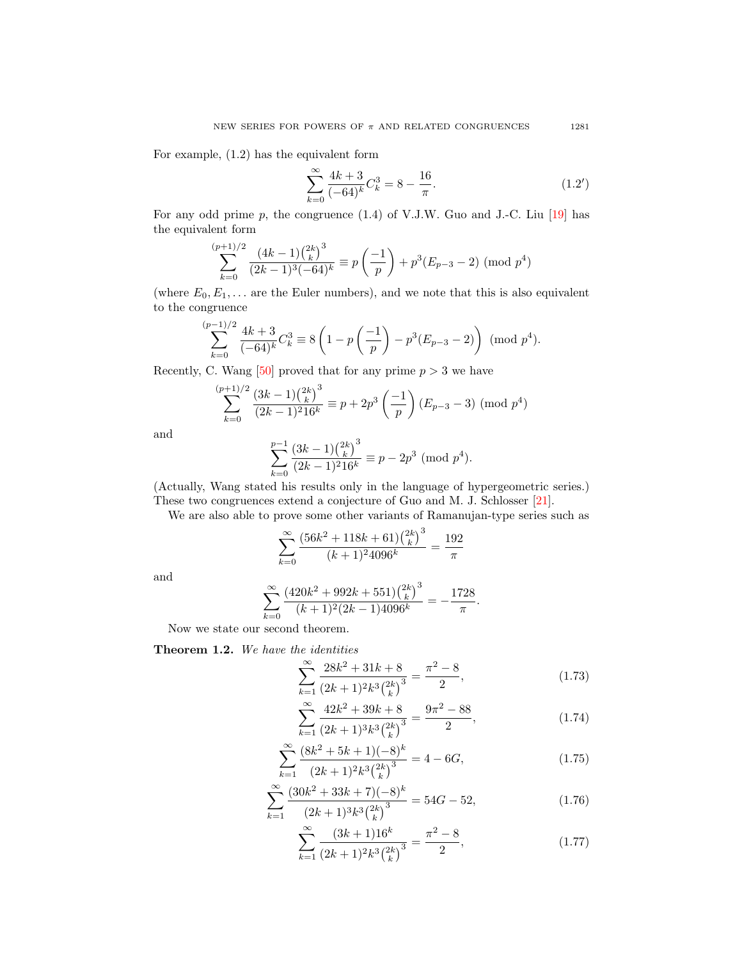For example, (1.2) has the equivalent form

$$
\sum_{k=0}^{\infty} \frac{4k+3}{(-64)^k} C_k^3 = 8 - \frac{16}{\pi}.
$$
\n(1.2')

For any odd prime  $p$ , the congruence  $(1.4)$  of V.J.W. Guo and J.-C. Liu  $[19]$  has the equivalent form

$$
\sum_{k=0}^{(p+1)/2} \frac{(4k-1)\binom{2k}{k}^3}{(2k-1)^3(-64)^k} \equiv p\left(\frac{-1}{p}\right) + p^3(E_{p-3} - 2) \pmod{p^4}
$$

(where  $E_0, E_1, \ldots$  are the Euler numbers), and we note that this is also equivalent to the congruence

$$
\sum_{k=0}^{(p-1)/2} \frac{4k+3}{(-64)^k} C_k^3 \equiv 8\left(1 - p\left(\frac{-1}{p}\right) - p^3(E_{p-3} - 2)\right) \pmod{p^4}.
$$

Recently, C. Wang [\[50\]](#page-68-11) proved that for any prime  $p > 3$  we have

$$
\sum_{k=0}^{(p+1)/2} \frac{(3k-1)\binom{2k}{k}^3}{(2k-1)^2 16^k} \equiv p + 2p^3 \left(\frac{-1}{p}\right) (E_{p-3} - 3) \pmod{p^4}
$$

and

$$
\sum_{k=0}^{p-1} \frac{(3k-1){2k \choose k}^3}{(2k-1)^2 16^k} \equiv p - 2p^3 \pmod{p^4}.
$$

(Actually, Wang stated his results only in the language of hypergeometric series.) These two congruences extend a conjecture of Guo and M. J. Schlosser [\[21\]](#page-68-12).

We are also able to prove some other variants of Ramanujan-type series such as

$$
\sum_{k=0}^{\infty} \frac{\left(56k^2 + 118k + 61\right)\left(\frac{2k}{k}\right)^3}{(k+1)^2 4096^k} = \frac{192}{\pi}
$$

and

$$
\sum_{k=0}^{\infty} \frac{(420k^2 + 992k + 551)\binom{2k}{k}^3}{(k+1)^2(2k-1)4096^k} = -\frac{1728}{\pi}.
$$

Now we state our second theorem.

Theorem 1.2. We have the identities

$$
\sum_{k=1}^{\infty} \frac{28k^2 + 31k + 8}{(2k+1)^2 k^3 {2k \choose k}^3} = \frac{\pi^2 - 8}{2},
$$
\n(1.73)

$$
\sum_{k=1}^{\infty} \frac{42k^2 + 39k + 8}{(2k+1)^3 k^3 {2k \choose k}^3} = \frac{9\pi^2 - 88}{2},
$$
\n(1.74)

$$
\sum_{k=1}^{\infty} \frac{(8k^2 + 5k + 1)(-8)^k}{(2k+1)^2 k^3 {2k \choose k}^3} = 4 - 6G,
$$
\n(1.75)

$$
\sum_{k=1}^{\infty} \frac{(30k^2 + 33k + 7)(-8)^k}{(2k+1)^3 k^3 {2k \choose k}^3} = 54G - 52,
$$
\n(1.76)

$$
\sum_{k=1}^{\infty} \frac{(3k+1)16^k}{(2k+1)^2 k^3 {2k \choose k}^3} = \frac{\pi^2 - 8}{2},
$$
\n(1.77)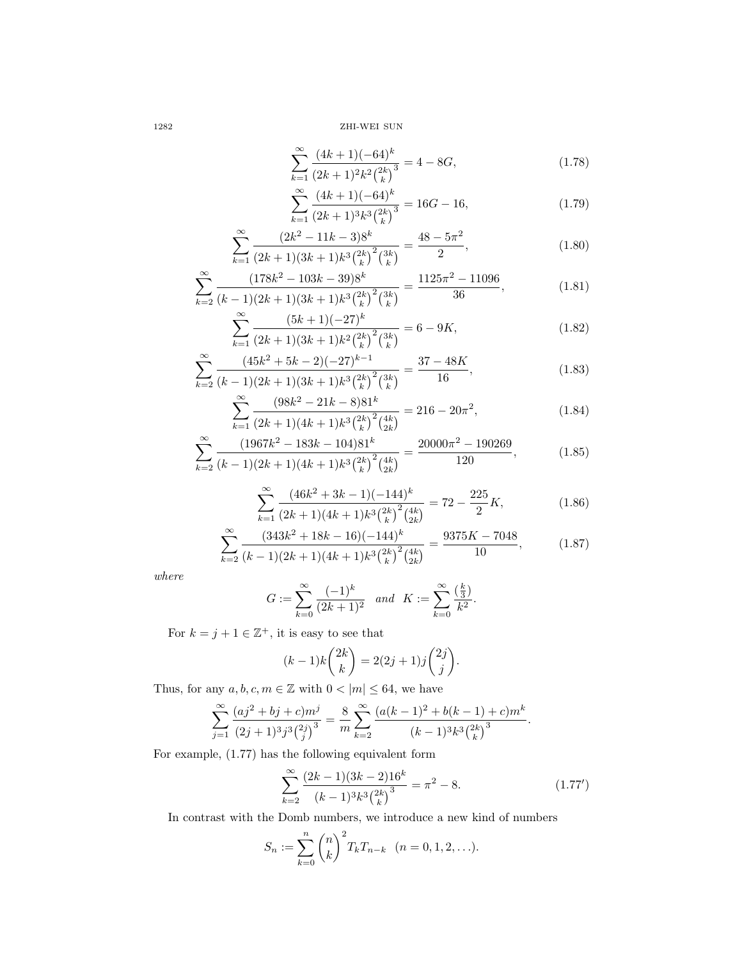1282 ZHI-WEI SUN

$$
\sum_{k=1}^{\infty} \frac{(4k+1)(-64)^k}{(2k+1)^2 k^2 {2k \choose k}^3} = 4 - 8G,
$$
\n(1.78)

$$
\sum_{k=1}^{\infty} \frac{(4k+1)(-64)^k}{(2k+1)^3 k^3 {2k \choose k}^3} = 16G - 16,
$$
\n(1.79)

$$
\sum_{k=1}^{\infty} \frac{(2k^2 - 11k - 3)8^k}{(2k+1)(3k+1)k^3 {2k \choose k}^2 {3k \choose k}} = \frac{48 - 5\pi^2}{2},
$$
\n(1.80)

$$
\sum_{k=2}^{\infty} \frac{(178k^2 - 103k - 39)8^k}{(k-1)(2k+1)(3k+1)k^3 {2k \choose k}^2 {3k \choose k}} = \frac{1125\pi^2 - 11096}{36},
$$
\n(1.81)

$$
\sum_{k=1}^{\infty} \frac{(5k+1)(-27)^k}{(2k+1)(3k+1)k^2 {2k \choose k}^2 {3k \choose k}} = 6 - 9K,
$$
\n(1.82)

$$
\sum_{k=2}^{\infty} \frac{(45k^2 + 5k - 2)(-27)^{k-1}}{(k-1)(2k+1)(3k+1)k^3 {2k \choose k}^2 {3k \choose k}} = \frac{37 - 48K}{16},
$$
\n(1.83)

$$
\sum_{k=1}^{\infty} \frac{(98k^2 - 21k - 8)81^k}{(2k+1)(4k+1)k^3 \binom{2k}{k}^2 \binom{4k}{2k}} = 216 - 20\pi^2,
$$
\n(1.84)

$$
\sum_{k=2}^{\infty} \frac{(1967k^2 - 183k - 104)81^k}{(k-1)(2k+1)(4k+1)k^3 {2k \choose k}^2 {4k \choose 2k}} = \frac{20000\pi^2 - 190269}{120},
$$
\n(1.85)

$$
\sum_{k=1}^{\infty} \frac{(46k^2 + 3k - 1)(-144)^k}{(2k+1)(4k+1)k^3 {2k \choose k}^2 {4k \choose 2k}} = 72 - \frac{225}{2}K,
$$
\n(1.86)

$$
\sum_{k=2}^{\infty} \frac{(343k^2 + 18k - 16)(-144)^k}{(k-1)(2k+1)(4k+1)k^3 {2k \choose k}^2 {4k \choose 2k}} = \frac{9375K - 7048}{10},
$$
(1.87)

where

$$
G := \sum_{k=0}^{\infty} \frac{(-1)^k}{(2k+1)^2} \quad and \quad K := \sum_{k=0}^{\infty} \frac{\left(\frac{k}{3}\right)}{k^2}.
$$

For  $k = j + 1 \in \mathbb{Z}^+$ , it is easy to see that

$$
(k-1)k\binom{2k}{k} = 2(2j+1)j\binom{2j}{j}.
$$

Thus, for any  $a, b, c, m \in \mathbb{Z}$  with  $0 < |m| \leq 64$ , we have

$$
\sum_{j=1}^{\infty} \frac{(aj^2 + bj + c)m^j}{(2j+1)^3 j^3 \binom{2j}{j}^3} = \frac{8}{m} \sum_{k=2}^{\infty} \frac{(a(k-1)^2 + b(k-1) + c)m^k}{(k-1)^3 k^3 \binom{2k}{k}^3}.
$$

For example, (1.77) has the following equivalent form

$$
\sum_{k=2}^{\infty} \frac{(2k-1)(3k-2)16^k}{(k-1)^3 k^3 {2k \choose k}^3} = \pi^2 - 8.
$$
 (1.77')

In contrast with the Domb numbers, we introduce a new kind of numbers

$$
S_n := \sum_{k=0}^n \binom{n}{k}^2 T_k T_{n-k} \quad (n = 0, 1, 2, \ldots).
$$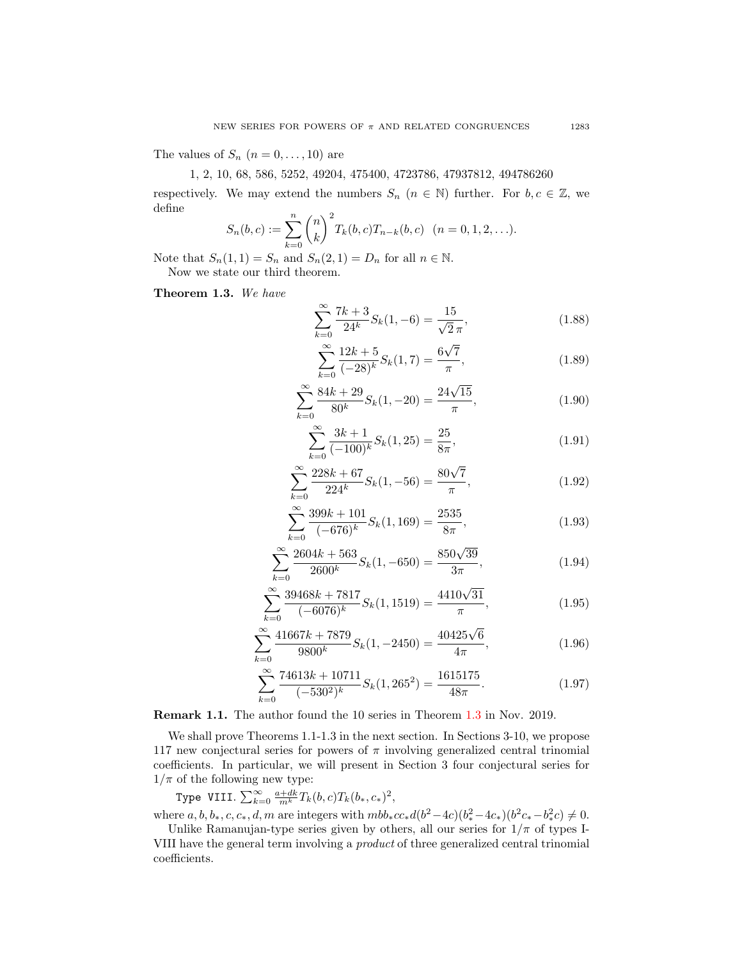The values of  $S_n$   $(n = 0, \ldots, 10)$  are

## 1, 2, 10, 68, 586, 5252, 49204, 475400, 4723786, 47937812, 494786260

respectively. We may extend the numbers  $S_n$   $(n \in \mathbb{N})$  further. For  $b, c \in \mathbb{Z}$ , we define

$$
S_n(b,c) := \sum_{k=0}^n {n \choose k}^2 T_k(b,c) T_{n-k}(b,c) \quad (n = 0, 1, 2, \ldots).
$$

Note that  $S_n(1,1) = S_n$  and  $S_n(2,1) = D_n$  for all  $n \in \mathbb{N}$ . Now we state our third theorem.

<span id="page-10-0"></span>Theorem 1.3. We have

$$
\sum_{k=0}^{\infty} \frac{7k+3}{24^k} S_k(1, -6) = \frac{15}{\sqrt{2}\pi},
$$
\n(1.88)

<span id="page-10-1"></span>
$$
\sum_{k=0}^{\infty} \frac{12k+5}{(-28)^k} S_k(1,7) = \frac{6\sqrt{7}}{\pi},
$$
\n(1.89)

$$
\sum_{k=0}^{\infty} \frac{84k + 29}{80^k} S_k(1, -20) = \frac{24\sqrt{15}}{\pi},
$$
\n(1.90)

$$
\sum_{k=0}^{\infty} \frac{3k+1}{(-100)^k} S_k(1, 25) = \frac{25}{8\pi},
$$
\n(1.91)

$$
\sum_{k=0}^{\infty} \frac{228k + 67}{224^k} S_k(1, -56) = \frac{80\sqrt{7}}{\pi},
$$
\n(1.92)

$$
\sum_{k=0}^{\infty} \frac{399k + 101}{(-676)^k} S_k(1, 169) = \frac{2535}{8\pi},
$$
\n(1.93)

$$
\sum_{k=0}^{\infty} \frac{2604k + 563}{2600^k} S_k(1, -650) = \frac{850\sqrt{39}}{3\pi},
$$
\n(1.94)

$$
\sum_{k=0}^{\infty} \frac{39468k + 7817}{(-6076)^k} S_k(1, 1519) = \frac{4410\sqrt{31}}{\pi},
$$
\n(1.95)

$$
\sum_{k=0}^{\infty} \frac{41667k + 7879}{9800^k} S_k(1, -2450) = \frac{40425\sqrt{6}}{4\pi},
$$
\n(1.96)

<span id="page-10-2"></span>
$$
\sum_{k=0}^{\infty} \frac{74613k + 10711}{(-530^2)^k} S_k(1, 265^2) = \frac{1615175}{48\pi}.
$$
 (1.97)

Remark 1.1. The author found the 10 series in Theorem [1.3](#page-10-0) in Nov. 2019.

We shall prove Theorems 1.1-1.3 in the next section. In Sections 3-10, we propose 117 new conjectural series for powers of  $\pi$  involving generalized central trinomial coefficients. In particular, we will present in Section 3 four conjectural series for  $1/\pi$  of the following new type:

Type VIII.  $\sum_{k=0}^{\infty} \frac{a+dk}{m^k} T_k(b,c) T_k(b_*,c_*)^2$ ,

where  $a, b, b_*, c, c_*, d, m$  are integers with  $mbb_*cc_*d(b^2-4c)(b_*^2-4c_*)(b^2c_*-b_*^2c) \neq 0$ .

Unlike Ramanujan-type series given by others, all our series for  $1/\pi$  of types I-VIII have the general term involving a product of three generalized central trinomial coefficients.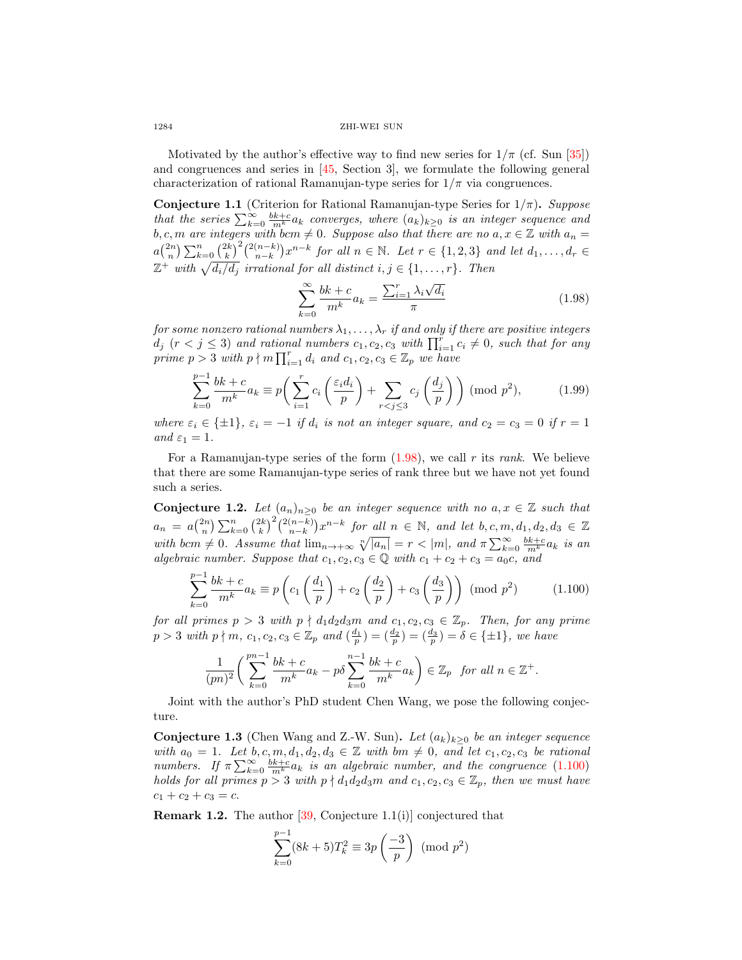#### 1284 ZHI-WEI SUN

Motivated by the author's effective way to find new series for  $1/\pi$  (cf. Sun [\[35\]](#page-68-13)) and congruences and series in [\[45,](#page-68-4) Section 3], we formulate the following general characterization of rational Ramanujan-type series for  $1/\pi$  via congruences.

**Conjecture 1.1** (Criterion for Rational Ramanujan-type Series for  $1/\pi$ ). Suppose that the series  $\sum_{k=0}^{\infty} \frac{bk+c}{m^k} a_k$  converges, where  $(a_k)_{k\geq 0}$  is an integer sequence and b, c, m are integers with bcm  $\neq 0$ . Suppose also that there are no  $a, x \in \mathbb{Z}$  with  $a_n =$  $a\binom{2n}{n}\sum_{k=0}^{n}\binom{2k}{k}^{2}\binom{2(n-k)}{n-k}x^{n-k}$  for all  $n \in \mathbb{N}$ . Let  $r \in \{1,2,3\}$  and let  $d_1,\ldots,d_r \in$  $\mathbb{Z}^+$  with  $\sqrt{d_i/d_j}$  irrational for all distinct  $i, j \in \{1, \ldots, r\}$ . Then

<span id="page-11-0"></span>
$$
\sum_{k=0}^{\infty} \frac{bk+c}{m^k} a_k = \frac{\sum_{i=1}^{r} \lambda_i \sqrt{d_i}}{\pi}
$$
\n(1.98)

for some nonzero rational numbers  $\lambda_1, \ldots, \lambda_r$  if and only if there are positive integers  $d_j$  ( $r < j \leq 3$ ) and rational numbers  $c_1, c_2, c_3$  with  $\prod_{i=1}^r c_i \neq 0$ , such that for any prime  $p > 3$  with  $p \nmid m \prod_{i=1}^r d_i$  and  $c_1, c_2, c_3 \in \mathbb{Z}_p$  we have

$$
\sum_{k=0}^{p-1} \frac{bk+c}{m^k} a_k \equiv p\left(\sum_{i=1}^r c_i \left(\frac{\varepsilon_i d_i}{p}\right) + \sum_{r < j \le 3} c_j \left(\frac{d_j}{p}\right)\right) \pmod{p^2},\tag{1.99}
$$

where  $\varepsilon_i \in \{\pm 1\}$ ,  $\varepsilon_i = -1$  if  $d_i$  is not an integer square, and  $c_2 = c_3 = 0$  if  $r = 1$ and  $\varepsilon_1 = 1$ .

For a Ramanujan-type series of the form  $(1.98)$ , we call r its rank. We believe that there are some Ramanujan-type series of rank three but we have not yet found such a series.

<span id="page-11-3"></span>Conjecture 1.2. Let  $(a_n)_{n>0}$  be an integer sequence with no  $a, x \in \mathbb{Z}$  such that  $a_n = a\binom{2n}{n} \sum_{k=0}^n \binom{2k}{k}^2 \binom{2(n-k)}{n-k} x^{n-k}$  for all  $n \in \mathbb{N}$ , and let  $b, c, m, d_1, d_2, d_3 \in \mathbb{Z}$ with bcm  $\neq 0$ . Assume that  $\lim_{n\to+\infty} \sqrt[n]{|a_n|} = r < |m|$ , and  $\pi \sum_{k=0}^{\infty} \frac{bk+c}{m^k} a_k$  is an algebraic number. Suppose that  $c_1, c_2, c_3 \in \mathbb{Q}$  with  $c_1 + c_2 + c_3 = a_0c$ , and

<span id="page-11-1"></span>
$$
\sum_{k=0}^{p-1} \frac{bk+c}{m^k} a_k \equiv p \left( c_1 \left( \frac{d_1}{p} \right) + c_2 \left( \frac{d_2}{p} \right) + c_3 \left( \frac{d_3}{p} \right) \right) \pmod{p^2}
$$
 (1.100)

for all primes  $p > 3$  with  $p \nmid d_1 d_2 d_3 m$  and  $c_1, c_2, c_3 \in \mathbb{Z}_p$ . Then, for any prime  $p > 3$  with  $p \nmid m, c_1, c_2, c_3 \in \mathbb{Z}_p$  and  $\left(\frac{d_1}{p}\right) = \left(\frac{d_2}{p}\right) = \left(\frac{d_3}{p}\right) = \delta \in \{\pm 1\}$ , we have

$$
\frac{1}{(pn)^2} \bigg( \sum_{k=0}^{pn-1} \frac{bk+c}{m^k} a_k - p\delta \sum_{k=0}^{n-1} \frac{bk+c}{m^k} a_k \bigg) \in \mathbb{Z}_p \text{ for all } n \in \mathbb{Z}^+.
$$

Joint with the author's PhD student Chen Wang, we pose the following conjecture.

<span id="page-11-2"></span>**Conjecture 1.3** (Chen Wang and Z.-W. Sun). Let  $(a_k)_{k>0}$  be an integer sequence with  $a_0 = 1$ . Let  $b, c, m, d_1, d_2, d_3 \in \mathbb{Z}$  with  $bm \neq 0$ , and let  $c_1, c_2, c_3$  be rational numbers. If  $\pi \sum_{k=0}^{\infty} \frac{bk+c}{m^k} a_k$  is an algebraic number, and the congruence [\(1.100\)](#page-11-1) holds for all primes  $p > 3$  with  $p \nmid d_1d_2d_3m$  and  $c_1, c_2, c_3 \in \mathbb{Z}_p$ , then we must have  $c_1 + c_2 + c_3 = c.$ 

Remark 1.2. The author [\[39,](#page-68-14) Conjecture 1.1(i)] conjectured that

$$
\sum_{k=0}^{p-1} (8k+5)T_k^2 \equiv 3p\left(\frac{-3}{p}\right) \pmod{p^2}
$$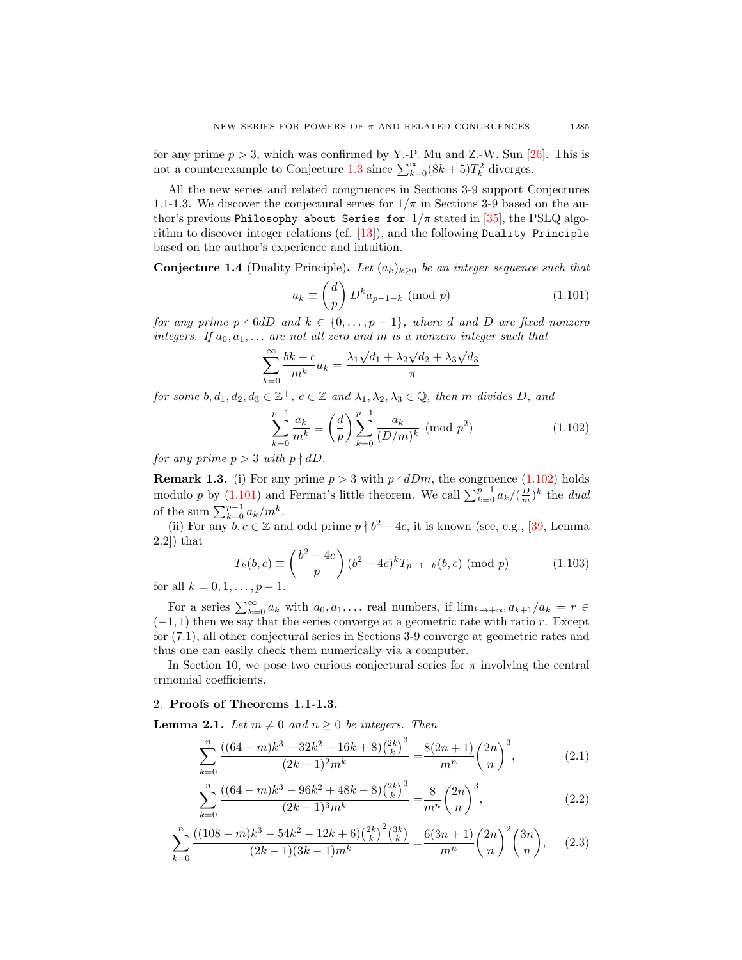for any prime  $p > 3$ , which was confirmed by Y.-P. Mu and Z.-W. Sun [\[26\]](#page-68-15). This is not a counterexample to Conjecture [1.3](#page-11-2) since  $\sum_{k=0}^{\infty} (8k+5)T_k^2$  diverges.

All the new series and related congruences in Sections 3-9 support Conjectures 1.1-1.3. We discover the conjectural series for  $1/\pi$  in Sections 3-9 based on the author's previous Philosophy about Series for  $1/\pi$  stated in [\[35\]](#page-68-13), the PSLQ algorithm to discover integer relations (cf.  $[13]$ ), and the following Duality Principle based on the author's experience and intuition.

<span id="page-12-4"></span>Conjecture 1.4 (Duality Principle). Let  $(a_k)_{k\geq 0}$  be an integer sequence such that

<span id="page-12-1"></span>
$$
a_k \equiv \left(\frac{d}{p}\right) D^k a_{p-1-k} \pmod{p} \tag{1.101}
$$

for any prime  $p \nmid 6dD$  and  $k \in \{0, \ldots, p-1\}$ , where d and D are fixed nonzero integers. If  $a_0, a_1, \ldots$  are not all zero and m is a nonzero integer such that

$$
\sum_{k=0}^{\infty} \frac{bk+c}{m^k} a_k = \frac{\lambda_1 \sqrt{d_1} + \lambda_2 \sqrt{d_2} + \lambda_3 \sqrt{d_3}}{\pi}
$$

for some  $b, d_1, d_2, d_3 \in \mathbb{Z}^+$ ,  $c \in \mathbb{Z}$  and  $\lambda_1, \lambda_2, \lambda_3 \in \mathbb{Q}$ , then m divides D, and

<span id="page-12-0"></span>
$$
\sum_{k=0}^{p-1} \frac{a_k}{m^k} \equiv \left(\frac{d}{p}\right) \sum_{k=0}^{p-1} \frac{a_k}{(D/m)^k} \pmod{p^2}
$$
 (1.102)

for any prime  $p > 3$  with  $p \nmid dD$ .

<span id="page-12-3"></span>**Remark 1.3.** (i) For any prime  $p > 3$  with  $p \nmid dDm$ , the congruence [\(1.102\)](#page-12-0) holds modulo p by [\(1.101\)](#page-12-1) and Fermat's little theorem. We call  $\sum_{k=0}^{p-1} a_k/(\frac{D}{m})^k$  the dual of the sum  $\sum_{k=0}^{p-1} a_k/m^k$ .

(ii) For any  $b, c \in \mathbb{Z}$  and odd prime  $p \nmid b^2 - 4c$ , it is known (see, e.g., [\[39,](#page-68-14) Lemma 2.2]) that

$$
T_k(b,c) \equiv \left(\frac{b^2 - 4c}{p}\right) (b^2 - 4c)^k T_{p-1-k}(b,c) \pmod{p} \tag{1.103}
$$

for all  $k = 0, 1, \ldots, p - 1$ .

For a series  $\sum_{k=0}^{\infty} a_k$  with  $a_0, a_1, \ldots$  real numbers, if  $\lim_{k \to +\infty} a_{k+1}/a_k = r \in$  $(-1, 1)$  then we say that the series converge at a geometric rate with ratio r. Except for (7.1), all other conjectural series in Sections 3-9 converge at geometric rates and thus one can easily check them numerically via a computer.

In Section 10, we pose two curious conjectural series for  $\pi$  involving the central trinomial coefficients.

## 2. Proofs of Theorems 1.1-1.3.

<span id="page-12-2"></span>**Lemma 2.1.** Let  $m \neq 0$  and  $n \geq 0$  be integers. Then

$$
\sum_{k=0}^{n} \frac{((64-m)k^3 - 32k^2 - 16k + 8) {2k \choose k}^3}{(2k-1)^2 m^k} = \frac{8(2n+1)}{m^n} {2n \choose n}^3,
$$
(2.1)

$$
\sum_{k=0}^{n} \frac{((64-m)k^3 - 96k^2 + 48k - 8) {2k \choose k}^3}{(2k-1)^3 m^k} = \frac{8}{m^n} {2n \choose n}^3,
$$
\n(2.2)

$$
\sum_{k=0}^{n} \frac{((108-m)k^3 - 54k^2 - 12k + 6) \binom{2k}{k}^2 \binom{3k}{k}}{(2k-1)(3k-1)m^k} = \frac{6(3n+1)}{m^n} \binom{2n}{n}^2 \binom{3n}{n}, \qquad (2.3)
$$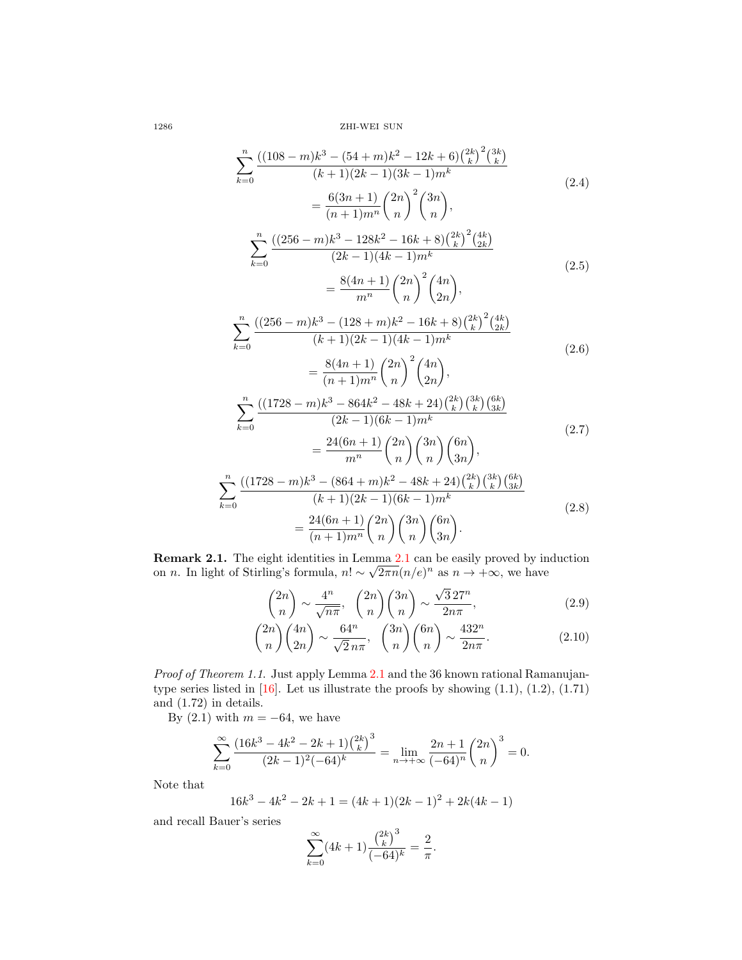1286 ZHI-WEI SUN

$$
\sum_{k=0}^{n} \frac{((108 - m)k^3 - (54 + m)k^2 - 12k + 6) {2k \choose k} {2k \choose k}}{(k+1)(2k-1)(3k-1)m^k} = \frac{6(3n+1)}{(n+1)m^n} {2n \choose n}^2 \binom{3n}{n},
$$
\n
$$
\sum_{k=0}^{n} \frac{((256 - m)k^3 - 128k^2 - 16k + 8) {2k \choose k} {2k \choose 2k}}{(2k-1)(4k-1)m^k} = \frac{8(4n+1)}{m^n} {2n \choose n}^2 \binom{4n}{2n},
$$
\n
$$
\sum_{k=0}^{n} \frac{((256 - m)k^3 - (128 + m)k^2 - 16k + 8) {2k \choose k} {2k \choose 2k}}{(k+1)(2k-1)(4k-1)m^k} = \frac{8(4n+1)}{(n+1)m^n} {2n \choose n}^2 \binom{4n}{2n},
$$
\n
$$
\sum_{k=0}^{n} \frac{((1728 - m)k^3 - 864k^2 - 48k + 24) {2k \choose k} {3k \choose 2k}}{(2k-1)(6k-1)m^k} = \frac{24(6n+1)}{m^n} {2n \choose n} {3n \choose 3n} \binom{6n}{3n},
$$
\n
$$
\sum_{k=0}^{n} \frac{((1728 - m)k^3 - (864 + m)k^2 - 48k + 24) {2k \choose k} {3k \choose 3k}}{(k+1)(2k-1)(6k-1)m^k} = \frac{24(6n+1)}{(k+1)(2k-1)(6k-1)m^k} {2n \choose n} {3n \choose 3n}.
$$
\n
$$
= \frac{24(6n+1)}{(n+1)m^n} {2n \choose n} {3n \choose 3n} {6n \choose 3n}.
$$
\n(2.8)

**Remark [2.1](#page-12-2).** The eight identities in Lemma  $2.1$  can be easily proved by induction on *n*. In light of Stirling's formula,  $n! \sim \sqrt{2\pi n} (n/e)^n$  as  $n \to +\infty$ , we have

$$
\binom{2n}{n} \sim \frac{4^n}{\sqrt{n\pi}}, \quad \binom{2n}{n} \binom{3n}{n} \sim \frac{\sqrt{3}27^n}{2n\pi},\tag{2.9}
$$

$$
\binom{2n}{n}\binom{4n}{2n} \sim \frac{64^n}{\sqrt{2}n\pi}, \quad \binom{3n}{n}\binom{6n}{n} \sim \frac{432^n}{2n\pi}.\tag{2.10}
$$

Proof of Theorem 1.1. Just apply Lemma [2.1](#page-12-2) and the 36 known rational Ramanujantype series listed in  $[16]$ . Let us illustrate the proofs by showing  $(1.1)$ ,  $(1.2)$ ,  $(1.71)$ and (1.72) in details.

By (2.1) with  $m = -64$ , we have

$$
\sum_{k=0}^{\infty} \frac{\left(16k^3 - 4k^2 - 2k + 1\right)\binom{2k}{k}^3}{(2k-1)^2(-64)^k} = \lim_{n \to +\infty} \frac{2n+1}{(-64)^n} \binom{2n}{n}^3 = 0.
$$

Note that

$$
16k^3 - 4k^2 - 2k + 1 = (4k+1)(2k-1)^2 + 2k(4k-1)
$$

and recall Bauer's series

$$
\sum_{k=0}^{\infty} (4k+1) \frac{\binom{2k}{k}^3}{(-64)^k} = \frac{2}{\pi}.
$$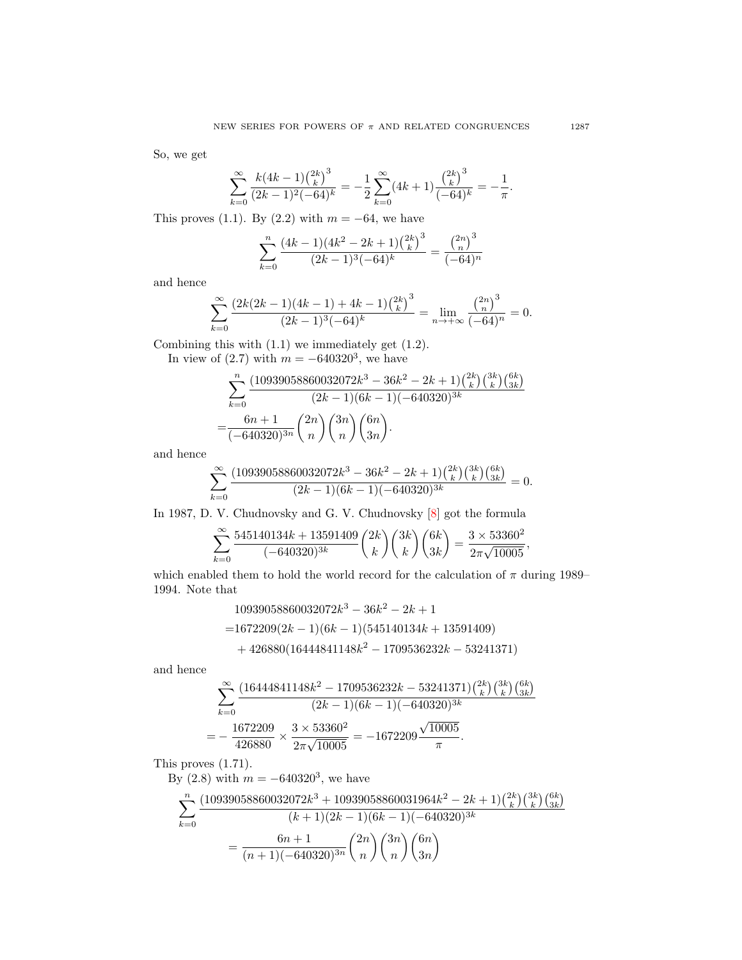So, we get

$$
\sum_{k=0}^{\infty} \frac{k(4k-1){2k \choose k}^3}{(2k-1)^2(-64)^k} = -\frac{1}{2} \sum_{k=0}^{\infty} (4k+1) \frac{{2k \choose k}^3}{(-64)^k} = -\frac{1}{\pi}.
$$

This proves (1.1). By (2.2) with  $m = -64$ , we have

$$
\sum_{k=0}^{n} \frac{(4k-1)(4k^2 - 2k + 1) {2k \choose k}^3}{(2k-1)^3(-64)^k} = \frac{{2n \choose n}^3}{(-64)^n}
$$

and hence

$$
\sum_{k=0}^{\infty} \frac{\left(2k(2k-1)(4k-1) + 4k - 1\right)\binom{2k}{k}^3}{(2k-1)^3(-64)^k} = \lim_{n \to +\infty} \frac{\binom{2n}{n}^3}{(-64)^n} = 0.
$$

Combining this with (1.1) we immediately get (1.2).

In view of  $(2.7)$  with  $m = -640320^3$ , we have

$$
\sum_{k=0}^{n} \frac{(10939058860032072k^3 - 36k^2 - 2k + 1)\binom{2k}{k}\binom{3k}{k}\binom{6k}{3k}}{(2k-1)(6k-1)(-640320)^{3k}}
$$

$$
=\frac{6n+1}{(-640320)^{3n}}\binom{2n}{n}\binom{3n}{n}\binom{6n}{3n}.
$$

and hence

$$
\sum_{k=0}^{\infty}\frac{(10939058860032072k^3-36k^2-2k+1){{2k}\choose{k}}{{3k}\choose{k}}{{6k}\choose{3k}}} {(2k-1)(6k-1)(-640320)^{3k}}=0.
$$

In 1987, D. V. Chudnovsky and G. V. Chudnovsky [\[8\]](#page-67-2) got the formula

$$
\sum_{k=0}^{\infty} \frac{545140134k + 13591409}{(-640320)^{3k}} {2k \choose k} {3k \choose k} {6k \choose 3k} = \frac{3 \times 53360^2}{2\pi\sqrt{10005}},
$$

which enabled them to hold the world record for the calculation of  $\pi$  during 1989– 1994. Note that

$$
10939058860032072k3 - 36k2 - 2k + 1
$$
  
=1672209(2k - 1)(6k - 1)(545140134k + 13591409)  
+426880(16444841148k<sup>2</sup> - 1709536232k - 53241371)

and hence

$$
\sum_{k=0}^{\infty} \frac{\left(16444841148k^2 - 1709536232k - 53241371\right)\binom{2k}{k}\binom{3k}{k}\binom{6k}{3k}}{(2k-1)(6k-1)(-640320)^{3k}}
$$

$$
= -\frac{1672209}{426880} \times \frac{3 \times 53360^2}{2\pi\sqrt{10005}} = -1672209 \frac{\sqrt{10005}}{\pi}.
$$

This proves (1.71).

By  $(2.8)$  with  $m = -640320^3$ , we have

$$
\begin{split} \sum_{k=0}^{n}&\frac{(10939058860032072k^3+10939058860031964k^2-2k+1)\binom{2k}{k}\binom{3k}{k}\binom{6k}{3k}}{(k+1)(2k-1)(6k-1)(-640320)^{3k}}\\ &=\frac{6n+1}{(n+1)(-640320)^{3n}}\binom{2n}{n}\binom{3n}{n}\binom{6n}{3n} \end{split}
$$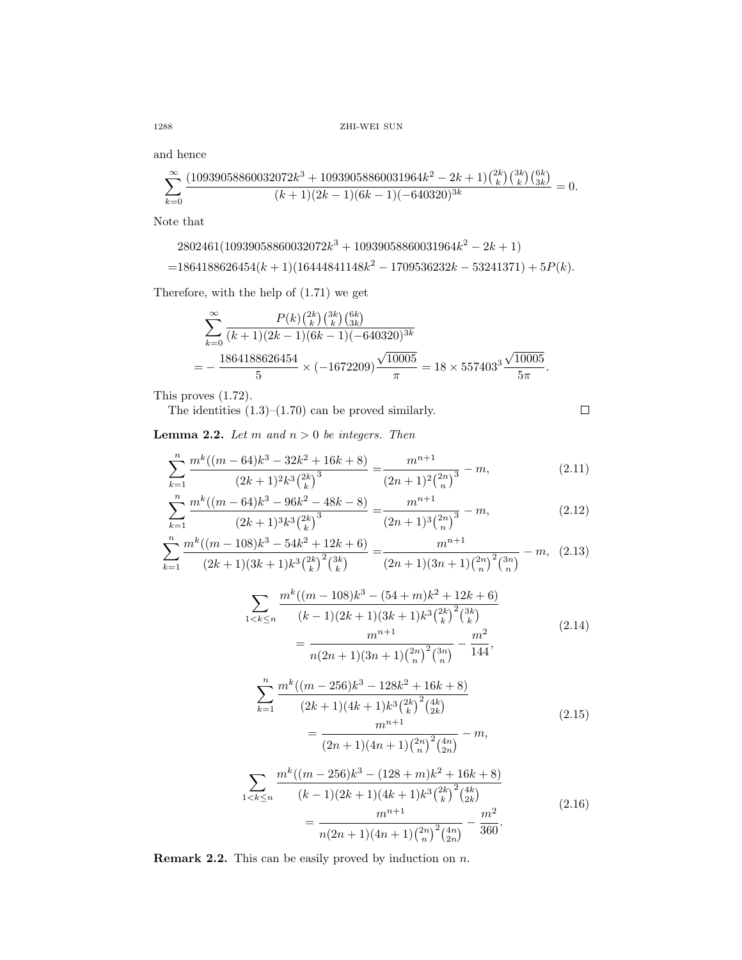1288 ZHI-WEI SUN

and hence

$$
\sum_{k=0}^{\infty} \frac{(10939058860032072k^3 + 10939058860031964k^2 - 2k + 1){{2k \choose k} {3k \choose k} {6k \choose 3k}}{(k+1)(2k-1)(6k-1)(-640320)^{3k}} = 0.
$$

Note that

$$
2802461(10939058860032072k^3 + 10939058860031964k^2 - 2k + 1)
$$
  
=1864188626454(k + 1)(16444841148k^2 - 1709536232k - 53241371) + 5P(k).

Therefore, with the help of (1.71) we get

$$
\sum_{k=0}^{\infty} \frac{P(k) {2k \choose k} {3k \choose 3k}}{(k+1)(2k-1)(6k-1)(-640320)^{3k}}
$$
  
= 
$$
-\frac{1864188626454}{5} \times (-1672209) \frac{\sqrt{10005}}{\pi} = 18 \times 557403^3 \frac{\sqrt{10005}}{5\pi}.
$$

This proves (1.72).

The identities  $(1.3)$ – $(1.70)$  can be proved similarly.  $\Box$ 

<span id="page-15-0"></span>**Lemma 2.2.** Let  $m$  and  $n > 0$  be integers. Then

$$
\sum_{k=1}^{n} \frac{m^k((m-64)k^3 - 32k^2 + 16k + 8)}{(2k+1)^2k^3\binom{2k}{k}^3} = \frac{m^{n+1}}{(2n+1)^2\binom{2n}{n}^3} - m,\tag{2.11}
$$

$$
\sum_{k=1}^{n} \frac{m^k((m-64)k^3 - 96k^2 - 48k - 8)}{(2k+1)^3 k^3 {2k \choose k}^3} = \frac{m^{n+1}}{(2n+1)^3 {2n \choose n}^3} - m,
$$
\n(2.12)

$$
\sum_{k=1}^{n} \frac{m^k((m-108)k^3 - 54k^2 + 12k + 6)}{(2k+1)(3k+1)k^3 {2k \choose k}^2 {3k \choose k}} = \frac{m^{n+1}}{(2n+1)(3n+1) {2n \choose n}^2 {3n \choose n}} - m, (2.13)
$$

$$
\sum_{1 < k \le n} \frac{m^k ((m - 108)k^3 - (54 + m)k^2 + 12k + 6)}{(k - 1)(2k + 1)(3k + 1)k^3 {2k \choose k}^2 {3k \choose k}}
$$
\n
$$
= \frac{m^{n+1}}{n(2n + 1)(3n + 1) {2n \choose n}^2 {3n \choose n}} - \frac{m^2}{144},\tag{2.14}
$$

$$
\sum_{k=1}^{n} \frac{m^k((m-256)k^3 - 128k^2 + 16k + 8)}{(2k+1)(4k+1)k^3 {2k \choose k}^2 {4k \choose 2k}} = \frac{m^{n+1}}{(2n+1)(4n+1) {2n \choose n}^2 {4n \choose 2n}} - m,
$$
\n(2.15)

$$
\sum_{1 < k \le n} \frac{m^k ((m - 256)k^3 - (128 + m)k^2 + 16k + 8)}{(k - 1)(2k + 1)(4k + 1)k^3 \binom{2k}{k}^2 \binom{4k}{2k}} = \frac{m^{n+1}}{n(2n + 1)(4n + 1)\binom{2n}{n}^2 \binom{4n}{2n}} - \frac{m^2}{360}.
$$
\n(2.16)

**Remark 2.2.** This can be easily proved by induction on  $n$ .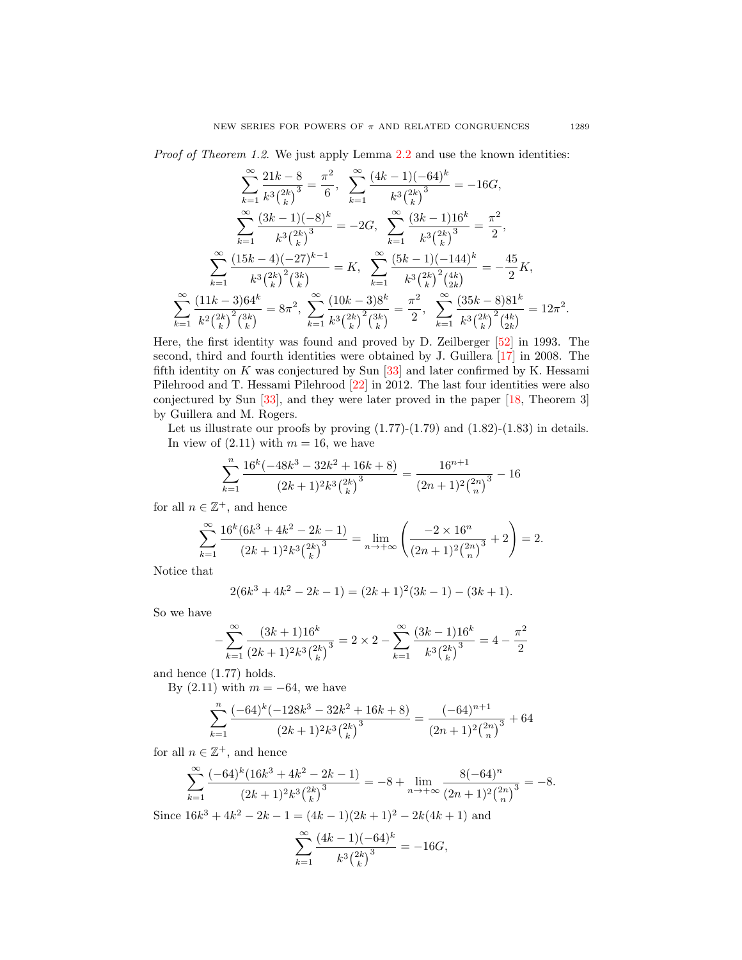$$
\sum_{k=1}^{\infty} \frac{21k - 8}{k^3 {2k \choose k}^3} = \frac{\pi^2}{6}, \quad \sum_{k=1}^{\infty} \frac{(4k - 1)(-64)^k}{k^3 {2k \choose k}^3} = -16G,
$$
\n
$$
\sum_{k=1}^{\infty} \frac{(3k - 1)(-8)^k}{k^3 {2k \choose k}^3} = -2G, \quad \sum_{k=1}^{\infty} \frac{(3k - 1)16^k}{k^3 {2k \choose k}^3} = \frac{\pi^2}{2},
$$
\n
$$
\sum_{k=1}^{\infty} \frac{(15k - 4)(-27)^{k-1}}{k^3 {2k \choose k}^2 {3k \choose k}} = K, \quad \sum_{k=1}^{\infty} \frac{(5k - 1)(-144)^k}{k^3 {2k \choose k}^2 {4k \choose 2}} = -\frac{45}{2}K,
$$
\n
$$
\sum_{k=1}^{\infty} \frac{(11k - 3)64^k}{k^2 {2k \choose k}^2 {3k \choose k}} = 8\pi^2, \quad \sum_{k=1}^{\infty} \frac{(10k - 3)8^k}{k^3 {2k \choose k}^2 {3k \choose k}} = \frac{\pi^2}{2}, \quad \sum_{k=1}^{\infty} \frac{(35k - 8)81^k}{k^3 {2k \choose k}^2 {4k \choose 2}} = 12\pi^2.
$$

Here, the first identity was found and proved by D. Zeilberger [\[52\]](#page-69-2) in 1993. The second, third and fourth identities were obtained by J. Guillera [\[17\]](#page-67-12) in 2008. The fifth identity on  $K$  was conjectured by Sun  $[33]$  and later confirmed by K. Hessami Pilehrood and T. Hessami Pilehrood [\[22\]](#page-68-16) in 2012. The last four identities were also conjectured by Sun [\[33\]](#page-68-2), and they were later proved in the paper [\[18,](#page-67-13) Theorem 3] by Guillera and M. Rogers.

Let us illustrate our proofs by proving  $(1.77)-(1.79)$  and  $(1.82)-(1.83)$  in details. In view of  $(2.11)$  with  $m = 16$ , we have

$$
\sum_{k=1}^{n} \frac{16^{k}(-48k^{3} - 32k^{2} + 16k + 8)}{(2k+1)^{2}k^{3} {2k \choose k}^{3}} = \frac{16^{n+1}}{(2n+1)^{2} {2n \choose n}^{3}} - 16
$$

for all  $n \in \mathbb{Z}^+$ , and hence

$$
\sum_{k=1}^{\infty} \frac{16^k (6k^3 + 4k^2 - 2k - 1)}{(2k+1)^2 k^3 {2k \choose k}^3} = \lim_{n \to +\infty} \left( \frac{-2 \times 16^n}{(2n+1)^2 {2n \choose n}^3} + 2 \right) = 2.
$$

Notice that

$$
2(6k3 + 4k2 - 2k - 1) = (2k + 1)2(3k - 1) - (3k + 1).
$$

So we have

$$
-\sum_{k=1}^{\infty} \frac{(3k+1)16^k}{(2k+1)^2 k^3 {2k \choose k}^3} = 2 \times 2 - \sum_{k=1}^{\infty} \frac{(3k-1)16^k}{k^3 {2k \choose k}^3} = 4 - \frac{\pi^2}{2}
$$

and hence (1.77) holds.

By  $(2.11)$  with  $m = -64$ , we have

$$
\sum_{k=1}^{n} \frac{(-64)^k (-128k^3 - 32k^2 + 16k + 8)}{(2k+1)^2 k^3 {2k \choose k}^3} = \frac{(-64)^{n+1}}{(2n+1)^2 {2n \choose n}^3} + 64
$$

for all  $n \in \mathbb{Z}^+$ , and hence

$$
\sum_{k=1}^{\infty} \frac{(-64)^k (16k^3 + 4k^2 - 2k - 1)}{(2k+1)^2 k^3 {2k \choose k}^3} = -8 + \lim_{n \to +\infty} \frac{8(-64)^n}{(2n+1)^2 {2n \choose n}^3} = -8.
$$

Since  $16k^3 + 4k^2 - 2k - 1 = (4k - 1)(2k + 1)^2 - 2k(4k + 1)$  and

$$
\sum_{k=1}^{\infty} \frac{(4k-1)(-64)^k}{k^3 {2k \choose k}^3} = -16G,
$$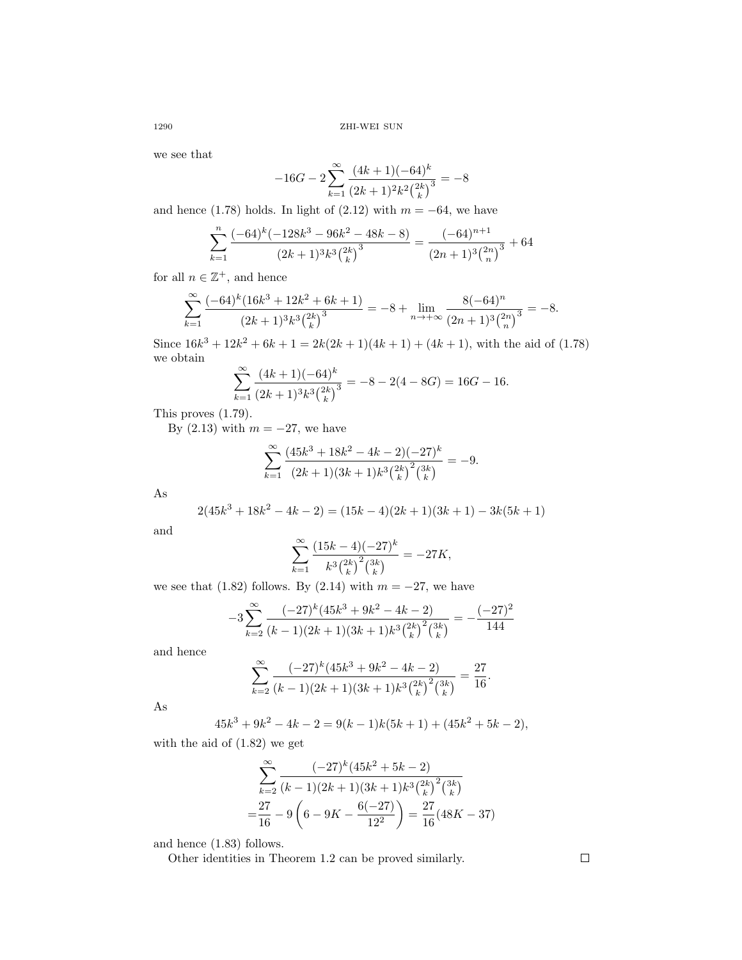we see that

$$
-16G - 2\sum_{k=1}^{\infty} \frac{(4k+1)(-64)^k}{(2k+1)^2k^2 {2k \choose k}^3} = -8
$$

and hence (1.78) holds. In light of (2.12) with  $m = -64$ , we have

$$
\sum_{k=1}^{n} \frac{(-64)^k (-128k^3 - 96k^2 - 48k - 8)}{(2k+1)^3 k^3 {2k \choose k}^3} = \frac{(-64)^{n+1}}{(2n+1)^3 {2n \choose n}^3} + 64
$$

for all  $n \in \mathbb{Z}^+$ , and hence

$$
\sum_{k=1}^{\infty} \frac{(-64)^k (16k^3 + 12k^2 + 6k + 1)}{(2k+1)^3 k^3 {2k \choose k}^3} = -8 + \lim_{n \to +\infty} \frac{8(-64)^n}{(2n+1)^3 {2n \choose n}^3} = -8.
$$

Since  $16k^3 + 12k^2 + 6k + 1 = 2k(2k+1)(4k+1) + (4k+1)$ , with the aid of (1.78) we obtain

$$
\sum_{k=1}^{\infty} \frac{(4k+1)(-64)^k}{(2k+1)^3 k^3 {2k \choose k}^3} = -8 - 2(4 - 8G) = 16G - 16.
$$

This proves (1.79).

By  $(2.13)$  with  $m = -27$ , we have

$$
\sum_{k=1}^{\infty} \frac{(45k^3 + 18k^2 - 4k - 2)(-27)^k}{(2k+1)(3k+1)k^3 {2k \choose k}^2 {3k \choose k}} = -9.
$$

As

$$
2(45k3 + 18k2 - 4k - 2) = (15k - 4)(2k + 1)(3k + 1) - 3k(5k + 1)
$$

and

$$
\sum_{k=1}^{\infty} \frac{(15k-4)(-27)^k}{k^3 {2k \choose k}^2 {3k \choose k}} = -27K,
$$

we see that (1.82) follows. By (2.14) with  $m = -27$ , we have

$$
-3\sum_{k=2}^{\infty} \frac{(-27)^k (45k^3 + 9k^2 - 4k - 2)}{(k-1)(2k+1)(3k+1)k^3 {2k \choose k}^2 {3k \choose k}} = -\frac{(-27)^2}{144}
$$

and hence

$$
\sum_{k=2}^{\infty} \frac{(-27)^k (45k^3 + 9k^2 - 4k - 2)}{(k-1)(2k+1)(3k+1)k^3 {2k \choose k}^2 {3k \choose k}} = \frac{27}{16}.
$$

As

$$
45k3 + 9k2 - 4k - 2 = 9(k - 1)k(5k + 1) + (45k2 + 5k - 2),
$$

with the aid of (1.82) we get

$$
\sum_{k=2}^{\infty} \frac{(-27)^k (45k^2 + 5k - 2)}{(k-1)(2k+1)(3k+1)k^3 {2k \choose k}^2 {3k \choose k}}
$$
  
= 
$$
\frac{27}{16} - 9\left(6 - 9K - \frac{6(-27)}{12^2}\right) = \frac{27}{16}(48K - 37)
$$

and hence (1.83) follows.

Other identities in Theorem 1.2 can be proved similarly.

 $\Box$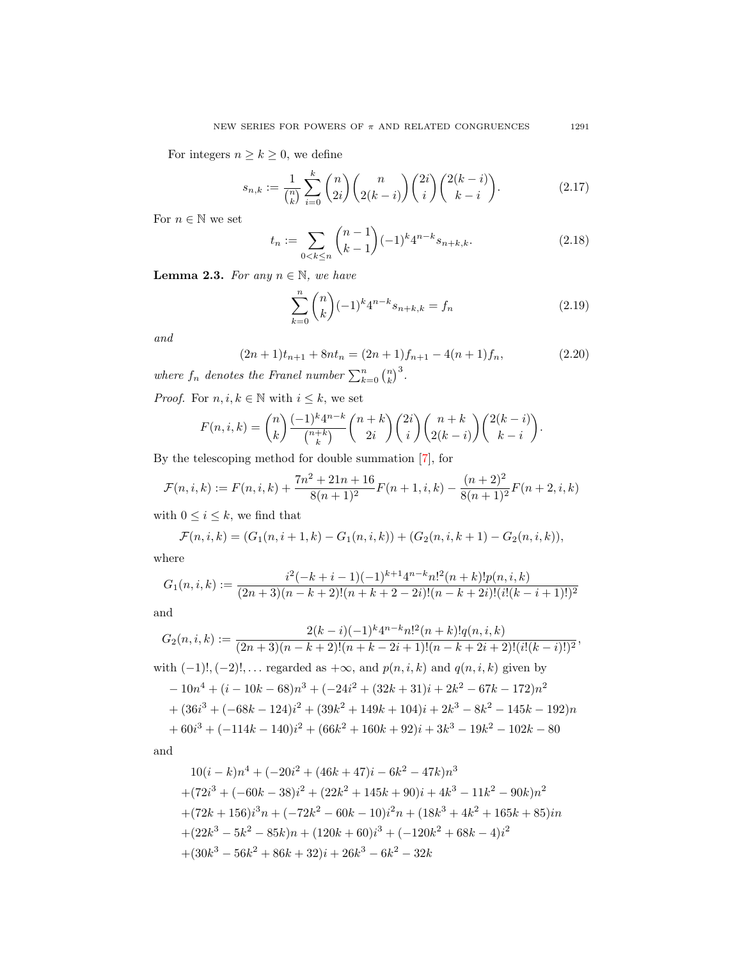For integers  $n \geq k \geq 0$ , we define

$$
s_{n,k} := \frac{1}{\binom{n}{k}} \sum_{i=0}^k \binom{n}{2i} \binom{n}{2(k-i)} \binom{2i}{i} \binom{2(k-i)}{k-i}.
$$
 (2.17)

For  $n\in\mathbb{N}$  we set

$$
t_n := \sum_{0 < k \le n} \binom{n-1}{k-1} (-1)^k 4^{n-k} s_{n+k,k}.\tag{2.18}
$$

<span id="page-18-2"></span>**Lemma 2.3.** For any  $n \in \mathbb{N}$ , we have

<span id="page-18-0"></span>
$$
\sum_{k=0}^{n} \binom{n}{k} (-1)^k 4^{n-k} s_{n+k,k} = f_n \tag{2.19}
$$

and

<span id="page-18-1"></span>
$$
(2n+1)t_{n+1} + 8nt_n = (2n+1)f_{n+1} - 4(n+1)f_n,
$$
\n(2.20)

where  $f_n$  denotes the Francl number  $\sum_{k=0}^{n} \binom{n}{k}^3$ .

*Proof.* For  $n, i, k \in \mathbb{N}$  with  $i \leq k$ , we set

$$
F(n,i,k) = {n \choose k} \frac{(-1)^k 4^{n-k}}{\binom{n+k}{k}} {n+k \choose 2i} {2i \choose i} {n+k \choose 2(k-i)} {2(k-i) \choose k-i}.
$$

By the telescoping method for double summation [\[7\]](#page-67-14), for

$$
\mathcal{F}(n,i,k) := F(n,i,k) + \frac{7n^2 + 21n + 16}{8(n+1)^2}F(n+1,i,k) - \frac{(n+2)^2}{8(n+1)^2}F(n+2,i,k)
$$

with  $0 \leq i \leq k$ , we find that

$$
\mathcal{F}(n,i,k) = (G_1(n,i+1,k) - G_1(n,i,k)) + (G_2(n,i,k+1) - G_2(n,i,k)),
$$

where

$$
G_1(n,i,k) := \frac{i^2(-k+i-1)(-1)^{k+1}4^{n-k}n!^2(n+k)!p(n,i,k)}{(2n+3)(n-k+2)!(n+k+2-2i)!(n-k+2i)!(i!(k-i+1)!)^2}
$$

and

$$
G_2(n, i, k) := \frac{2(k - i)(-1)^k 4^{n-k} n!^2 (n + k)! q(n, i, k)}{(2n + 3)(n - k + 2)!(n + k - 2i + 1)!(n - k + 2i + 2)!(i!(k - i)!)^2},
$$
  
with  $(-1)!, (-2)!, \ldots$  regarded as  $+\infty$ , and  $p(n, i, k)$  and  $q(n, i, k)$  given by  

$$
-10n^4 + (i - 10k - 68)n^3 + (-24i^2 + (32k + 31)i + 2k^2 - 67k - 172)n^2
$$

$$
+ (36i^3 + (-68k - 124)i^2 + (39k^2 + 149k + 104)i + 2k^3 - 8k^2 - 145k - 192)n
$$

$$
+ 60i^3 + (-114k - 140)i^2 + (66k^2 + 160k + 92)i + 3k^3 - 19k^2 - 102k - 80
$$

and

$$
10(i-k)n4 + (-20i2 + (46k + 47)i - 6k2 - 47k)n3
$$
  
+
$$
(72i3 + (-60k - 38)i2 + (22k2 + 145k + 90)i + 4k3 - 11k2 - 90k)n2
$$
  
+
$$
(72k + 156)i3n + (-72k2 - 60k - 10)i2n + (18k3 + 4k2 + 165k + 85)in
$$
  
+
$$
(22k3 - 5k2 - 85k)n + (120k + 60)i3 + (-120k2 + 68k - 4)i2
$$
  
+
$$
(30k3 - 56k2 + 86k + 32)i + 26k3 - 6k2 - 32k
$$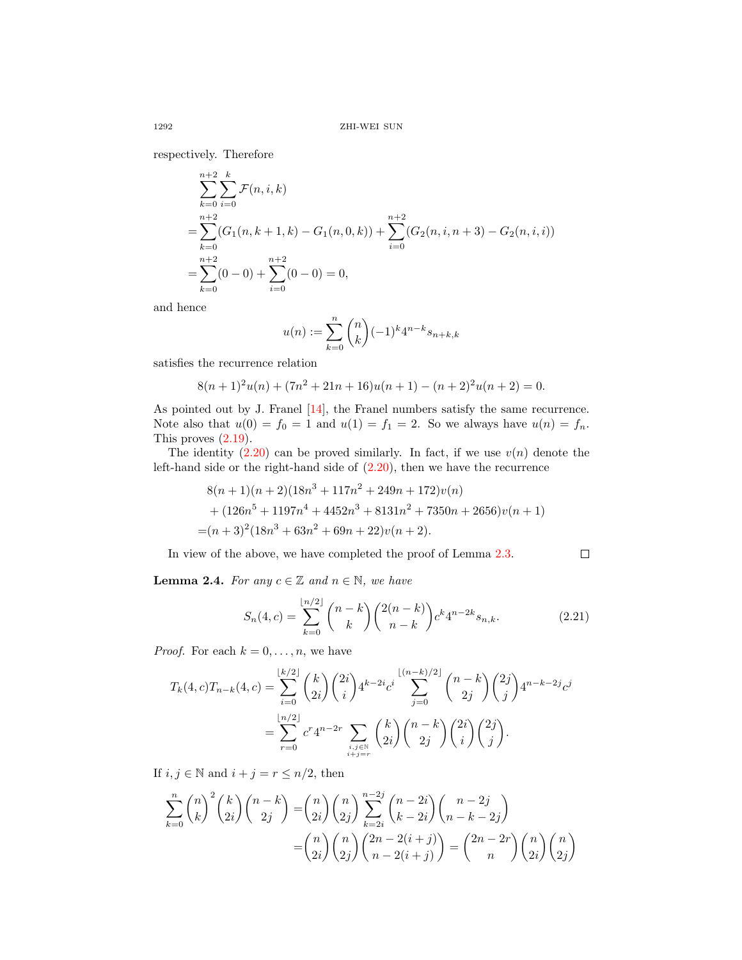respectively. Therefore

$$
\sum_{k=0}^{n+2} \sum_{i=0}^{k} \mathcal{F}(n, i, k)
$$
  
= 
$$
\sum_{k=0}^{n+2} (G_1(n, k+1, k) - G_1(n, 0, k)) + \sum_{i=0}^{n+2} (G_2(n, i, n+3) - G_2(n, i, i))
$$
  
= 
$$
\sum_{k=0}^{n+2} (0 - 0) + \sum_{i=0}^{n+2} (0 - 0) = 0,
$$

and hence

$$
u(n) := \sum_{k=0}^{n} \binom{n}{k} (-1)^k 4^{n-k} s_{n+k,k}
$$

satisfies the recurrence relation

$$
8(n + 1)2u(n) + (7n2 + 21n + 16)u(n + 1) - (n + 2)2u(n + 2) = 0.
$$

As pointed out by J. Franel [\[14\]](#page-67-15), the Franel numbers satisfy the same recurrence. Note also that  $u(0) = f_0 = 1$  and  $u(1) = f_1 = 2$ . So we always have  $u(n) = f_n$ . This proves [\(2.19\)](#page-18-0).

The identity  $(2.20)$  can be proved similarly. In fact, if we use  $v(n)$  denote the left-hand side or the right-hand side of  $(2.20)$ , then we have the recurrence

$$
8(n+1)(n+2)(18n^3+117n^2+249n+172)v(n)
$$
  
+ (126n<sup>5</sup> + 1197n<sup>4</sup> + 4452n<sup>3</sup> + 8131n<sup>2</sup> + 7350n + 2656)v(n + 1)  
= (n+3)<sup>2</sup>(18n<sup>3</sup> + 63n<sup>2</sup> + 69n + 22)v(n + 2).

In view of the above, we have completed the proof of Lemma [2.3.](#page-18-2)  $\Box$ 

**Lemma 2.4.** For any  $c \in \mathbb{Z}$  and  $n \in \mathbb{N}$ , we have

<span id="page-19-0"></span>
$$
S_n(4, c) = \sum_{k=0}^{\lfloor n/2 \rfloor} {n-k \choose k} {2(n-k) \choose n-k} c^k 4^{n-2k} s_{n,k}.
$$
 (2.21)

*Proof.* For each  $k = 0, \ldots, n$ , we have

$$
T_k(4, c)T_{n-k}(4, c) = \sum_{i=0}^{\lfloor k/2 \rfloor} {k \choose 2i} {2i \choose i} 4^{k-2i} c^i \sum_{j=0}^{\lfloor (n-k)/2 \rfloor} {n-k \choose 2j} {2j \choose j} 4^{n-k-2j} c^j
$$
  
= 
$$
\sum_{r=0}^{\lfloor n/2 \rfloor} c^r 4^{n-2r} \sum_{\substack{i,j \in \mathbb{N} \\ i+j=r}} {k \choose 2i} {n-k \choose 2j} {2i \choose i} {2j \choose j}.
$$

If  $i, j \in \mathbb{N}$  and  $i + j = r \leq n/2$ , then

$$
\sum_{k=0}^{n} {n \choose k}^2 {k \choose 2i} {n-k \choose 2j} = {n \choose 2i} {n \choose 2j} \sum_{k=2i}^{n-2j} {n-2i \choose k-2i} {n-2j \choose n-k-2j}
$$

$$
= {n \choose 2i} {n \choose 2j} {2n-2(i+j) \choose n-2(i+j)} = {2n-2r \choose n} {n \choose 2i} {n \choose 2j}
$$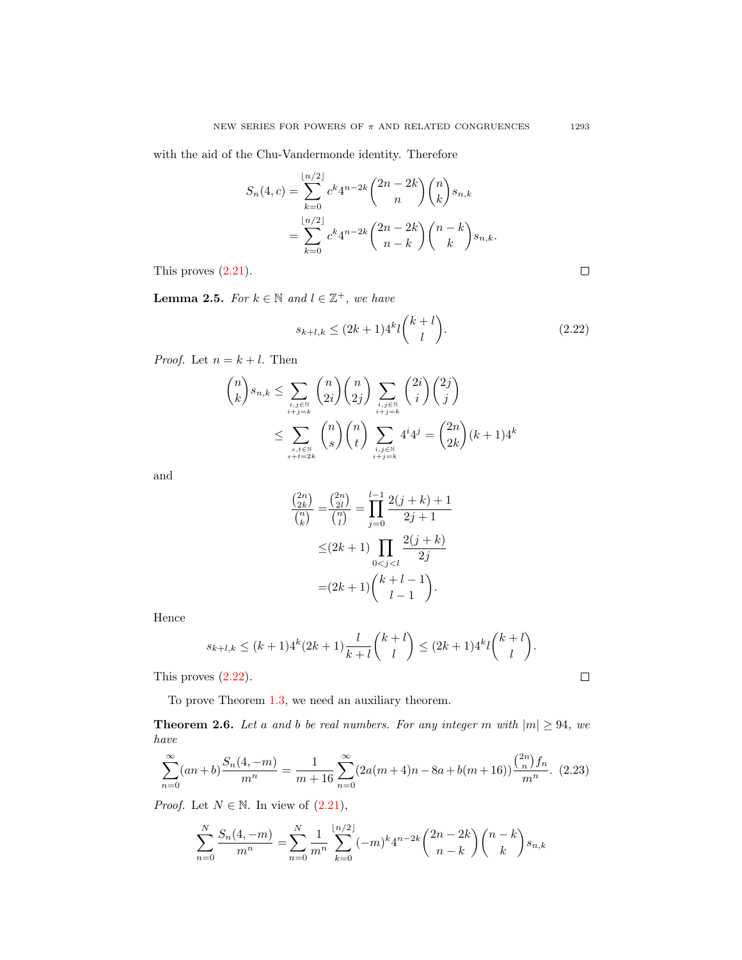with the aid of the Chu-Vandermonde identity. Therefore

$$
S_n(4, c) = \sum_{k=0}^{\lfloor n/2 \rfloor} c^k 4^{n-2k} {2n-2k \choose n} {n \choose k} s_{n,k}
$$
  
= 
$$
\sum_{k=0}^{\lfloor n/2 \rfloor} c^k 4^{n-2k} {2n-2k \choose n-k} {n-k \choose k} s_{n,k}.
$$

This proves [\(2.21\)](#page-19-0).

<span id="page-20-1"></span>**Lemma 2.5.** For  $k \in \mathbb{N}$  and  $l \in \mathbb{Z}^+$ , we have

<span id="page-20-0"></span>
$$
s_{k+l,k} \le (2k+1)4^k l \binom{k+l}{l}.\tag{2.22}
$$

*Proof.* Let  $n = k + l$ . Then

$$
\binom{n}{k} s_{n,k} \leq \sum_{\substack{i,j \in \mathbb{N} \\ i+j=k}} \binom{n}{2i} \binom{n}{2j} \sum_{\substack{i,j \in \mathbb{N} \\ i+j=k}} \binom{2i}{i} \binom{2j}{j}
$$
  

$$
\leq \sum_{\substack{s,t \in \mathbb{N} \\ s+t=2k}} \binom{n}{s} \binom{n}{t} \sum_{\substack{i,j \in \mathbb{N} \\ i+j=k}} 4^i 4^j = \binom{2n}{2k} (k+1) 4^k
$$

and

$$
\frac{\binom{2n}{2k}}{\binom{n}{k}} = \frac{\binom{2n}{2l}}{\binom{n}{l}} = \prod_{j=0}^{l-1} \frac{2(j+k)+1}{2j+1}
$$

$$
\leq (2k+1) \prod_{0 < j < l} \frac{2(j+k)}{2j}
$$

$$
= (2k+1) \binom{k+l-1}{l-1}.
$$

Hence

$$
s_{k+l,k} \le (k+1)4^k (2k+1) \frac{l}{k+l} {k+l \choose l} \le (2k+1)4^k l {k+l \choose l}.
$$

This proves [\(2.22\)](#page-20-0).

To prove Theorem [1.3,](#page-10-0) we need an auxiliary theorem.

<span id="page-20-3"></span>**Theorem 2.6.** Let a and b be real numbers. For any integer m with  $|m| \geq 94$ , we have

<span id="page-20-2"></span>
$$
\sum_{n=0}^{\infty} (an+b) \frac{S_n(4,-m)}{m^n} = \frac{1}{m+16} \sum_{n=0}^{\infty} (2a(m+4)n - 8a + b(m+16)) \frac{\binom{2n}{n} f_n}{m^n}.
$$
 (2.23)

*Proof.* Let  $N \in \mathbb{N}$ . In view of  $(2.21)$ ,

$$
\sum_{n=0}^{N} \frac{S_n(4,-m)}{m^n} = \sum_{n=0}^{N} \frac{1}{m^n} \sum_{k=0}^{\lfloor n/2 \rfloor} (-m)^k 4^{n-2k} {2n-2k \choose n-k} {n-k \choose k} s_{n,k}
$$

 $\Box$ 

 $\Box$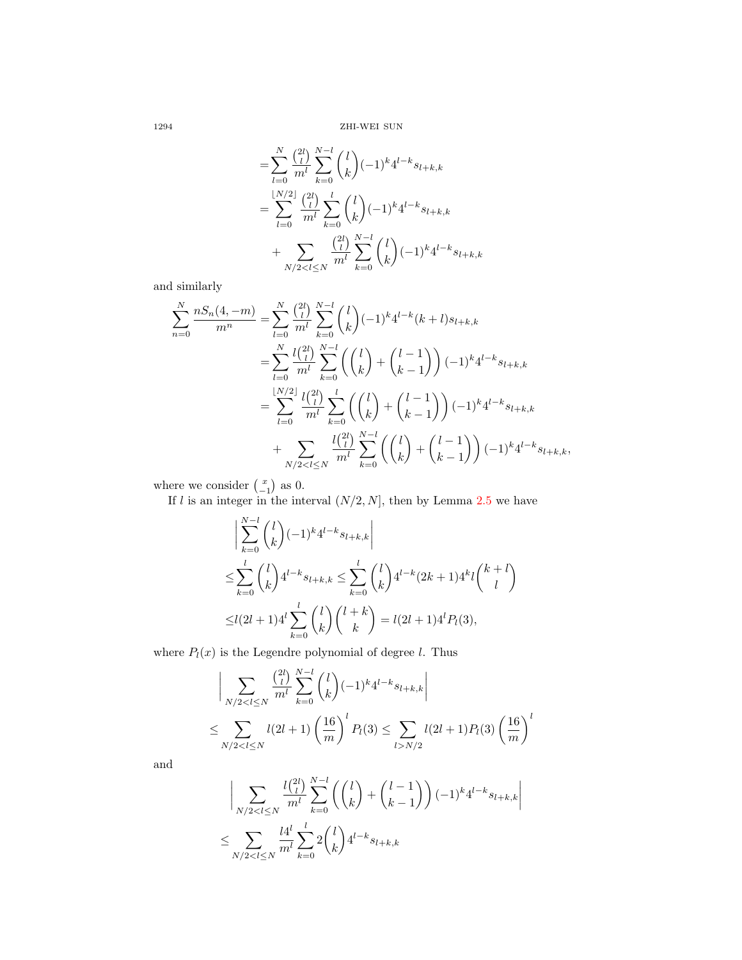1294 ZHI-WEI SUN

$$
= \sum_{l=0}^{N} \frac{\binom{2l}{l}}{m^l} \sum_{k=0}^{N-l} \binom{l}{k} (-1)^k 4^{l-k} s_{l+k,k}
$$
  

$$
= \sum_{l=0}^{\lfloor N/2 \rfloor} \frac{\binom{2l}{l}}{m^l} \sum_{k=0}^{l} \binom{l}{k} (-1)^k 4^{l-k} s_{l+k,k}
$$
  

$$
+ \sum_{N/2 < l \le N} \frac{\binom{2l}{l}}{m^l} \sum_{k=0}^{N-l} \binom{l}{k} (-1)^k 4^{l-k} s_{l+k,k}
$$

and similarly

$$
\sum_{n=0}^{N} \frac{n S_n(4,-m)}{m^n} = \sum_{l=0}^{N} \frac{\binom{2l}{l}}{m^l} \sum_{k=0}^{N-l} \binom{l}{k} (-1)^k 4^{l-k} (k+l) s_{l+k,k}
$$
  

$$
= \sum_{l=0}^{N} \frac{l \binom{2l}{l}}{m^l} \sum_{k=0}^{N-l} \left( \binom{l}{k} + \binom{l-1}{k-1} \right) (-1)^k 4^{l-k} s_{l+k,k}
$$
  

$$
= \sum_{l=0}^{\lfloor N/2 \rfloor} \frac{l \binom{2l}{l}}{m^l} \sum_{k=0}^{l} \left( \binom{l}{k} + \binom{l-1}{k-1} \right) (-1)^k 4^{l-k} s_{l+k,k}
$$
  

$$
+ \sum_{N/2 < l \le N} \frac{l \binom{2l}{l}}{m^l} \sum_{k=0}^{N-l} \left( \binom{l}{k} + \binom{l-1}{k-1} \right) (-1)^k 4^{l-k} s_{l+k,k},
$$

where we consider  $\binom{x}{-1}$  as 0.

If l is an integer in the interval  $(N/2, N]$ , then by Lemma [2.5](#page-20-1) we have

$$
\begin{aligned}\n&\Big|\sum_{k=0}^{N-l} \binom{l}{k} (-1)^k 4^{l-k} s_{l+k,k}\Big| \\
&\leq \sum_{k=0}^l \binom{l}{k} 4^{l-k} s_{l+k,k} \leq \sum_{k=0}^l \binom{l}{k} 4^{l-k} (2k+1) 4^k l \binom{k+l}{l} \\
&\leq l(2l+1) 4^l \sum_{k=0}^l \binom{l}{k} \binom{l+k}{k} = l(2l+1) 4^l P_l(3),\n\end{aligned}
$$

where  $P_l(x)$  is the Legendre polynomial of degree l. Thus

$$
\left| \sum_{N/2 < l \le N} \frac{\binom{2l}{l}}{m^l} \sum_{k=0}^{N-l} \binom{l}{k} (-1)^k 4^{l-k} s_{l+k,k} \right|
$$
\n
$$
\le \sum_{N/2 < l \le N} l(2l+1) \left( \frac{16}{m} \right)^l P_l(3) \le \sum_{l > N/2} l(2l+1) P_l(3) \left( \frac{16}{m} \right)^l
$$

and

$$
\Bigg| \sum_{N/2 < l \le N} \frac{l \binom{2l}{l}}{m^l} \sum_{k=0}^{N-l} \left( \binom{l}{k} + \binom{l-1}{k-1} \right) (-1)^k 4^{l-k} s_{l+k,k} \Bigg|
$$
\n
$$
\le \sum_{N/2 < l \le N} \frac{l 4^l}{m^l} \sum_{k=0}^l 2 \binom{l}{k} 4^{l-k} s_{l+k,k}
$$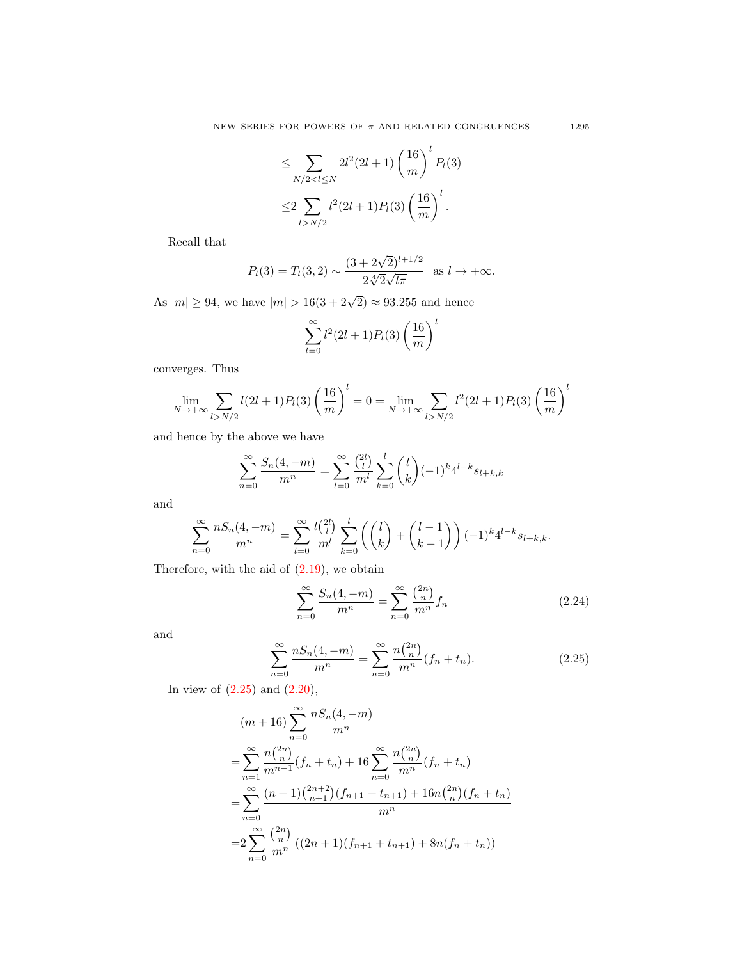$$
\leq \sum_{N/2 < l \leq N} 2l^2(2l+1) \left(\frac{16}{m}\right)^l P_l(3)
$$
\n
$$
\leq 2 \sum_{l > N/2} l^2(2l+1) P_l(3) \left(\frac{16}{m}\right)^l.
$$

Recall that

$$
P_l(3) = T_l(3, 2) \sim \frac{(3 + 2\sqrt{2})^{l+1/2}}{2\sqrt[4]{2}\sqrt{l\pi}}
$$
 as  $l \to +\infty$ .

As  $|m| \ge 94$ , we have  $|m| > 16(3 + 2\sqrt{2}) \approx 93.255$  and hence

$$
\sum_{l=0}^{\infty} l^2 (2l+1) P_l(3) \left(\frac{16}{m}\right)^l
$$

converges. Thus

$$
\lim_{N \to +\infty} \sum_{l > N/2} l(2l+1)P_l(3) \left(\frac{16}{m}\right)^l = 0 = \lim_{N \to +\infty} \sum_{l > N/2} l^2(2l+1)P_l(3) \left(\frac{16}{m}\right)^l
$$

and hence by the above we have

$$
\sum_{n=0}^{\infty} \frac{S_n(4,-m)}{m^n} = \sum_{l=0}^{\infty} \frac{\binom{2l}{l}}{m^l} \sum_{k=0}^{l} \binom{l}{k} (-1)^k 4^{l-k} s_{l+k,k}
$$

and

$$
\sum_{n=0}^{\infty} \frac{n S_n(4,-m)}{m^n} = \sum_{l=0}^{\infty} \frac{l {l \choose l}}{m^l} \sum_{k=0}^l \left( {l \choose k} + {l-1 \choose k-1} \right) (-1)^k 4^{l-k} s_{l+k,k}.
$$

Therefore, with the aid of  $(2.19)$ , we obtain

<span id="page-22-1"></span>
$$
\sum_{n=0}^{\infty} \frac{S_n(4, -m)}{m^n} = \sum_{n=0}^{\infty} \frac{\binom{2n}{n}}{m^n} f_n \tag{2.24}
$$

and

<span id="page-22-0"></span>
$$
\sum_{n=0}^{\infty} \frac{n S_n(4, -m)}{m^n} = \sum_{n=0}^{\infty} \frac{n \binom{2n}{n}}{m^n} (f_n + t_n).
$$
 (2.25)

In view of  $(2.25)$  and  $(2.20)$ ,

$$
(m+16)\sum_{n=0}^{\infty} \frac{nS_n(4,-m)}{m^n}
$$
  
=
$$
\sum_{n=1}^{\infty} \frac{n {2n \choose n}}{m^{n-1}} (f_n + t_n) + 16 \sum_{n=0}^{\infty} \frac{n {2n \choose n}}{m^n} (f_n + t_n)
$$
  
=
$$
\sum_{n=0}^{\infty} \frac{(n+1) {2n+2 \choose n+1} (f_{n+1} + t_{n+1}) + 16n {2n \choose n} (f_n + t_n)}{m^n}
$$
  
=
$$
2 \sum_{n=0}^{\infty} \frac{{2n \choose n}}{m^n} ((2n+1) (f_{n+1} + t_{n+1}) + 8n (f_n + t_n))
$$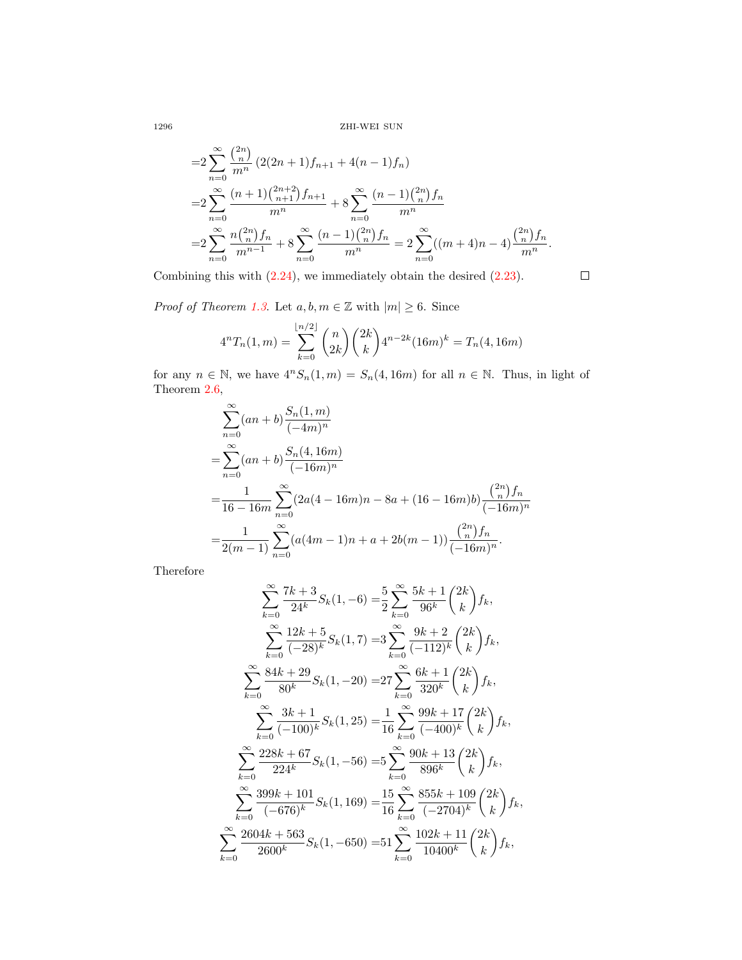1296 ZHI-WEI SUN

$$
=2\sum_{n=0}^{\infty} \frac{\binom{2n}{n}}{m^n} (2(2n+1)f_{n+1} + 4(n-1)f_n)
$$
  
=2
$$
\sum_{n=0}^{\infty} \frac{(n+1)\binom{2n+2}{n+1}f_{n+1}}{m^n} + 8\sum_{n=0}^{\infty} \frac{(n-1)\binom{2n}{n}f_n}{m^n}
$$
  
=2
$$
\sum_{n=0}^{\infty} \frac{n\binom{2n}{n}f_n}{m^{n-1}} + 8\sum_{n=0}^{\infty} \frac{(n-1)\binom{2n}{n}f_n}{m^n} = 2\sum_{n=0}^{\infty} ((m+4)n - 4)\frac{\binom{2n}{n}f_n}{m^n}.
$$

Combining this with [\(2.24\)](#page-22-1), we immediately obtain the desired [\(2.23\)](#page-20-2).

*Proof of Theorem [1.3](#page-10-0).* Let  $a, b, m \in \mathbb{Z}$  with  $|m| \geq 6$ . Since

$$
4nTn(1,m) = \sum_{k=0}^{\lfloor n/2 \rfloor} {n \choose 2k} {2k \choose k} 4^{n-2k} (16m)^k = T_n(4, 16m)
$$

 $\Box$ 

for any  $n \in \mathbb{N}$ , we have  $4^n S_n(1, m) = S_n(4, 16m)$  for all  $n \in \mathbb{N}$ . Thus, in light of Theorem [2.6,](#page-20-3)

$$
\sum_{n=0}^{\infty} (an+b) \frac{S_n(1,m)}{(-4m)^n}
$$
  
= 
$$
\sum_{n=0}^{\infty} (an+b) \frac{S_n(4,16m)}{(-16m)^n}
$$
  
= 
$$
\frac{1}{16-16m} \sum_{n=0}^{\infty} (2a(4-16m)n - 8a + (16-16m)b) \frac{\binom{2n}{n} f_n}{(-16m)^n}
$$
  
= 
$$
\frac{1}{2(m-1)} \sum_{n=0}^{\infty} (a(4m-1)n + a + 2b(m-1)) \frac{\binom{2n}{n} f_n}{(-16m)^n}.
$$

Therefore

$$
\sum_{k=0}^{\infty} \frac{7k+3}{24^k} S_k(1, -6) = \frac{5}{2} \sum_{k=0}^{\infty} \frac{5k+1}{96^k} {2k \choose k} f_k,
$$
  

$$
\sum_{k=0}^{\infty} \frac{12k+5}{(-28)^k} S_k(1, 7) = 3 \sum_{k=0}^{\infty} \frac{9k+2}{(-112)^k} {2k \choose k} f_k,
$$
  

$$
\sum_{k=0}^{\infty} \frac{84k+29}{80^k} S_k(1, -20) = 27 \sum_{k=0}^{\infty} \frac{6k+1}{320^k} {2k \choose k} f_k,
$$
  

$$
\sum_{k=0}^{\infty} \frac{3k+1}{(-100)^k} S_k(1, 25) = \frac{1}{16} \sum_{k=0}^{\infty} \frac{99k+17}{(-400)^k} {2k \choose k} f_k,
$$
  

$$
\sum_{k=0}^{\infty} \frac{228k+67}{224^k} S_k(1, -56) = 5 \sum_{k=0}^{\infty} \frac{90k+13}{896^k} {2k \choose k} f_k,
$$
  

$$
\sum_{k=0}^{\infty} \frac{399k+101}{(-676)^k} S_k(1, 169) = \frac{15}{16} \sum_{k=0}^{\infty} \frac{855k+109}{(-2704)^k} {2k \choose k} f_k,
$$
  

$$
\sum_{k=0}^{\infty} \frac{2604k+563}{2600^k} S_k(1, -650) = 51 \sum_{k=0}^{\infty} \frac{102k+11}{10400^k} {2k \choose k} f_k,
$$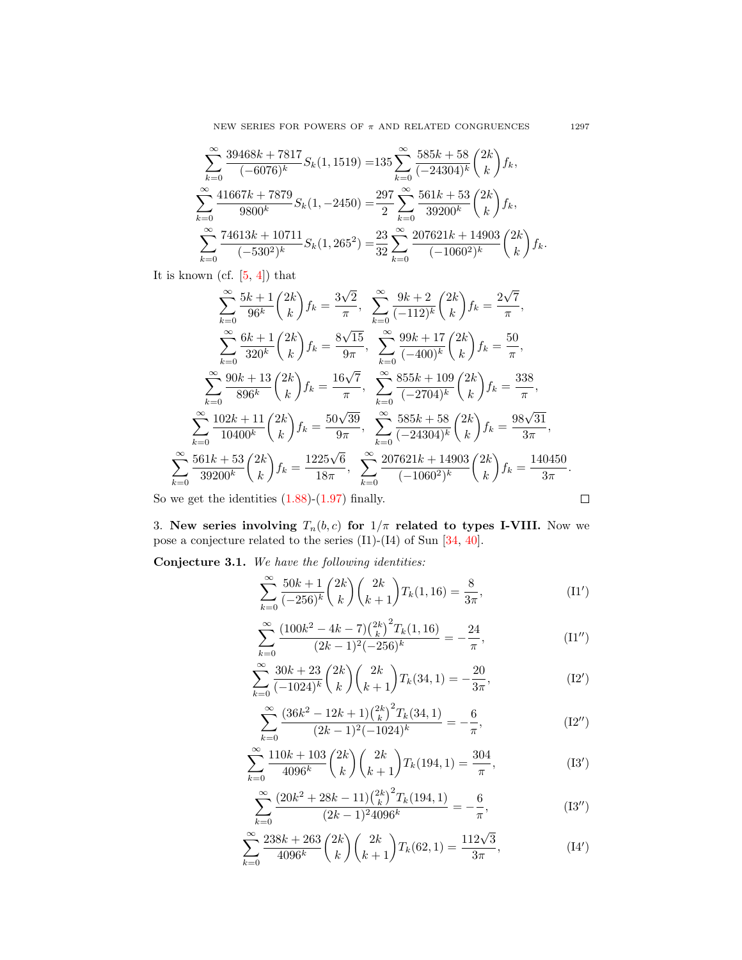NEW SERIES FOR POWERS OF  $\pi$  AND RELATED CONGRUENCES 1297

$$
\sum_{k=0}^{\infty} \frac{39468k + 7817}{(-6076)^k} S_k(1, 1519) = 135 \sum_{k=0}^{\infty} \frac{585k + 58}{(-24304)^k} {2k \choose k} f_k,
$$
  

$$
\sum_{k=0}^{\infty} \frac{41667k + 7879}{9800^k} S_k(1, -2450) = \frac{297}{2} \sum_{k=0}^{\infty} \frac{561k + 53}{39200^k} {2k \choose k} f_k,
$$
  

$$
\sum_{k=0}^{\infty} \frac{74613k + 10711}{(-530^2)^k} S_k(1, 265^2) = \frac{23}{32} \sum_{k=0}^{\infty} \frac{207621k + 14903}{(-1060^2)^k} {2k \choose k} f_k.
$$

It is known (cf. [\[5,](#page-67-16) [4\]](#page-67-5)) that

$$
\sum_{k=0}^{\infty} \frac{5k+1}{96^k} {2k \choose k} f_k = \frac{3\sqrt{2}}{\pi}, \quad \sum_{k=0}^{\infty} \frac{9k+2}{(-112)^k} {2k \choose k} f_k = \frac{2\sqrt{7}}{\pi},
$$
  

$$
\sum_{k=0}^{\infty} \frac{6k+1}{320^k} {2k \choose k} f_k = \frac{8\sqrt{15}}{9\pi}, \quad \sum_{k=0}^{\infty} \frac{99k+17}{(-400)^k} {2k \choose k} f_k = \frac{50}{\pi},
$$
  

$$
\sum_{k=0}^{\infty} \frac{90k+13}{896^k} {2k \choose k} f_k = \frac{16\sqrt{7}}{\pi}, \quad \sum_{k=0}^{\infty} \frac{855k+109}{(-2704)^k} {2k \choose k} f_k = \frac{338}{\pi},
$$
  

$$
\sum_{k=0}^{\infty} \frac{102k+11}{10400^k} {2k \choose k} f_k = \frac{50\sqrt{39}}{9\pi}, \quad \sum_{k=0}^{\infty} \frac{585k+58}{(-24304)^k} {2k \choose k} f_k = \frac{98\sqrt{31}}{3\pi},
$$
  

$$
\sum_{k=0}^{\infty} \frac{561k+53}{39200^k} {2k \choose k} f_k = \frac{1225\sqrt{6}}{18\pi}, \quad \sum_{k=0}^{\infty} \frac{207621k+14903}{(-1060^2)^k} {2k \choose k} f_k = \frac{140450}{3\pi}.
$$
  
we get the identities (1.88)-(1.97) finally.

So we get the identities  $(1.88)-(1.97)$  $(1.88)-(1.97)$  $(1.88)-(1.97)$  finally.

3. New series involving  $T_n(b, c)$  for  $1/\pi$  related to types I-VIII. Now we pose a conjecture related to the series (I1)-(I4) of Sun [\[34,](#page-68-8) [40\]](#page-68-6).

<span id="page-24-0"></span>Conjecture 3.1. We have the following identities:

$$
\sum_{k=0}^{\infty} \frac{50k+1}{(-256)^k} {2k \choose k} {2k \choose k+1} T_k(1,16) = \frac{8}{3\pi},
$$
 (I1')

$$
\sum_{k=0}^{\infty} \frac{(100k^2 - 4k - 7)\binom{2k}{k}^2 T_k(1, 16)}{(2k-1)^2(-256)^k} = -\frac{24}{\pi},\tag{I1''}
$$

$$
\sum_{k=0}^{\infty} \frac{30k+23}{(-1024)^k} {2k \choose k} {2k \choose k+1} T_k(34,1) = -\frac{20}{3\pi},
$$
\n(12')

$$
\sum_{k=0}^{\infty} \frac{\left(36k^2 - 12k + 1\right)\binom{2k}{k}^2 T_k(34, 1)}{(2k - 1)^2(-1024)^k} = -\frac{6}{\pi},\tag{I2''}
$$

$$
\sum_{k=0}^{\infty} \frac{110k + 103}{4096^k} {2k \choose k} {2k \choose k+1} T_k(194, 1) = \frac{304}{\pi},
$$
\n(13')

$$
\sum_{k=0}^{\infty} \frac{\left(20k^2 + 28k - 11\right) \binom{2k}{k}^2 T_k(194, 1)}{(2k - 1)^2 4096^k} = -\frac{6}{\pi},\tag{I3''}
$$

$$
\sum_{k=0}^{\infty} \frac{238k + 263}{4096^k} {2k \choose k} {2k \choose k+1} T_k(62, 1) = \frac{112\sqrt{3}}{3\pi},
$$
 (14')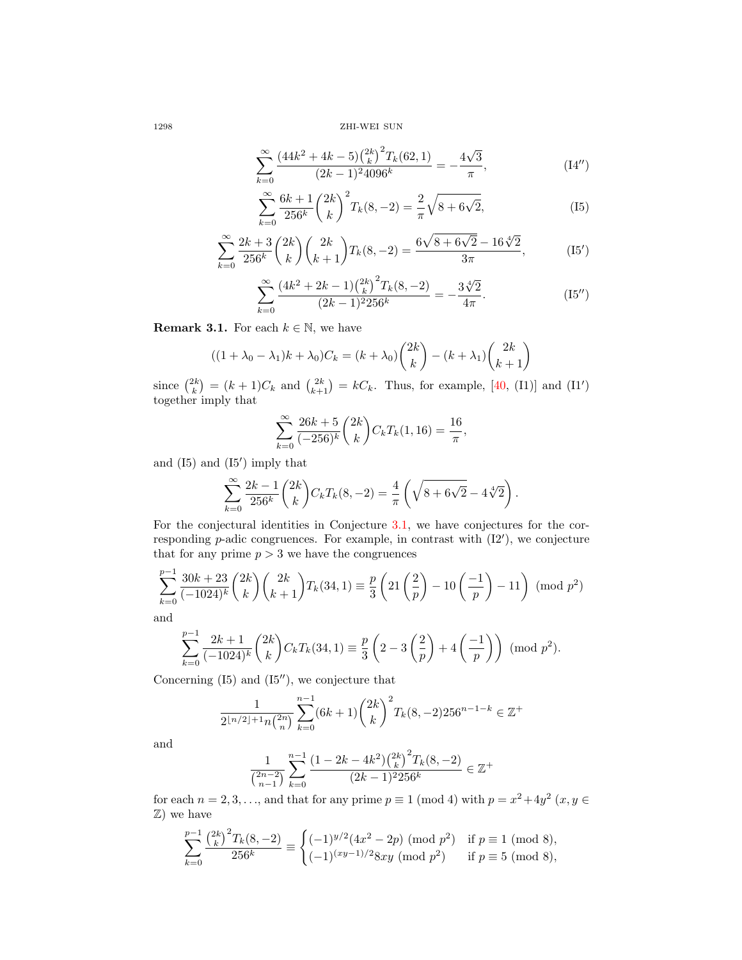1298 ZHI-WEI SUN

$$
\sum_{k=0}^{\infty} \frac{\left(44k^2 + 4k - 5\right)\binom{2k}{k}^2 T_k(62, 1)}{(2k - 1)^2 4096^k} = -\frac{4\sqrt{3}}{\pi},\tag{14'}
$$

$$
\sum_{k=0}^{\infty} \frac{6k+1}{256^k} {2k \choose k}^2 T_k(8, -2) = \frac{2}{\pi} \sqrt{8 + 6\sqrt{2}},
$$
 (I5)

$$
\sum_{k=0}^{\infty} \frac{2k+3}{256^k} {2k \choose k} {2k \choose k+1} T_k(8,-2) = \frac{6\sqrt{8+6\sqrt{2}}-16\sqrt[4]{2}}{3\pi},
$$
 (I5')

$$
\sum_{k=0}^{\infty} \frac{\left(4k^2 + 2k - 1\right) \binom{2k}{k}^2 T_k(8, -2)}{(2k-1)^2 256^k} = -\frac{3\sqrt[4]{2}}{4\pi}.
$$
 (I5'')

**Remark 3.1.** For each  $k \in \mathbb{N}$ , we have

$$
((1+\lambda_0-\lambda_1)k+\lambda_0)C_k = (k+\lambda_0)\binom{2k}{k} - (k+\lambda_1)\binom{2k}{k+1}
$$

since  $\binom{2k}{k} = (k+1)C_k$  and  $\binom{2k}{k+1} = kC_k$ . Thus, for example, [\[40,](#page-68-6) (I1)] and (I1') together imply that

$$
\sum_{k=0}^{\infty} \frac{26k+5}{(-256)^k} {2k \choose k} C_k T_k(1, 16) = \frac{16}{\pi},
$$

and  $(I5)$  and  $(I5')$  imply that

$$
\sum_{k=0}^{\infty} \frac{2k-1}{256^k} {2k \choose k} C_k T_k(8, -2) = \frac{4}{\pi} \left( \sqrt{8 + 6\sqrt{2}} - 4\sqrt[4]{2} \right).
$$

For the conjectural identities in Conjecture [3.1,](#page-24-0) we have conjectures for the corresponding  $p$ -adic congruences. For example, in contrast with  $(12')$ , we conjecture that for any prime  $p > 3$  we have the congruences

$$
\sum_{k=0}^{p-1} \frac{30k+23}{(-1024)^k} {2k \choose k} {2k \choose k+1} T_k(34,1) \equiv \frac{p}{3} \left(21\left(\frac{2}{p}\right) - 10\left(\frac{-1}{p}\right) - 11\right) \pmod{p^2}
$$
 and

a

$$
\sum_{k=0}^{p-1} \frac{2k+1}{(-1024)^k} {2k \choose k} C_k T_k(34,1) \equiv \frac{p}{3} \left(2-3\left(\frac{2}{p}\right)+4\left(\frac{-1}{p}\right)\right) \pmod{p^2}.
$$

Concerning  $(I5)$  and  $(I5'')$ , we conjecture that

$$
\frac{1}{2^{\lfloor n/2 \rfloor + 1} n \binom{2n}{n}} \sum_{k=0}^{n-1} (6k+1) \binom{2k}{k}^2 T_k(8, -2) 256^{n-1-k} \in \mathbb{Z}^+
$$

and

$$
\frac{1}{{2n-2 \choose n-1}}\sum_{k=0}^{n-1} \frac{(1-2k-4k^2) {2k \choose k}^2 T_k(8,-2)}{(2k-1)^2 256^k} \in \mathbb{Z}^+
$$

for each  $n = 2, 3, \ldots$ , and that for any prime  $p \equiv 1 \pmod{4}$  with  $p = x^2 + 4y^2$   $(x, y \in$ Z) we have

$$
\sum_{k=0}^{p-1} \frac{\binom{2k}{k}^2 T_k(8,-2)}{256^k} \equiv \begin{cases} (-1)^{y/2} (4x^2 - 2p) \pmod{p^2} & \text{if } p \equiv 1 \pmod{8}, \\ (-1)^{(xy-1)/2} 8xy \pmod{p^2} & \text{if } p \equiv 5 \pmod{8}, \end{cases}
$$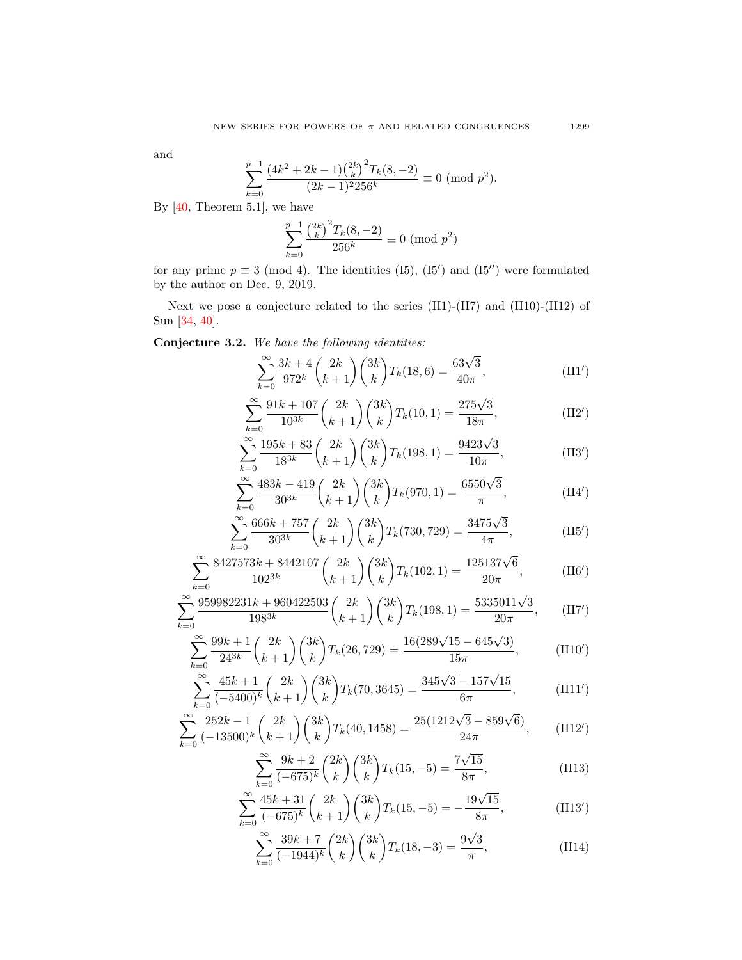and

$$
\sum_{k=0}^{p-1} \frac{(4k^2 + 2k - 1) {2k \choose k}^2 T_k(8, -2)}{(2k - 1)^2 256^k} \equiv 0 \pmod{p^2}.
$$

By [\[40,](#page-68-6) Theorem 5.1], we have

$$
\sum_{k=0}^{p-1} \frac{\binom{2k}{k}^2 T_k(8, -2)}{256^k} \equiv 0 \pmod{p^2}
$$

for any prime  $p \equiv 3 \pmod{4}$ . The identities (I5), (I5') and (I5'') were formulated by the author on Dec. 9, 2019.

Next we pose a conjecture related to the series (II1)-(II7) and (II10)-(II12) of Sun [\[34,](#page-68-8) [40\]](#page-68-6).

Conjecture 3.2. We have the following identities:

$$
\sum_{k=0}^{\infty} \frac{3k+4}{972^k} {2k \choose k+1} {3k \choose k} T_k(18,6) = \frac{63\sqrt{3}}{40\pi},
$$
 (II1')

$$
\sum_{k=0}^{\infty} \frac{91k + 107}{10^{3k}} \binom{2k}{k+1} \binom{3k}{k} T_k(10, 1) = \frac{275\sqrt{3}}{18\pi},
$$
\n(II2')

$$
\sum_{k=0}^{\infty} \frac{195k + 83}{18^{3k}} \binom{2k}{k+1} \binom{3k}{k} T_k(198, 1) = \frac{9423\sqrt{3}}{10\pi},\tag{II3'}
$$

$$
\sum_{k=0}^{\infty} \frac{483k - 419}{30^{3k}} \binom{2k}{k+1} \binom{3k}{k} T_k(970, 1) = \frac{6550\sqrt{3}}{\pi},\tag{II4'}
$$

$$
\sum_{k=0}^{\infty} \frac{666k + 757}{30^{3k}} \binom{2k}{k+1} \binom{3k}{k} T_k(730, 729) = \frac{3475\sqrt{3}}{4\pi},\tag{II5'}
$$

$$
\sum_{k=0}^{\infty} \frac{8427573k + 8442107}{102^{3k}} \binom{2k}{k+1} \binom{3k}{k} T_k(102, 1) = \frac{125137\sqrt{6}}{20\pi},\tag{II6'}
$$

$$
\sum_{k=0}^{\infty} \frac{959982231k + 960422503}{198^{3k}} \binom{2k}{k+1} \binom{3k}{k} T_k(198, 1) = \frac{5335011\sqrt{3}}{20\pi}, \qquad (II7')
$$

$$
\sum_{k=0}^{\infty} \frac{99k+1}{24^{3k}} \binom{2k}{k+1} \binom{3k}{k} T_k(26,729) = \frac{16(289\sqrt{15} - 645\sqrt{3})}{15\pi},\tag{II10'}
$$

$$
\sum_{k=0}^{\infty} \frac{45k+1}{(-5400)^k} {2k \choose k+1} {3k \choose k} T_k(70,3645) = \frac{345\sqrt{3} - 157\sqrt{15}}{6\pi},
$$
 (III1')

$$
\sum_{k=0}^{\infty} \frac{252k - 1}{(-13500)^k} {2k \choose k+1} {3k \choose k} T_k(40, 1458) = \frac{25(1212\sqrt{3} - 859\sqrt{6})}{24\pi},
$$
 (II12')

$$
\sum_{k=0}^{\infty} \frac{9k+2}{(-675)^k} {2k \choose k} {3k \choose k} T_k(15, -5) = \frac{7\sqrt{15}}{8\pi},
$$
\n(II13)

$$
\sum_{k=0}^{\infty} \frac{45k+31}{(-675)^k} {2k \choose k+1} {3k \choose k} T_k(15, -5) = -\frac{19\sqrt{15}}{8\pi},
$$
(II13')

$$
\sum_{k=0}^{\infty} \frac{39k+7}{(-1944)^k} {2k \choose k} {3k \choose k} T_k(18, -3) = \frac{9\sqrt{3}}{\pi},
$$
\n(II14)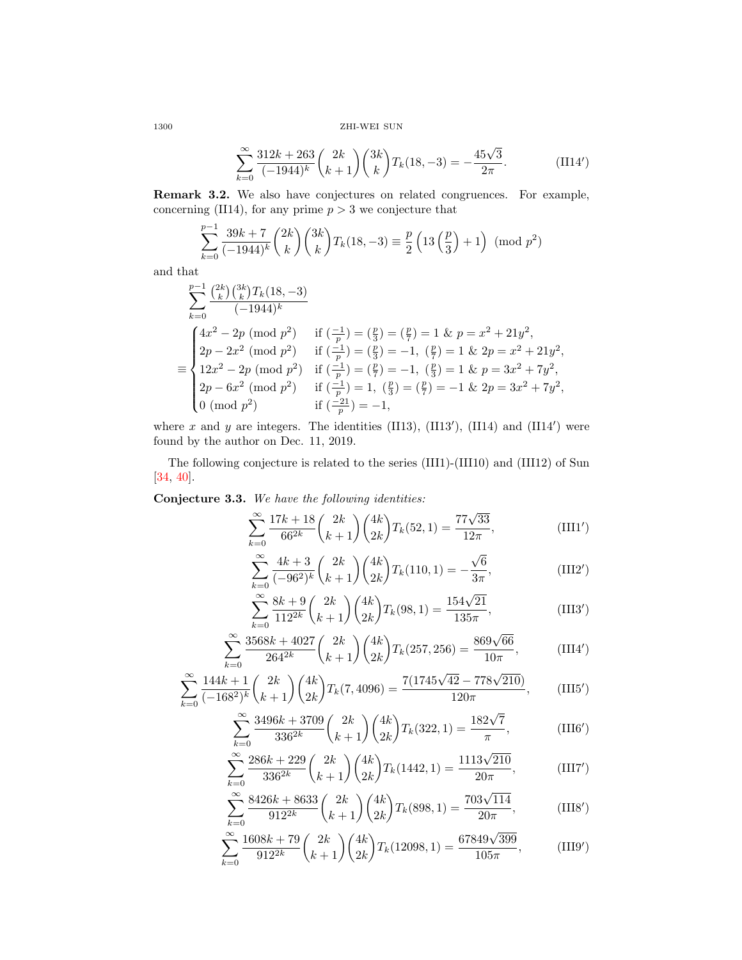1300 ZHI-WEI SUN

$$
\sum_{k=0}^{\infty} \frac{312k + 263}{(-1944)^k} {2k \choose k+1} {3k \choose k} T_k(18, -3) = -\frac{45\sqrt{3}}{2\pi}.
$$
 (II14')

Remark 3.2. We also have conjectures on related congruences. For example, concerning (II14), for any prime  $p > 3$  we conjecture that

$$
\sum_{k=0}^{p-1} \frac{39k+7}{(-1944)^k} \binom{2k}{k} \binom{3k}{k} T_k(18, -3) \equiv \frac{p}{2} \left( 13 \left( \frac{p}{3} \right) + 1 \right) \pmod{p^2}
$$

and that

$$
\sum_{k=0}^{p-1} \frac{\binom{2k}{k} \binom{3k}{k} T_k(18, -3)}{(-1944)^k}
$$
\n
$$
\equiv \begin{cases}\n4x^2 - 2p \pmod{p^2} & \text{if } \left(\frac{-1}{p}\right) = \left(\frac{p}{3}\right) = \left(\frac{p}{7}\right) = 1 \text{ \& } p = x^2 + 21y^2, \\
2p - 2x^2 \pmod{p^2} & \text{if } \left(\frac{-1}{p}\right) = \left(\frac{p}{3}\right) = -1, \ \left(\frac{p}{7}\right) = 1 \text{ \& } 2p = x^2 + 21y^2, \\
12x^2 - 2p \pmod{p^2} & \text{if } \left(\frac{-1}{p}\right) = \left(\frac{p}{7}\right) = -1, \ \left(\frac{p}{3}\right) = 1 \text{ \& } p = 3x^2 + 7y^2, \\
2p - 6x^2 \pmod{p^2} & \text{if } \left(\frac{-1}{p}\right) = 1, \ \left(\frac{p}{3}\right) = \left(\frac{p}{7}\right) = -1 \text{ \& } 2p = 3x^2 + 7y^2, \\
0 \pmod{p^2} & \text{if } \left(\frac{-21}{p}\right) = -1,\n\end{cases}
$$

where x and y are integers. The identities (II13), (II13'), (II14) and (II14') were found by the author on Dec. 11, 2019.

The following conjecture is related to the series (III1)-(III10) and (III12) of Sun [\[34,](#page-68-8) [40\]](#page-68-6).

Conjecture 3.3. We have the following identities:

$$
\sum_{k=0}^{\infty} \frac{17k+18}{66^{2k}} {2k \choose k+1} {4k \choose 2k} T_k(52,1) = \frac{77\sqrt{33}}{12\pi},
$$
 (III1')

$$
\sum_{k=0}^{\infty} \frac{4k+3}{(-96^2)^k} {2k \choose k+1} {4k \choose 2k} T_k(110,1) = -\frac{\sqrt{6}}{3\pi},
$$
 (III2')

$$
\sum_{k=0}^{\infty} \frac{8k+9}{112^{2k}} \binom{2k}{k+1} \binom{4k}{2k} T_k(98,1) = \frac{154\sqrt{21}}{135\pi},\tag{III3'}
$$

$$
\sum_{k=0}^{\infty} \frac{3568k + 4027}{264^{2k}} \binom{2k}{k+1} \binom{4k}{2k} T_k(257, 256) = \frac{869\sqrt{66}}{10\pi},\tag{III4'}
$$

$$
\sum_{k=0}^{\infty} \frac{144k+1}{(-168^2)^k} {2k \choose k+1} {4k \choose 2k} T_k(7,4096) = \frac{7(1745\sqrt{42} - 778\sqrt{210})}{120\pi},
$$
 (III5')

$$
\sum_{k=0}^{\infty} \frac{3496k + 3709}{336^{2k}} \binom{2k}{k+1} \binom{4k}{2k} T_k(322, 1) = \frac{182\sqrt{7}}{\pi},
$$
 (III6')

$$
\sum_{k=0}^{\infty} \frac{286k + 229}{336^{2k}} \binom{2k}{k+1} \binom{4k}{2k} T_k(1442, 1) = \frac{1113\sqrt{210}}{20\pi},
$$
 (III7')

$$
\sum_{k=0}^{\infty} \frac{8426k + 8633}{912^{2k}} \binom{2k}{k+1} \binom{4k}{2k} T_k(898, 1) = \frac{703\sqrt{114}}{20\pi},
$$
 (III8')

$$
\sum_{k=0}^{\infty} \frac{1608k + 79}{912^{2k}} \binom{2k}{k+1} \binom{4k}{2k} T_k(12098, 1) = \frac{67849\sqrt{399}}{105\pi},\tag{III9'}
$$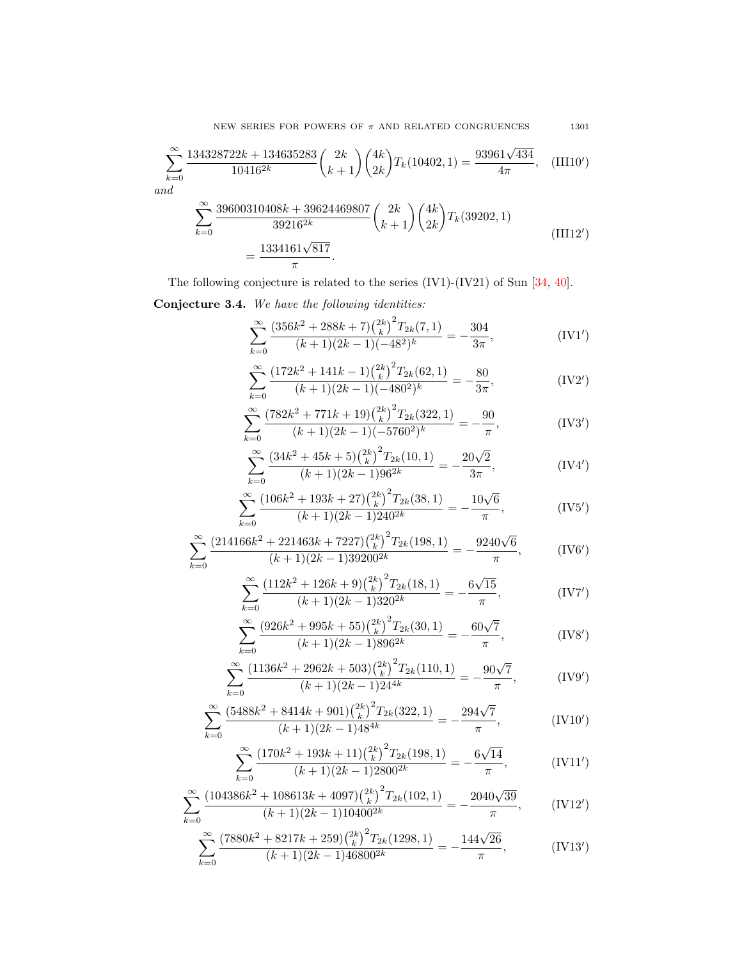NEW SERIES FOR POWERS OF  $\pi$  AND RELATED CONGRUENCES 1301

$$
\sum_{k=0}^{\infty} \frac{134328722k + 134635283}{10416^{2k}} \binom{2k}{k+1} \binom{4k}{2k} T_k(10402, 1) = \frac{93961\sqrt{434}}{4\pi}, \quad (III10')
$$
 and

$$
\sum_{k=0}^{\infty} \frac{39600310408k + 39624469807}{39216^{2k}} {2k \choose k+1} {4k \choose 2k} T_k(39202, 1)
$$
\n
$$
= \frac{1334161\sqrt{817}}{\pi}.
$$
\n(III12')

The following conjecture is related to the series (IV1)-(IV21) of Sun [\[34,](#page-68-8) [40\]](#page-68-6).

Conjecture 3.4. We have the following identities:

$$
\sum_{k=0}^{\infty} \frac{\left(356k^2 + 288k + 7\right)\binom{2k}{k}^2 T_{2k}(7,1)}{(k+1)(2k-1)(-48^2)^k} = -\frac{304}{3\pi},\tag{IV1'}
$$

$$
\sum_{k=0}^{\infty} \frac{\left(172k^2 + 141k - 1\right)\binom{2k}{k}^2 T_{2k}(62, 1)}{(k+1)(2k-1)(-480^2)^k} = -\frac{80}{3\pi},\tag{IV2'}
$$

$$
\sum_{k=0}^{\infty} \frac{(782k^2 + 771k + 19)\binom{2k}{k}^2 T_{2k}(322, 1)}{(k+1)(2k-1)(-5760^2)^k} = -\frac{90}{\pi},\tag{IV3'}
$$

$$
\sum_{k=0}^{\infty} \frac{\left(34k^2 + 45k + 5\right) \binom{2k}{k}^2 T_{2k}(10,1)}{(k+1)(2k-1)96^{2k}} = -\frac{20\sqrt{2}}{3\pi},\tag{IV4'}
$$

$$
\sum_{k=0}^{\infty} \frac{(106k^2 + 193k + 27)\binom{2k}{k}^2 T_{2k}(38, 1)}{(k+1)(2k-1)240^{2k}} = -\frac{10\sqrt{6}}{\pi},
$$
 (IV5')

$$
\sum_{k=0}^{\infty} \frac{\left(214166k^2 + 221463k + 7227\right)\binom{2k}{k}^2 T_{2k}(198, 1)}{(k+1)(2k-1)39200^{2k}} = -\frac{9240\sqrt{6}}{\pi},\tag{IV6'}
$$

$$
\sum_{k=0}^{\infty} \frac{\left(112k^2 + 126k + 9\right)\left(\frac{2k}{k}\right)^2 T_{2k}(18, 1)}{(k+1)(2k-1)320^{2k}} = -\frac{6\sqrt{15}}{\pi},\tag{IV7'}
$$

$$
\sum_{k=0}^{\infty} \frac{\left(926k^2 + 995k + 55\right)\left(\frac{2k}{k}\right)^2 T_{2k}(30, 1)}{(k+1)(2k-1)896^{2k}} = -\frac{60\sqrt{7}}{\pi},\tag{IV8'}
$$

$$
\sum_{k=0}^{\infty} \frac{(1136k^2 + 2962k + 503)\binom{2k}{k}^2 T_{2k}(110, 1)}{(k+1)(2k-1)24^{4k}} = -\frac{90\sqrt{7}}{\pi},\tag{IV9'}
$$

$$
\sum_{k=0}^{\infty} \frac{\left(5488k^2 + 8414k + 901\right)\binom{2k}{k}^2 T_{2k}(322, 1)}{(k+1)(2k-1)48^{4k}} = -\frac{294\sqrt{7}}{\pi},\tag{IV10'}
$$

$$
\sum_{k=1}^{\infty} \frac{(170k^2 + 193k + 11) \binom{2k}{k}^2 T_{2k} (198, 1)}{\left(\text{IV11}'\right)^2} = -\frac{6\sqrt{14}}{\sqrt{14}}.\tag{111'}
$$

$$
\sum_{k=0}^{\infty} \frac{(170k + 135k + 11)(k) \cdot 12k(130, 1)}{(k+1)(2k-1)2800^{2k}} = -\frac{6\sqrt{14}}{\pi},
$$
 (IV11')

$$
\sum_{k=0}^{\infty} \frac{(104386k^2 + 108613k + 4097)\binom{2k}{k}^2 T_{2k}(102, 1)}{(k+1)(2k-1)10400^{2k}} = -\frac{2040\sqrt{39}}{\pi},
$$
 (IV12')

$$
=0
$$
  

$$
\sum_{k=0}^{\infty} \frac{(7880k^2 + 8217k + 259)\binom{2k}{k}^2 T_{2k}(1298, 1)}{(k+1)(2k-1)46800^{2k}} = -\frac{144\sqrt{26}}{\pi},
$$
 (IV13')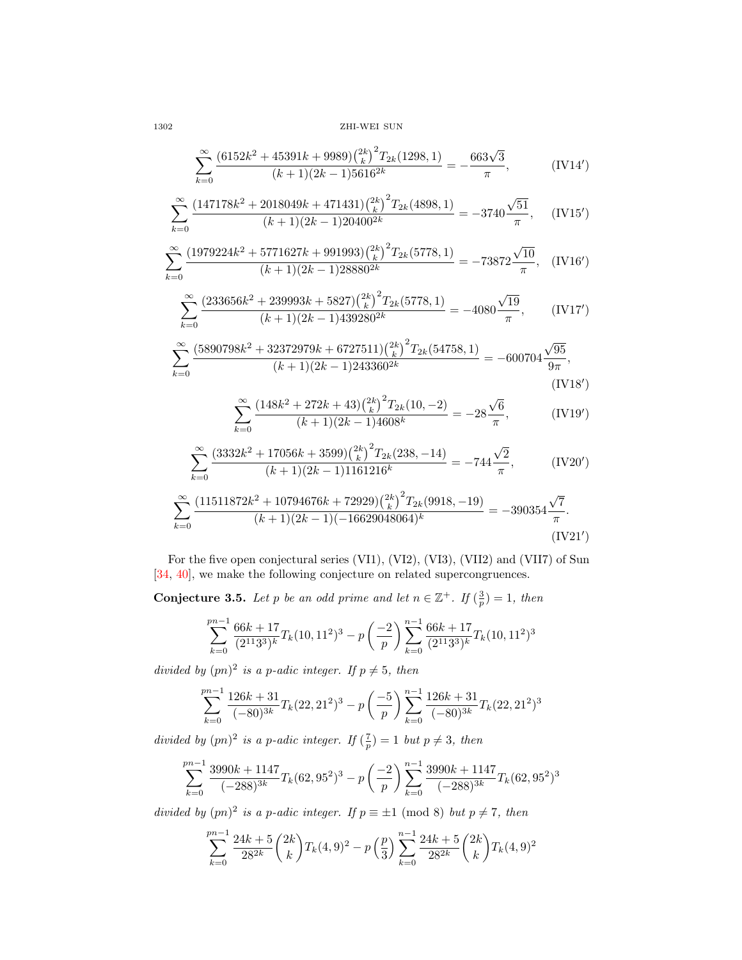1302 ZHI-WEI SUN

$$
\sum_{k=0}^{\infty} \frac{(6152k^2 + 45391k + 9989){\binom{2k}{k}}^2 T_{2k}(1298, 1)}{(k+1)(2k-1)5616^{2k}} = -\frac{663\sqrt{3}}{\pi},
$$
 (IV14')

$$
\sum_{k=0}^{\infty} \frac{(147178k^2 + 2018049k + 471431){{\binom{2k}{k}}^2} T_{2k}(4898, 1)}{(k+1)(2k-1)20400^{2k}} = -3740 \frac{\sqrt{51}}{\pi}, \quad \text{(IV15')}
$$

$$
\sum_{k=0}^{\infty} \frac{(1979224k^2 + 5771627k + 991993)\left(\frac{2k}{k}\right)^2 T_{2k}(5778, 1)}{(k+1)(2k-1)28880^{2k}} = -73872 \frac{\sqrt{10}}{\pi}, \quad (\text{IV16}')
$$

$$
\sum_{k=0}^{\infty} \frac{\left(233656k^2 + 239993k + 5827\right)\binom{2k}{k}^2 T_{2k}(5778, 1)}{(k+1)(2k-1)439280^{2k}} = -4080 \frac{\sqrt{19}}{\pi}, \qquad \text{(IV17')}
$$

$$
\sum_{k=0}^{\infty} \frac{(5890798k^2 + 32372979k + 6727511){{2k}\choose{k}}^2 T_{2k}(54758, 1)}{(k+1)(2k-1)243360^{2k}} = -600704 \frac{\sqrt{95}}{9\pi},
$$
\n(IV18')

$$
\sum_{k=0}^{\infty} \frac{\left(148k^2 + 272k + 43\right)\left(\frac{2k}{k}\right)^2 T_{2k}(10, -2)}{(k+1)(2k-1)4608^k} = -28\frac{\sqrt{6}}{\pi},\tag{IV19'}
$$

$$
\sum_{k=0}^{\infty} \frac{(3332k^2 + 17056k + 3599)\binom{2k}{k}^2 T_{2k}(238, -14)}{(k+1)(2k-1)1161216^k} = -744\frac{\sqrt{2}}{\pi},
$$
 (IV20')

$$
\sum_{k=0}^{\infty} \frac{(11511872k^2 + 10794676k + 72929){{2k} \choose k}^2 T_{2k}(9918, -19)}{(k+1)(2k-1)(-16629048064)^k} = -390354 \frac{\sqrt{7}}{\pi}.
$$
\n(IV21')

For the five open conjectural series (VI1), (VI2), (VI3), (VII2) and (VII7) of Sun [\[34,](#page-68-8) [40\]](#page-68-6), we make the following conjecture on related supercongruences.

**Conjecture 3.5.** Let p be an odd prime and let  $n \in \mathbb{Z}^+$ . If  $(\frac{3}{p}) = 1$ , then

$$
\sum_{k=0}^{pn-1} \frac{66k+17}{(2^{11}3^3)^k} T_k(10, 11^2)^3 - p\left(-\frac{2}{p}\right) \sum_{k=0}^{n-1} \frac{66k+17}{(2^{11}3^3)^k} T_k(10, 11^2)^3
$$

divided by  $(pn)^2$  is a p-adic integer. If  $p \neq 5$ , then

$$
\sum_{k=0}^{pn-1} \frac{126k+31}{(-80)^{3k}} T_k(22, 21^2)^3 - p\left(-\frac{5}{p}\right) \sum_{k=0}^{n-1} \frac{126k+31}{(-80)^{3k}} T_k(22, 21^2)^3
$$

divided by  $(pn)^2$  is a p-adic integer. If  $(\frac{7}{p}) = 1$  but  $p \neq 3$ , then

$$
\sum_{k=0}^{pn-1} \frac{3990k + 1147}{(-288)^{3k}} T_k(62, 95^2)^3 - p\left(\frac{-2}{p}\right) \sum_{k=0}^{n-1} \frac{3990k + 1147}{(-288)^{3k}} T_k(62, 95^2)^3
$$

divided by  $(pn)^2$  is a p-adic integer. If  $p \equiv \pm 1 \pmod{8}$  but  $p \neq 7$ , then

$$
\sum_{k=0}^{pn-1} \frac{24k+5}{28^{2k}} {2k \choose k} T_k(4,9)^2 - p\left(\frac{p}{3}\right) \sum_{k=0}^{n-1} \frac{24k+5}{28^{2k}} {2k \choose k} T_k(4,9)^2
$$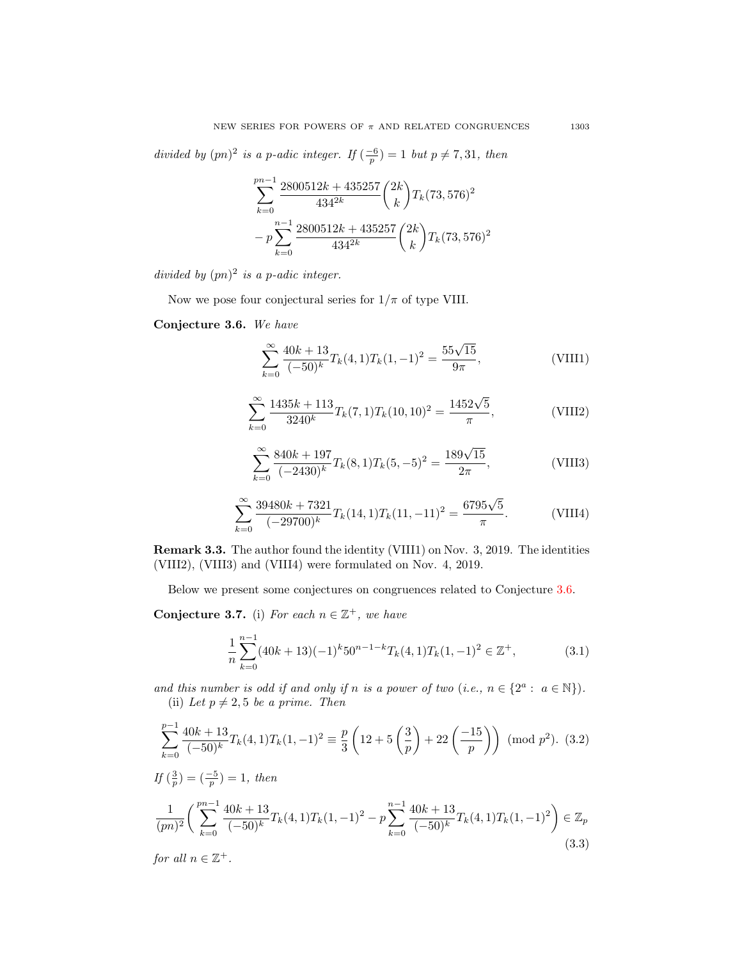divided by  $(pn)^2$  is a p-adic integer. If  $\left(\frac{-6}{p}\right) = 1$  but  $p \neq 7, 31$ , then

$$
\sum_{k=0}^{pn-1} \frac{2800512k + 435257}{4342k} {2k \choose k} T_k (73, 576)^2
$$

$$
- p \sum_{k=0}^{n-1} \frac{2800512k + 435257}{4342k} {2k \choose k} T_k (73, 576)^2
$$

divided by  $(pn)^2$  is a p-adic integer.

Now we pose four conjectural series for  $1/\pi$  of type VIII.

### <span id="page-30-0"></span>Conjecture 3.6. We have

$$
\sum_{k=0}^{\infty} \frac{40k+13}{(-50)^k} T_k(4,1) T_k(1,-1)^2 = \frac{55\sqrt{15}}{9\pi},
$$
\n(VIII1)

$$
\sum_{k=0}^{\infty} \frac{1435k + 113}{3240^k} T_k(7,1) T_k(10,10)^2 = \frac{1452\sqrt{5}}{\pi},
$$
 (VIII2)

$$
\sum_{k=0}^{\infty} \frac{840k + 197}{(-2430)^k} T_k(8, 1) T_k(5, -5)^2 = \frac{189\sqrt{15}}{2\pi},
$$
 (VIII3)

$$
\sum_{k=0}^{\infty} \frac{39480k + 7321}{(-29700)^k} T_k(14,1) T_k(11,-11)^2 = \frac{6795\sqrt{5}}{\pi}.
$$
 (VIII4)

Remark 3.3. The author found the identity (VIII1) on Nov. 3, 2019. The identities (VIII2), (VIII3) and (VIII4) were formulated on Nov. 4, 2019.

Below we present some conjectures on congruences related to Conjecture [3.6.](#page-30-0)

<span id="page-30-1"></span>Conjecture 3.7. (i) For each  $n \in \mathbb{Z}^+$ , we have

$$
\frac{1}{n}\sum_{k=0}^{n-1} (40k+13)(-1)^k 50^{n-1-k} T_k(4,1)T_k(1,-1)^2 \in \mathbb{Z}^+, \tag{3.1}
$$

and this number is odd if and only if n is a power of two (i.e.,  $n \in \{2^a : a \in \mathbb{N}\}\$ ). (ii) Let  $p \neq 2, 5$  be a prime. Then

$$
\sum_{k=0}^{p-1} \frac{40k+13}{(-50)^k} T_k(4,1) T_k(1,-1)^2 \equiv \frac{p}{3} \left( 12 + 5 \left( \frac{3}{p} \right) + 22 \left( \frac{-15}{p} \right) \right) \pmod{p^2}. \tag{3.2}
$$
  
If  $\left( \frac{3}{p} \right) = \left( \frac{-5}{p} \right) = 1$ , then  

$$
\frac{1}{(pn)^2} \left( \sum_{k=0}^{pn-1} \frac{40k+13}{(-50)^k} T_k(4,1) T_k(1,-1)^2 - p \sum_{k=0}^{n-1} \frac{40k+13}{(-50)^k} T_k(4,1) T_k(1,-1)^2 \right) \in \mathbb{Z}_p
$$

$$
(3.3)
$$

for all  $n \in \mathbb{Z}^+$ .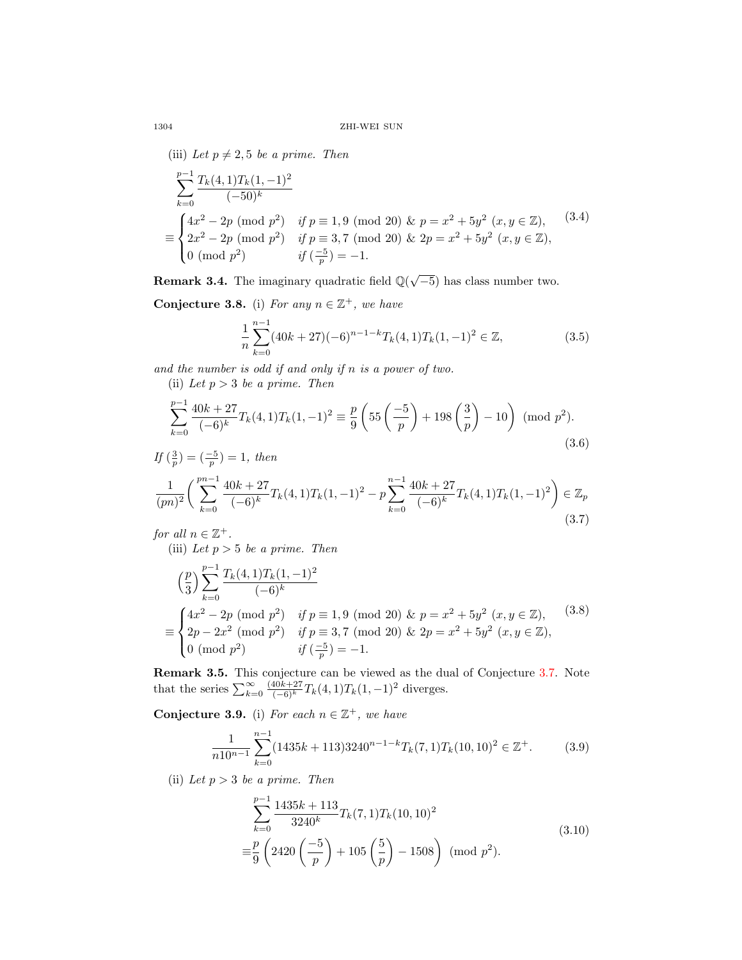(iii) Let  $p \neq 2, 5$  be a prime. Then

$$
\sum_{k=0}^{p-1} \frac{T_k(4,1)T_k(1,-1)^2}{(-50)^k}
$$
\n
$$
\equiv \begin{cases}\n4x^2 - 2p \pmod{p^2} & \text{if } p \equiv 1,9 \pmod{20} \text{ & p = x^2 + 5y^2 \ (x,y \in \mathbb{Z}), \\
2x^2 - 2p \pmod{p^2} & \text{if } p \equiv 3,7 \pmod{20} \text{ & p = x^2 + 5y^2 \ (x,y \in \mathbb{Z}), \\
0 \pmod{p^2} & \text{if } \left(\frac{-5}{p}\right) = -1.\n\end{cases}
$$
\n(3.4)

**Remark 3.4.** The imaginary quadratic field  $\mathbb{Q}(\sqrt{-5})$  has class number two.

Conjecture 3.8. (i) For any  $n \in \mathbb{Z}^+$ , we have

$$
\frac{1}{n}\sum_{k=0}^{n-1} (40k+27)(-6)^{n-1-k} T_k(4,1)T_k(1,-1)^2 \in \mathbb{Z},\tag{3.5}
$$

and the number is odd if and only if n is a power of two.

(ii) Let  $p > 3$  be a prime. Then

$$
\sum_{k=0}^{p-1} \frac{40k + 27}{(-6)^k} T_k(4,1) T_k(1,-1)^2 \equiv \frac{p}{9} \left( 55 \left( \frac{-5}{p} \right) + 198 \left( \frac{3}{p} \right) - 10 \right) \pmod{p^2}.
$$
\n(3.6)

$$
If \left(\frac{3}{p}\right) = \left(\frac{-5}{p}\right) = 1, then
$$
\n
$$
\frac{1}{(pn)^2} \left( \sum_{k=0}^{pn-1} \frac{40k + 27}{(-6)^k} T_k(4, 1) T_k(1, -1)^2 - p \sum_{k=0}^{n-1} \frac{40k + 27}{(-6)^k} T_k(4, 1) T_k(1, -1)^2 \right) \in \mathbb{Z}_p
$$
\n(3.7)

for all  $n \in \mathbb{Z}^+$ .

(iii) Let  $p > 5$  be a prime. Then

$$
\begin{aligned}\n&\left(\frac{p}{3}\right) \sum_{k=0}^{p-1} \frac{T_k(4,1)T_k(1,-1)^2}{(-6)^k} \\
&\equiv \begin{cases}\n4x^2 - 2p \pmod{p^2} & \text{if } p \equiv 1,9 \pmod{20} \& p = x^2 + 5y^2 \ (x,y \in \mathbb{Z}),\\ \n2p - 2x^2 \pmod{p^2} & \text{if } p \equiv 3,7 \pmod{20} \& 2p = x^2 + 5y^2 \ (x,y \in \mathbb{Z}),\\ \n0 \pmod{p^2} & \text{if } \left(\frac{-5}{p}\right) = -1.\n\end{cases}\n\end{aligned} \tag{3.8}
$$

**Remark 3.5.** This conjecture can be viewed as the dual of Conjecture [3.7.](#page-30-1) Note that the series  $\sum_{k=0}^{\infty} \frac{(40k+27kT_k(4,1)T_k(1,-1)^2)}{(-6)^k}$  diverges.

<span id="page-31-0"></span>Conjecture 3.9. (i) For each  $n \in \mathbb{Z}^+$ , we have

$$
\frac{1}{n10^{n-1}}\sum_{k=0}^{n-1} (1435k+113)3240^{n-1-k}T_k(7,1)T_k(10,10)^2 \in \mathbb{Z}^+.
$$
 (3.9)

(ii) Let  $p > 3$  be a prime. Then

$$
\sum_{k=0}^{p-1} \frac{1435k + 113}{3240^k} T_k(7,1) T_k(10,10)^2
$$
  

$$
\equiv \frac{p}{9} \left( 2420 \left( \frac{-5}{p} \right) + 105 \left( \frac{5}{p} \right) - 1508 \right) \pmod{p^2}.
$$
 (3.10)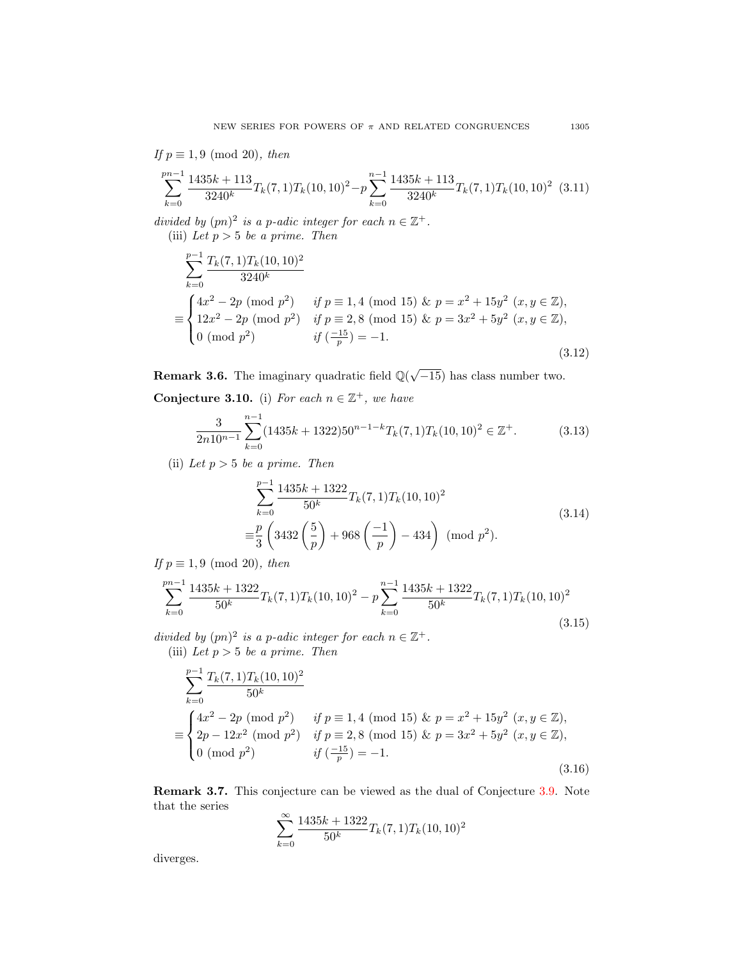If 
$$
p \equiv 1, 9 \pmod{20}
$$
, then  
\n
$$
\sum_{k=0}^{pn-1} \frac{1435k + 113}{3240^k} T_k(7, 1) T_k(10, 10)^2 - p \sum_{k=0}^{n-1} \frac{1435k + 113}{3240^k} T_k(7, 1) T_k(10, 10)^2
$$
 (3.11)

divided by  $(pn)^2$  is a p-adic integer for each  $n \in \mathbb{Z}^+$ . (iii) Let  $p > 5$  be a prime. Then

$$
\sum_{k=0}^{p-1} \frac{T_k(7,1)T_k(10,10)^2}{3240^k}
$$
\n
$$
\equiv \begin{cases}\n4x^2 - 2p \pmod{p^2} & \text{if } p \equiv 1,4 \pmod{15} \& p = x^2 + 15y^2 \ (x, y \in \mathbb{Z}), \\
12x^2 - 2p \pmod{p^2} & \text{if } p \equiv 2,8 \pmod{15} \& p = 3x^2 + 5y^2 \ (x, y \in \mathbb{Z}), \\
0 \pmod{p^2} & \text{if } \left(\frac{-15}{p}\right) = -1.\n\end{cases}
$$
\n(3.12)

**Remark 3.6.** The imaginary quadratic field  $\mathbb{Q}(\sqrt{-15})$  has class number two.

Conjecture 3.10. (i) For each  $n \in \mathbb{Z}^+$ , we have

$$
\frac{3}{2n10^{n-1}}\sum_{k=0}^{n-1} (1435k+1322)50^{n-1-k}T_k(7,1)T_k(10,10)^2 \in \mathbb{Z}^+.
$$
 (3.13)

(ii) Let  $p > 5$  be a prime. Then

$$
\sum_{k=0}^{p-1} \frac{1435k + 1322}{50^k} T_k(7,1) T_k(10,10)^2
$$
  

$$
\equiv \frac{p}{3} \left( 3432 \left( \frac{5}{p} \right) + 968 \left( \frac{-1}{p} \right) - 434 \right) \pmod{p^2}.
$$
 (3.14)

If  $p \equiv 1, 9 \pmod{20}$ , then

$$
\sum_{k=0}^{pn-1} \frac{1435k + 1322}{50^k} T_k(7,1) T_k(10,10)^2 - p \sum_{k=0}^{n-1} \frac{1435k + 1322}{50^k} T_k(7,1) T_k(10,10)^2
$$
\n(3.15)

divided by  $(pn)^2$  is a p-adic integer for each  $n \in \mathbb{Z}^+$ . (iii) Let  $p > 5$  be a prime. Then

$$
\sum_{k=0}^{p-1} \frac{T_k(7,1)T_k(10,10)^2}{50^k}
$$
\n
$$
\equiv \begin{cases}\n4x^2 - 2p \pmod{p^2} & \text{if } p \equiv 1,4 \pmod{15} \& p = x^2 + 15y^2 \ (x, y \in \mathbb{Z}), \\
2p - 12x^2 \pmod{p^2} & \text{if } p \equiv 2,8 \pmod{15} \& p = 3x^2 + 5y^2 \ (x, y \in \mathbb{Z}), \\
0 \pmod{p^2} & \text{if } \left(\frac{-15}{p}\right) = -1.\n\end{cases}
$$
\n(3.16)

Remark 3.7. This conjecture can be viewed as the dual of Conjecture [3.9.](#page-31-0) Note that the series

$$
\sum_{k=0}^{\infty} \frac{1435k + 1322}{50^k} T_k(7,1) T_k(10,10)^2
$$

diverges.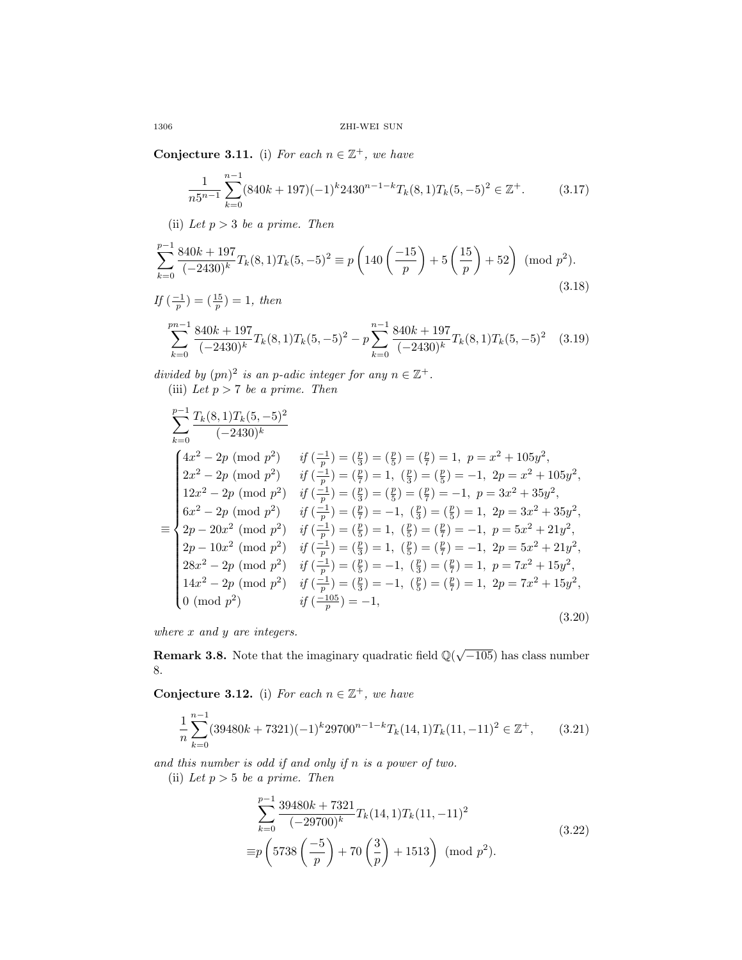Conjecture 3.11. (i) For each  $n \in \mathbb{Z}^+$ , we have

$$
\frac{1}{n5^{n-1}}\sum_{k=0}^{n-1} (840k+197)(-1)^k 2430^{n-1-k} T_k(8,1)T_k(5,-5)^2 \in \mathbb{Z}^+.
$$
 (3.17)

(ii) Let  $p > 3$  be a prime. Then

$$
\sum_{k=0}^{p-1} \frac{840k + 197}{(-2430)^k} T_k(8, 1) T_k(5, -5)^2 \equiv p \left( 140 \left( \frac{-15}{p} \right) + 5 \left( \frac{15}{p} \right) + 52 \right) \pmod{p^2}.
$$
\n
$$
If \left( \frac{-1}{p} \right) = \left( \frac{15}{p} \right) = 1, then
$$
\n(3.18)

$$
\sum_{k=0}^{pn-1} \frac{840k+197}{(-2430)^k} T_k(8,1) T_k(5,-5)^2 - p \sum_{k=0}^{n-1} \frac{840k+197}{(-2430)^k} T_k(8,1) T_k(5,-5)^2 \tag{3.19}
$$

divided by  $(pn)^2$  is an p-adic integer for any  $n \in \mathbb{Z}^+$ . (iii) Let  $p > 7$  be a prime. Then

$$
\sum_{k=0}^{p-1} \frac{T_k(8,1)T_k(5,-5)^2}{(-2430)^k}
$$
\n
$$
\begin{cases}\n4x^2 - 2p \pmod{p^2} & \text{if } \left(\frac{-1}{p}\right) = \left(\frac{p}{3}\right) = \left(\frac{p}{5}\right) = \left(\frac{p}{7}\right) = 1, \ p = x^2 + 105y^2, \\
2x^2 - 2p \pmod{p^2} & \text{if } \left(\frac{-1}{p}\right) = \left(\frac{p}{7}\right) = 1, \left(\frac{p}{3}\right) = \left(\frac{p}{5}\right) = -1, \ 2p = x^2 + 105y^2, \\
12x^2 - 2p \pmod{p^2} & \text{if } \left(\frac{-1}{p}\right) = \left(\frac{p}{3}\right) = \left(\frac{p}{5}\right) = \left(\frac{p}{7}\right) = -1, \ p = 3x^2 + 35y^2, \\
6x^2 - 2p \pmod{p^2} & \text{if } \left(\frac{-1}{p}\right) = \left(\frac{p}{7}\right) = -1, \left(\frac{p}{3}\right) = \left(\frac{p}{5}\right) = 1, \ 2p = 3x^2 + 35y^2, \\
2p - 20x^2 \pmod{p^2} & \text{if } \left(\frac{-1}{p}\right) = \left(\frac{p}{5}\right) = 1, \left(\frac{p}{5}\right) = \left(\frac{p}{7}\right) = -1, \ p = 5x^2 + 21y^2, \\
2p - 10x^2 \pmod{p^2} & \text{if } \left(\frac{-1}{p}\right) = \left(\frac{p}{3}\right) = 1, \left(\frac{p}{5}\right) = \left(\frac{p}{7}\right) = -1, \ 2p = 5x^2 + 21y^2, \\
28x^2 - 2p \pmod{p^2} & \text{if } \left(\frac{-1}{p}\right) = \left(\frac{p}{5}\right) = -1, \ \left(\frac{p}{3}\right) = \left(\frac{p}{7}\right) = 1, \ p = 7x^2 + 15y^2, \\
14x^2 - 2p \pmod{p^2} & \text{if } \left(\frac{-1}{p}\right) = \left(\frac{p}{3}\right) = -1, \ \left(\
$$

where  $x$  and  $y$  are integers.

**Remark 3.8.** Note that the imaginary quadratic field  $\mathbb{Q}(\sqrt{-105})$  has class number 8.

Conjecture 3.12. (i) For each  $n \in \mathbb{Z}^+$ , we have

$$
\frac{1}{n}\sum_{k=0}^{n-1} (39480k + 7321)(-1)^k 29700^{n-1-k} T_k(14,1)T_k(11,-11)^2 \in \mathbb{Z}^+, \qquad (3.21)
$$

and this number is odd if and only if n is a power of two.

(ii) Let  $p > 5$  be a prime. Then

$$
\sum_{k=0}^{p-1} \frac{39480k + 7321}{(-29700)^k} T_k(14, 1) T_k(11, -11)^2
$$
  
\n
$$
\equiv p \left(5738 \left(\frac{-5}{p}\right) + 70 \left(\frac{3}{p}\right) + 1513\right) \pmod{p^2}.
$$
\n(3.22)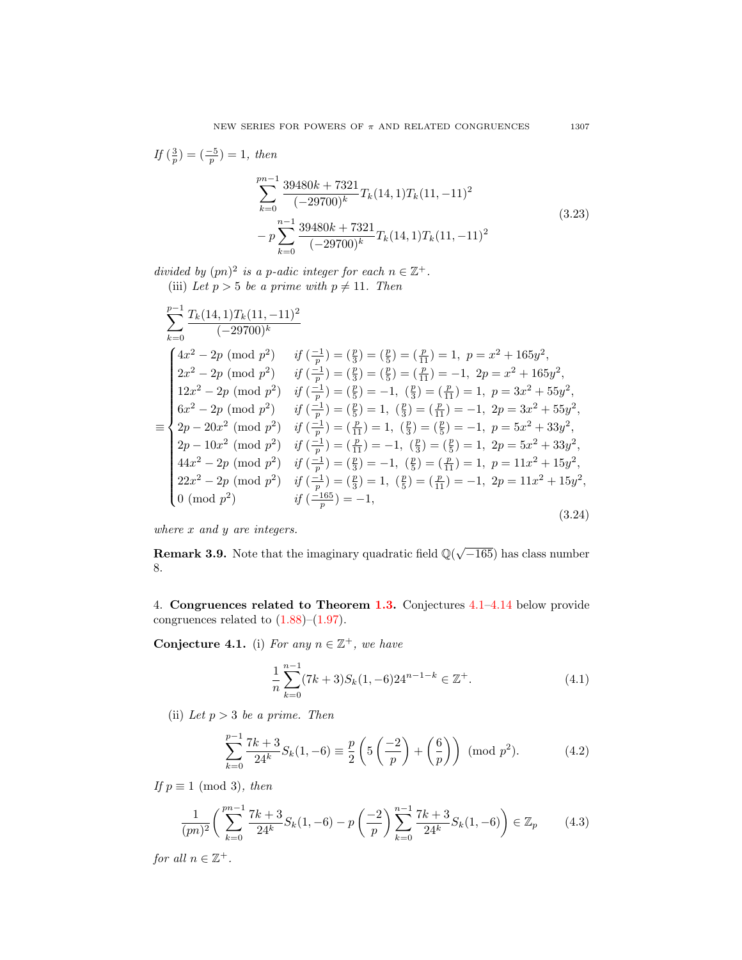$$
If \left(\frac{3}{p}\right) = \left(\frac{-5}{p}\right) = 1, then
$$
\n
$$
\sum_{k=0}^{pn-1} \frac{39480k + 7321}{(-29700)^k} T_k(14, 1) T_k(11, -11)^2
$$
\n
$$
- p \sum_{k=0}^{n-1} \frac{39480k + 7321}{(-29700)^k} T_k(14, 1) T_k(11, -11)^2
$$
\n(3.23)

divided by  $(pn)^2$  is a p-adic integer for each  $n \in \mathbb{Z}^+$ . (iii) Let  $p > 5$  be a prime with  $p \neq 11$ . Then

$$
\sum_{k=0}^{p-1} \frac{T_k(14,1)T_k(11,-11)^2}{(-29700)^k}
$$
\n
$$
\sum_{k=0}^{p-1} \frac{T_k(14,1)T_k(11,-11)^2}{(2x^2-2p \pmod{p^2})} \quad \text{if } \left(\frac{-1}{p}\right) = \left(\frac{p}{3}\right) = \left(\frac{p}{5}\right) = \left(\frac{p}{11}\right) = 1, \ p = x^2 + 165y^2,
$$
\n
$$
\sum_{k=0}^{p-1} 2x^2 - 2p \pmod{p^2} \quad \text{if } \left(\frac{-1}{p}\right) = \left(\frac{p}{3}\right) = \left(\frac{p}{5}\right) = \left(\frac{p}{11}\right) = -1, \ 2p = x^2 + 165y^2,
$$
\n
$$
\sum_{k=0}^{p-1} 2x^2 - 2p \pmod{p^2} \quad \text{if } \left(\frac{-1}{p}\right) = \left(\frac{p}{5}\right) = -1, \ \left(\frac{p}{3}\right) = \left(\frac{p}{11}\right) = 1, \ p = 3x^2 + 55y^2,
$$
\n
$$
\sum_{k=0}^{p-1} 6x^2 - 2p \pmod{p^2} \quad \text{if } \left(\frac{-1}{p}\right) = \left(\frac{p}{5}\right) = 1, \ \left(\frac{p}{3}\right) = \left(\frac{p}{11}\right) = -1, \ 2p = 3x^2 + 55y^2,
$$
\n
$$
\sum_{k=0}^{p-1} 2p - 20x^2 \pmod{p^2} \quad \text{if } \left(\frac{-1}{p}\right) = \left(\frac{p}{11}\right) = 1, \ \left(\frac{p}{3}\right) = \left(\frac{p}{5}\right) = -1, \ p = 5x^2 + 33y^2,
$$
\n
$$
\sum_{k=0}^{p-1} 2p \pmod{p^2} \quad \text{if } \left(\frac{-1}{p}\right) = \left(\frac{p}{3}\right) = -1, \ \left(\frac{p}{5}\right) = \left(\frac{p}{11}\right) = 1, \ p = 11x^2 + 15y^2,
$$
\n
$$
\sum_{
$$

where x and y are integers.

**Remark 3.9.** Note that the imaginary quadratic field  $\mathbb{Q}(\sqrt{-165})$  has class number 8.

4. Congruences related to Theorem [1.3.](#page-10-0) Conjectures [4.1–](#page-34-0)[4.14](#page-40-0) below provide congruences related to  $(1.88)$ – $(1.97)$ .

<span id="page-34-0"></span>Conjecture 4.1. (i) For any  $n \in \mathbb{Z}^+$ , we have

$$
\frac{1}{n}\sum_{k=0}^{n-1}(7k+3)S_k(1,-6)24^{n-1-k}\in\mathbb{Z}^+.
$$
\n(4.1)

(ii) Let  $p > 3$  be a prime. Then

$$
\sum_{k=0}^{p-1} \frac{7k+3}{24^k} S_k(1, -6) \equiv \frac{p}{2} \left( 5 \left( \frac{-2}{p} \right) + \left( \frac{6}{p} \right) \right) \pmod{p^2}.
$$
 (4.2)

If  $p \equiv 1 \pmod{3}$ , then

$$
\frac{1}{(pn)^2} \left( \sum_{k=0}^{pn-1} \frac{7k+3}{24^k} S_k(1, -6) - p \left( \frac{-2}{p} \right) \sum_{k=0}^{n-1} \frac{7k+3}{24^k} S_k(1, -6) \right) \in \mathbb{Z}_p \tag{4.3}
$$

for all  $n \in \mathbb{Z}^+$ .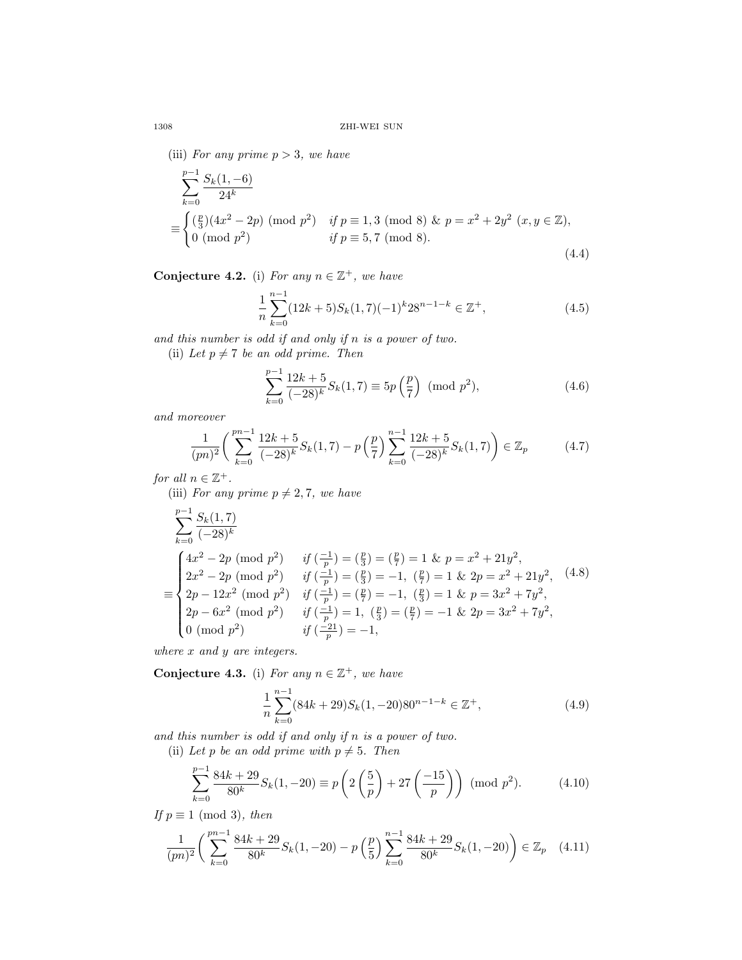(iii) For any prime  $p > 3$ , we have

$$
\sum_{k=0}^{p-1} \frac{S_k(1,-6)}{24^k}
$$
\n
$$
\equiv \begin{cases}\n\left(\frac{p}{3}\right)(4x^2 - 2p) \pmod{p^2} & \text{if } p \equiv 1,3 \pmod{8} \& p = x^2 + 2y^2 \ (x, y \in \mathbb{Z}), \\
0 \pmod{p^2} & \text{if } p \equiv 5,7 \pmod{8}.\n\end{cases}
$$
\n(4.4)

Conjecture 4.2. (i) For any  $n \in \mathbb{Z}^+$ , we have

$$
\frac{1}{n}\sum_{k=0}^{n-1} (12k+5)S_k(1,7)(-1)^k 28^{n-1-k} \in \mathbb{Z}^+,
$$
\n(4.5)

and this number is odd if and only if n is a power of two.

(ii) Let  $p \neq 7$  be an odd prime. Then

$$
\sum_{k=0}^{p-1} \frac{12k+5}{(-28)^k} S_k(1,7) \equiv 5p\left(\frac{p}{7}\right) \pmod{p^2},\tag{4.6}
$$

and moreover

$$
\frac{1}{(pn)^2} \left( \sum_{k=0}^{pn-1} \frac{12k+5}{(-28)^k} S_k(1,7) - p\left(\frac{p}{7}\right) \sum_{k=0}^{n-1} \frac{12k+5}{(-28)^k} S_k(1,7) \right) \in \mathbb{Z}_p \tag{4.7}
$$

for all  $n \in \mathbb{Z}^+$ .

(iii) For any prime  $p \neq 2, 7$ , we have

$$
\sum_{k=0}^{p-1} \frac{S_k(1,7)}{(-28)^k}
$$
\n
$$
\equiv \begin{cases}\n4x^2 - 2p \pmod{p^2} & \text{if } \left(\frac{-1}{p}\right) = \left(\frac{p}{3}\right) = \left(\frac{p}{7}\right) = 1 \text{ & } p = x^2 + 21y^2, \\
2x^2 - 2p \pmod{p^2} & \text{if } \left(\frac{-1}{p}\right) = \left(\frac{p}{3}\right) = -1, \left(\frac{p}{7}\right) = 1 \text{ & } 2p = x^2 + 21y^2, \\
2p - 12x^2 \pmod{p^2} & \text{if } \left(\frac{-1}{p}\right) = \left(\frac{p}{7}\right) = -1, \left(\frac{p}{3}\right) = 1 \text{ & } p = 3x^2 + 7y^2, \\
2p - 6x^2 \pmod{p^2} & \text{if } \left(\frac{-1}{p}\right) = 1, \left(\frac{p}{3}\right) = \left(\frac{p}{7}\right) = -1 \text{ & } 2p = 3x^2 + 7y^2, \\
0 \pmod{p^2} & \text{if } \left(\frac{-21}{p}\right) = -1,\n\end{cases}
$$

where x and y are integers.

Conjecture 4.3. (i) For any  $n \in \mathbb{Z}^+$ , we have

$$
\frac{1}{n}\sum_{k=0}^{n-1} (84k+29)S_k(1,-20)80^{n-1-k} \in \mathbb{Z}^+, \tag{4.9}
$$

and this number is odd if and only if n is a power of two.

(ii) Let p be an odd prime with  $p \neq 5$ . Then

$$
\sum_{k=0}^{p-1} \frac{84k+29}{80^k} S_k(1, -20) \equiv p \left( 2 \left( \frac{5}{p} \right) + 27 \left( \frac{-15}{p} \right) \right) \pmod{p^2}.
$$
 (4.10)

If  $p \equiv 1 \pmod{3}$ , then

$$
\frac{1}{(pn)^2} \left( \sum_{k=0}^{pn-1} \frac{84k+29}{80^k} S_k(1, -20) - p\left(\frac{p}{5}\right) \sum_{k=0}^{n-1} \frac{84k+29}{80^k} S_k(1, -20) \right) \in \mathbb{Z}_p \quad (4.11)
$$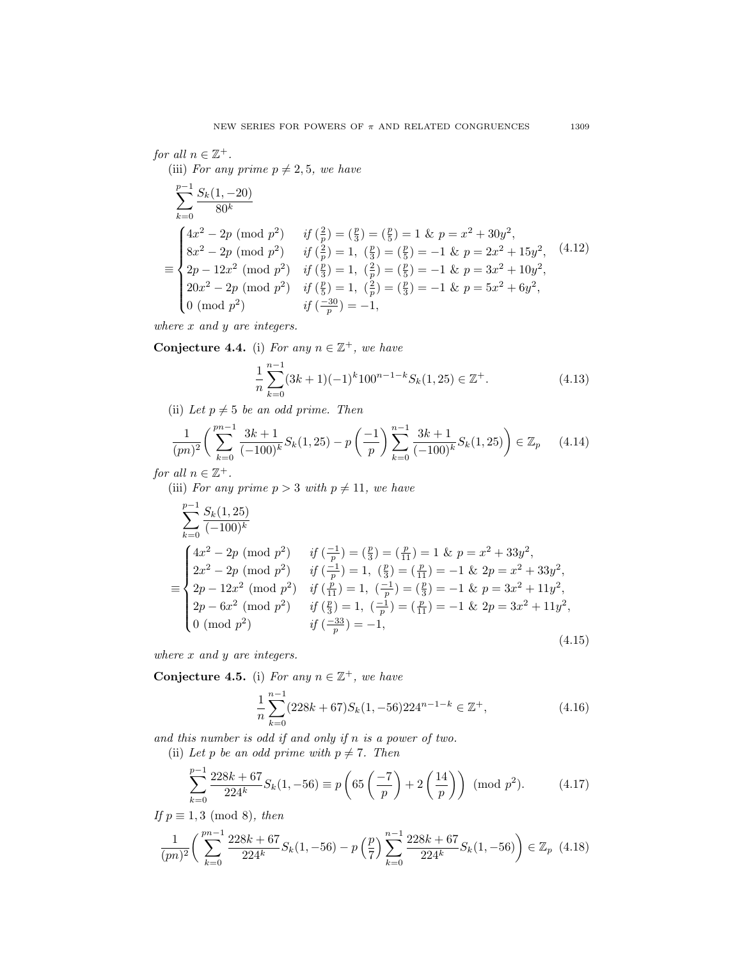# for all  $n \in \mathbb{Z}^+$ .

(iii) For any prime  $p \neq 2, 5$ , we have

$$
\sum_{k=0}^{p-1} \frac{S_k(1, -20)}{80^k}
$$
\n
$$
\equiv \begin{cases}\n4x^2 - 2p \pmod{p^2} & \text{if } \left(\frac{2}{p}\right) = \left(\frac{p}{3}\right) = \left(\frac{p}{5}\right) = 1 \text{ & p = x^2 + 30y^2,} \\
8x^2 - 2p \pmod{p^2} & \text{if } \left(\frac{2}{p}\right) = 1, \ \left(\frac{p}{3}\right) = \left(\frac{p}{5}\right) = -1 \text{ & p = 2x^2 + 15y^2,} \\
2p - 12x^2 \pmod{p^2} & \text{if } \left(\frac{p}{3}\right) = 1, \ \left(\frac{2}{p}\right) = \left(\frac{p}{5}\right) = -1 \text{ & p = 3x^2 + 10y^2,} \\
20x^2 - 2p \pmod{p^2} & \text{if } \left(\frac{p}{5}\right) = 1, \ \left(\frac{2}{p}\right) = \left(\frac{p}{3}\right) = -1 \text{ & p = 5x^2 + 6y^2,} \\
0 \pmod{p^2} & \text{if } \left(\frac{-30}{p}\right) = -1,\n\end{cases}
$$

where  $x$  and  $y$  are integers.

Conjecture 4.4. (i) For any  $n \in \mathbb{Z}^+$ , we have

$$
\frac{1}{n}\sum_{k=0}^{n-1} (3k+1)(-1)^k 100^{n-1-k} S_k(1,25) \in \mathbb{Z}^+.
$$
 (4.13)

(ii) Let  $p \neq 5$  be an odd prime. Then

$$
\frac{1}{(pn)^2} \left( \sum_{k=0}^{pn-1} \frac{3k+1}{(-100)^k} S_k(1,25) - p \left( \frac{-1}{p} \right) \sum_{k=0}^{n-1} \frac{3k+1}{(-100)^k} S_k(1,25) \right) \in \mathbb{Z}_p \tag{4.14}
$$

for all  $n \in \mathbb{Z}^+$ .

(iii) For any prime  $p > 3$  with  $p \neq 11$ , we have

$$
\sum_{k=0}^{p-1} \frac{S_k(1,25)}{(-100)^k}
$$
\n
$$
\equiv \begin{cases}\n4x^2 - 2p \pmod{p^2} & \text{if } \left(\frac{-1}{p}\right) = \left(\frac{p}{3}\right) = \left(\frac{p}{11}\right) = 1 \text{ & } p = x^2 + 33y^2, \\
2x^2 - 2p \pmod{p^2} & \text{if } \left(\frac{-1}{p}\right) = 1, \ \left(\frac{p}{3}\right) = \left(\frac{p}{11}\right) = -1 \text{ & } 2p = x^2 + 33y^2, \\
2p - 12x^2 \pmod{p^2} & \text{if } \left(\frac{p}{11}\right) = 1, \ \left(\frac{-1}{p}\right) = \left(\frac{p}{3}\right) = -1 \text{ & } p = 3x^2 + 11y^2, \\
2p - 6x^2 \pmod{p^2} & \text{if } \left(\frac{p}{3}\right) = 1, \ \left(\frac{-1}{p}\right) = \left(\frac{p}{11}\right) = -1 \text{ & } 2p = 3x^2 + 11y^2, \\
0 \pmod{p^2} & \text{if } \left(\frac{-33}{p}\right) = -1,\n\end{cases}
$$
\n(4.15)

where x and y are integers.

Conjecture 4.5. (i) For any  $n \in \mathbb{Z}^+$ , we have

$$
\frac{1}{n}\sum_{k=0}^{n-1} (228k+67)S_k(1, -56)224^{n-1-k} \in \mathbb{Z}^+, \tag{4.16}
$$

and this number is odd if and only if n is a power of two. (ii) Let p be an odd prime with  $p \neq 7$ . Then

$$
\sum_{k=0}^{p-1} \frac{228k + 67}{224^k} S_k(1, -56) \equiv p \left( 65 \left( \frac{-7}{p} \right) + 2 \left( \frac{14}{p} \right) \right) \pmod{p^2}.
$$
 (4.17)

If  $p \equiv 1, 3 \pmod{8}$ , then

$$
\frac{1}{(pn)^2} \left( \sum_{k=0}^{pn-1} \frac{228k+67}{224^k} S_k(1, -56) - p\left(\frac{p}{7}\right) \sum_{k=0}^{n-1} \frac{228k+67}{224^k} S_k(1, -56) \right) \in \mathbb{Z}_p \tag{4.18}
$$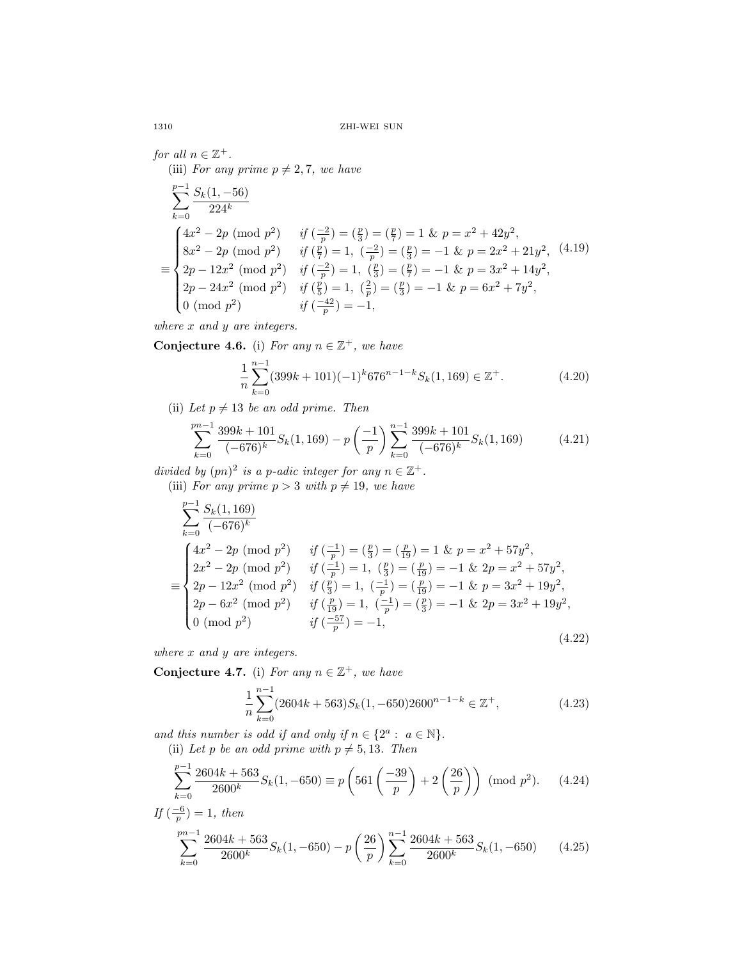for all  $n \in \mathbb{Z}^+$ . (iii) For any prime  $p \neq 2, 7$ , we have

$$
\sum_{k=0}^{p-1} \frac{S_k(1, -56)}{224^k}
$$
\n
$$
\equiv \begin{cases}\n4x^2 - 2p \pmod{p^2} & \text{if } \left(\frac{-2}{p}\right) = \left(\frac{p}{3}\right) = \left(\frac{p}{7}\right) = 1 \text{ & } p = x^2 + 42y^2, \\
8x^2 - 2p \pmod{p^2} & \text{if } \left(\frac{p}{7}\right) = 1, \ \left(\frac{-2}{p}\right) = \left(\frac{p}{3}\right) = -1 \text{ & } p = 2x^2 + 21y^2, \\
2p - 12x^2 \pmod{p^2} & \text{if } \left(\frac{-2}{p}\right) = 1, \ \left(\frac{p}{3}\right) = \left(\frac{p}{7}\right) = -1 \text{ & } p = 3x^2 + 14y^2, \\
2p - 24x^2 \pmod{p^2} & \text{if } \left(\frac{p}{5}\right) = 1, \ \left(\frac{2}{p}\right) = \left(\frac{p}{3}\right) = -1 \text{ & } p = 6x^2 + 7y^2, \\
0 \pmod{p^2} & \text{if } \left(\frac{-42}{p}\right) = -1,\n\end{cases}
$$

where  $x$  and  $y$  are integers.

Conjecture 4.6. (i) For any  $n \in \mathbb{Z}^+$ , we have

$$
\frac{1}{n}\sum_{k=0}^{n-1} (399k+101)(-1)^k 676^{n-1-k} S_k(1, 169) \in \mathbb{Z}^+.
$$
 (4.20)

(ii) Let  $p \neq 13$  be an odd prime. Then

$$
\sum_{k=0}^{pn-1} \frac{399k + 101}{(-676)^k} S_k(1, 169) - p\left(-\frac{1}{p}\right) \sum_{k=0}^{n-1} \frac{399k + 101}{(-676)^k} S_k(1, 169) \tag{4.21}
$$

divided by  $(pn)^2$  is a p-adic integer for any  $n \in \mathbb{Z}^+$ .

(iii) For any prime  $p > 3$  with  $p \neq 19$ , we have

$$
\sum_{k=0}^{p-1} \frac{S_k(1, 169)}{(-676)^k}
$$
\n
$$
\equiv \begin{cases}\n4x^2 - 2p \pmod{p^2} & \text{if } \left(\frac{-1}{p}\right) = \left(\frac{p}{3}\right) = \left(\frac{p}{19}\right) = 1 \text{ & } p = x^2 + 57y^2, \\
2x^2 - 2p \pmod{p^2} & \text{if } \left(\frac{-1}{p}\right) = 1, \left(\frac{p}{3}\right) = \left(\frac{p}{19}\right) = -1 \text{ & } 2p = x^2 + 57y^2, \\
2p - 12x^2 \pmod{p^2} & \text{if } \left(\frac{p}{3}\right) = 1, \left(\frac{-1}{p}\right) = \left(\frac{p}{19}\right) = -1 \text{ & } p = 3x^2 + 19y^2, \\
2p - 6x^2 \pmod{p^2} & \text{if } \left(\frac{p}{19}\right) = 1, \left(\frac{-1}{p}\right) = \left(\frac{p}{3}\right) = -1 \text{ & } 2p = 3x^2 + 19y^2, \\
0 \pmod{p^2} & \text{if } \left(\frac{-57}{p}\right) = -1,\n\end{cases}
$$
\n(4.22)

where  $x$  and  $y$  are integers.

Conjecture 4.7. (i) For any  $n \in \mathbb{Z}^+$ , we have

$$
\frac{1}{n} \sum_{k=0}^{n-1} (2604k + 563) S_k(1, -650) 2600^{n-1-k} \in \mathbb{Z}^+, \tag{4.23}
$$

and this number is odd if and only if  $n \in \{2^a : a \in \mathbb{N}\}.$ 

(ii) Let p be an odd prime with 
$$
p \neq 5, 13
$$
. Then

$$
\sum_{k=0}^{p-1} \frac{2604k + 563}{2600^k} S_k(1, -650) \equiv p \left( 561 \left( \frac{-39}{p} \right) + 2 \left( \frac{26}{p} \right) \right) \pmod{p^2}.
$$
 (4.24)

If 
$$
(\frac{-6}{p}) = 1
$$
, then  
\n
$$
\sum_{k=0}^{pn-1} \frac{2604k + 563}{2600^k} S_k(1, -650) - p \left(\frac{26}{p}\right) \sum_{k=0}^{n-1} \frac{2604k + 563}{2600^k} S_k(1, -650)
$$
\n(4.25)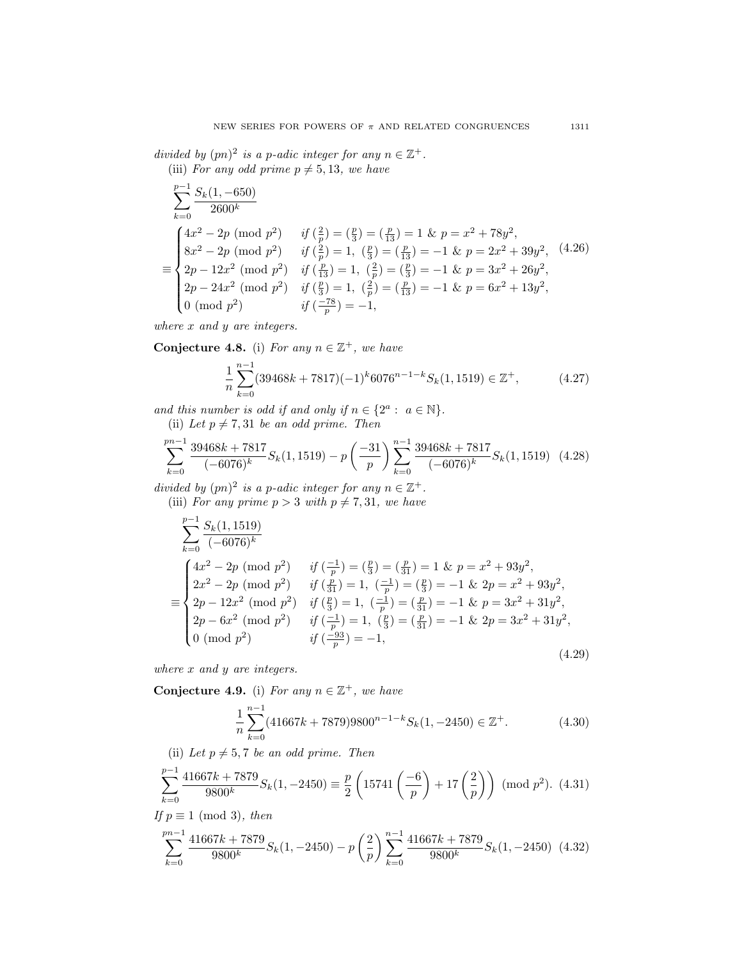divided by  $(pn)^2$  is a p-adic integer for any  $n \in \mathbb{Z}^+$ . (iii) For any odd prime  $p \neq 5, 13$ , we have

$$
\sum_{k=0}^{p-1} \frac{S_k(1, -650)}{2600^k}
$$
\n
$$
\equiv \begin{cases}\n4x^2 - 2p \pmod{p^2} & \text{if } \left(\frac{2}{p}\right) = \left(\frac{p}{3}\right) = \left(\frac{p}{13}\right) = 1 \text{ & } p = x^2 + 78y^2, \\
8x^2 - 2p \pmod{p^2} & \text{if } \left(\frac{2}{p}\right) = 1, \ \left(\frac{p}{3}\right) = \left(\frac{p}{13}\right) = -1 \text{ & } p = 2x^2 + 39y^2, \\
2p - 12x^2 \pmod{p^2} & \text{if } \left(\frac{p}{13}\right) = 1, \ \left(\frac{2}{p}\right) = \left(\frac{p}{3}\right) = -1 \text{ & } p = 3x^2 + 26y^2, \\
2p - 24x^2 \pmod{p^2} & \text{if } \left(\frac{p}{3}\right) = 1, \ \left(\frac{2}{p}\right) = \left(\frac{p}{13}\right) = -1 \text{ & } p = 6x^2 + 13y^2, \\
0 \pmod{p^2} & \text{if } \left(\frac{-78}{p}\right) = -1,\n\end{cases}
$$

where x and y are integers.

Conjecture 4.8. (i) For any  $n \in \mathbb{Z}^+$ , we have

$$
\frac{1}{n}\sum_{k=0}^{n-1} (39468k + 7817)(-1)^k 6076^{n-1-k} S_k(1, 1519) \in \mathbb{Z}^+, \tag{4.27}
$$

and this number is odd if and only if  $n \in \{2^a : a \in \mathbb{N}\}.$ 

(ii) Let  $p \neq 7, 31$  be an odd prime. Then

$$
\sum_{k=0}^{pn-1} \frac{39468k + 7817}{(-6076)^k} S_k(1,1519) - p \left( \frac{-31}{p} \right) \sum_{k=0}^{n-1} \frac{39468k + 7817}{(-6076)^k} S_k(1,1519) \tag{4.28}
$$

divided by  $(pn)^2$  is a p-adic integer for any  $n \in \mathbb{Z}^+$ .

(iii) For any prime  $p > 3$  with  $p \neq 7, 31$ , we have

$$
\sum_{k=0}^{p-1} \frac{S_k(1, 1519)}{(-6076)^k}
$$
\n
$$
\equiv \begin{cases}\n4x^2 - 2p \pmod{p^2} & \text{if } \left(\frac{-1}{p}\right) = \left(\frac{p}{2}\right) = \left(\frac{p}{31}\right) = 1 \text{ & p = x^2 + 93y^2,} \\
2x^2 - 2p \pmod{p^2} & \text{if } \left(\frac{p}{31}\right) = 1, \left(\frac{-1}{p}\right) = \left(\frac{p}{3}\right) = -1 \text{ & p = x^2 + 93y^2,} \\
2p - 12x^2 \pmod{p^2} & \text{if } \left(\frac{p}{3}\right) = 1, \left(\frac{-1}{p}\right) = \left(\frac{p}{31}\right) = -1 \text{ & p = 3x^2 + 31y^2,} \\
2p - 6x^2 \pmod{p^2} & \text{if } \left(\frac{-1}{p}\right) = 1, \left(\frac{p}{3}\right) = \left(\frac{p}{31}\right) = -1 \text{ & p = 3x^2 + 31y^2,} \\
0 \pmod{p^2} & \text{if } \left(\frac{-93}{p}\right) = -1,\n\end{cases}
$$
\n(4.29)

where x and y are integers.

Conjecture 4.9. (i) For any  $n \in \mathbb{Z}^+$ , we have

$$
\frac{1}{n} \sum_{k=0}^{n-1} (41667k + 7879)9800^{n-1-k} S_k(1, -2450) \in \mathbb{Z}^+.
$$
 (4.30)

(ii) Let  $p \neq 5, 7$  be an odd prime. Then

$$
\sum_{k=0}^{p-1} \frac{41667k + 7879}{9800^k} S_k(1, -2450) \equiv \frac{p}{2} \left( 15741 \left( \frac{-6}{p} \right) + 17 \left( \frac{2}{p} \right) \right) \pmod{p^2}. \tag{4.31}
$$

If  $p \equiv 1 \pmod{3}$ , then

$$
\sum_{k=0}^{pn-1} \frac{41667k + 7879}{9800^k} S_k(1, -2450) - p \left(\frac{2}{p}\right) \sum_{k=0}^{n-1} \frac{41667k + 7879}{9800^k} S_k(1, -2450) \tag{4.32}
$$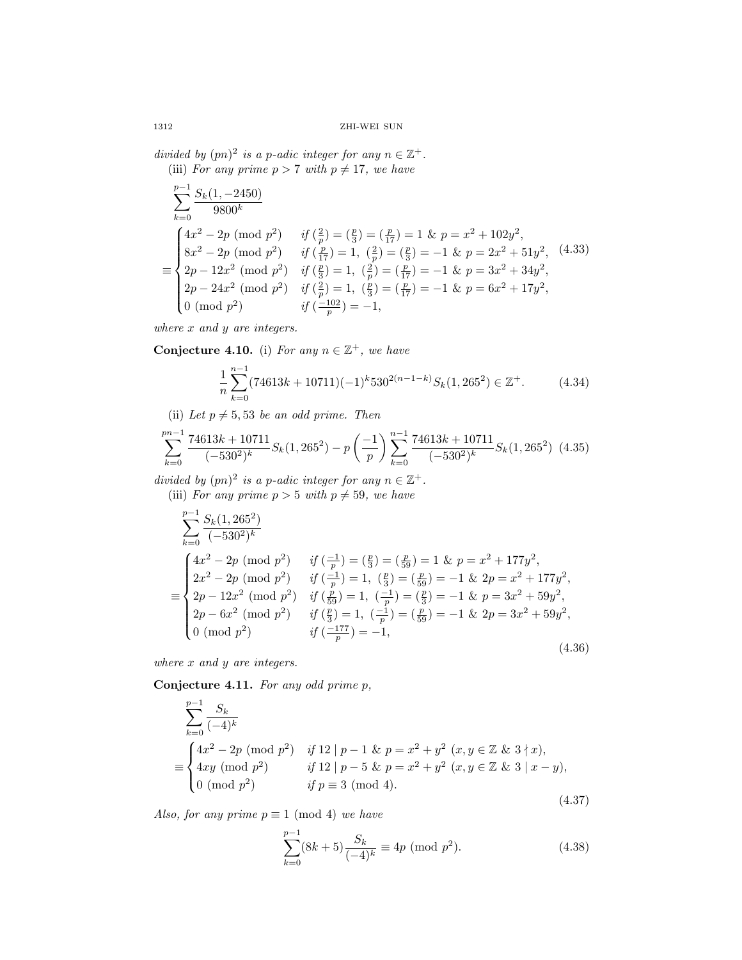divided by  $(pn)^2$  is a p-adic integer for any  $n \in \mathbb{Z}^+$ . (iii) For any prime  $p > 7$  with  $p \neq 17$ , we have

$$
\sum_{k=0}^{p-1} \frac{S_k(1, -2450)}{9800^k}
$$
\n
$$
\equiv \begin{cases}\n4x^2 - 2p \pmod{p^2} & \text{if } \left(\frac{2}{p}\right) = \left(\frac{p}{3}\right) = \left(\frac{p}{17}\right) = 1 \text{ & p = x^2 + 102y^2,} \\
8x^2 - 2p \pmod{p^2} & \text{if } \left(\frac{p}{17}\right) = 1, \ \left(\frac{2}{p}\right) = \left(\frac{p}{3}\right) = -1 \text{ & p = 2x^2 + 51y^2,} \\
2p - 12x^2 \pmod{p^2} & \text{if } \left(\frac{p}{3}\right) = 1, \ \left(\frac{2}{p}\right) = \left(\frac{p}{17}\right) = -1 \text{ & p = 3x^2 + 34y^2,} \\
2p - 24x^2 \pmod{p^2} & \text{if } \left(\frac{2}{p}\right) = 1, \ \left(\frac{p}{3}\right) = \left(\frac{p}{17}\right) = -1 \text{ & p = 6x^2 + 17y^2,} \\
0 \pmod{p^2} & \text{if } \left(\frac{-102}{p}\right) = -1,\n\end{cases}
$$

where x and y are integers.

Conjecture 4.10. (i) For any  $n \in \mathbb{Z}^+$ , we have

$$
\frac{1}{n}\sum_{k=0}^{n-1} (74613k + 10711)(-1)^k 530^{2(n-1-k)} S_k(1, 265^2) \in \mathbb{Z}^+.
$$
 (4.34)

(ii) Let  $p \neq 5, 53$  be an odd prime. Then

$$
\sum_{k=0}^{pn-1} \frac{74613k + 10711}{(-530^2)^k} S_k(1, 265^2) - p\left(-\frac{1}{p}\right) \sum_{k=0}^{n-1} \frac{74613k + 10711}{(-530^2)^k} S_k(1, 265^2) \tag{4.35}
$$

divided by  $(pn)^2$  is a p-adic integer for any  $n \in \mathbb{Z}^+$ . (iii) For any prime  $p > 5$  with  $p \neq 59$ , we have

$$
\sum_{k=0}^{p-1} \frac{S_k(1, 265^2)}{(-530^2)^k}
$$
\n
$$
\equiv \begin{cases}\n4x^2 - 2p \pmod{p^2} & \text{if } \left(\frac{-1}{p}\right) = \left(\frac{p}{3}\right) = \left(\frac{p}{59}\right) = 1 \text{ & p = x^2 + 177y^2,} \\
2x^2 - 2p \pmod{p^2} & \text{if } \left(\frac{-1}{p}\right) = 1, \left(\frac{p}{3}\right) = \left(\frac{p}{59}\right) = -1 \text{ & p = x^2 + 177y^2,} \\
2p - 12x^2 \pmod{p^2} & \text{if } \left(\frac{p}{59}\right) = 1, \left(\frac{-1}{p}\right) = \left(\frac{p}{3}\right) = -1 \text{ & p = 3x^2 + 59y^2,} \\
2p - 6x^2 \pmod{p^2} & \text{if } \left(\frac{p}{3}\right) = 1, \left(\frac{-1}{p}\right) = \left(\frac{p}{59}\right) = -1 \text{ & p = 3x^2 + 59y^2,} \\
0 \pmod{p^2} & \text{if } \left(\frac{-177}{p}\right) = -1,\n\end{cases}
$$
\n(4.36)

where x and y are integers.

Conjecture 4.11. For any odd prime p,

$$
\sum_{k=0}^{p-1} \frac{S_k}{(-4)^k}
$$
\n
$$
\equiv \begin{cases}\n4x^2 - 2p \pmod{p^2} & \text{if } 12 \mid p-1 \text{ & p = x^2 + y^2 \ (x, y \in \mathbb{Z} \text{ & p = x^2 + x),} \\
4xy \pmod{p^2} & \text{if } 12 \mid p-5 \text{ & p = x^2 + y^2 \ (x, y \in \mathbb{Z} \text{ & p = x - y}),} \\
0 \pmod{p^2} & \text{if } p \equiv 3 \pmod{4}.\n\end{cases}
$$
\n(4.37)

Also, for any prime  $p \equiv 1 \pmod{4}$  we have

$$
\sum_{k=0}^{p-1} (8k+5) \frac{S_k}{(-4)^k} \equiv 4p \pmod{p^2}.
$$
 (4.38)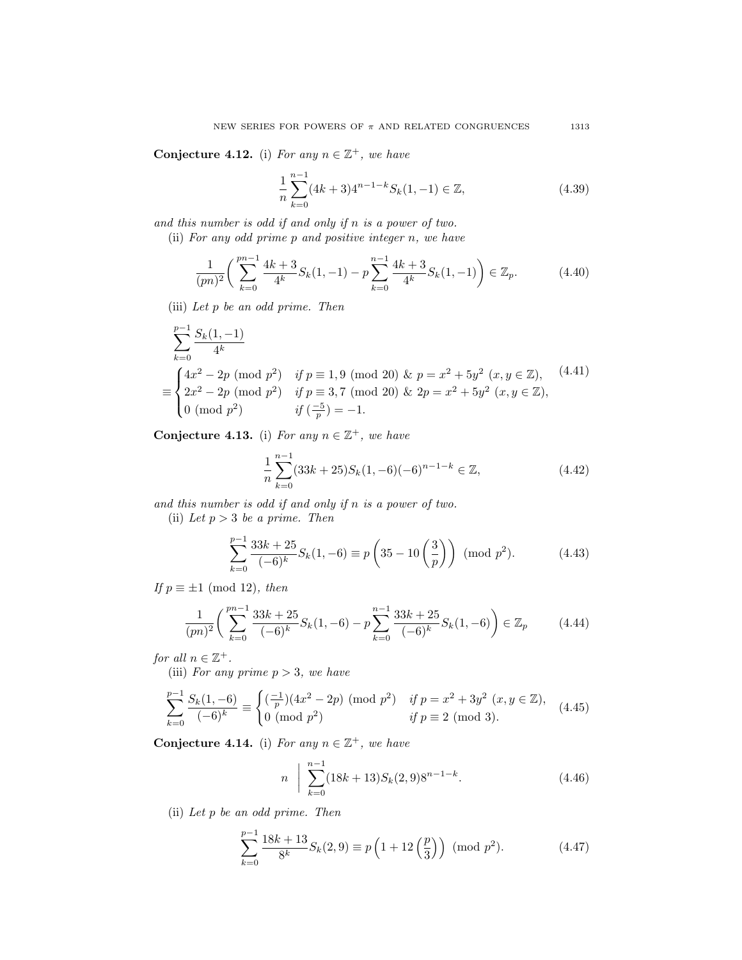Conjecture 4.12. (i) For any  $n \in \mathbb{Z}^+$ , we have

$$
\frac{1}{n}\sum_{k=0}^{n-1} (4k+3)4^{n-1-k} S_k(1,-1) \in \mathbb{Z},\tag{4.39}
$$

and this number is odd if and only if n is a power of two.

(ii) For any odd prime p and positive integer n, we have

$$
\frac{1}{(pn)^2} \left( \sum_{k=0}^{pn-1} \frac{4k+3}{4^k} S_k(1, -1) - p \sum_{k=0}^{n-1} \frac{4k+3}{4^k} S_k(1, -1) \right) \in \mathbb{Z}_p.
$$
 (4.40)

(iii) Let p be an odd prime. Then

$$
\sum_{k=0}^{p-1} \frac{S_k(1, -1)}{4^k}
$$
\n
$$
\equiv \begin{cases}\n4x^2 - 2p \pmod{p^2} & \text{if } p \equiv 1, 9 \pmod{20} \text{ & p = x^2 + 5y^2 \ (x, y \in \mathbb{Z}), \\
2x^2 - 2p \pmod{p^2} & \text{if } p \equiv 3, 7 \pmod{20} \text{ & p = x^2 + 5y^2 \ (x, y \in \mathbb{Z}), \\
0 \pmod{p^2} & \text{if } \left(\frac{-5}{p}\right) = -1.\n\end{cases}
$$
\n(4.41)

Conjecture 4.13. (i) For any  $n \in \mathbb{Z}^+$ , we have

$$
\frac{1}{n}\sum_{k=0}^{n-1} (33k+25)S_k(1,-6)(-6)^{n-1-k} \in \mathbb{Z},\tag{4.42}
$$

and this number is odd if and only if n is a power of two.

(ii) Let  $p > 3$  be a prime. Then

$$
\sum_{k=0}^{p-1} \frac{33k+25}{(-6)^k} S_k(1, -6) \equiv p\left(35 - 10\left(\frac{3}{p}\right)\right) \pmod{p^2}.
$$
 (4.43)

If  $p \equiv \pm 1 \pmod{12}$ , then

$$
\frac{1}{(pn)^2} \left( \sum_{k=0}^{pn-1} \frac{33k+25}{(-6)^k} S_k(1, -6) - p \sum_{k=0}^{n-1} \frac{33k+25}{(-6)^k} S_k(1, -6) \right) \in \mathbb{Z}_p \tag{4.44}
$$

for all  $n \in \mathbb{Z}^+$ .

(iii) For any prime  $p > 3$ , we have

$$
\sum_{k=0}^{p-1} \frac{S_k(1,-6)}{(-6)^k} \equiv \begin{cases} \left(\frac{-1}{p}\right)(4x^2 - 2p) \pmod{p^2} & \text{if } p = x^2 + 3y^2 \ (x, y \in \mathbb{Z}),\\ 0 \pmod{p^2} & \text{if } p \equiv 2 \pmod{3}. \end{cases} \tag{4.45}
$$

<span id="page-40-0"></span>Conjecture 4.14. (i) For any  $n \in \mathbb{Z}^+$ , we have

$$
n \quad \bigg| \sum_{k=0}^{n-1} (18k+13) S_k(2,9) 8^{n-1-k}.
$$
 (4.46)

(ii) Let p be an odd prime. Then

$$
\sum_{k=0}^{p-1} \frac{18k+13}{8^k} S_k(2,9) \equiv p\left(1+12\left(\frac{p}{3}\right)\right) \pmod{p^2}.
$$
 (4.47)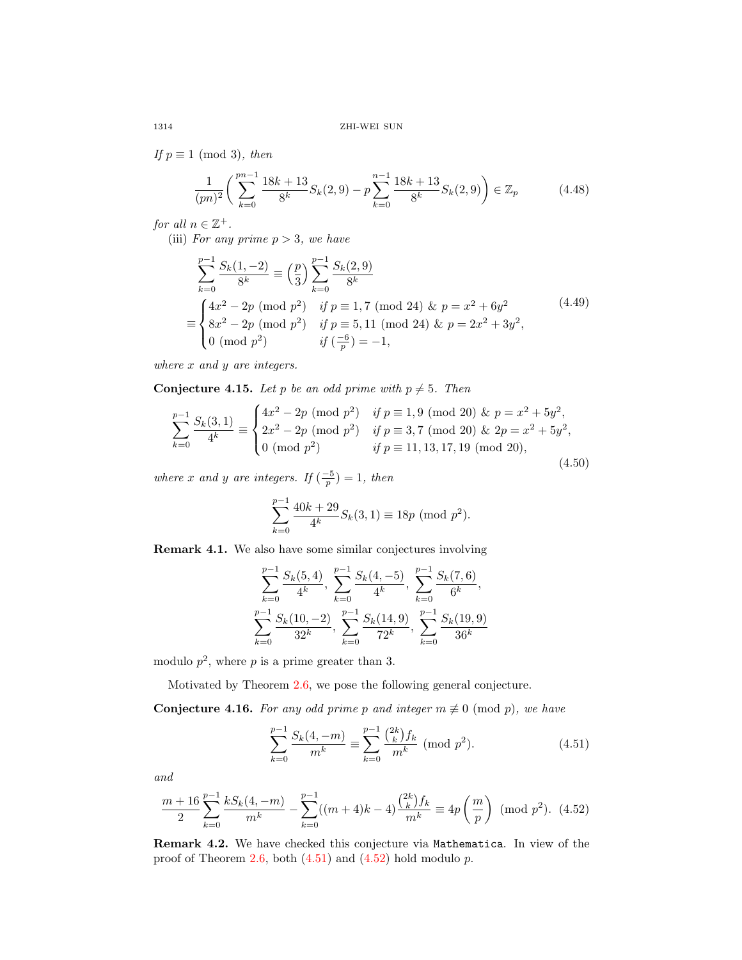If  $p \equiv 1 \pmod{3}$ , then

$$
\frac{1}{(pn)^2} \left( \sum_{k=0}^{pn-1} \frac{18k+13}{8^k} S_k(2,9) - p \sum_{k=0}^{n-1} \frac{18k+13}{8^k} S_k(2,9) \right) \in \mathbb{Z}_p \tag{4.48}
$$

for all  $n \in \mathbb{Z}^+$ .

(iii) For any prime  $p > 3$ , we have

$$
\sum_{k=0}^{p-1} \frac{S_k(1, -2)}{8^k} \equiv \left(\frac{p}{3}\right) \sum_{k=0}^{p-1} \frac{S_k(2, 9)}{8^k}
$$
\n
$$
\equiv \begin{cases}\n4x^2 - 2p \pmod{p^2} & \text{if } p \equiv 1, 7 \pmod{24} \& p = x^2 + 6y^2 \\
8x^2 - 2p \pmod{p^2} & \text{if } p \equiv 5, 11 \pmod{24} \& p = 2x^2 + 3y^2, \\
0 \pmod{p^2} & \text{if } \left(\frac{-6}{p}\right) = -1,\n\end{cases} \tag{4.49}
$$

where x and y are integers.

**Conjecture 4.15.** Let p be an odd prime with  $p \neq 5$ . Then

$$
\sum_{k=0}^{p-1} \frac{S_k(3,1)}{4^k} \equiv \begin{cases} 4x^2 - 2p \pmod{p^2} & \text{if } p \equiv 1,9 \pmod{20} \text{ & p = x^2 + 5y^2,} \\ 2x^2 - 2p \pmod{p^2} & \text{if } p \equiv 3,7 \pmod{20} \text{ & 2p = x^2 + 5y^2,} \\ 0 \pmod{p^2} & \text{if } p \equiv 11,13,17,19 \pmod{20}, \end{cases} \tag{4.50}
$$

where x and y are integers. If  $\left(\frac{-5}{p}\right) = 1$ , then

$$
\sum_{k=0}^{p-1} \frac{40k+29}{4^k} S_k(3,1) \equiv 18p \pmod{p^2}.
$$

Remark 4.1. We also have some similar conjectures involving

$$
\sum_{k=0}^{p-1} \frac{S_k(5,4)}{4^k}, \sum_{k=0}^{p-1} \frac{S_k(4,-5)}{4^k}, \sum_{k=0}^{p-1} \frac{S_k(7,6)}{6^k},
$$
  

$$
\sum_{k=0}^{p-1} \frac{S_k(10,-2)}{32^k}, \sum_{k=0}^{p-1} \frac{S_k(14,9)}{72^k}, \sum_{k=0}^{p-1} \frac{S_k(19,9)}{36^k}
$$

modulo  $p^2$ , where p is a prime greater than 3.

Motivated by Theorem [2.6,](#page-20-3) we pose the following general conjecture.

**Conjecture 4.16.** For any odd prime p and integer  $m \not\equiv 0 \pmod{p}$ , we have

<span id="page-41-0"></span>
$$
\sum_{k=0}^{p-1} \frac{S_k(4,-m)}{m^k} \equiv \sum_{k=0}^{p-1} \frac{\binom{2k}{k} f_k}{m^k} \text{ (mod } p^2). \tag{4.51}
$$

and

<span id="page-41-1"></span>
$$
\frac{m+16}{2} \sum_{k=0}^{p-1} \frac{k S_k(4,-m)}{m^k} - \sum_{k=0}^{p-1} ((m+4)k - 4) \frac{\binom{2k}{k} f_k}{m^k} \equiv 4p \left(\frac{m}{p}\right) \pmod{p^2}. \tag{4.52}
$$

Remark 4.2. We have checked this conjecture via Mathematica. In view of the proof of Theorem [2.6,](#page-20-3) both  $(4.51)$  and  $(4.52)$  hold modulo p.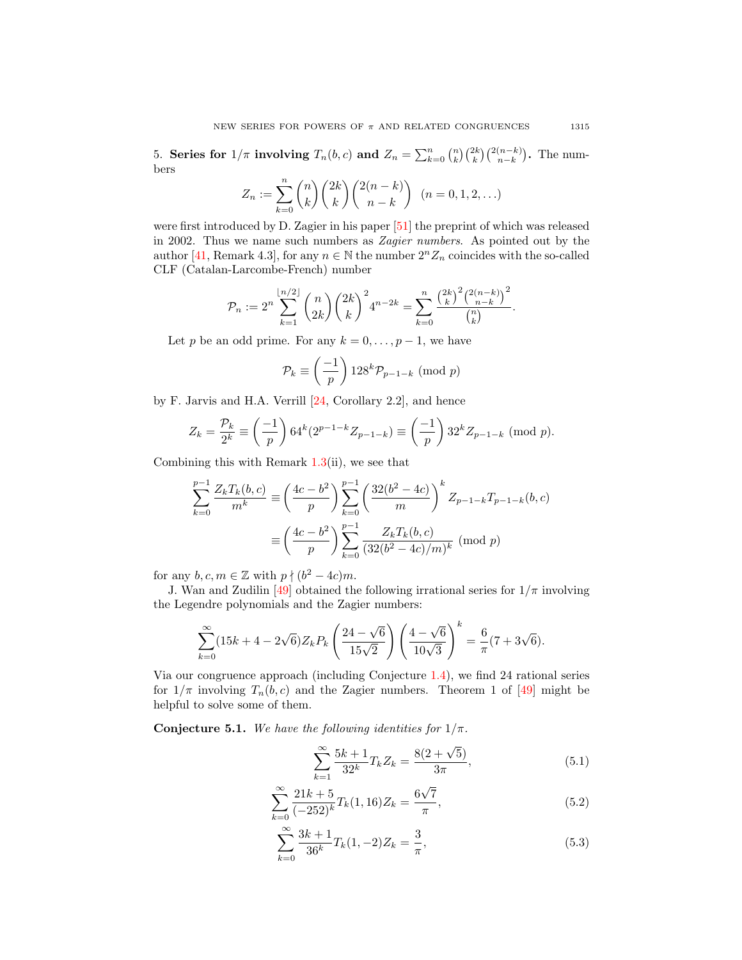5. Series for  $1/\pi$  involving  $T_n(b, c)$  and  $Z_n = \sum_{k=0}^n {n \choose k} {2k \choose k} {2(n-k) \choose n-k}$ . The numbers

$$
Z_n := \sum_{k=0}^n \binom{n}{k} \binom{2k}{k} \binom{2(n-k)}{n-k} \quad (n = 0, 1, 2, ...)
$$

were first introduced by D. Zagier in his paper [\[51\]](#page-69-3) the preprint of which was released in 2002. Thus we name such numbers as Zagier numbers. As pointed out by the author [\[41,](#page-68-17) Remark 4.3], for any  $n \in \mathbb{N}$  the number  $2^n Z_n$  coincides with the so-called CLF (Catalan-Larcombe-French) number

$$
\mathcal{P}_n := 2^n \sum_{k=1}^{\lfloor n/2 \rfloor} \binom{n}{2k} \binom{2k}{k}^2 4^{n-2k} = \sum_{k=0}^n \frac{\binom{2k}{k}^2 \binom{2(n-k)}{n-k}^2}{\binom{n}{k}}.
$$

Let p be an odd prime. For any  $k = 0, \ldots, p - 1$ , we have

$$
\mathcal{P}_k \equiv \left(\frac{-1}{p}\right) 128^k \mathcal{P}_{p-1-k} \pmod{p}
$$

by F. Jarvis and H.A. Verrill [\[24,](#page-68-18) Corollary 2.2], and hence

$$
Z_k = \frac{\mathcal{P}_k}{2^k} \equiv \left(\frac{-1}{p}\right) 64^k (2^{p-1-k} Z_{p-1-k}) \equiv \left(\frac{-1}{p}\right) 32^k Z_{p-1-k} \pmod{p}.
$$

Combining this with Remark  $1.3(ii)$  $1.3(ii)$ , we see that

$$
\sum_{k=0}^{p-1} \frac{Z_k T_k(b, c)}{m^k} \equiv \left(\frac{4c - b^2}{p}\right) \sum_{k=0}^{p-1} \left(\frac{32(b^2 - 4c)}{m}\right)^k Z_{p-1-k} T_{p-1-k}(b, c)
$$

$$
\equiv \left(\frac{4c - b^2}{p}\right) \sum_{k=0}^{p-1} \frac{Z_k T_k(b, c)}{(32(b^2 - 4c)/m)^k} \pmod{p}
$$

for any  $b, c, m \in \mathbb{Z}$  with  $p \nmid (b^2 - 4c)m$ .

J. Wan and Zudilin [\[49\]](#page-68-9) obtained the following irrational series for  $1/\pi$  involving the Legendre polynomials and the Zagier numbers:

$$
\sum_{k=0}^{\infty} (15k + 4 - 2\sqrt{6}) Z_k P_k \left( \frac{24 - \sqrt{6}}{15\sqrt{2}} \right) \left( \frac{4 - \sqrt{6}}{10\sqrt{3}} \right)^k = \frac{6}{\pi} (7 + 3\sqrt{6}).
$$

Via our congruence approach (including Conjecture [1.4\)](#page-12-4), we find 24 rational series for  $1/\pi$  involving  $T_n(b,c)$  and the Zagier numbers. Theorem 1 of [\[49\]](#page-68-9) might be helpful to solve some of them.

**Conjecture 5.1.** We have the following identities for  $1/\pi$ .

$$
\sum_{k=1}^{\infty} \frac{5k+1}{32^k} T_k Z_k = \frac{8(2+\sqrt{5})}{3\pi},
$$
\n(5.1)

$$
\sum_{k=0}^{\infty} \frac{21k+5}{(-252)^k} T_k(1,16) Z_k = \frac{6\sqrt{7}}{\pi},
$$
\n(5.2)

$$
\sum_{k=0}^{\infty} \frac{3k+1}{36^k} T_k(1, -2) Z_k = \frac{3}{\pi},\tag{5.3}
$$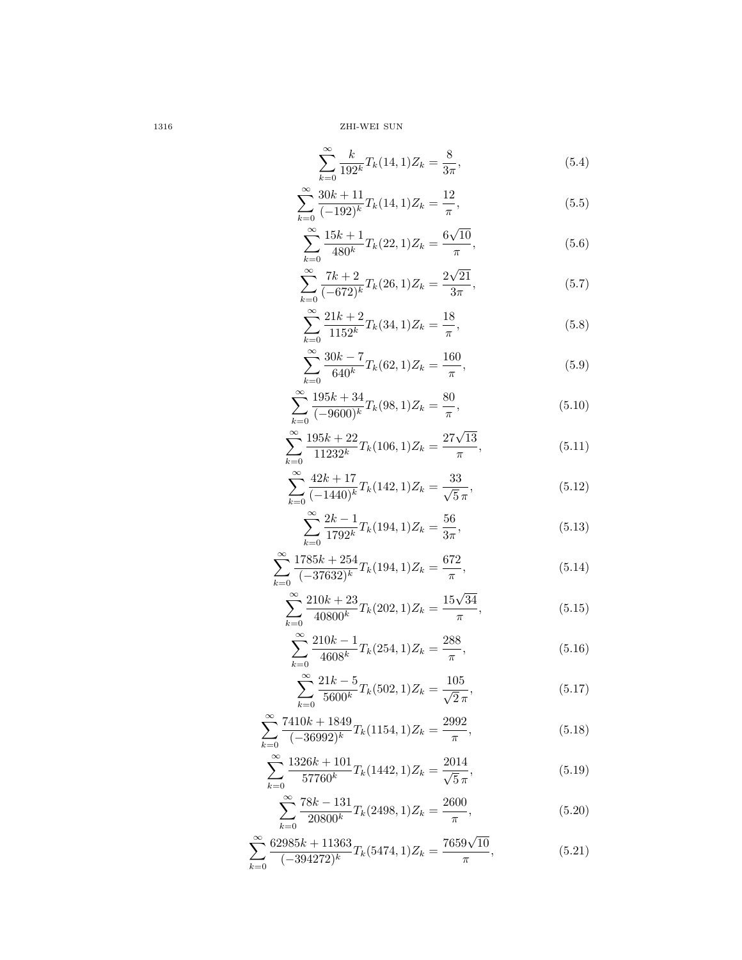$$
\sum_{k=0}^{\infty} \frac{k}{192^k} T_k(14,1) Z_k = \frac{8}{3\pi},\tag{5.4}
$$

$$
\sum_{k=0}^{\infty} \frac{30k+11}{(-192)^k} T_k(14,1) Z_k = \frac{12}{\pi},
$$
\n(5.5)

$$
\sum_{k=0}^{\infty} \frac{15k+1}{480^k} T_k(22,1) Z_k = \frac{6\sqrt{10}}{\pi},
$$
\n(5.6)

$$
\sum_{k=0}^{\infty} \frac{7k+2}{(-672)^k} T_k(26,1) Z_k = \frac{2\sqrt{21}}{3\pi},
$$
\n(5.7)

$$
\sum_{k=0}^{\infty} \frac{21k+2}{1152^k} T_k(34,1) Z_k = \frac{18}{\pi},
$$
\n(5.8)

$$
\sum_{k=0}^{\infty} \frac{30k - 7}{640^k} T_k(62, 1) Z_k = \frac{160}{\pi},
$$
\n(5.9)

$$
\sum_{k=0}^{\infty} \frac{195k + 34}{(-9600)^k} T_k(98, 1) Z_k = \frac{80}{\pi},
$$
\n(5.10)

$$
\sum_{k=0}^{\infty} \frac{195k + 22}{11232^k} T_k(106, 1) Z_k = \frac{27\sqrt{13}}{\pi},
$$
\n(5.11)

$$
\sum_{k=0}^{\infty} \frac{42k + 17}{(-1440)^k} T_k(142, 1) Z_k = \frac{33}{\sqrt{5}\pi},
$$
\n(5.12)

$$
\sum_{k=0}^{\infty} \frac{2k-1}{1792^k} T_k(194, 1) Z_k = \frac{56}{3\pi},
$$
\n(5.13)

$$
\sum_{k=0}^{\infty} \frac{1785k + 254}{(-37632)^k} T_k(194, 1) Z_k = \frac{672}{\pi},
$$
\n(5.14)

$$
\sum_{k=0}^{\infty} \frac{210k + 23}{40800^k} T_k(202, 1) Z_k = \frac{15\sqrt{34}}{\pi},
$$
\n(5.15)

$$
\sum_{k=0}^{\infty} \frac{210k - 1}{4608^k} T_k(254, 1) Z_k = \frac{288}{\pi},
$$
\n(5.16)

$$
\sum_{k=0}^{\infty} \frac{21k - 5}{5600^k} T_k(502, 1) Z_k = \frac{105}{\sqrt{2}\pi},
$$
\n(5.17)

$$
\sum_{k=0}^{\infty} \frac{7410k + 1849}{(-36992)^k} T_k(1154, 1) Z_k = \frac{2992}{\pi},
$$
\n(5.18)

$$
\sum_{k=0}^{\infty} \frac{1326k + 101}{57760^k} T_k(1442, 1) Z_k = \frac{2014}{\sqrt{5}\pi},
$$
\n(5.19)

$$
\sum_{k=0}^{\infty} \frac{78k - 131}{20800^k} T_k(2498, 1) Z_k = \frac{2600}{\pi},
$$
\n(5.20)

$$
\sum_{k=0}^{\infty} \frac{62985k + 11363}{(-394272)^k} T_k(5474, 1) Z_k = \frac{7659\sqrt{10}}{\pi},
$$
\n(5.21)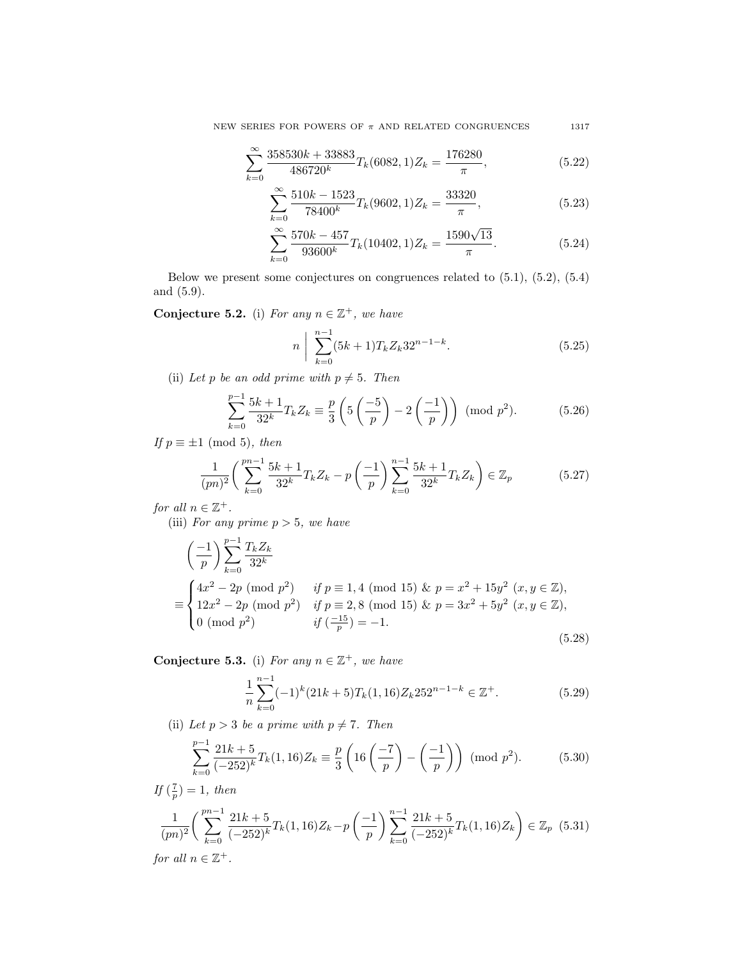NEW SERIES FOR POWERS OF  $\pi$  AND RELATED CONGRUENCES 1317

$$
\sum_{k=0}^{\infty} \frac{358530k + 33883}{486720^k} T_k(6082, 1) Z_k = \frac{176280}{\pi},
$$
\n(5.22)

$$
\sum_{k=0}^{\infty} \frac{510k - 1523}{78400^k} T_k(9602, 1) Z_k = \frac{33320}{\pi},
$$
\n(5.23)

$$
\sum_{k=0}^{\infty} \frac{570k - 457}{93600^k} T_k(10402, 1) Z_k = \frac{1590\sqrt{13}}{\pi}.
$$
 (5.24)

Below we present some conjectures on congruences related to (5.1), (5.2), (5.4) and (5.9).

Conjecture 5.2. (i) For any  $n \in \mathbb{Z}^+$ , we have

$$
n \bigg| \sum_{k=0}^{n-1} (5k+1) T_k Z_k 32^{n-1-k}.
$$
 (5.25)

(ii) Let p be an odd prime with  $p \neq 5$ . Then

$$
\sum_{k=0}^{p-1} \frac{5k+1}{32^k} T_k Z_k \equiv \frac{p}{3} \left( 5 \left( \frac{-5}{p} \right) - 2 \left( \frac{-1}{p} \right) \right) \pmod{p^2}.
$$
 (5.26)

If  $p \equiv \pm 1 \pmod{5}$ , then

$$
\frac{1}{(pn)^2} \left( \sum_{k=0}^{pn-1} \frac{5k+1}{32^k} T_k Z_k - p \left( \frac{-1}{p} \right) \sum_{k=0}^{n-1} \frac{5k+1}{32^k} T_k Z_k \right) \in \mathbb{Z}_p \tag{5.27}
$$

for all  $n \in \mathbb{Z}^+$ .

(iii) For any prime  $p > 5$ , we have

$$
\left(\frac{-1}{p}\right) \sum_{k=0}^{p-1} \frac{T_k Z_k}{32^k}
$$
\n
$$
\equiv \begin{cases}\n4x^2 - 2p \pmod{p^2} & \text{if } p \equiv 1, 4 \pmod{15} \& p = x^2 + 15y^2 \ (x, y \in \mathbb{Z}), \\
12x^2 - 2p \pmod{p^2} & \text{if } p \equiv 2, 8 \pmod{15} \& p = 3x^2 + 5y^2 \ (x, y \in \mathbb{Z}), \\
0 \pmod{p^2} & \text{if } \left(\frac{-15}{p}\right) = -1.\n\end{cases}
$$
\n(5.28)

Conjecture 5.3. (i) For any  $n \in \mathbb{Z}^+$ , we have

$$
\frac{1}{n}\sum_{k=0}^{n-1}(-1)^k(21k+5)T_k(1,16)Z_k252^{n-1-k}\in\mathbb{Z}^+.
$$
\n(5.29)

(ii) Let  $p > 3$  be a prime with  $p \neq 7$ . Then

$$
\sum_{k=0}^{p-1} \frac{21k+5}{(-252)^k} T_k(1,16) Z_k \equiv \frac{p}{3} \left( 16 \left( \frac{-7}{p} \right) - \left( \frac{-1}{p} \right) \right) \text{ (mod } p^2). \tag{5.30}
$$

If  $(\frac{7}{p}) = 1$ , then

$$
\frac{1}{(pn)^2} \left( \sum_{k=0}^{pn-1} \frac{21k+5}{(-252)^k} T_k(1,16) Z_k - p \left( \frac{-1}{p} \right) \sum_{k=0}^{n-1} \frac{21k+5}{(-252)^k} T_k(1,16) Z_k \right) \in \mathbb{Z}_p \tag{5.31}
$$

for all  $n \in \mathbb{Z}^+$ .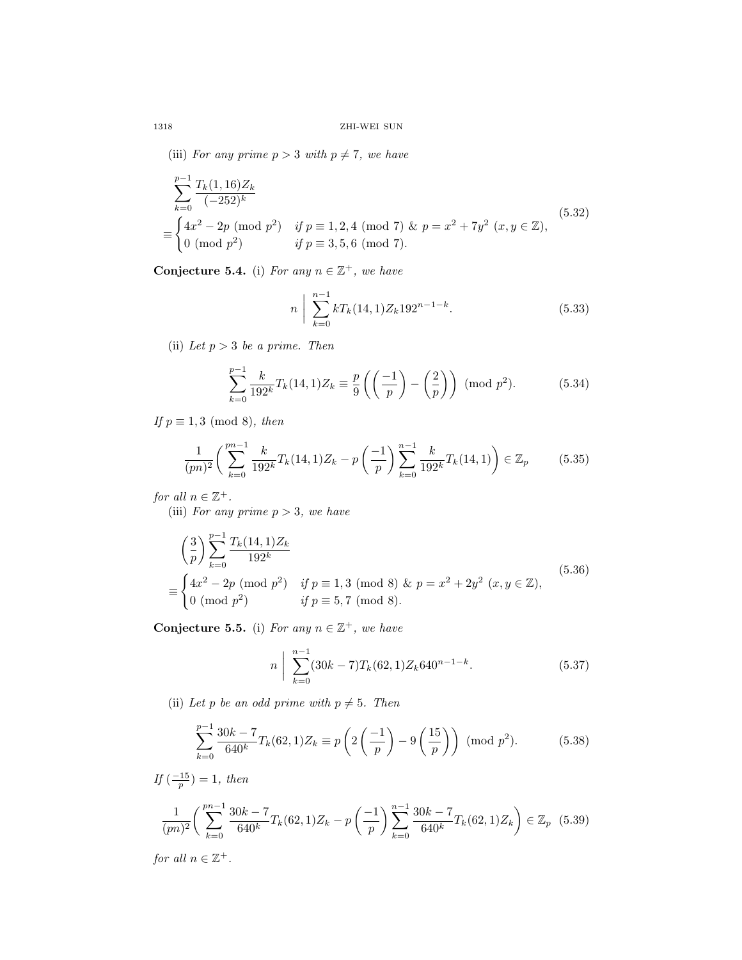(iii) For any prime  $p > 3$  with  $p \neq 7$ , we have

$$
\sum_{k=0}^{p-1} \frac{T_k(1,16)Z_k}{(-252)^k}
$$
\n
$$
\equiv \begin{cases}\n4x^2 - 2p \pmod{p^2} & \text{if } p \equiv 1,2,4 \pmod{7} \& p = x^2 + 7y^2 \ (x, y \in \mathbb{Z}), \\
0 \pmod{p^2} & \text{if } p \equiv 3,5,6 \pmod{7}.\n\end{cases}
$$
\n
$$
(5.32)
$$

Conjecture 5.4. (i) For any  $n \in \mathbb{Z}^+$ , we have

$$
n \bigg| \sum_{k=0}^{n-1} k T_k(14,1) Z_k 192^{n-1-k}.
$$
 (5.33)

(ii) Let  $p > 3$  be a prime. Then

$$
\sum_{k=0}^{p-1} \frac{k}{192^k} T_k(14,1) Z_k \equiv \frac{p}{9} \left( \left( \frac{-1}{p} \right) - \left( \frac{2}{p} \right) \right) \pmod{p^2}.
$$
 (5.34)

If  $p \equiv 1, 3 \pmod{8}$ , then

$$
\frac{1}{(pn)^2} \left( \sum_{k=0}^{pn-1} \frac{k}{192^k} T_k(14,1) Z_k - p \left( \frac{-1}{p} \right) \sum_{k=0}^{n-1} \frac{k}{192^k} T_k(14,1) \right) \in \mathbb{Z}_p \tag{5.35}
$$

for all  $n \in \mathbb{Z}^+$ .

(iii) For any prime  $p > 3$ , we have

$$
\left(\frac{3}{p}\right) \sum_{k=0}^{p-1} \frac{T_k(14,1)Z_k}{192^k}
$$
\n
$$
\equiv \begin{cases}\n4x^2 - 2p \pmod{p^2} & \text{if } p \equiv 1,3 \pmod{8} \& p = x^2 + 2y^2 \ (x, y \in \mathbb{Z}), \\
0 \pmod{p^2} & \text{if } p \equiv 5,7 \pmod{8}.\n\end{cases}
$$
\n(5.36)

Conjecture 5.5. (i) For any  $n \in \mathbb{Z}^+$ , we have

$$
n \bigg| \sum_{k=0}^{n-1} (30k - 7) T_k(62, 1) Z_k 640^{n-1-k}.
$$
 (5.37)

(ii) Let p be an odd prime with  $p \neq 5$ . Then

$$
\sum_{k=0}^{p-1} \frac{30k - 7}{640^k} T_k(62, 1) Z_k \equiv p \left( 2 \left( \frac{-1}{p} \right) - 9 \left( \frac{15}{p} \right) \right) \text{ (mod } p^2). \tag{5.38}
$$

$$
If \left(\frac{-15}{p}\right) = 1, then
$$
  

$$
\frac{1}{(pn)^2} \left(\sum_{k=0}^{pn-1} \frac{30k-7}{640^k} T_k(62, 1) Z_k - p\left(-\frac{1}{p}\right) \sum_{k=0}^{n-1} \frac{30k-7}{640^k} T_k(62, 1) Z_k\right) \in \mathbb{Z}_p \quad (5.39)
$$

for all  $n \in \mathbb{Z}^+$ .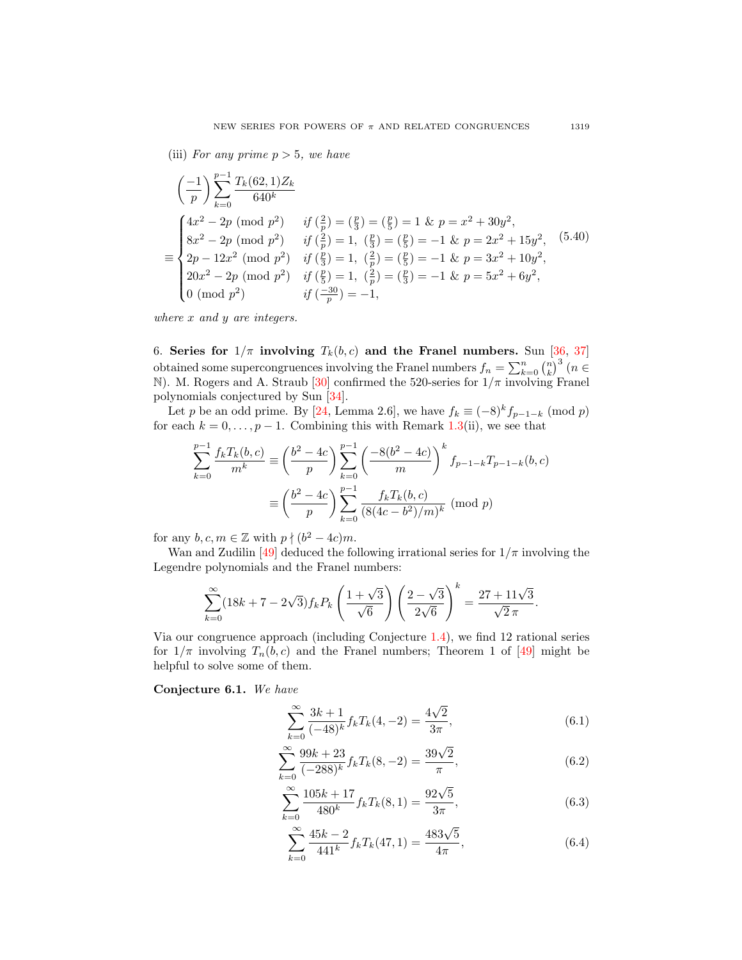(iii) For any prime  $p > 5$ , we have

$$
\left(\frac{-1}{p}\right) \sum_{k=0}^{p-1} \frac{T_k(62,1)Z_k}{640^k}
$$
\n
$$
\equiv \begin{cases}\n4x^2 - 2p \pmod{p^2} & \text{if } \left(\frac{2}{p}\right) = \left(\frac{p}{3}\right) = \left(\frac{p}{5}\right) = 1 \text{ & } p = x^2 + 30y^2, \\
8x^2 - 2p \pmod{p^2} & \text{if } \left(\frac{2}{p}\right) = 1, \left(\frac{p}{3}\right) = \left(\frac{p}{5}\right) = -1 \text{ & } p = 2x^2 + 15y^2, \\
2p - 12x^2 \pmod{p^2} & \text{if } \left(\frac{p}{3}\right) = 1, \left(\frac{2}{p}\right) = \left(\frac{p}{5}\right) = -1 \text{ & } p = 3x^2 + 10y^2, \\
20x^2 - 2p \pmod{p^2} & \text{if } \left(\frac{p}{5}\right) = 1, \left(\frac{2}{p}\right) = \left(\frac{p}{3}\right) = -1 \text{ & } p = 5x^2 + 6y^2, \\
0 \pmod{p^2} & \text{if } \left(\frac{-30}{p}\right) = -1,\n\end{cases}
$$

where x and y are integers.

6. Series for  $1/\pi$  involving  $T_k(b, c)$  and the Franel numbers. Sun [\[36,](#page-68-19) [37\]](#page-68-20) obtained some supercongruences involving the Franel numbers  $f_n = \sum_{k=0}^n {n \choose k}^3$   $(n \in$ N). M. Rogers and A. Straub [\[30\]](#page-68-21) confirmed the 520-series for  $1/\pi$  involving Franel polynomials conjectured by Sun [\[34\]](#page-68-8).

Let p be an odd prime. By [\[24,](#page-68-18) Lemma 2.6], we have  $f_k \equiv (-8)^k f_{p-1-k}$  (mod p) for each  $k = 0, \ldots, p - 1$ . Combining this with Remark [1.3\(](#page-12-3)ii), we see that

$$
\sum_{k=0}^{p-1} \frac{f_k T_k(b,c)}{m^k} \equiv \left(\frac{b^2 - 4c}{p}\right) \sum_{k=0}^{p-1} \left(\frac{-8(b^2 - 4c)}{m}\right)^k f_{p-1-k} T_{p-1-k}(b,c)
$$

$$
\equiv \left(\frac{b^2 - 4c}{p}\right) \sum_{k=0}^{p-1} \frac{f_k T_k(b,c)}{(8(4c - b^2)/m)^k} \pmod{p}
$$

for any  $b, c, m \in \mathbb{Z}$  with  $p \nmid (b^2 - 4c)m$ .

Wan and Zudilin [\[49\]](#page-68-9) deduced the following irrational series for  $1/\pi$  involving the Legendre polynomials and the Franel numbers:

$$
\sum_{k=0}^{\infty} (18k + 7 - 2\sqrt{3}) f_k P_k \left( \frac{1+\sqrt{3}}{\sqrt{6}} \right) \left( \frac{2-\sqrt{3}}{2\sqrt{6}} \right)^k = \frac{27+11\sqrt{3}}{\sqrt{2} \pi}.
$$

Via our congruence approach (including Conjecture [1.4\)](#page-12-4), we find 12 rational series for  $1/\pi$  involving  $T_n(b,c)$  and the Franel numbers; Theorem 1 of [\[49\]](#page-68-9) might be helpful to solve some of them.

Conjecture 6.1. We have

$$
\sum_{k=0}^{\infty} \frac{3k+1}{(-48)^k} f_k T_k(4, -2) = \frac{4\sqrt{2}}{3\pi},
$$
\n(6.1)

$$
\sum_{k=0}^{\infty} \frac{99k + 23}{(-288)^k} f_k T_k(8, -2) = \frac{39\sqrt{2}}{\pi},
$$
\n(6.2)

$$
\sum_{k=0}^{\infty} \frac{105k + 17}{480^k} f_k T_k(8, 1) = \frac{92\sqrt{5}}{3\pi},
$$
\n(6.3)

$$
\sum_{k=0}^{\infty} \frac{45k - 2}{441^k} f_k T_k(47, 1) = \frac{483\sqrt{5}}{4\pi},
$$
\n(6.4)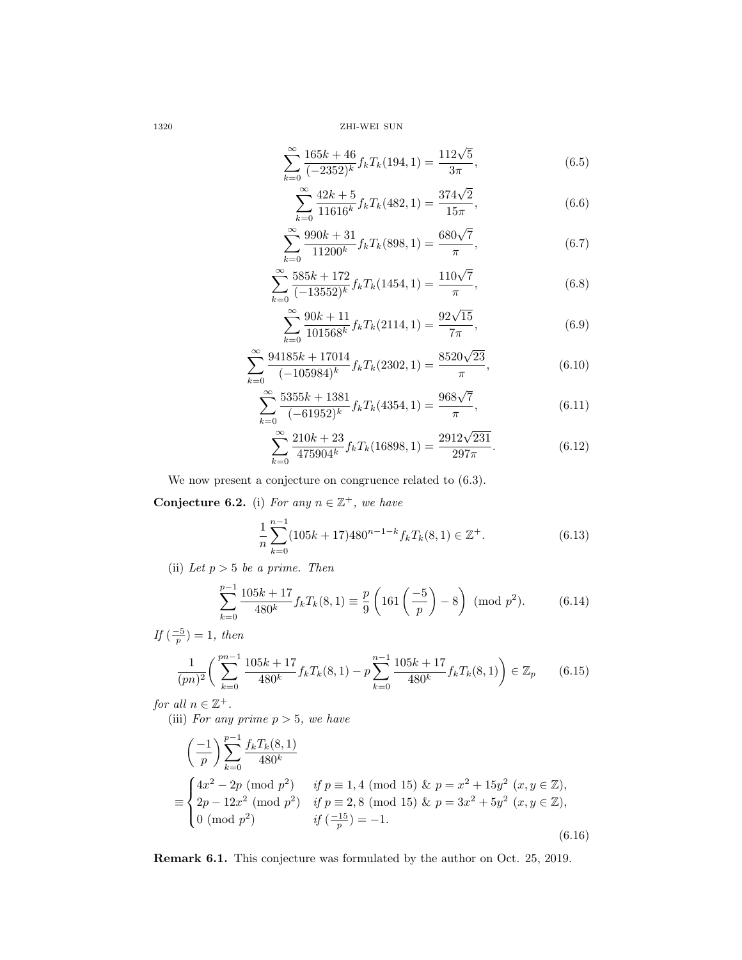$$
\sum_{k=0}^{\infty} \frac{165k + 46}{(-2352)^k} f_k T_k(194, 1) = \frac{112\sqrt{5}}{3\pi},
$$
\n(6.5)

$$
\sum_{k=0}^{\infty} \frac{42k+5}{11616^k} f_k T_k(482, 1) = \frac{374\sqrt{2}}{15\pi},
$$
\n(6.6)

$$
\sum_{k=0}^{\infty} \frac{990k + 31}{11200^k} f_k T_k(898, 1) = \frac{680\sqrt{7}}{\pi},
$$
\n(6.7)

$$
\sum_{k=0}^{\infty} \frac{585k + 172}{(-13552)^k} f_k T_k(1454, 1) = \frac{110\sqrt{7}}{\pi},
$$
\n(6.8)

$$
\sum_{k=0}^{\infty} \frac{90k + 11}{101568^k} f_k T_k(2114, 1) = \frac{92\sqrt{15}}{7\pi},
$$
\n(6.9)

$$
\sum_{k=0}^{\infty} \frac{94185k + 17014}{(-105984)^k} f_k T_k(2302, 1) = \frac{8520\sqrt{23}}{\pi},
$$
\n(6.10)

$$
\sum_{k=0}^{\infty} \frac{5355k + 1381}{(-61952)^k} f_k T_k(4354, 1) = \frac{968\sqrt{7}}{\pi},
$$
\n(6.11)

$$
\sum_{k=0}^{\infty} \frac{210k + 23}{475904^k} f_k T_k(16898, 1) = \frac{2912\sqrt{231}}{297\pi}.
$$
 (6.12)

We now present a conjecture on congruence related to (6.3).

<span id="page-47-0"></span>Conjecture 6.2. (i) For any  $n \in \mathbb{Z}^+$ , we have

$$
\frac{1}{n}\sum_{k=0}^{n-1} (105k + 17)480^{n-1-k} f_k T_k(8,1) \in \mathbb{Z}^+.
$$
 (6.13)

(ii) Let  $p > 5$  be a prime. Then

$$
\sum_{k=0}^{p-1} \frac{105k + 17}{480^k} f_k T_k(8, 1) \equiv \frac{p}{9} \left( 161 \left( \frac{-5}{p} \right) - 8 \right) \pmod{p^2}.
$$
 (6.14)

If  $\left(\frac{-5}{p}\right) = 1$ , then

$$
\frac{1}{(pn)^2} \left( \sum_{k=0}^{pn-1} \frac{105k + 17}{480^k} f_k T_k(8, 1) - p \sum_{k=0}^{n-1} \frac{105k + 17}{480^k} f_k T_k(8, 1) \right) \in \mathbb{Z}_p \tag{6.15}
$$

for all  $n \in \mathbb{Z}^+$ .

(iii) For any prime  $p > 5$ , we have

$$
\left(\frac{-1}{p}\right) \sum_{k=0}^{p-1} \frac{f_k T_k(8,1)}{480^k}
$$
  
\n
$$
\equiv \begin{cases}\n4x^2 - 2p \pmod{p^2} & \text{if } p \equiv 1, 4 \pmod{15} \& p = x^2 + 15y^2 \ (x, y \in \mathbb{Z}), \\
2p - 12x^2 \pmod{p^2} & \text{if } p \equiv 2, 8 \pmod{15} \& p = 3x^2 + 5y^2 \ (x, y \in \mathbb{Z}), \\
0 \pmod{p^2} & \text{if } \left(\frac{-15}{p}\right) = -1.\n\end{cases}
$$
\n(6.16)

Remark 6.1. This conjecture was formulated by the author on Oct. 25, 2019.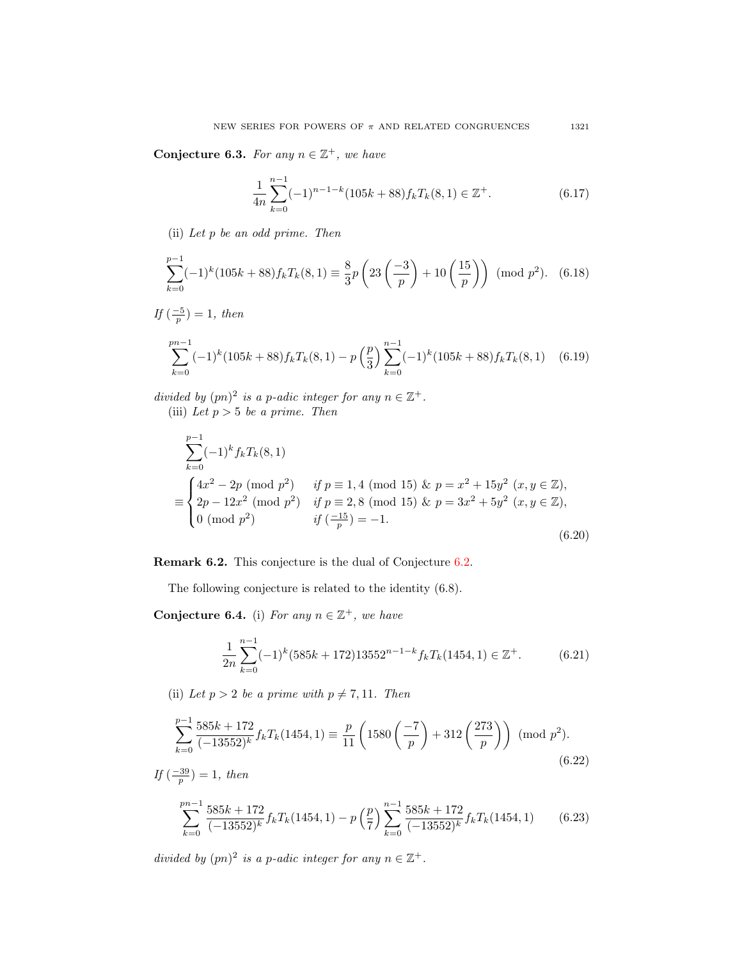Conjecture 6.3. For any  $n \in \mathbb{Z}^+$ , we have

$$
\frac{1}{4n} \sum_{k=0}^{n-1} (-1)^{n-1-k} (105k+88) f_k T_k(8,1) \in \mathbb{Z}^+.
$$
 (6.17)

(ii) Let p be an odd prime. Then

$$
\sum_{k=0}^{p-1} (-1)^k (105k+88) f_k T_k(8,1) \equiv \frac{8}{3} p \left( 23 \left( \frac{-3}{p} \right) + 10 \left( \frac{15}{p} \right) \right) \pmod{p^2}.
$$
 (6.18)

$$
If\left(\frac{-5}{p}\right) = 1, then
$$

$$
\sum_{k=0}^{pn-1} (-1)^k (105k+88) f_k T_k(8,1) - p\left(\frac{p}{3}\right) \sum_{k=0}^{n-1} (-1)^k (105k+88) f_k T_k(8,1) \quad (6.19)
$$

divided by  $(pn)^2$  is a p-adic integer for any  $n \in \mathbb{Z}^+$ . (iii) Let  $p > 5$  be a prime. Then

$$
\sum_{k=0}^{p-1} (-1)^k f_k T_k(8, 1)
$$
\n
$$
\equiv \begin{cases}\n4x^2 - 2p \pmod{p^2} & \text{if } p \equiv 1, 4 \pmod{15} \& p = x^2 + 15y^2 \ (x, y \in \mathbb{Z}), \\
2p - 12x^2 \pmod{p^2} & \text{if } p \equiv 2, 8 \pmod{15} \& p = 3x^2 + 5y^2 \ (x, y \in \mathbb{Z}), \\
0 \pmod{p^2} & \text{if } \left(\frac{-15}{p}\right) = -1.\n\end{cases}
$$
\n(6.20)

Remark 6.2. This conjecture is the dual of Conjecture [6.2.](#page-47-0)

The following conjecture is related to the identity (6.8).

<span id="page-48-0"></span>Conjecture 6.4. (i) For any  $n \in \mathbb{Z}^+$ , we have

$$
\frac{1}{2n} \sum_{k=0}^{n-1} (-1)^k (585k + 172) 13552^{n-1-k} f_k T_k (1454, 1) \in \mathbb{Z}^+.
$$
 (6.21)

(ii) Let  $p > 2$  be a prime with  $p \neq 7, 11$ . Then

$$
\sum_{k=0}^{p-1} \frac{585k + 172}{(-13552)^k} f_k T_k(1454, 1) \equiv \frac{p}{11} \left( 1580 \left( \frac{-7}{p} \right) + 312 \left( \frac{273}{p} \right) \right) \pmod{p^2}.
$$
\n(6.22)

$$
If \left(\frac{-39}{p}\right) = 1, then
$$
\n
$$
\sum_{k=0}^{pn-1} \frac{585k + 172}{(-13552)^k} f_k T_k(1454, 1) - p\left(\frac{p}{7}\right) \sum_{k=0}^{n-1} \frac{585k + 172}{(-13552)^k} f_k T_k(1454, 1) \tag{6.23}
$$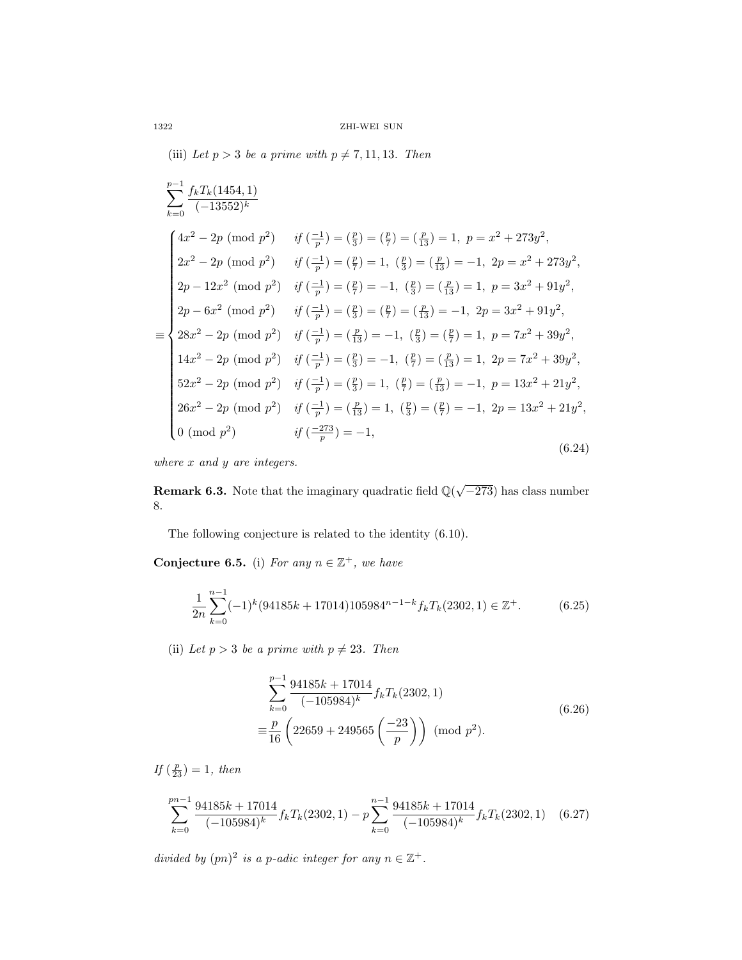(iii) Let  $p > 3$  be a prime with  $p \neq 7, 11, 13$ . Then

$$
\sum_{k=0}^{p-1} \frac{f_k T_k(1454,1)}{(-13552)^k}
$$
\n
$$
\begin{cases}\n4x^2 - 2p \pmod{p^2} & \text{if } \left(\frac{-1}{p}\right) = \left(\frac{p}{3}\right) = \left(\frac{p}{7}\right) = \left(\frac{p}{13}\right) = 1, \ p = x^2 + 273y^2, \\
2x^2 - 2p \pmod{p^2} & \text{if } \left(\frac{-1}{p}\right) = \left(\frac{p}{7}\right) = 1, \ \left(\frac{p}{3}\right) = \left(\frac{p}{13}\right) = -1, \ 2p = x^2 + 273y^2, \\
2p - 12x^2 \pmod{p^2} & \text{if } \left(\frac{-1}{p}\right) = \left(\frac{p}{7}\right) = -1, \ \left(\frac{p}{3}\right) = \left(\frac{p}{13}\right) = 1, \ p = 3x^2 + 91y^2, \\
2p - 6x^2 \pmod{p^2} & \text{if } \left(\frac{-1}{p}\right) = \left(\frac{p}{3}\right) = \left(\frac{p}{7}\right) = \left(\frac{p}{13}\right) = -1, \ 2p = 3x^2 + 91y^2, \\
28x^2 - 2p \pmod{p^2} & \text{if } \left(\frac{-1}{p}\right) = \left(\frac{p}{13}\right) = -1, \ \left(\frac{p}{3}\right) = \left(\frac{p}{7}\right) = 1, \ p = 7x^2 + 39y^2, \\
14x^2 - 2p \pmod{p^2} & \text{if } \left(\frac{-1}{p}\right) = \left(\frac{p}{3}\right) = -1, \ \left(\frac{p}{7}\right) = \left(\frac{p}{13}\right) = 1, \ 2p = 7x^2 + 39y^2, \\
52x^2 - 2p \pmod{p^2} & \text{if } \left(\frac{-1}{p}\right) = \left(\frac{p}{3}\right) = 1, \ \left(\frac{p}{7}\right) = \left(\frac{p}{13}\right) = -1, \ p = 13x^2 + 21y^2, \\
26x^2 - 2p \pmod{p^2} & \text{if } \left(\frac{-1}{p}\right) = \left(\frac{p}{1
$$

where  $x$  and  $y$  are integers.

**Remark 6.3.** Note that the imaginary quadratic field  $\mathbb{Q}(\sqrt{-273})$  has class number 8.

The following conjecture is related to the identity (6.10).

<span id="page-49-0"></span>Conjecture 6.5. (i) For any  $n \in \mathbb{Z}^+$ , we have

$$
\frac{1}{2n} \sum_{k=0}^{n-1} (-1)^k (94185k + 17014) 105984^{n-1-k} f_k T_k (2302, 1) \in \mathbb{Z}^+.
$$
 (6.25)

(ii) Let  $p > 3$  be a prime with  $p \neq 23$ . Then

$$
\sum_{k=0}^{p-1} \frac{94185k + 17014}{(-105984)^k} f_k T_k(2302, 1)
$$
  

$$
\equiv \frac{p}{16} \left( 22659 + 249565 \left( \frac{-23}{p} \right) \right) \text{ (mod } p^2).
$$
 (6.26)

If  $(\frac{p}{23}) = 1$ , then

$$
\sum_{k=0}^{pn-1} \frac{94185k + 17014}{(-105984)^k} f_k T_k(2302, 1) - p \sum_{k=0}^{n-1} \frac{94185k + 17014}{(-105984)^k} f_k T_k(2302, 1) \tag{6.27}
$$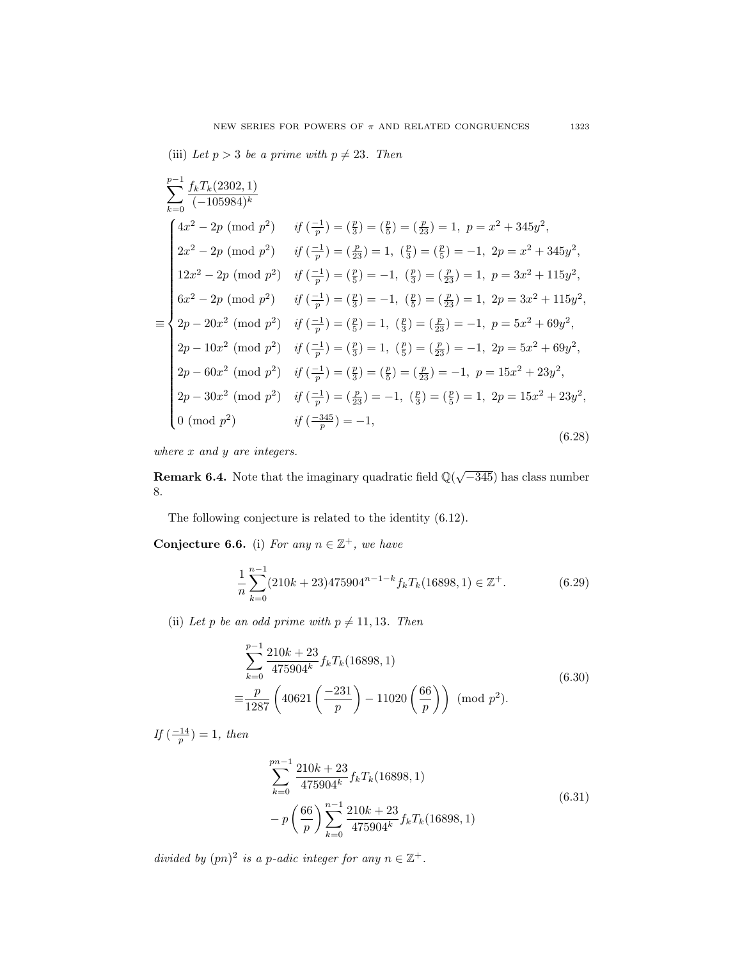(iii) Let  $p > 3$  be a prime with  $p \neq 23$ . Then

$$
\sum_{k=0}^{p-1} \frac{f_k T_k (2302, 1)}{(-105984)^k}
$$
\n
$$
4x^2 - 2p \pmod{p^2} \quad \text{if } \left(\frac{-1}{p}\right) = \left(\frac{p}{3}\right) = \left(\frac{p}{2}\right) = \left(\frac{p}{23}\right) = 1, \ p = x^2 + 345y^2,
$$
\n
$$
2x^2 - 2p \pmod{p^2} \quad \text{if } \left(\frac{-1}{p}\right) = \left(\frac{p}{23}\right) = 1, \ \left(\frac{p}{3}\right) = \left(\frac{p}{5}\right) = -1, \ 2p = x^2 + 345y^2,
$$
\n
$$
12x^2 - 2p \pmod{p^2} \quad \text{if } \left(\frac{-1}{p}\right) = \left(\frac{p}{5}\right) = -1, \ \left(\frac{p}{3}\right) = \left(\frac{p}{23}\right) = 1, \ p = 3x^2 + 115y^2,
$$
\n
$$
6x^2 - 2p \pmod{p^2} \quad \text{if } \left(\frac{-1}{p}\right) = \left(\frac{p}{3}\right) = -1, \ \left(\frac{p}{5}\right) = \left(\frac{p}{23}\right) = 1, \ 2p = 3x^2 + 115y^2,
$$
\n
$$
2p - 20x^2 \pmod{p^2} \quad \text{if } \left(\frac{-1}{p}\right) = \left(\frac{p}{5}\right) = 1, \ \left(\frac{p}{3}\right) = \left(\frac{p}{23}\right) = -1, \ p = 5x^2 + 69y^2,
$$
\n
$$
2p - 10x^2 \pmod{p^2} \quad \text{if } \left(\frac{-1}{p}\right) = \left(\frac{p}{3}\right) = 1, \ \left(\frac{p}{5}\right) = \left(\frac{p}{23}\right) = -1, \ p = 15x^2 + 23y^2,
$$
\n
$$
2p - 60x^2 \pmod{p^2} \quad \text{if } \left(\frac{-1}{p}\right) = \left(\frac{p}{3}\right) = \left(\frac{p}{5}\right) = \left(\frac{p}{23}\right) = -1, \ p = 15x^
$$

where  $x$  and  $y$  are integers.

**Remark 6.4.** Note that the imaginary quadratic field  $\mathbb{Q}(\sqrt{-345})$  has class number 8.

The following conjecture is related to the identity (6.12).

<span id="page-50-0"></span>Conjecture 6.6. (i) For any  $n \in \mathbb{Z}^+$ , we have

$$
\frac{1}{n}\sum_{k=0}^{n-1} (210k+23)475904^{n-1-k} f_k T_k(16898, 1) \in \mathbb{Z}^+.
$$
 (6.29)

(ii) Let p be an odd prime with  $p \neq 11, 13$ . Then

$$
\sum_{k=0}^{p-1} \frac{210k + 23}{475904^k} f_k T_k(16898, 1)
$$
  

$$
\equiv \frac{p}{1287} \left( 40621 \left( \frac{-231}{p} \right) - 11020 \left( \frac{66}{p} \right) \right) \text{ (mod } p^2).
$$
 (6.30)

If  $\left(\frac{-14}{p}\right) = 1$ , then

$$
\sum_{k=0}^{pn-1} \frac{210k + 23}{475904^k} f_k T_k(16898, 1)
$$
  
-  $p \left( \frac{66}{p} \right) \sum_{k=0}^{n-1} \frac{210k + 23}{475904^k} f_k T_k(16898, 1)$  (6.31)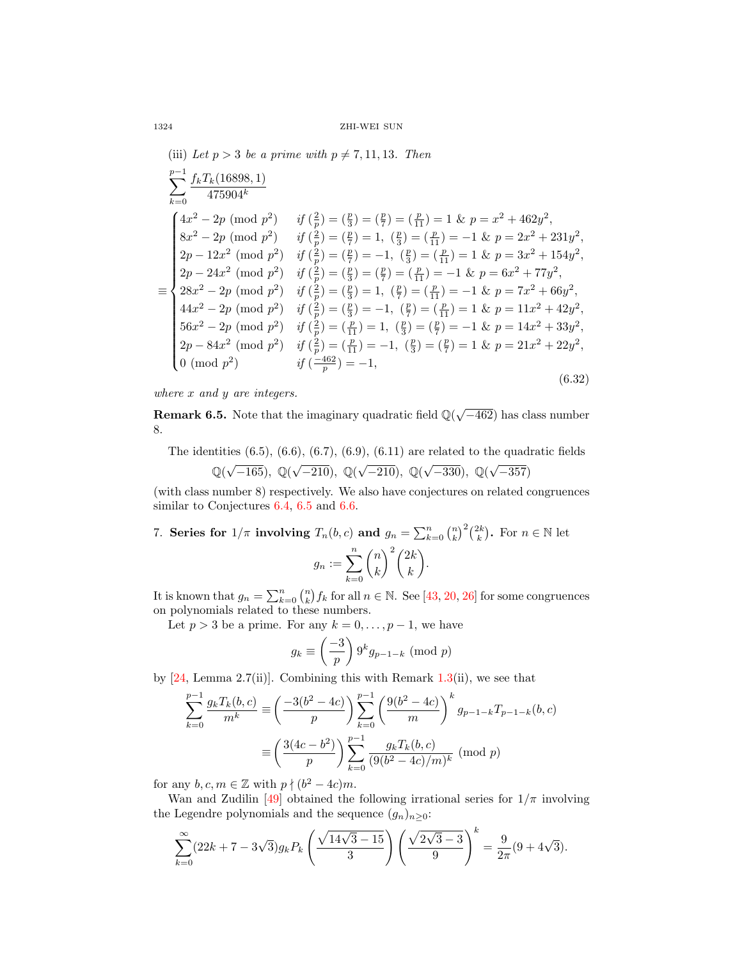(iii) Let  $p > 3$  be a prime with  $p \neq 7, 11, 13$ . Then  $\sum_{k=1}^{p-1} \frac{f_kT_k(16898,1)}{k}$  $k=0$  $475904^k$ ≡  $\int (4x^2 - 2p \pmod{p^2}$  if  $(\frac{2}{p}) = (\frac{p}{3}) = (\frac{p}{7}) = (\frac{p}{11}) = 1$  &  $p = x^2 + 462y^2$ ,  $\begin{array}{c} \hline \end{array}$  $\begin{array}{c} \hline \end{array}$  $8x^2 - 2p \pmod{p^2}$  if  $\left(\frac{2}{p}\right) = \left(\frac{p}{7}\right) = 1$ ,  $\left(\frac{p}{3}\right) = \left(\frac{p}{11}\right) = -1$  &  $p = 2x^2 + 231y^2$ ,  $2p - 12x^2 \pmod{p^2}$  if  $\left(\frac{2}{p}\right) = \left(\frac{p}{7}\right) = -1$ ,  $\left(\frac{p}{3}\right) = \left(\frac{p}{11}\right) = 1$  &  $p = 3x^2 + 154y^2$ ,  $2p - 24x^2 \pmod{p^2}$  if  $\left(\frac{2}{p}\right) = \left(\frac{p}{3}\right) = \left(\frac{p}{7}\right) = \left(\frac{p}{11}\right) = -1$  &  $p = 6x^2 + 77y^2$ ,  $28x^2 - 2p \pmod{p^2}$  if  $\left(\frac{2}{p}\right) = \left(\frac{p}{3}\right) = 1$ ,  $\left(\frac{p}{7}\right) = \left(\frac{p}{11}\right) = -1$  &  $p = 7x^2 + 66y^2$ ,  $44x^2 - 2p \pmod{p^2}$  if  $\left(\frac{2}{p}\right) = \left(\frac{p}{3}\right) = -1$ ,  $\left(\frac{p}{7}\right) = \left(\frac{p}{11}\right) = 1$  &  $p = 11x^2 + 42y^2$ ,  $56x^2 - 2p \pmod{p^2}$  if  $(\frac{2}{p}) = (\frac{p}{11}) = 1$ ,  $(\frac{p}{3}) = (\frac{p}{7}) = -1$  &  $p = 14x^2 + 33y^2$ ,  $2p - 84x^2 \pmod{p^2}$  if  $\left(\frac{2}{p}\right) = \left(\frac{p}{11}\right) = -1$ ,  $\left(\frac{p}{3}\right) = \left(\frac{p}{7}\right) = 1$  &  $p = 21x^2 + 22y^2$ , 0 (mod  $p^2$ )  $if \left(\frac{-462}{p}\right) = -1,$ (6.32)

where x and y are integers.

**Remark 6.5.** Note that the imaginary quadratic field  $\mathbb{Q}(\sqrt{-462})$  has class number 8.

The identities  $(6.5)$ ,  $(6.6)$ ,  $(6.7)$ ,  $(6.9)$ ,  $(6.11)$  are related to the quadratic fields  $\mathbb{Q}(\sqrt{-165})$ ,  $\mathbb{Q}(\sqrt{-210})$ ,  $\mathbb{Q}(\sqrt{-210})$ ,  $\mathbb{Q}(\sqrt{-330})$ ,  $\mathbb{Q}(\sqrt{-165})$  $-357)$ 

(with class number 8) respectively. We also have conjectures on related congruences similar to Conjectures [6.4,](#page-48-0) [6.5](#page-49-0) and [6.6.](#page-50-0)

7. Series for 
$$
1/\pi
$$
 involving  $T_n(b, c)$  and  $g_n = \sum_{k=0}^n {n \choose k}^2 {2k \choose k}$ . For  $n \in \mathbb{N}$  let 
$$
g_n := \sum_{k=0}^n {n \choose k}^2 {2k \choose k}.
$$

It is known that  $g_n = \sum_{k=0}^n {n \choose k} f_k$  for all  $n \in \mathbb{N}$ . See [\[43,](#page-68-22) [20,](#page-67-17) [26\]](#page-68-15) for some congruences on polynomials related to these numbers.

Let  $p > 3$  be a prime. For any  $k = 0, \ldots, p - 1$ , we have

$$
g_k \equiv \left(\frac{-3}{p}\right) 9^k g_{p-1-k} \pmod{p}
$$

by  $[24, \text{Lemma } 2.7(ii)]$  $[24, \text{Lemma } 2.7(ii)]$ . Combining this with Remark  $1.3(ii)$  $1.3(ii)$ , we see that

$$
\sum_{k=0}^{p-1} \frac{g_k T_k(b, c)}{m^k} \equiv \left(\frac{-3(b^2 - 4c)}{p}\right) \sum_{k=0}^{p-1} \left(\frac{9(b^2 - 4c)}{m}\right)^k g_{p-1-k} T_{p-1-k}(b, c)
$$

$$
\equiv \left(\frac{3(4c - b^2)}{p}\right) \sum_{k=0}^{p-1} \frac{g_k T_k(b, c)}{(9(b^2 - 4c)/m)^k} \pmod{p}
$$

for any  $b, c, m \in \mathbb{Z}$  with  $p \nmid (b^2 - 4c)m$ .

Wan and Zudilin [\[49\]](#page-68-9) obtained the following irrational series for  $1/\pi$  involving the Legendre polynomials and the sequence  $(g_n)_{n\geq 0}$ :

$$
\sum_{k=0}^{\infty} (22k + 7 - 3\sqrt{3}) g_k P_k \left( \frac{\sqrt{14\sqrt{3} - 15}}{3} \right) \left( \frac{\sqrt{2\sqrt{3} - 3}}{9} \right)^k = \frac{9}{2\pi} (9 + 4\sqrt{3}).
$$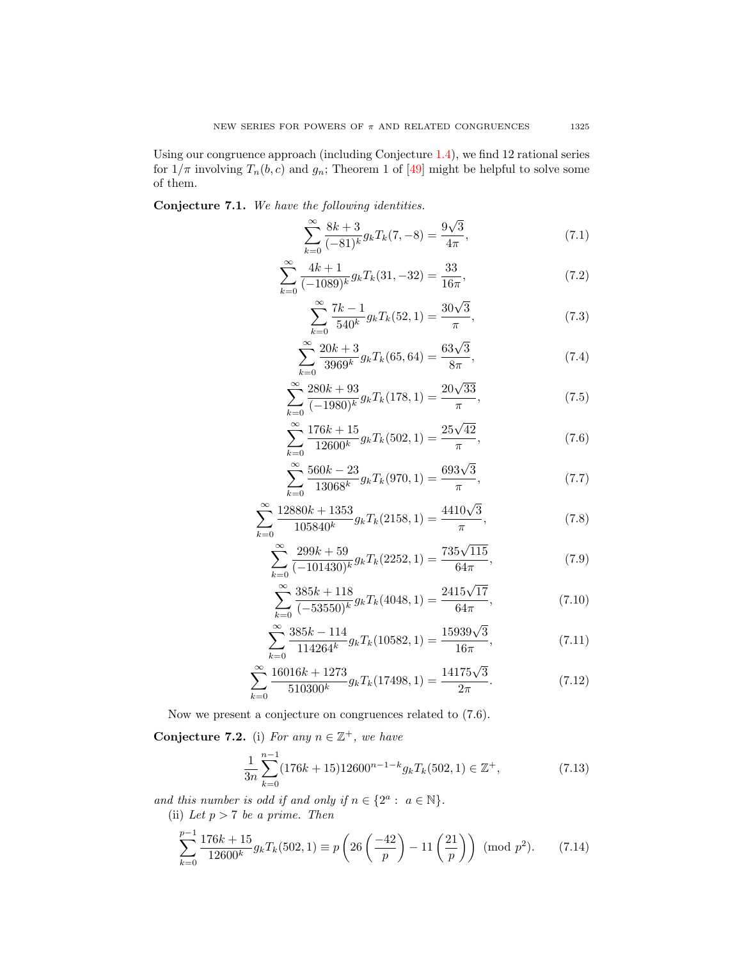Using our congruence approach (including Conjecture [1.4\)](#page-12-4), we find 12 rational series for  $1/\pi$  involving  $T_n(b, c)$  and  $g_n$ ; Theorem 1 of [\[49\]](#page-68-9) might be helpful to solve some of them.

Conjecture 7.1. We have the following identities.

$$
\sum_{k=0}^{\infty} \frac{8k+3}{(-81)^k} g_k T_k(7, -8) = \frac{9\sqrt{3}}{4\pi},
$$
\n(7.1)

$$
\sum_{k=0}^{\infty} \frac{4k+1}{(-1089)^k} g_k T_k(31, -32) = \frac{33}{16\pi},\tag{7.2}
$$

$$
\sum_{k=0}^{\infty} \frac{7k-1}{540^k} g_k T_k(52, 1) = \frac{30\sqrt{3}}{\pi},
$$
\n(7.3)

$$
\sum_{k=0}^{\infty} \frac{20k+3}{3969^k} g_k T_k(65, 64) = \frac{63\sqrt{3}}{8\pi},
$$
\n(7.4)

$$
\sum_{k=0}^{\infty} \frac{280k + 93}{(-1980)^k} g_k T_k(178, 1) = \frac{20\sqrt{33}}{\pi},
$$
\n(7.5)

$$
\sum_{k=0}^{\infty} \frac{176k + 15}{12600^k} g_k T_k(502, 1) = \frac{25\sqrt{42}}{\pi},
$$
\n(7.6)

$$
\sum_{k=0}^{\infty} \frac{560k - 23}{13068^k} g_k T_k(970, 1) = \frac{693\sqrt{3}}{\pi},
$$
\n(7.7)

$$
\sum_{k=0}^{\infty} \frac{12880k + 1353}{105840^k} g_k T_k(2158, 1) = \frac{4410\sqrt{3}}{\pi},
$$
\n(7.8)

$$
\sum_{k=0}^{\infty} \frac{299k + 59}{(-101430)^k} g_k T_k(2252, 1) = \frac{735\sqrt{115}}{64\pi},\tag{7.9}
$$

$$
\sum_{k=0}^{\infty} \frac{385k + 118}{(-53550)^k} g_k T_k(4048, 1) = \frac{2415\sqrt{17}}{64\pi},\tag{7.10}
$$

$$
\sum_{k=0}^{\infty} \frac{385k - 114}{114264^k} g_k T_k(10582, 1) = \frac{15939\sqrt{3}}{16\pi},\tag{7.11}
$$

$$
\sum_{k=0}^{\infty} \frac{16016k + 1273}{510300^k} g_k T_k(17498, 1) = \frac{14175\sqrt{3}}{2\pi}.
$$
 (7.12)

Now we present a conjecture on congruences related to (7.6).

<span id="page-52-0"></span>Conjecture 7.2. (i) For any  $n \in \mathbb{Z}^+$ , we have

$$
\frac{1}{3n} \sum_{k=0}^{n-1} (176k + 15)12600^{n-1-k} g_k T_k(502, 1) \in \mathbb{Z}^+, \tag{7.13}
$$

and this number is odd if and only if  $n \in \{2^a : a \in \mathbb{N}\}.$ (ii) Let  $p > 7$  be a prime. Then

$$
\sum_{k=0}^{p-1} \frac{176k+15}{12600^k} g_k T_k(502, 1) \equiv p \left( 26 \left( \frac{-42}{p} \right) - 11 \left( \frac{21}{p} \right) \right) \pmod{p^2}.
$$
 (7.14)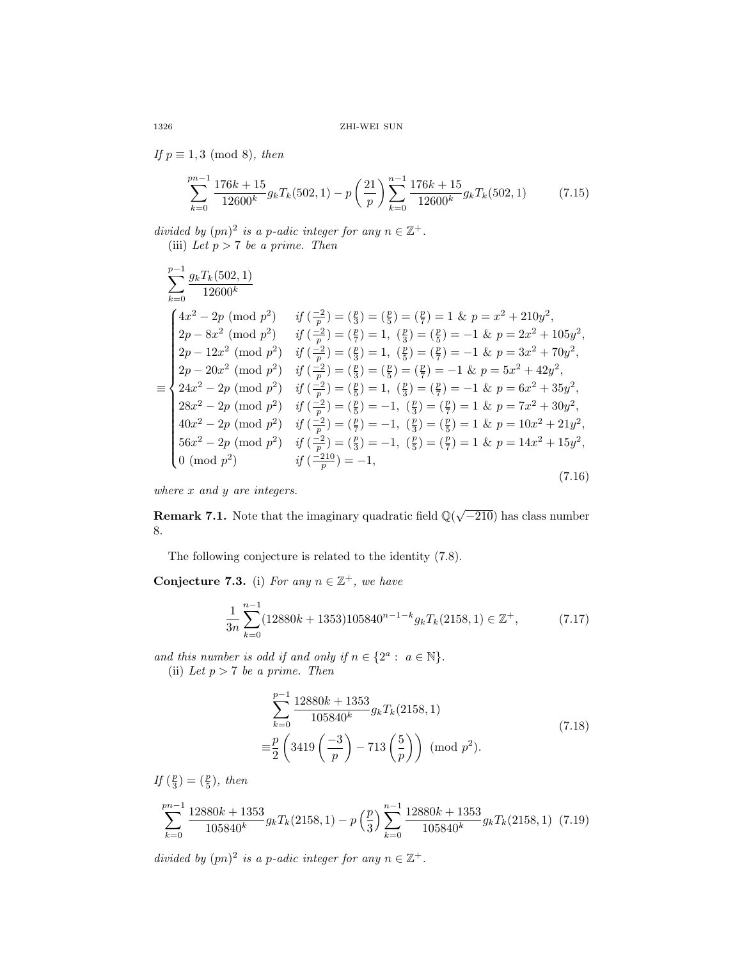If  $p \equiv 1, 3 \pmod{8}$ , then

$$
\sum_{k=0}^{pn-1} \frac{176k+15}{12600^k} g_k T_k(502, 1) - p \left(\frac{21}{p}\right) \sum_{k=0}^{n-1} \frac{176k+15}{12600^k} g_k T_k(502, 1) \tag{7.15}
$$

divided by  $(pn)^2$  is a p-adic integer for any  $n \in \mathbb{Z}^+$ . (iii) Let  $p > 7$  be a prime. Then

$$
\sum_{k=0}^{p-1} \frac{g_k T_k(502, 1)}{12600^k}
$$
\n
$$
\sum_{k=0}^{4x^2-2p} \pmod{p^2} \quad \text{if } \left(\frac{-2}{p}\right) = \left(\frac{p}{3}\right) = \left(\frac{p}{5}\right) = 1 \text{ for } p = x^2 + 210y^2,
$$
\n
$$
\sum_{k=0}^{2p-8x^2} \pmod{p^2} \quad \text{if } \left(\frac{-2}{p}\right) = \left(\frac{p}{7}\right) = 1, \quad \left(\frac{p}{3}\right) = \left(\frac{p}{5}\right) = -1 \text{ for } p = 2x^2 + 105y^2,
$$
\n
$$
\sum_{k=0}^{2p-12x^2} \pmod{p^2} \quad \text{if } \left(\frac{-2}{p}\right) = \left(\frac{p}{3}\right) = 1, \quad \left(\frac{p}{5}\right) = \left(\frac{p}{7}\right) = -1 \text{ for } p = 3x^2 + 70y^2,
$$
\n
$$
\sum_{k=0}^{2p-20x^2} \pmod{p^2} \quad \text{if } \left(\frac{-2}{p}\right) = \left(\frac{p}{3}\right) = \left(\frac{p}{5}\right) = 1, \quad \left(\frac{p}{5}\right) = \left(\frac{p}{7}\right) = -1 \text{ for } p = 5x^2 + 42y^2,
$$
\n
$$
\sum_{k=0}^{2p-20x^2} \pmod{p^2} \quad \text{if } \left(\frac{-2}{p}\right) = \left(\frac{p}{5}\right) = 1, \quad \left(\frac{p}{3}\right) = \left(\frac{p}{7}\right) = -1 \text{ for } p = 6x^2 + 35y^2,
$$
\n
$$
\sum_{k=0}^{2p-20x^2} \pmod{p^2} \quad \text{if } \left(\frac{-2}{p}\right) = \left(\frac{p}{5}\right) = -1, \quad \left(\frac{p}{3}\right) = \left(\frac{p}{7}\right) = 1 \text{ for } p = 7x^2 + 30y^2,
$$
\n
$$
\sum_{k=0}^{2p-20x^2} \pmod{p^2} \quad \text{if } \
$$

where  $x$  and  $y$  are integers.

**Remark 7.1.** Note that the imaginary quadratic field  $\mathbb{Q}(\sqrt{-210})$  has class number 8.

The following conjecture is related to the identity (7.8).

<span id="page-53-0"></span>Conjecture 7.3. (i) For any  $n \in \mathbb{Z}^+$ , we have

$$
\frac{1}{3n} \sum_{k=0}^{n-1} (12880k + 1353)105840^{n-1-k} g_k T_k(2158, 1) \in \mathbb{Z}^+, \tag{7.17}
$$

and this number is odd if and only if  $n \in \{2^a : a \in \mathbb{N}\}.$ (ii) Let  $p > 7$  be a prime. Then

$$
\sum_{k=0}^{p-1} \frac{12880k + 1353}{105840^k} g_k T_k(2158, 1)
$$
  

$$
\equiv \frac{p}{2} \left( 3419 \left( \frac{-3}{p} \right) - 713 \left( \frac{5}{p} \right) \right) \pmod{p^2}.
$$
 (7.18)

If  $(\frac{p}{3}) = (\frac{p}{5})$ , then

$$
\sum_{k=0}^{pn-1} \frac{12880k + 1353}{105840^k} g_k T_k(2158, 1) - p\left(\frac{p}{3}\right) \sum_{k=0}^{n-1} \frac{12880k + 1353}{105840^k} g_k T_k(2158, 1) \tag{7.19}
$$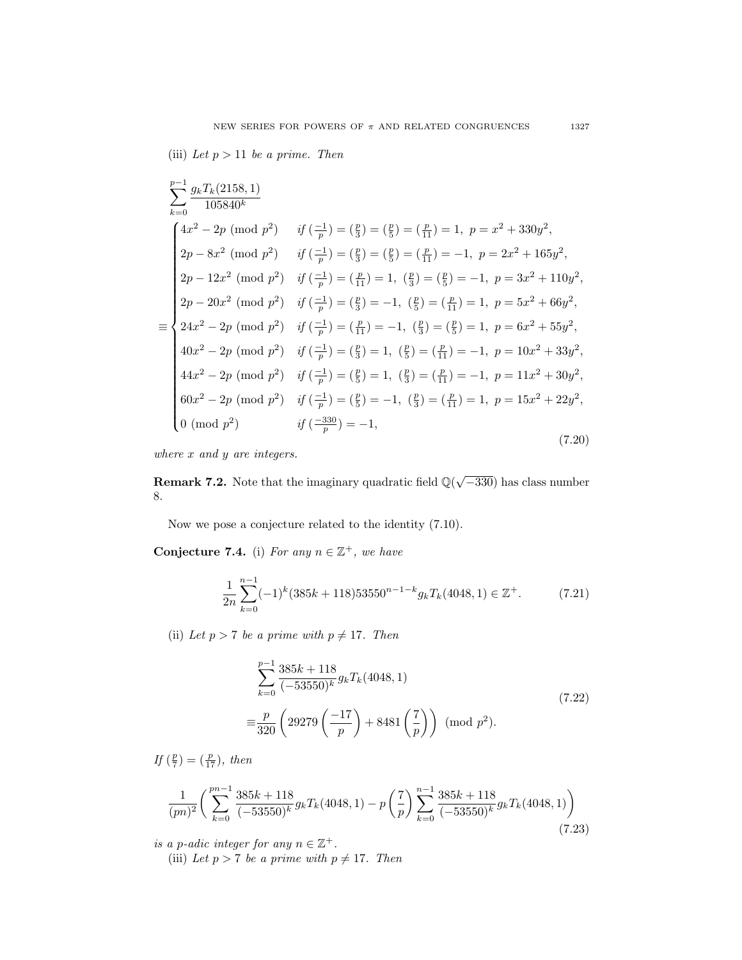(iii) Let  $p > 11$  be a prime. Then

$$
\sum_{k=0}^{p-1} \frac{g_k T_k (2158, 1)}{105840^k}
$$
\n
$$
4x^2 - 2p \pmod{p^2} \quad \text{if } \left(\frac{-1}{p}\right) = \left(\frac{p}{3}\right) = \left(\frac{p}{5}\right) = \left(\frac{p}{11}\right) = 1, \ p = x^2 + 330y^2,
$$
\n
$$
2p - 8x^2 \pmod{p^2} \quad \text{if } \left(\frac{-1}{p}\right) = \left(\frac{p}{3}\right) = \left(\frac{p}{5}\right) = \left(\frac{p}{11}\right) = -1, \ p = 2x^2 + 165y^2,
$$
\n
$$
2p - 12x^2 \pmod{p^2} \quad \text{if } \left(\frac{-1}{p}\right) = \left(\frac{p}{11}\right) = 1, \ \left(\frac{p}{3}\right) = \left(\frac{p}{5}\right) = -1, \ p = 3x^2 + 110y^2,
$$
\n
$$
2p - 20x^2 \pmod{p^2} \quad \text{if } \left(\frac{-1}{p}\right) = \left(\frac{p}{3}\right) = -1, \ \left(\frac{p}{5}\right) = \left(\frac{p}{11}\right) = 1, \ p = 5x^2 + 66y^2,
$$
\n
$$
24x^2 - 2p \pmod{p^2} \quad \text{if } \left(\frac{-1}{p}\right) = \left(\frac{p}{11}\right) = -1, \ \left(\frac{p}{3}\right) = \left(\frac{p}{5}\right) = 1, \ p = 6x^2 + 55y^2,
$$
\n
$$
40x^2 - 2p \pmod{p^2} \quad \text{if } \left(\frac{-1}{p}\right) = \left(\frac{p}{3}\right) = 1, \ \left(\frac{p}{5}\right) = \left(\frac{p}{11}\right) = -1, \ p = 10x^2 + 33y^2,
$$
\n
$$
44x^2 - 2p \pmod{p^2} \quad \text{if } \left(\frac{-1}{p}\right) = \left(\frac{p}{5}\right) = 1, \ \left(\frac{p}{3}\right) = \left(\frac{p}{11}\right) = -1, \ p = 11x^2 +
$$

where  $x$  and  $y$  are integers.

**Remark 7.2.** Note that the imaginary quadratic field  $\mathbb{Q}(\sqrt{-330})$  has class number 8.

Now we pose a conjecture related to the identity (7.10).

<span id="page-54-0"></span>Conjecture 7.4. (i) For any  $n \in \mathbb{Z}^+$ , we have

$$
\frac{1}{2n} \sum_{k=0}^{n-1} (-1)^k (385k + 118)53550^{n-1-k} g_k T_k (4048, 1) \in \mathbb{Z}^+.
$$
 (7.21)

(ii) Let  $p > 7$  be a prime with  $p \neq 17$ . Then

$$
\sum_{k=0}^{p-1} \frac{385k + 118}{(-53550)^k} g_k T_k(4048, 1)
$$
  

$$
\equiv \frac{p}{320} \left( 29279 \left( \frac{-17}{p} \right) + 8481 \left( \frac{7}{p} \right) \right) \pmod{p^2}.
$$
 (7.22)

If  $(\frac{p}{7}) = (\frac{p}{17})$ , then

$$
\frac{1}{(pn)^2} \left( \sum_{k=0}^{pn-1} \frac{385k + 118}{(-53550)^k} g_k T_k(4048, 1) - p \left( \frac{7}{p} \right) \sum_{k=0}^{n-1} \frac{385k + 118}{(-53550)^k} g_k T_k(4048, 1) \right) \tag{7.23}
$$

is a p-adic integer for any  $n \in \mathbb{Z}^+$ .

(iii) Let  $p > 7$  be a prime with  $p \neq 17$ . Then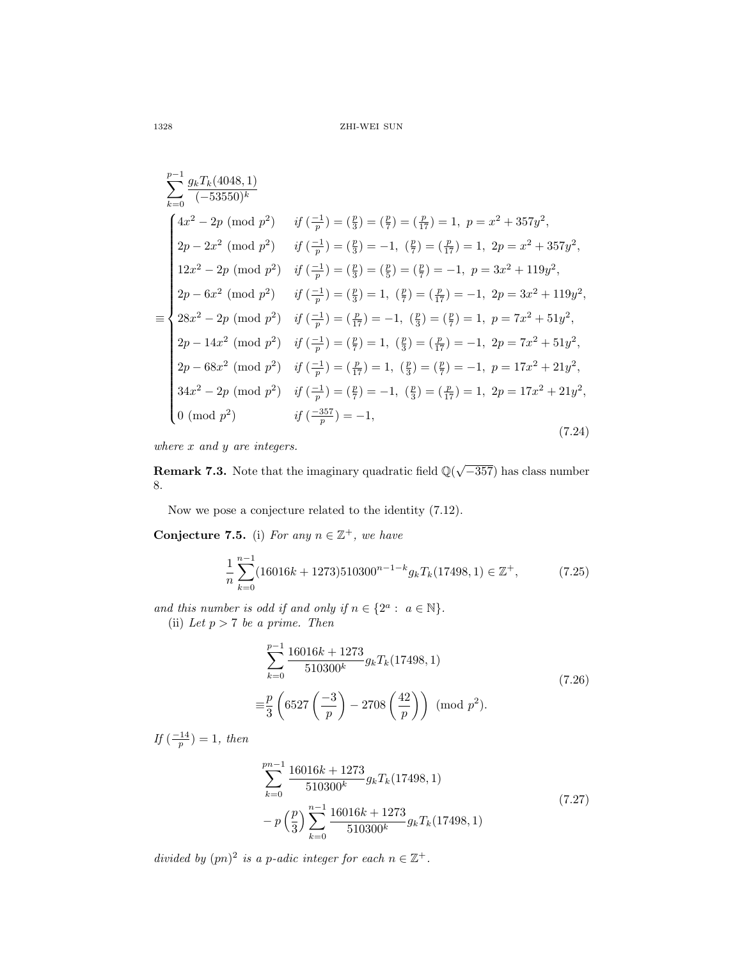$$
\sum_{k=0}^{p-1} \frac{g_k T_k (4048, 1)}{(-53550)^k}
$$
\n
$$
\begin{cases}\n4x^2 - 2p \pmod{p^2} & \text{if } \left(\frac{-1}{p}\right) = \left(\frac{p}{3}\right) = \left(\frac{p}{7}\right) = \left(\frac{p}{17}\right) = 1, \ p = x^2 + 357y^2, \\
2p - 2x^2 \pmod{p^2} & \text{if } \left(\frac{-1}{p}\right) = \left(\frac{p}{3}\right) = -1, \ \left(\frac{p}{7}\right) = \left(\frac{p}{17}\right) = 1, \ 2p = x^2 + 357y^2, \\
12x^2 - 2p \pmod{p^2} & \text{if } \left(\frac{-1}{p}\right) = \left(\frac{p}{3}\right) = \left(\frac{p}{5}\right) = \left(\frac{p}{7}\right) = -1, \ p = 3x^2 + 119y^2, \\
2p - 6x^2 \pmod{p^2} & \text{if } \left(\frac{-1}{p}\right) = \left(\frac{p}{3}\right) = 1, \ \left(\frac{p}{7}\right) = \left(\frac{p}{17}\right) = -1, \ 2p = 3x^2 + 119y^2, \\
28x^2 - 2p \pmod{p^2} & \text{if } \left(\frac{-1}{p}\right) = \left(\frac{p}{17}\right) = -1, \ \left(\frac{p}{3}\right) = \left(\frac{p}{7}\right) = 1, \ p = 7x^2 + 51y^2, \\
2p - 14x^2 \pmod{p^2} & \text{if } \left(\frac{-1}{p}\right) = \left(\frac{p}{7}\right) = 1, \ \left(\frac{p}{3}\right) = \left(\frac{p}{17}\right) = -1, \ 2p = 7x^2 + 51y^2, \\
2p - 68x^2 \pmod{p^2} & \text{if } \left(\frac{-1}{p}\right) = \left(\frac{p}{17}\right) = 1, \ \left(\frac{p}{3}\right) = \left(\frac{p}{7}\right) = -1, \ p = 17x^2 + 21y^2, \\
34x^2 - 2p \pmod{p^2} & \text{if } \left(\frac{-1}{p}\right) = \left(\frac{p
$$

where 
$$
x
$$
 and  $y$  are integers.

**Remark 7.3.** Note that the imaginary quadratic field  $\mathbb{Q}(\sqrt{-357})$  has class number 8.

Now we pose a conjecture related to the identity (7.12).

<span id="page-55-0"></span>Conjecture 7.5. (i) For any  $n \in \mathbb{Z}^+$ , we have

$$
\frac{1}{n}\sum_{k=0}^{n-1} (16016k + 1273)510300^{n-1-k} g_k T_k(17498, 1) \in \mathbb{Z}^+, \tag{7.25}
$$

and this number is odd if and only if  $n \in \{2^a : a \in \mathbb{N}\}.$ (ii) Let  $p > 7$  be a prime. Then

$$
\sum_{k=0}^{p-1} \frac{16016k + 1273}{510300^k} g_k T_k(17498, 1)
$$
\n
$$
\equiv \frac{p}{3} \left( 6527 \left( \frac{-3}{p} \right) - 2708 \left( \frac{42}{p} \right) \right) \pmod{p^2}.
$$
\n(7.26)

If  $\left(\frac{-14}{p}\right) = 1$ , then

$$
\sum_{k=0}^{pn-1} \frac{16016k + 1273}{510300^k} g_k T_k(17498, 1)
$$
  
-  $p\left(\frac{p}{3}\right) \sum_{k=0}^{n-1} \frac{16016k + 1273}{510300^k} g_k T_k(17498, 1)$  (7.27)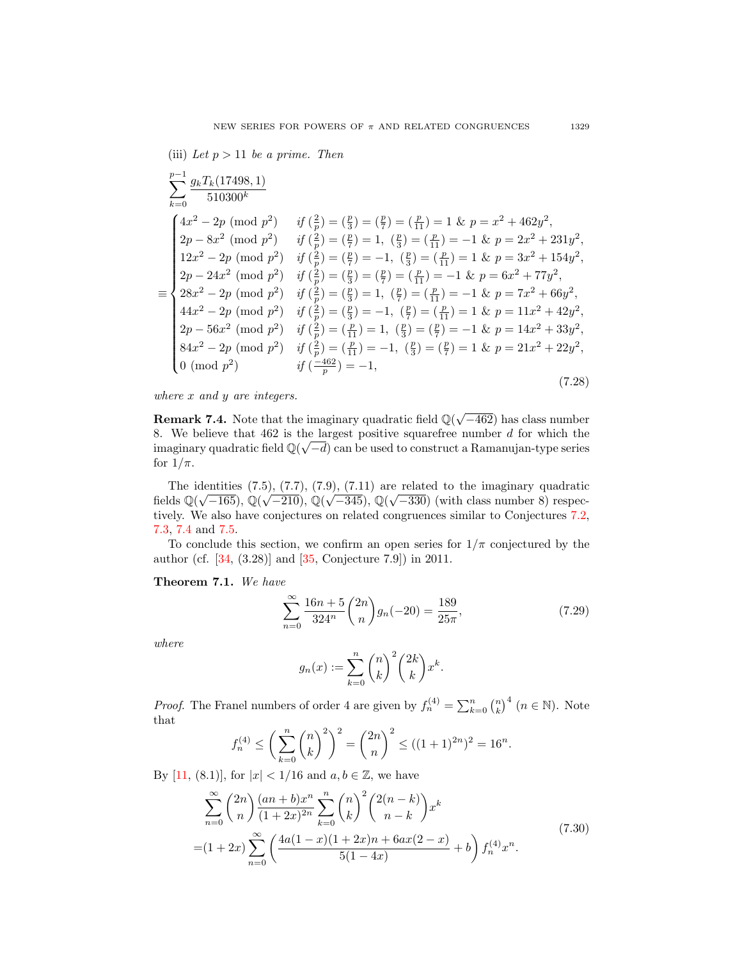(iii) Let  $p > 11$  be a prime. Then

Xp−1 k=0 gkTk(17498, 1) 510300<sup>k</sup> ≡ 4x <sup>2</sup> − 2p (mod p 2 ) if ( 2 p ) = ( <sup>p</sup> 3 ) = ( <sup>p</sup> 7 ) = ( <sup>p</sup> <sup>11</sup> ) = 1 & p = x <sup>2</sup> + 462y 2 , 2p − 8x 2 (mod p 2 ) if ( 2 p ) = ( <sup>p</sup> 7 ) = 1, ( p 3 ) = ( <sup>p</sup> <sup>11</sup> ) = −1 & p = 2x <sup>2</sup> + 231y 2 , 12x <sup>2</sup> − 2p (mod p 2 ) if ( 2 p ) = ( <sup>p</sup> 7 ) = −1, ( p 3 ) = ( <sup>p</sup> <sup>11</sup> ) = 1 & p = 3x <sup>2</sup> + 154y 2 , 2p − 24x 2 (mod p 2 ) if ( 2 p ) = ( <sup>p</sup> 3 ) = ( <sup>p</sup> 7 ) = ( <sup>p</sup> <sup>11</sup> ) = −1 & p = 6x <sup>2</sup> + 77y 2 , 28x <sup>2</sup> − 2p (mod p 2 ) if ( 2 p ) = ( <sup>p</sup> 3 ) = 1, ( p 7 ) = ( <sup>p</sup> <sup>11</sup> ) = −1 & p = 7x <sup>2</sup> + 66y 2 , 44x <sup>2</sup> − 2p (mod p 2 ) if ( 2 p ) = ( <sup>p</sup> 3 ) = −1, ( p 7 ) = ( <sup>p</sup> <sup>11</sup> ) = 1 & p = 11x <sup>2</sup> + 42y 2 , 2p − 56x 2 (mod p 2 ) if ( 2 p ) = ( <sup>p</sup> <sup>11</sup> ) = 1, ( p 3 ) = ( <sup>p</sup> 7 ) = −1 & p = 14x <sup>2</sup> + 33y 2 , 84x <sup>2</sup> − 2p (mod p 2 ) if ( 2 p ) = ( <sup>p</sup> <sup>11</sup> ) = −1, ( p 3 ) = ( <sup>p</sup> 7 ) = 1 & p = 21x <sup>2</sup> + 22y 2 , 0 (mod p 2 ) if ( −462 p ) = −1, (7.28)

where x and y are integers.

**Remark 7.4.** Note that the imaginary quadratic field  $\mathbb{Q}(\sqrt{-462})$  has class number 8. We believe that  $462$  is the largest positive squarefree number d for which the imaginary quadratic field  $\mathbb{Q}(\sqrt{-d})$  can be used to construct a Ramanujan-type series for  $1/\pi$ .

The identities  $(7.5), (7.7), (7.9), (7.11)$  are related to the imaginary quadratic fields  $\mathbb{Q}(\sqrt{-165})$ ,  $\mathbb{Q}(\sqrt{-210})$ ,  $\mathbb{Q}(\sqrt{-345})$ ,  $\mathbb{Q}(\sqrt{-330})$  (with class number 8) respectively. We also have conjectures on related congruences similar to Conjectures [7.2,](#page-52-0) [7.3,](#page-53-0) [7.4](#page-54-0) and [7.5.](#page-55-0)

To conclude this section, we confirm an open series for  $1/\pi$  conjectured by the author (cf. [\[34,](#page-68-8) (3.28)] and [\[35,](#page-68-13) Conjecture 7.9]) in 2011.

Theorem 7.1. We have

<span id="page-56-1"></span>
$$
\sum_{n=0}^{\infty} \frac{16n+5}{324^n} {2n \choose n} g_n(-20) = \frac{189}{25\pi},
$$
\n(7.29)

where

$$
g_n(x) := \sum_{k=0}^n {n \choose k}^2 {2k \choose k} x^k.
$$

*Proof.* The Franel numbers of order 4 are given by  $f_n^{(4)} = \sum_{k=0}^n {n \choose k}^4$   $(n \in \mathbb{N})$ . Note that

$$
f_n^{(4)} \le \left(\sum_{k=0}^n \binom{n}{k}^2\right)^2 = \binom{2n}{n}^2 \le ((1+1)^{2n})^2 = 16^n.
$$

By [\[11,](#page-67-18) (8.1)], for  $|x| < 1/16$  and  $a, b \in \mathbb{Z}$ , we have

<span id="page-56-0"></span>
$$
\sum_{n=0}^{\infty} {2n \choose n} \frac{(an+b)x^n}{(1+2x)^{2n}} \sum_{k=0}^{n} {n \choose k}^2 {2(n-k) \choose n-k} x^k
$$
  
=  $(1+2x) \sum_{n=0}^{\infty} \left( \frac{4a(1-x)(1+2x)n + 6ax(2-x)}{5(1-4x)} + b \right) f_n^{(4)} x^n.$  (7.30)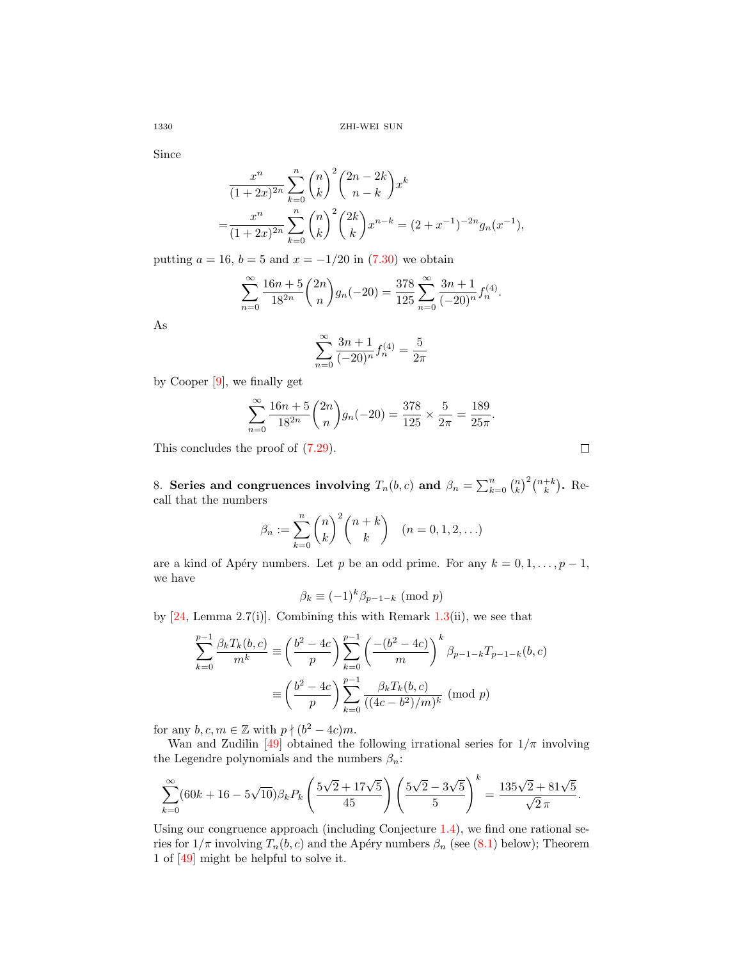Since

$$
\frac{x^n}{(1+2x)^{2n}} \sum_{k=0}^n {n \choose k}^2 {2n-2k \choose n-k} x^k
$$
  
= 
$$
\frac{x^n}{(1+2x)^{2n}} \sum_{k=0}^n {n \choose k}^2 {2k \choose k} x^{n-k} = (2+x^{-1})^{-2n} g_n(x^{-1}),
$$

putting  $a = 16$ ,  $b = 5$  and  $x = -1/20$  in [\(7.30\)](#page-56-0) we obtain

$$
\sum_{n=0}^{\infty} \frac{16n+5}{18^{2n}} \binom{2n}{n} g_n(-20) = \frac{378}{125} \sum_{n=0}^{\infty} \frac{3n+1}{(-20)^n} f_n^{(4)}.
$$

As

$$
\sum_{n=0}^{\infty} \frac{3n+1}{(-20)^n} f_n^{(4)} = \frac{5}{2\pi}
$$

by Cooper [\[9\]](#page-67-6), we finally get

$$
\sum_{n=0}^{\infty} \frac{16n+5}{18^{2n}} \binom{2n}{n} g_n(-20) = \frac{378}{125} \times \frac{5}{2\pi} = \frac{189}{25\pi}.
$$

This concludes the proof of [\(7.29\)](#page-56-1).

8. Series and congruences involving  $T_n(b,c)$  and  $\beta_n = \sum_{k=0}^n {n \choose k}^2 {n+k \choose k}$ . Recall that the numbers

$$
\beta_n := \sum_{k=0}^n {n \choose k}^2 {n+k \choose k} \quad (n = 0, 1, 2, ...)
$$

are a kind of Apéry numbers. Let p be an odd prime. For any  $k = 0, 1, \ldots, p - 1$ , we have

$$
\beta_k \equiv (-1)^k \beta_{p-1-k} \pmod{p}
$$

by  $[24, \text{Lemma } 2.7(i)]$  $[24, \text{Lemma } 2.7(i)]$ . Combining this with Remark [1.3\(](#page-12-3)ii), we see that

$$
\sum_{k=0}^{p-1} \frac{\beta_k T_k(b,c)}{m^k} \equiv \left(\frac{b^2 - 4c}{p}\right) \sum_{k=0}^{p-1} \left(\frac{-(b^2 - 4c)}{m}\right)^k \beta_{p-1-k} T_{p-1-k}(b,c)
$$

$$
\equiv \left(\frac{b^2 - 4c}{p}\right) \sum_{k=0}^{p-1} \frac{\beta_k T_k(b,c)}{((4c - b^2)/m)^k} \pmod{p}
$$

for any  $b, c, m \in \mathbb{Z}$  with  $p \nmid (b^2 - 4c)m$ .

Wan and Zudilin [\[49\]](#page-68-9) obtained the following irrational series for  $1/\pi$  involving the Legendre polynomials and the numbers  $\beta_n:$ 

$$
\sum_{k=0}^{\infty} (60k + 16 - 5\sqrt{10}) \beta_k P_k \left( \frac{5\sqrt{2} + 17\sqrt{5}}{45} \right) \left( \frac{5\sqrt{2} - 3\sqrt{5}}{5} \right)^k = \frac{135\sqrt{2} + 81\sqrt{5}}{\sqrt{2} \pi}.
$$

Using our congruence approach (including Conjecture [1.4\)](#page-12-4), we find one rational series for  $1/\pi$  involving  $T_n(b, c)$  and the Apéry numbers  $\beta_n$  (see [\(8.1\)](#page-58-0) below); Theorem 1 of [\[49\]](#page-68-9) might be helpful to solve it.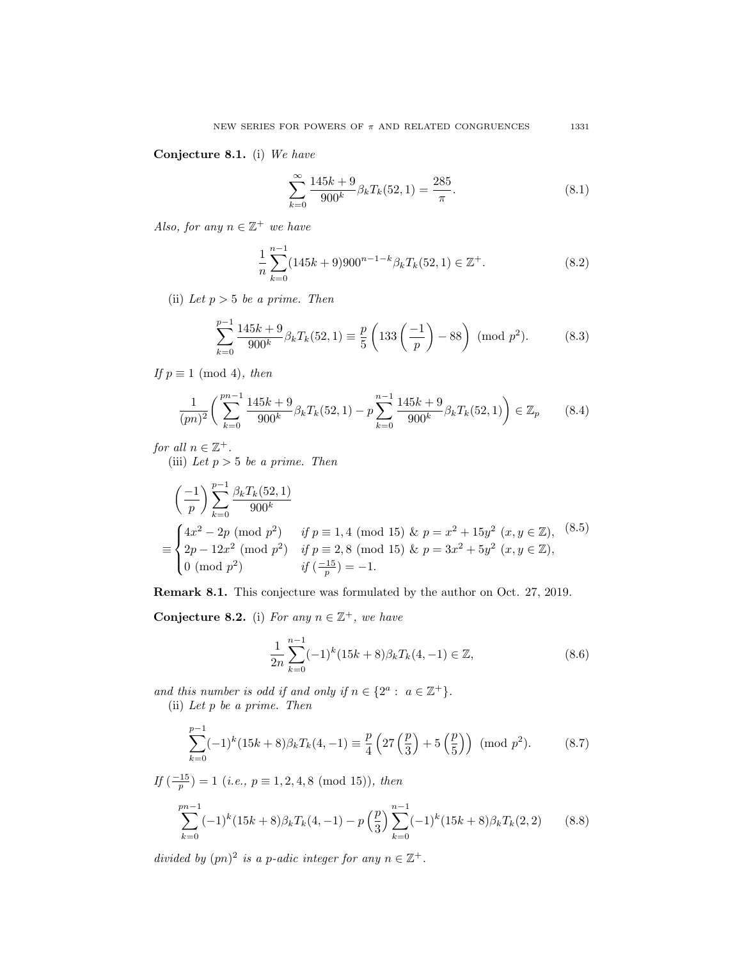Conjecture 8.1. (i) We have

<span id="page-58-0"></span>
$$
\sum_{k=0}^{\infty} \frac{145k+9}{900^k} \beta_k T_k(52, 1) = \frac{285}{\pi}.
$$
\n(8.1)

Also, for any  $n \in \mathbb{Z}^+$  we have

$$
\frac{1}{n} \sum_{k=0}^{n-1} (145k+9)900^{n-1-k} \beta_k T_k(52,1) \in \mathbb{Z}^+.
$$
 (8.2)

(ii) Let  $p > 5$  be a prime. Then

$$
\sum_{k=0}^{p-1} \frac{145k+9}{900^k} \beta_k T_k(52,1) \equiv \frac{p}{5} \left( 133 \left( \frac{-1}{p} \right) - 88 \right) \pmod{p^2}.
$$
 (8.3)

If  $p \equiv 1 \pmod{4}$ , then

$$
\frac{1}{(pn)^2} \left( \sum_{k=0}^{pn-1} \frac{145k+9}{900^k} \beta_k T_k(52,1) - p \sum_{k=0}^{n-1} \frac{145k+9}{900^k} \beta_k T_k(52,1) \right) \in \mathbb{Z}_p \tag{8.4}
$$

for all  $n \in \mathbb{Z}^+$ .

(iii) Let  $p > 5$  be a prime. Then

$$
\left(\frac{-1}{p}\right) \sum_{k=0}^{p-1} \frac{\beta_k T_k(52,1)}{900^k}
$$
  
\n
$$
\equiv \begin{cases} 4x^2 - 2p \pmod{p^2} & \text{if } p \equiv 1,4 \pmod{15} \& p = x^2 + 15y^2 \ (x, y \in \mathbb{Z}), \\ 2p - 12x^2 \pmod{p^2} & \text{if } p \equiv 2,8 \pmod{15} \& p = 3x^2 + 5y^2 \ (x, y \in \mathbb{Z}), \\ 0 \pmod{p^2} & \text{if } \left(\frac{-15}{p}\right) = -1. \end{cases}
$$
\n(8.5)

Remark 8.1. This conjecture was formulated by the author on Oct. 27, 2019.

Conjecture 8.2. (i) For any  $n \in \mathbb{Z}^+$ , we have

$$
\frac{1}{2n} \sum_{k=0}^{n-1} (-1)^k (15k+8) \beta_k T_k(4,-1) \in \mathbb{Z},\tag{8.6}
$$

and this number is odd if and only if  $n \in \{2^a : a \in \mathbb{Z}^+\}.$ 

(ii) Let p be a prime. Then

$$
\sum_{k=0}^{p-1} (-1)^k (15k+8) \beta_k T_k(4,-1) \equiv \frac{p}{4} \left( 27 \left( \frac{p}{3} \right) + 5 \left( \frac{p}{5} \right) \right) \pmod{p^2}.
$$
 (8.7)

If  $\left(\frac{-15}{p}\right) = 1$   $(i.e., p \equiv 1, 2, 4, 8 \pmod{15}$ , then

$$
\sum_{k=0}^{pn-1} (-1)^k (15k+8) \beta_k T_k(4,-1) - p\left(\frac{p}{3}\right) \sum_{k=0}^{n-1} (-1)^k (15k+8) \beta_k T_k(2,2) \tag{8.8}
$$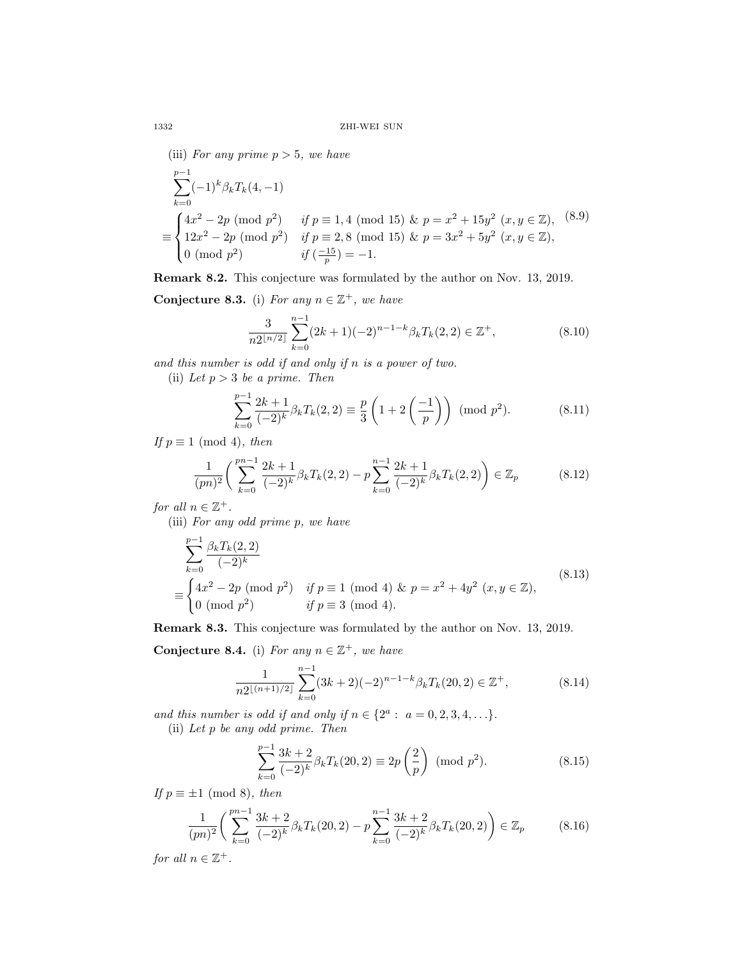(iii) For any prime  $p > 5$ , we have

$$
\sum_{k=0}^{p-1} (-1)^k \beta_k T_k(4, -1)
$$
\n
$$
\equiv \begin{cases}\n4x^2 - 2p \pmod{p^2} & \text{if } p \equiv 1, 4 \pmod{15} \& p = x^2 + 15y^2 \ (x, y \in \mathbb{Z}), \ (8.9) \\
12x^2 - 2p \pmod{p^2} & \text{if } p \equiv 2, 8 \pmod{15} \& p = 3x^2 + 5y^2 \ (x, y \in \mathbb{Z}), \\
0 \pmod{p^2} & \text{if } \left(\frac{-15}{p}\right) = -1.\n\end{cases}
$$

Remark 8.2. This conjecture was formulated by the author on Nov. 13, 2019.

Conjecture 8.3. (i) For any  $n \in \mathbb{Z}^+$ , we have

$$
\frac{3}{n2^{\lfloor n/2 \rfloor}} \sum_{k=0}^{n-1} (2k+1)(-2)^{n-1-k} \beta_k T_k(2,2) \in \mathbb{Z}^+,
$$
 (8.10)

and this number is odd if and only if n is a power of two.

(ii) Let  $p > 3$  be a prime. Then

$$
\sum_{k=0}^{p-1} \frac{2k+1}{(-2)^k} \beta_k T_k(2,2) \equiv \frac{p}{3} \left( 1 + 2 \left( \frac{-1}{p} \right) \right) \pmod{p^2}.
$$
 (8.11)

If  $p \equiv 1 \pmod{4}$ , then

$$
\frac{1}{(pn)^2} \left( \sum_{k=0}^{pn-1} \frac{2k+1}{(-2)^k} \beta_k T_k(2,2) - p \sum_{k=0}^{n-1} \frac{2k+1}{(-2)^k} \beta_k T_k(2,2) \right) \in \mathbb{Z}_p \tag{8.12}
$$

for all  $n \in \mathbb{Z}^+$ .

(iii) For any odd prime p, we have

$$
\sum_{k=0}^{p-1} \frac{\beta_k T_k(2,2)}{(-2)^k}
$$
\n
$$
\equiv \begin{cases}\n4x^2 - 2p \pmod{p^2} & \text{if } p \equiv 1 \pmod{4} \text{ & p = x^2 + 4y^2 \ (x, y \in \mathbb{Z}), \\
0 \pmod{p^2} & \text{if } p \equiv 3 \pmod{4}.\n\end{cases}
$$
\n(8.13)

Remark 8.3. This conjecture was formulated by the author on Nov. 13, 2019.

Conjecture 8.4. (i) For any  $n \in \mathbb{Z}^+$ , we have

$$
\frac{1}{n2^{\lfloor (n+1)/2 \rfloor}} \sum_{k=0}^{n-1} (3k+2)(-2)^{n-1-k} \beta_k T_k(20,2) \in \mathbb{Z}^+, \tag{8.14}
$$

and this number is odd if and only if  $n \in \{2^a : a = 0, 2, 3, 4, \ldots\}.$ 

(ii) Let p be any odd prime. Then

$$
\sum_{k=0}^{p-1} \frac{3k+2}{(-2)^k} \beta_k T_k(20,2) \equiv 2p\left(\frac{2}{p}\right) \pmod{p^2}.
$$
 (8.15)

If  $p \equiv \pm 1 \pmod{8}$ , then

$$
\frac{1}{(pn)^2} \left( \sum_{k=0}^{pn-1} \frac{3k+2}{(-2)^k} \beta_k T_k(20,2) - p \sum_{k=0}^{n-1} \frac{3k+2}{(-2)^k} \beta_k T_k(20,2) \right) \in \mathbb{Z}_p \tag{8.16}
$$

for all  $n \in \mathbb{Z}^+$ .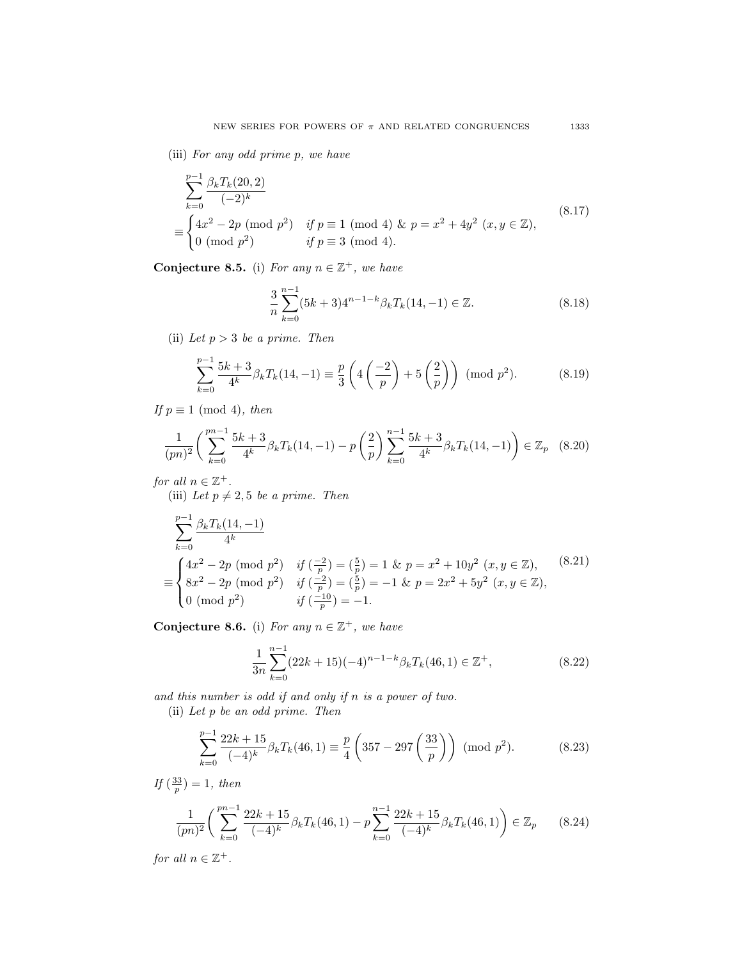(iii) For any odd prime p, we have

$$
\sum_{k=0}^{p-1} \frac{\beta_k T_k(20,2)}{(-2)^k}
$$
\n
$$
\equiv \begin{cases}\n4x^2 - 2p \pmod{p^2} & \text{if } p \equiv 1 \pmod{4} \text{ & p = x^2 + 4y^2 \ (x, y \in \mathbb{Z}), \\
0 \pmod{p^2} & \text{if } p \equiv 3 \pmod{4}.\n\end{cases}
$$
\n(8.17)

Conjecture 8.5. (i) For any  $n \in \mathbb{Z}^+$ , we have

$$
\frac{3}{n} \sum_{k=0}^{n-1} (5k+3)4^{n-1-k} \beta_k T_k(14, -1) \in \mathbb{Z}.
$$
 (8.18)

(ii) Let  $p > 3$  be a prime. Then

$$
\sum_{k=0}^{p-1} \frac{5k+3}{4^k} \beta_k T_k(14, -1) \equiv \frac{p}{3} \left( 4 \left( \frac{-2}{p} \right) + 5 \left( \frac{2}{p} \right) \right) \pmod{p^2}.
$$
 (8.19)

If  $p \equiv 1 \pmod{4}$ , then

$$
\frac{1}{(pn)^2} \left( \sum_{k=0}^{pn-1} \frac{5k+3}{4^k} \beta_k T_k(14, -1) - p \left( \frac{2}{p} \right) \sum_{k=0}^{n-1} \frac{5k+3}{4^k} \beta_k T_k(14, -1) \right) \in \mathbb{Z}_p \quad (8.20)
$$

for all  $n \in \mathbb{Z}^+$ . (iii) Let  $p \neq 2, 5$  be a prime. Then

$$
\sum_{k=0}^{p-1} \frac{\beta_k T_k(14, -1)}{4^k}
$$
\n
$$
\equiv \begin{cases}\n4x^2 - 2p \pmod{p^2} & \text{if } \left(\frac{-2}{p}\right) = \left(\frac{5}{p}\right) = 1 \text{ \& } p = x^2 + 10y^2 \ (x, y \in \mathbb{Z}), \\
8x^2 - 2p \pmod{p^2} & \text{if } \left(\frac{-2}{p}\right) = \left(\frac{5}{p}\right) = -1 \text{ \& } p = 2x^2 + 5y^2 \ (x, y \in \mathbb{Z}), \\
0 \pmod{p^2} & \text{if } \left(\frac{-10}{p}\right) = -1.\n\end{cases}
$$
\n(8.21)

Conjecture 8.6. (i) For any  $n \in \mathbb{Z}^+$ , we have

$$
\frac{1}{3n} \sum_{k=0}^{n-1} (22k+15)(-4)^{n-1-k} \beta_k T_k(46,1) \in \mathbb{Z}^+,
$$
\n(8.22)

and this number is odd if and only if n is a power of two.

(ii) Let p be an odd prime. Then

$$
\sum_{k=0}^{p-1} \frac{22k+15}{(-4)^k} \beta_k T_k(46,1) \equiv \frac{p}{4} \left( 357 - 297 \left( \frac{33}{p} \right) \right) \pmod{p^2}.
$$
 (8.23)

If  $\left(\frac{33}{p}\right) = 1$ , then

$$
\frac{1}{(pn)^2} \left( \sum_{k=0}^{pn-1} \frac{22k+15}{(-4)^k} \beta_k T_k(46,1) - p \sum_{k=0}^{n-1} \frac{22k+15}{(-4)^k} \beta_k T_k(46,1) \right) \in \mathbb{Z}_p \qquad (8.24)
$$

for all  $n \in \mathbb{Z}^+$ .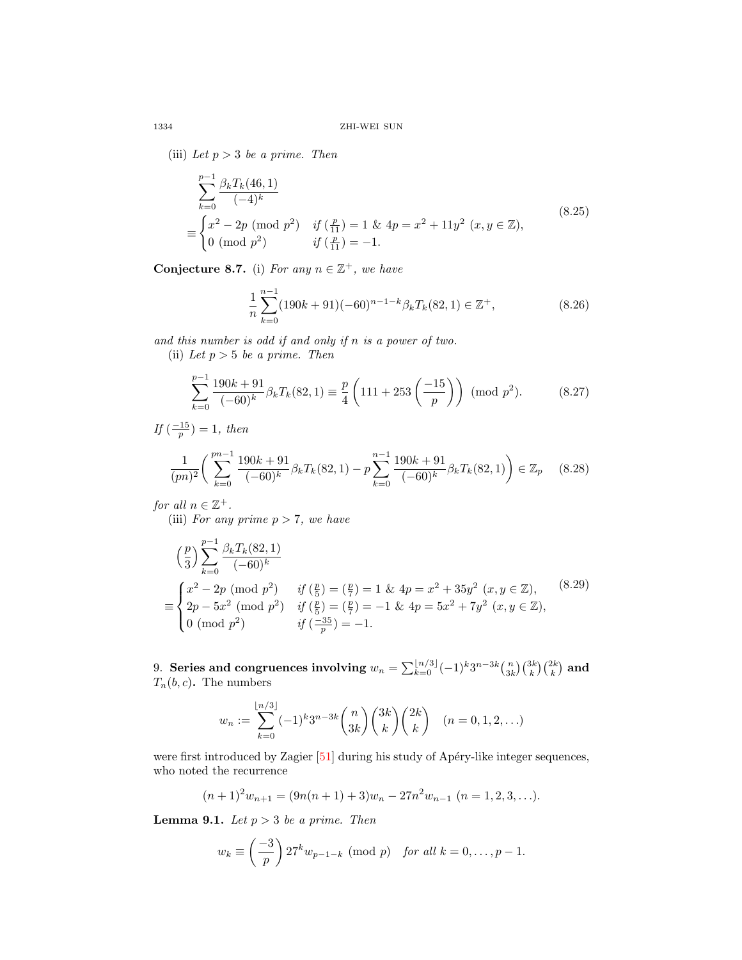(iii) Let  $p > 3$  be a prime. Then

$$
\sum_{k=0}^{p-1} \frac{\beta_k T_k(46,1)}{(-4)^k}
$$
\n
$$
\equiv \begin{cases}\nx^2 - 2p \pmod{p^2} & \text{if } \left(\frac{p}{11}\right) = 1 \text{ \& } 4p = x^2 + 11y^2 \ (x, y \in \mathbb{Z}), \\
0 \pmod{p^2} & \text{if } \left(\frac{p}{11}\right) = -1.\n\end{cases}
$$
\n(8.25)

Conjecture 8.7. (i) For any  $n \in \mathbb{Z}^+$ , we have

$$
\frac{1}{n}\sum_{k=0}^{n-1} (190k+91)(-60)^{n-1-k} \beta_k T_k(82,1) \in \mathbb{Z}^+,
$$
\n(8.26)

and this number is odd if and only if n is a power of two. (ii) Let  $p > 5$  be a prime. Then

$$
\sum_{k=0}^{p-1} \frac{190k + 91}{(-60)^k} \beta_k T_k(82, 1) \equiv \frac{p}{4} \left( 111 + 253 \left( \frac{-15}{p} \right) \right) \pmod{p^2}.
$$
 (8.27)

If  $\left(\frac{-15}{p}\right) = 1$ , then

$$
\frac{1}{(pn)^2} \left( \sum_{k=0}^{pn-1} \frac{190k + 91}{(-60)^k} \beta_k T_k(82, 1) - p \sum_{k=0}^{n-1} \frac{190k + 91}{(-60)^k} \beta_k T_k(82, 1) \right) \in \mathbb{Z}_p \tag{8.28}
$$

for all  $n \in \mathbb{Z}^+$ .

(iii) For any prime  $p > 7$ , we have

$$
\left(\frac{p}{3}\right) \sum_{k=0}^{p-1} \frac{\beta_k T_k(82,1)}{(-60)^k}
$$
\n
$$
\equiv \begin{cases}\nx^2 - 2p \pmod{p^2} & \text{if } \left(\frac{p}{5}\right) = \left(\frac{p}{7}\right) = 1 \text{ \& } 4p = x^2 + 35y^2 \ (x, y \in \mathbb{Z}),\\
2p - 5x^2 \pmod{p^2} & \text{if } \left(\frac{p}{5}\right) = \left(\frac{p}{7}\right) = -1 \text{ \& } 4p = 5x^2 + 7y^2 \ (x, y \in \mathbb{Z}),\\
0 \pmod{p^2} & \text{if } \left(\frac{-35}{p}\right) = -1.\n\end{cases}
$$
\n
$$
(8.29)
$$

9. Series and congruences involving  $w_n = \sum_{k=0}^{\lfloor n/3 \rfloor} (-1)^k 3^{n-3k} \binom{n}{3k} \binom{3k}{k} \binom{2k}{k}$  and  $T_n(b, c)$ . The numbers

$$
w_n := \sum_{k=0}^{\lfloor n/3 \rfloor} (-1)^k 3^{n-3k} {n \choose 3k} {3k \choose k} {2k \choose k} \quad (n = 0, 1, 2, ...)
$$

were first introduced by Zagier [\[51\]](#page-69-3) during his study of Apéry-like integer sequences, who noted the recurrence

$$
(n+1)^2 w_{n+1} = (9n(n+1)+3)w_n - 27n^2 w_{n-1} \quad (n=1,2,3,\ldots).
$$

<span id="page-61-0"></span>**Lemma 9.1.** Let  $p > 3$  be a prime. Then

$$
w_k \equiv \left(\frac{-3}{p}\right) 27^k w_{p-1-k} \pmod{p} \quad \text{for all } k = 0, \dots, p-1.
$$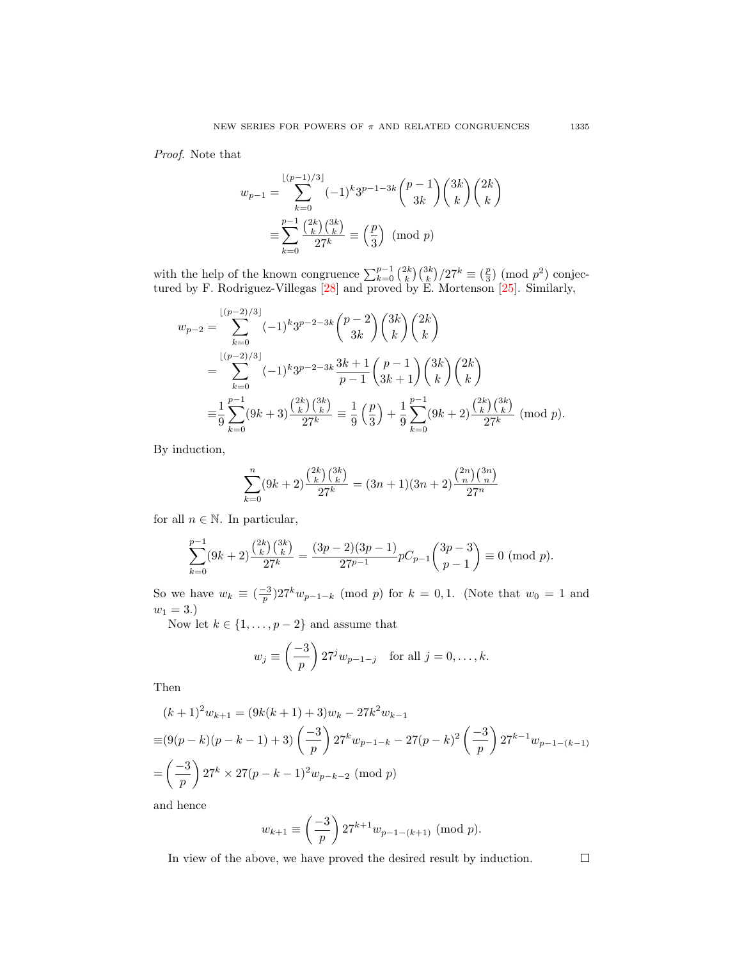Proof. Note that

$$
w_{p-1} = \sum_{k=0}^{\lfloor (p-1)/3 \rfloor} (-1)^k 3^{p-1-3k} {p-1 \choose 3k} {3k \choose k} {2k \choose k}
$$

$$
\equiv \sum_{k=0}^{p-1} \frac{{2k \choose k} {3k \choose k}}{27^k} \equiv \left(\frac{p}{3}\right) \pmod{p}
$$

with the help of the known congruence  $\sum_{k=0}^{p-1} {2k \choose k} {3k \choose k} / 27^k \equiv \binom{p}{3} \pmod{p^2}$  conjectured by F. Rodriguez-Villegas [\[28\]](#page-68-23) and proved by E. Mortenson [\[25\]](#page-68-24). Similarly,

$$
w_{p-2} = \sum_{k=0}^{\lfloor (p-2)/3 \rfloor} (-1)^k 3^{p-2-3k} {p-2 \choose 3k} {3k \choose k} {2k \choose k}
$$
  
= 
$$
\sum_{k=0}^{\lfloor (p-2)/3 \rfloor} (-1)^k 3^{p-2-3k} \frac{3k+1}{p-1} {p-1 \choose 3k+1} {3k \choose k} {2k \choose k}
$$
  
= 
$$
\frac{1}{9} \sum_{k=0}^{p-1} (9k+3) \frac{{2k \choose k} {3k \choose k}}{27^k} \equiv \frac{1}{9} {p \choose 3} + \frac{1}{9} \sum_{k=0}^{p-1} (9k+2) \frac{{2k \choose k} {3k \choose k}}{27^k} \pmod{p}.
$$

By induction,

$$
\sum_{k=0}^{n} (9k+2) \frac{\binom{2k}{k} \binom{3k}{k}}{27^k} = (3n+1)(3n+2) \frac{\binom{2n}{n} \binom{3n}{n}}{27^n}
$$

for all  $n \in \mathbb{N}$ . In particular,

$$
\sum_{k=0}^{p-1} (9k+2) \frac{\binom{2k}{k} \binom{3k}{k}}{27^k} = \frac{(3p-2)(3p-1)}{27^{p-1}} pC_{p-1} \binom{3p-3}{p-1} \equiv 0 \pmod{p}.
$$

So we have  $w_k \equiv \left(\frac{-3}{p}\right)27^k w_{p-1-k}$  (mod p) for  $k = 0, 1$ . (Note that  $w_0 = 1$  and  $w_1 = 3.$ 

Now let  $k \in \{1, \ldots, p-2\}$  and assume that

$$
w_j \equiv \left(\frac{-3}{p}\right) 27^j w_{p-1-j} \quad \text{for all } j = 0, \dots, k.
$$

Then

$$
(k+1)^2 w_{k+1} = (9k(k+1) + 3)w_k - 27k^2 w_{k-1}
$$
  
\n
$$
\equiv (9(p-k)(p-k-1) + 3)\left(\frac{-3}{p}\right) 27^k w_{p-1-k} - 27(p-k)^2 \left(\frac{-3}{p}\right) 27^{k-1} w_{p-1-(k-1)}
$$
  
\n
$$
= \left(\frac{-3}{p}\right) 27^k \times 27(p-k-1)^2 w_{p-k-2} \pmod{p}
$$

and hence

$$
w_{k+1} \equiv \left(\frac{-3}{p}\right) 27^{k+1} w_{p-1-(k+1)} \pmod{p}.
$$

In view of the above, we have proved the desired result by induction.

 $\Box$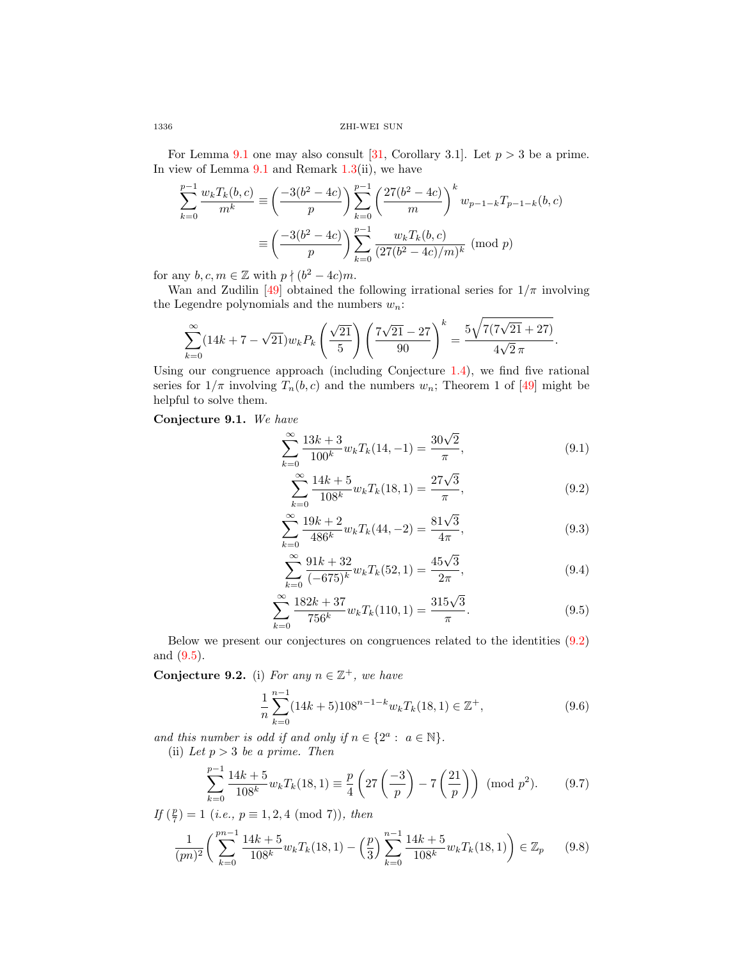For Lemma [9.1](#page-61-0) one may also consult [\[31,](#page-68-25) Corollary 3.1]. Let  $p > 3$  be a prime. In view of Lemma  $9.1$  and Remark  $1.3$ (ii), we have

$$
\sum_{k=0}^{p-1} \frac{w_k T_k(b, c)}{m^k} \equiv \left(\frac{-3(b^2 - 4c)}{p}\right) \sum_{k=0}^{p-1} \left(\frac{27(b^2 - 4c)}{m}\right)^k w_{p-1-k} T_{p-1-k}(b, c)
$$

$$
\equiv \left(\frac{-3(b^2 - 4c)}{p}\right) \sum_{k=0}^{p-1} \frac{w_k T_k(b, c)}{(27(b^2 - 4c)/m)^k} \text{ (mod } p)
$$

for any  $b, c, m \in \mathbb{Z}$  with  $p \nmid (b^2 - 4c)m$ .

Wan and Zudilin [\[49\]](#page-68-9) obtained the following irrational series for  $1/\pi$  involving the Legendre polynomials and the numbers  $w_n$ :

$$
\sum_{k=0}^{\infty} (14k + 7 - \sqrt{21}) w_k P_k \left(\frac{\sqrt{21}}{5}\right) \left(\frac{7\sqrt{21} - 27}{90}\right)^k = \frac{5\sqrt{7(7\sqrt{21} + 27)}}{4\sqrt{2}\pi}
$$

Using our congruence approach (including Conjecture [1.4\)](#page-12-4), we find five rational series for  $1/\pi$  involving  $T_n(b, c)$  and the numbers  $w_n$ ; Theorem 1 of [\[49\]](#page-68-9) might be helpful to solve them.

## Conjecture 9.1. We have

$$
\sum_{k=0}^{\infty} \frac{13k+3}{100^k} w_k T_k(14, -1) = \frac{30\sqrt{2}}{\pi},
$$
\n(9.1)

<span id="page-63-1"></span><span id="page-63-0"></span>.

$$
\sum_{k=0}^{\infty} \frac{14k+5}{108^k} w_k T_k(18,1) = \frac{27\sqrt{3}}{\pi},
$$
\n(9.2)

$$
\sum_{k=0}^{\infty} \frac{19k+2}{486^k} w_k T_k(44, -2) = \frac{81\sqrt{3}}{4\pi},
$$
\n(9.3)

$$
\sum_{k=0}^{\infty} \frac{91k + 32}{(-675)^k} w_k T_k(52, 1) = \frac{45\sqrt{3}}{2\pi},
$$
\n(9.4)

$$
\sum_{k=0}^{\infty} \frac{182k + 37}{756^k} w_k T_k(110, 1) = \frac{315\sqrt{3}}{\pi}.
$$
\n(9.5)

Below we present our conjectures on congruences related to the identities [\(9.2\)](#page-63-0) and [\(9.5\)](#page-63-1).

Conjecture 9.2. (i) For any  $n \in \mathbb{Z}^+$ , we have

$$
\frac{1}{n} \sum_{k=0}^{n-1} (14k+5) 108^{n-1-k} w_k T_k(18,1) \in \mathbb{Z}^+,
$$
\n(9.6)

and this number is odd if and only if  $n \in \{2^a : a \in \mathbb{N}\}.$ 

(ii) Let  $p > 3$  be a prime. Then

$$
\sum_{k=0}^{p-1} \frac{14k+5}{108^k} w_k T_k(18,1) \equiv \frac{p}{4} \left( 27 \left( \frac{-3}{p} \right) - 7 \left( \frac{21}{p} \right) \right) \pmod{p^2}.
$$
 (9.7)

If  $(\frac{p}{7}) = 1$  (i.e.,  $p \equiv 1, 2, 4 \pmod{7}$ ), then

$$
\frac{1}{(pn)^2} \left( \sum_{k=0}^{pn-1} \frac{14k+5}{108^k} w_k T_k(18,1) - \left(\frac{p}{3}\right) \sum_{k=0}^{n-1} \frac{14k+5}{108^k} w_k T_k(18,1) \right) \in \mathbb{Z}_p \tag{9.8}
$$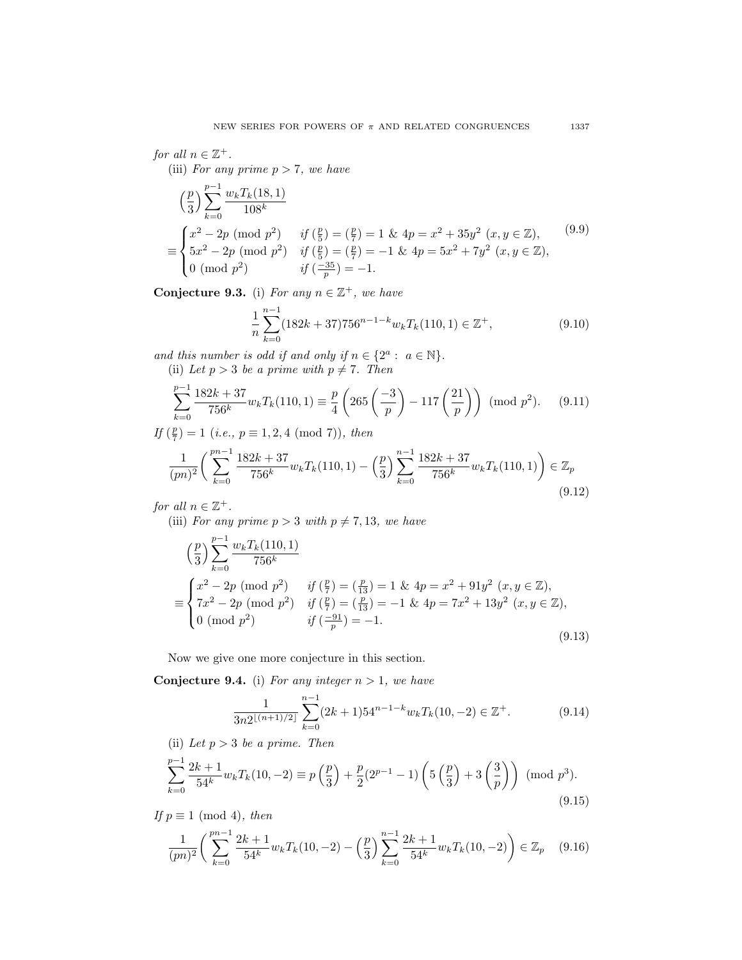for all  $n \in \mathbb{Z}^+$ .

(iii) For any prime  $p > 7$ , we have

$$
\left(\frac{p}{3}\right) \sum_{k=0}^{p-1} \frac{w_k T_k(18,1)}{108^k}
$$
\n
$$
\equiv \begin{cases}\nx^2 - 2p \pmod{p^2} & \text{if } \left(\frac{p}{5}\right) = \left(\frac{p}{7}\right) = 1 \text{ & \text{if } 4p = x^2 + 35y^2 \ (x, y \in \mathbb{Z}), \\
5x^2 - 2p \pmod{p^2} & \text{if } \left(\frac{p}{5}\right) = \left(\frac{p}{7}\right) = -1 \text{ & \text{if } 4p = 5x^2 + 7y^2 \ (x, y \in \mathbb{Z}), \\
0 \pmod{p^2} & \text{if } \left(\frac{-35}{p}\right) = -1.\n\end{cases}
$$
\n
$$
(9.9)
$$

Conjecture 9.3. (i) For any  $n \in \mathbb{Z}^+$ , we have

$$
\frac{1}{n} \sum_{k=0}^{n-1} (182k + 37)756^{n-1-k} w_k T_k(110, 1) \in \mathbb{Z}^+, \tag{9.10}
$$

and this number is odd if and only if  $n \in \{2^a : a \in \mathbb{N}\}.$ 

(ii) Let  $p > 3$  be a prime with  $p \neq 7$ . Then

$$
\sum_{k=0}^{p-1} \frac{182k + 37}{756^k} w_k T_k(110, 1) \equiv \frac{p}{4} \left( 265 \left( \frac{-3}{p} \right) - 117 \left( \frac{21}{p} \right) \right) \pmod{p^2}.
$$
 (9.11)

If  $(\frac{p}{7}) = 1$  (i.e.,  $p \equiv 1, 2, 4 \pmod{7}$ ), then

$$
\frac{1}{(pn)^2} \left( \sum_{k=0}^{pn-1} \frac{182k+37}{756^k} w_k T_k(110,1) - \left(\frac{p}{3}\right) \sum_{k=0}^{n-1} \frac{182k+37}{756^k} w_k T_k(110,1) \right) \in \mathbb{Z}_p \tag{9.12}
$$

for all  $n \in \mathbb{Z}^+$ .

(iii) For any prime  $p > 3$  with  $p \neq 7, 13$ , we have

$$
\left(\frac{p}{3}\right) \sum_{k=0}^{p-1} \frac{w_k T_k(110, 1)}{756^k}
$$
\n
$$
\equiv \begin{cases}\nx^2 - 2p \pmod{p^2} & \text{if } \left(\frac{p}{7}\right) = \left(\frac{p}{13}\right) = 1 \text{ \& } 4p = x^2 + 91y^2 \ (x, y \in \mathbb{Z}), \\
7x^2 - 2p \pmod{p^2} & \text{if } \left(\frac{p}{7}\right) = \left(\frac{p}{13}\right) = -1 \text{ \& } 4p = 7x^2 + 13y^2 \ (x, y \in \mathbb{Z}), \\
0 \pmod{p^2} & \text{if } \left(\frac{-91}{p}\right) = -1.\n\end{cases}
$$
\n(9.13)

Now we give one more conjecture in this section.

**Conjecture 9.4.** (i) For any integer  $n > 1$ , we have

$$
\frac{1}{3n2^{\lfloor (n+1)/2 \rfloor}} \sum_{k=0}^{n-1} (2k+1) 54^{n-1-k} w_k T_k(10, -2) \in \mathbb{Z}^+.
$$
 (9.14)

(ii) Let  $p > 3$  be a prime. Then

$$
\sum_{k=0}^{p-1} \frac{2k+1}{54^k} w_k T_k(10, -2) \equiv p\left(\frac{p}{3}\right) + \frac{p}{2}(2^{p-1} - 1) \left(5\left(\frac{p}{3}\right) + 3\left(\frac{3}{p}\right)\right) \pmod{p^3}.
$$
\n(9.15)

If  $p \equiv 1 \pmod{4}$ , then

<span id="page-64-0"></span>
$$
\frac{1}{(pn)^2} \left( \sum_{k=0}^{pn-1} \frac{2k+1}{54^k} w_k T_k(10, -2) - \left( \frac{p}{3} \right) \sum_{k=0}^{n-1} \frac{2k+1}{54^k} w_k T_k(10, -2) \right) \in \mathbb{Z}_p \tag{9.16}
$$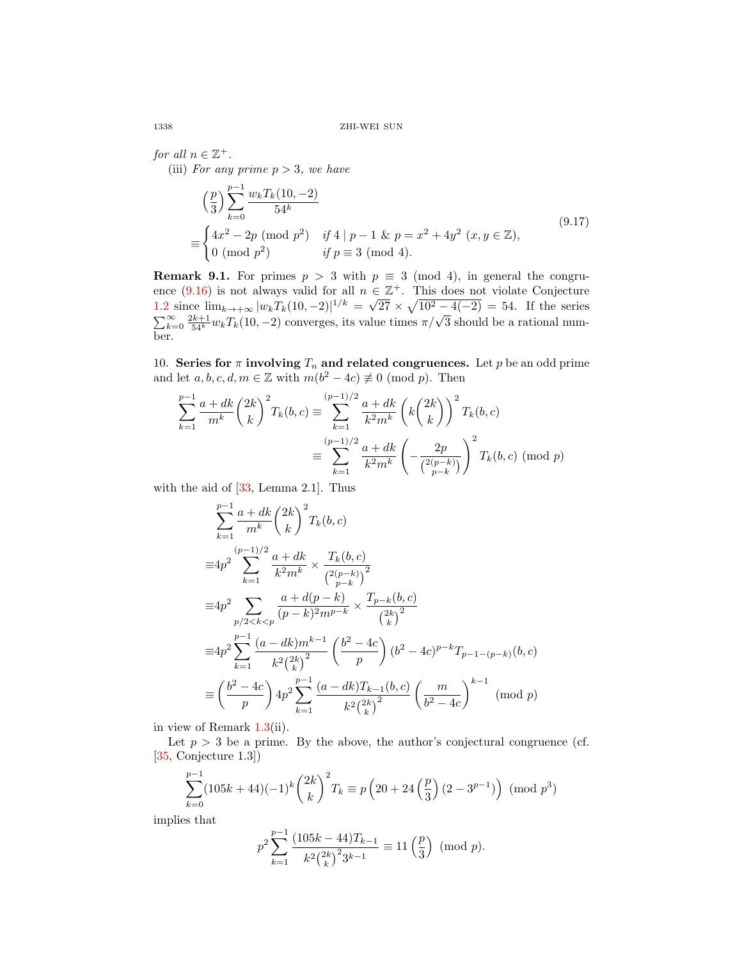for all  $n \in \mathbb{Z}^+$ . (iii) For any prime  $p > 3$ , we have

$$
\left(\frac{p}{3}\right) \sum_{k=0}^{p-1} \frac{w_k T_k(10, -2)}{54^k}
$$
\n
$$
\equiv \begin{cases}\n4x^2 - 2p \pmod{p^2} & \text{if } 4 \mid p-1 \text{ & p = x^2 + 4y^2 \ (x, y \in \mathbb{Z}), \\
0 \pmod{p^2} & \text{if } p \equiv 3 \pmod{4}.\n\end{cases}
$$
\n(9.17)

**Remark 9.1.** For primes  $p > 3$  with  $p \equiv 3 \pmod{4}$ , in general the congru-ence [\(9.16\)](#page-64-0) is not always valid for all  $n \in \mathbb{Z}^+$ . This does not violate Conjecture ence (9.10) is not always vand for an *n* ∈<br>[1.2](#page-11-3) since  $\lim_{k\to+\infty} |w_kT_k(10,-2)|^{1/k} = \sqrt{}$  $\overline{27} \times \sqrt{10^2 - 4(-2)} = 54$ . If the series  $\sum_{k=0}^{\infty} \frac{2k+1}{54^k} w_k T_k(10,-2)$  converges, its value times  $\pi/\sqrt{3}$  should be a rational number.

10. Series for  $\pi$  involving  $T_n$  and related congruences. Let p be an odd prime and let  $a, b, c, d, m \in \mathbb{Z}$  with  $m(b^2 - 4c) \not\equiv 0 \pmod{p}$ . Then

$$
\sum_{k=1}^{p-1} \frac{a+dk}{m^k} {2k \choose k}^2 T_k(b,c) \equiv \sum_{k=1}^{(p-1)/2} \frac{a+dk}{k^2 m^k} \left( k {2k \choose k} \right)^2 T_k(b,c)
$$

$$
\equiv \sum_{k=1}^{(p-1)/2} \frac{a+dk}{k^2 m^k} \left( -\frac{2p}{\binom{2(p-k)}{p-k}} \right)^2 T_k(b,c) \pmod{p}
$$

with the aid of  $[33, \text{Lemma } 2.1]$  $[33, \text{Lemma } 2.1]$ . Thus

$$
\sum_{k=1}^{p-1} \frac{a+dk}{m^k} {2k \choose k}^2 T_k(b,c)
$$
  
\n
$$
\equiv 4p^2 \sum_{k=1}^{(p-1)/2} \frac{a+dk}{k^2 m^k} \times \frac{T_k(b,c)}{{2(p-k \choose p-k}^2}
$$
  
\n
$$
\equiv 4p^2 \sum_{p/2 < k < p} \frac{a+d(p-k)}{(p-k)^2 m^{p-k}} \times \frac{T_{p-k}(b,c)}{{2k \choose k}^2}
$$
  
\n
$$
\equiv 4p^2 \sum_{k=1}^{p-1} \frac{(a-dk)m^{k-1}}{k^2 {2k \choose k}^2} \left(\frac{b^2-4c}{p}\right) (b^2-4c)^{p-k} T_{p-1-(p-k)}(b,c)
$$
  
\n
$$
\equiv \left(\frac{b^2-4c}{p}\right) 4p^2 \sum_{k=1}^{p-1} \frac{(a-dk)T_{k-1}(b,c)}{k^2 {2k \choose k}^2} \left(\frac{m}{b^2-4c}\right)^{k-1} \pmod{p}
$$

in view of Remark [1.3\(](#page-12-3)ii).

Let  $p > 3$  be a prime. By the above, the author's conjectural congruence (cf. [\[35,](#page-68-13) Conjecture 1.3])

$$
\sum_{k=0}^{p-1} (105k + 44)(-1)^k {2k \choose k}^2 T_k \equiv p \left(20 + 24 \left(\frac{p}{3}\right)(2 - 3^{p-1})\right) \pmod{p^3}
$$

implies that

$$
p^2 \sum_{k=1}^{p-1} \frac{(105k - 44)T_{k-1}}{k^2 {2k \choose k}^2 3^{k-1}} \equiv 11\left(\frac{p}{3}\right) \pmod{p}.
$$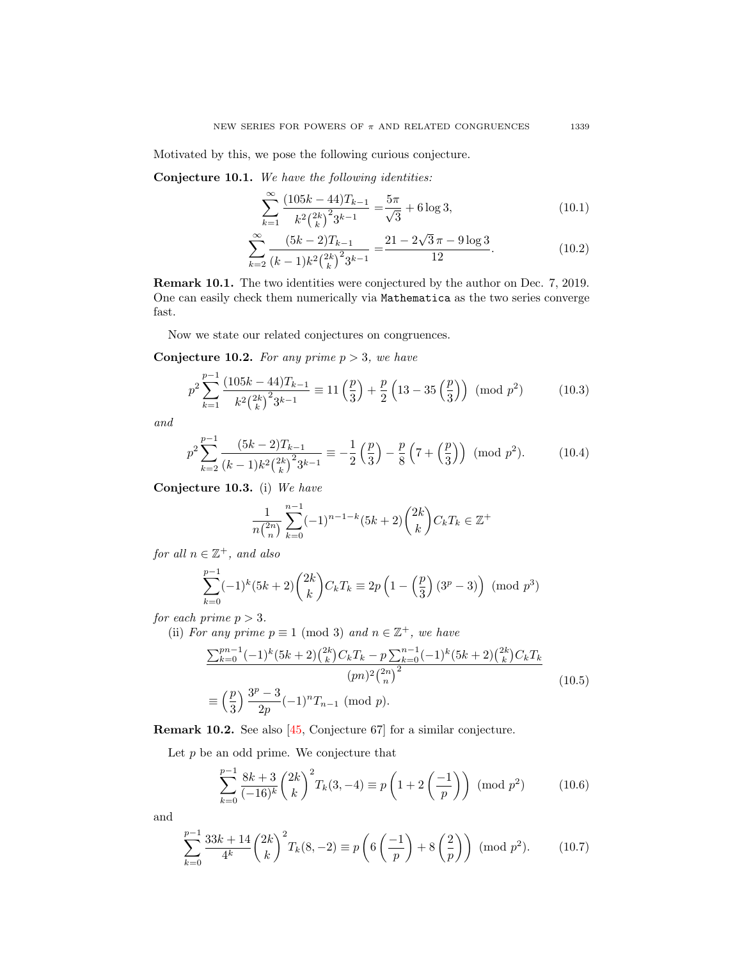Motivated by this, we pose the following curious conjecture.

Conjecture 10.1. We have the following identities:

$$
\sum_{k=1}^{\infty} \frac{(105k - 44)T_{k-1}}{k^2 \binom{2k}{k}^2 3^{k-1}} = \frac{5\pi}{\sqrt{3}} + 6\log 3,\tag{10.1}
$$

$$
\sum_{k=2}^{\infty} \frac{(5k-2)T_{k-1}}{(k-1)k^2\binom{2k}{k}^2 3^{k-1}} = \frac{21 - 2\sqrt{3}\,\pi - 9\log 3}{12}.\tag{10.2}
$$

Remark 10.1. The two identities were conjectured by the author on Dec. 7, 2019. One can easily check them numerically via Mathematica as the two series converge fast.

Now we state our related conjectures on congruences.

**Conjecture 10.2.** For any prime  $p > 3$ , we have

$$
p^2 \sum_{k=1}^{p-1} \frac{(105k - 44)T_{k-1}}{k^2 {2k \choose k}^2 3^{k-1}} \equiv 11\left(\frac{p}{3}\right) + \frac{p}{2}\left(13 - 35\left(\frac{p}{3}\right)\right) \pmod{p^2}
$$
 (10.3)

and

$$
p^2 \sum_{k=2}^{p-1} \frac{(5k-2)T_{k-1}}{(k-1)k^2 {2k \choose k}^2 3^{k-1}} \equiv -\frac{1}{2} \left(\frac{p}{3}\right) - \frac{p}{8} \left(7 + \left(\frac{p}{3}\right)\right) \pmod{p^2}.
$$
 (10.4)

Conjecture 10.3. (i) We have

$$
\frac{1}{n\binom{2n}{n}}\sum_{k=0}^{n-1}(-1)^{n-1-k}(5k+2)\binom{2k}{k}C_kT_k \in \mathbb{Z}^+
$$

for all  $n \in \mathbb{Z}^+$ , and also

$$
\sum_{k=0}^{p-1} (-1)^k (5k+2) \binom{2k}{k} C_k T_k \equiv 2p \left( 1 - \left( \frac{p}{3} \right) (3^p - 3) \right) \pmod{p^3}
$$

for each prime  $p > 3$ .

(ii) For any prime  $p \equiv 1 \pmod{3}$  and  $n \in \mathbb{Z}^+$ , we have

$$
\frac{\sum_{k=0}^{pn-1}(-1)^k(5k+2)\binom{2k}{k}C_kT_k - p\sum_{k=0}^{n-1}(-1)^k(5k+2)\binom{2k}{k}C_kT_k}{(pn)^2\binom{2n}{n}^2}
$$
\n
$$
\equiv \left(\frac{p}{3}\right)\frac{3^p-3}{2p}(-1)^nT_{n-1} \pmod{p}.
$$
\n(10.5)

Remark 10.2. See also [\[45,](#page-68-4) Conjecture 67] for a similar conjecture.

Let  $p$  be an odd prime. We conjecture that

<span id="page-66-0"></span>
$$
\sum_{k=0}^{p-1} \frac{8k+3}{(-16)^k} {2k \choose k}^2 T_k(3, -4) \equiv p \left( 1 + 2 \left( \frac{-1}{p} \right) \right) \pmod{p^2}
$$
 (10.6)

and

<span id="page-66-1"></span>
$$
\sum_{k=0}^{p-1} \frac{33k+14}{4^k} {2k \choose k}^2 T_k(8,-2) \equiv p\left(6\left(\frac{-1}{p}\right) + 8\left(\frac{2}{p}\right)\right) \pmod{p^2}.
$$
 (10.7)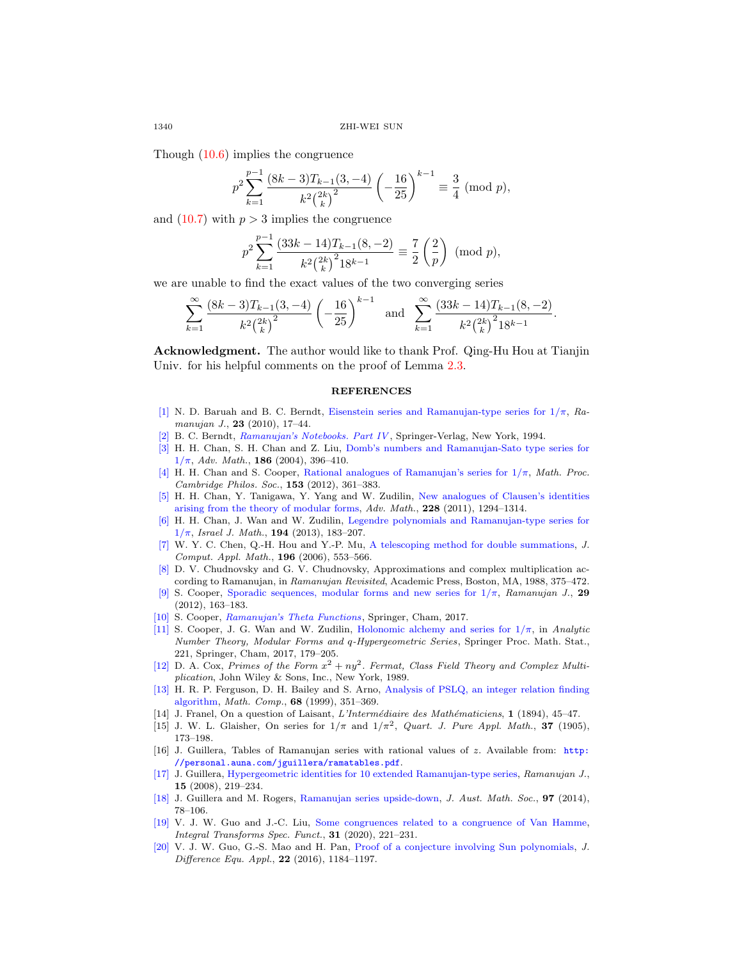Though [\(10.6\)](#page-66-0) implies the congruence

$$
p^2 \sum_{k=1}^{p-1} \frac{(8k-3)T_{k-1}(3,-4)}{k^2 {2k \choose k}^2} \left(-\frac{16}{25}\right)^{k-1} \equiv \frac{3}{4} \pmod{p},
$$

and  $(10.7)$  with  $p > 3$  implies the congruence

$$
p^2 \sum_{k=1}^{p-1} \frac{(33k - 14)T_{k-1}(8, -2)}{k^2 {2k \choose k}^2 18^{k-1}} \equiv \frac{7}{2} \left(\frac{2}{p}\right) \pmod{p},
$$

we are unable to find the exact values of the two converging series

$$
\sum_{k=1}^{\infty} \frac{(8k-3)T_{k-1}(3,-4)}{k^2 {2k \choose k}^2} \left(-\frac{16}{25}\right)^{k-1} \text{ and } \sum_{k=1}^{\infty} \frac{(33k-14)T_{k-1}(8,-2)}{k^2 {2k \choose k}^2 18^{k-1}}.
$$

Acknowledgment. The author would like to thank Prof. Qing-Hu Hou at Tianjin Univ. for his helpful comments on the proof of Lemma [2.3.](#page-18-2)

#### **REFERENCES**

- <span id="page-67-0"></span>[\[1\]](http://www.ams.org/mathscinet-getitem?mr=MR2739202&return=pdf) N. D. Baruah and B. C. Berndt, Eisenstein series and Ramanujan-type series for  $1/\pi$ , Ramanujan J., 23 (2010), 17–44.
- <span id="page-67-1"></span>[\[2\]](http://www.ams.org/mathscinet-getitem?mr=MR1261634&return=pdf) B. C. Berndt, [Ramanujan's Notebooks. Part IV](http://dx.doi.org/10.1007/978-1-4612-0879-2) , Springer-Verlag, New York, 1994.
- <span id="page-67-4"></span>[\[3\]](http://www.ams.org/mathscinet-getitem?mr=MR2073912&return=pdf) H. H. Chan, S. H. Chan and Z. Liu, [Domb's numbers and Ramanujan-Sato type series for](http://dx.doi.org/10.1016/j.aim.2003.07.012)  $1/\pi$ , Adv. Math., 186 (2004), 396-410.
- <span id="page-67-5"></span>[\[4\]](http://www.ams.org/mathscinet-getitem?mr=MR2981931&return=pdf) H. H. Chan and S. Cooper, Rational analogues of Ramanujan's series for  $1/\pi$ , Math. Proc. Cambridge Philos. Soc., 153 (2012), 361–383.
- <span id="page-67-16"></span>[\[5\]](http://www.ams.org/mathscinet-getitem?mr=MR2822224&return=pdf) H. H. Chan, Y. Tanigawa, Y. Yang and W. Zudilin, [New analogues of Clausen's identities](http://dx.doi.org/10.1016/j.aim.2011.06.011) [arising from the theory of modular forms,](http://dx.doi.org/10.1016/j.aim.2011.06.011) Adv. Math., 228 (2011), 1294–1314.
- <span id="page-67-7"></span>[\[6\]](http://www.ams.org/mathscinet-getitem?mr=MR3047067&return=pdf) H. H. Chan, J. Wan and W. Zudilin, [Legendre polynomials and Ramanujan-type series for](http://dx.doi.org/10.1007/s11856-012-0081-5)  $1/\pi$ , Israel J. Math., 194 (2013), 183-207.
- <span id="page-67-14"></span>[\[7\]](http://www.ams.org/mathscinet-getitem?mr=MR2249445&return=pdf) W. Y. C. Chen, Q.-H. Hou and Y.-P. Mu, [A telescoping method for double summations,](http://dx.doi.org/10.1016/j.cam.2005.10.010) J. Comput. Appl. Math., 196 (2006), 553–566.
- <span id="page-67-2"></span>[\[8\]](http://www.ams.org/mathscinet-getitem?mr=MR938975&return=pdf) D. V. Chudnovsky and G. V. Chudnovsky, Approximations and complex multiplication according to Ramanujan, in Ramanujan Revisited, Academic Press, Boston, MA, 1988, 375–472.
- <span id="page-67-6"></span>[\[9\]](http://www.ams.org/mathscinet-getitem?mr=MR2994096&return=pdf) S. Cooper, Sporadic sequences, modular forms and new series for  $1/\pi$ , Ramanujan J., 29 (2012), 163–183.
- <span id="page-67-3"></span>[\[10\]](http://www.ams.org/mathscinet-getitem?mr=MR3675178&return=pdf) S. Cooper, [Ramanujan's Theta Functions](http://dx.doi.org/10.1007/978-3-319-56172-1), Springer, Cham, 2017.
- <span id="page-67-18"></span>[\[11\]](http://www.ams.org/mathscinet-getitem?mr=MR3773919&return=pdf) S. Cooper, J. G. Wan and W. Zudilin, Holonomic alchemy and series for  $1/\pi$ , in Analytic Number Theory, Modular Forms and q-Hypergeometric Series, Springer Proc. Math. Stat., 221, Springer, Cham, 2017, 179–205.
- [\[12\]](http://www.ams.org/mathscinet-getitem?mr=MR1028322&return=pdf) D. A. Cox, Primes of the Form  $x^2 + ny^2$ . Fermat, Class Field Theory and Complex Multiplication, John Wiley & Sons, Inc., New York, 1989.
- <span id="page-67-10"></span>[\[13\]](http://www.ams.org/mathscinet-getitem?mr=MR1489971&return=pdf) H. R. P. Ferguson, D. H. Bailey and S. Arno, [Analysis of PSLQ, an integer relation finding](http://dx.doi.org/10.1090/S0025-5718-99-00995-3) [algorithm,](http://dx.doi.org/10.1090/S0025-5718-99-00995-3) Math. Comp., 68 (1999), 351–369.
- <span id="page-67-15"></span>[14] J. Franel, On a question of Laisant, L'Intermédiaire des Mathématiciens, 1 (1894), 45–47.
- <span id="page-67-8"></span>[15] J. W. L. Glaisher, On series for  $1/\pi$  and  $1/\pi^2$ , Quart. J. Pure Appl. Math., 37 (1905), 173–198.
- <span id="page-67-11"></span>[16] J. Guillera, Tables of Ramanujan series with rational values of z. Available from: [http:](http://personal.auna.com/jguillera/ramatables.pdf) [//personal.auna.com/jguillera/ramatables.pdf](http://personal.auna.com/jguillera/ramatables.pdf).
- <span id="page-67-12"></span>[\[17\]](http://www.ams.org/mathscinet-getitem?mr=MR2377577&return=pdf) J. Guillera, [Hypergeometric identities for 10 extended Ramanujan-type series,](http://dx.doi.org/10.1007/s11139-007-9074-0) Ramanujan J., 15 (2008), 219–234.
- <span id="page-67-13"></span>[\[18\]](http://www.ams.org/mathscinet-getitem?mr=MR3233395&return=pdf) J. Guillera and M. Rogers, [Ramanujan series upside-down,](http://dx.doi.org/10.1017/S1446788714000147) J. Aust. Math. Soc., 97 (2014), 78–106.
- <span id="page-67-9"></span>[\[19\]](http://www.ams.org/mathscinet-getitem?mr=MR4057150&return=pdf) V. J. W. Guo and J.-C. Liu, [Some congruences related to a congruence of Van Hamme,](http://dx.doi.org/10.1080/10652469.2019.1685991) Integral Transforms Spec. Funct., 31 (2020), 221–231.
- <span id="page-67-17"></span>[\[20\]](http://www.ams.org/mathscinet-getitem?mr=MR3572021&return=pdf) V. J. W. Guo, G.-S. Mao and H. Pan, [Proof of a conjecture involving Sun polynomials,](http://dx.doi.org/10.1080/10236198.2016.1188088) J. Difference Equ. Appl., 22 (2016), 1184–1197.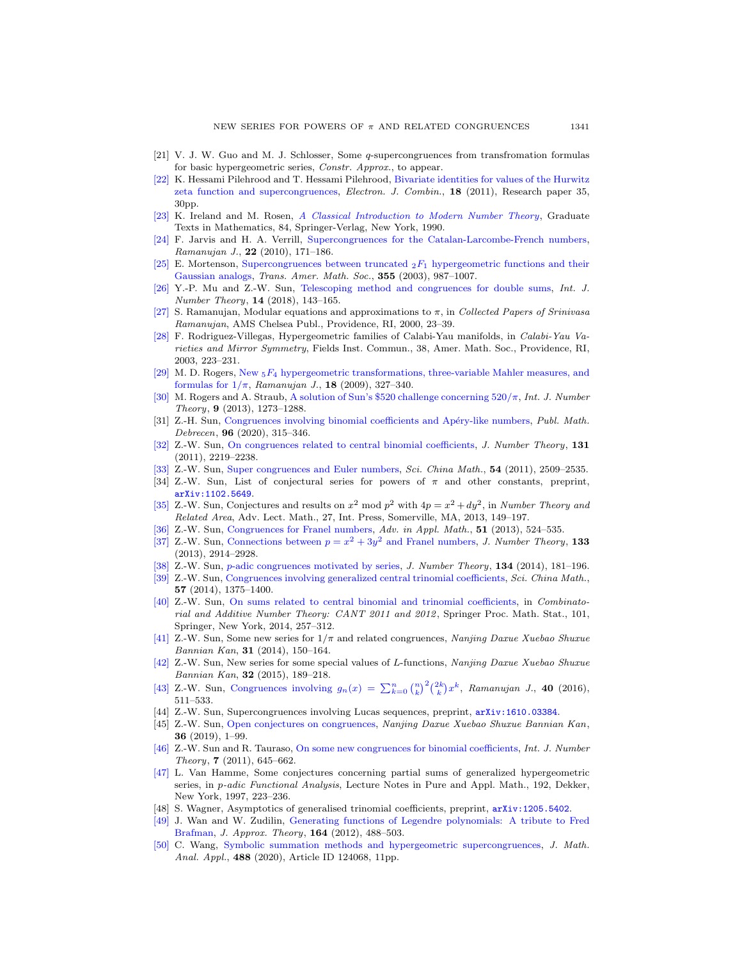- <span id="page-68-12"></span>[21] V. J. W. Guo and M. J. Schlosser, Some q-supercongruences from transfromation formulas for basic hypergeometric series, Constr. Approx., to appear.
- <span id="page-68-16"></span>[\[22\]](http://www.ams.org/mathscinet-getitem?mr=MR2900448&return=pdf) K. Hessami Pilehrood and T. Hessami Pilehrood, [Bivariate identities for values of the Hurwitz](http://dx.doi.org/10.37236/2049) [zeta function and supercongruences,](http://dx.doi.org/10.37236/2049) Electron. J. Combin., 18 (2011), Research paper 35, 30pp.
- [\[23\]](http://www.ams.org/mathscinet-getitem?mr=MR1070716&return=pdf) K. Ireland and M. Rosen, [A Classical Introduction to Modern Number Theory](http://dx.doi.org/10.1007/978-1-4757-2103-4), Graduate Texts in Mathematics, 84, Springer-Verlag, New York, 1990.
- <span id="page-68-18"></span>[\[24\]](http://www.ams.org/mathscinet-getitem?mr=MR2643702&return=pdf) F. Jarvis and H. A. Verrill, [Supercongruences for the Catalan-Larcombe-French numbers,](http://dx.doi.org/10.1007/s11139-009-9218-5) Ramanujan J., 22 (2010), 171-186.
- <span id="page-68-24"></span>[\[25\]](http://www.ams.org/mathscinet-getitem?mr=MR1938742&return=pdf) E. Mortenson, [Supercongruences between truncated](http://dx.doi.org/10.1090/S0002-9947-02-03172-0)  $_2F_1$  hypergeometric functions and their [Gaussian analogs,](http://dx.doi.org/10.1090/S0002-9947-02-03172-0) Trans. Amer. Math. Soc., 355 (2003), 987–1007.
- <span id="page-68-15"></span>[\[26\]](http://www.ams.org/mathscinet-getitem?mr=MR3726247&return=pdf) Y.-P. Mu and Z.-W. Sun, [Telescoping method and congruences for double sums,](http://dx.doi.org/10.1142/S1793042118500100) Int. J. Number Theory, 14 (2018), 143–165.
- <span id="page-68-0"></span>[\[27\]](http://www.ams.org/mathscinet-getitem?mr=MR2280849&return=pdf) S. Ramanujan, Modular equations and approximations to  $\pi$ , in Collected Papers of Srinivasa Ramanujan, AMS Chelsea Publ., Providence, RI, 2000, 23–39.
- <span id="page-68-23"></span>[\[28\]](http://www.ams.org/mathscinet-getitem?mr=MR2019156&return=pdf) F. Rodriguez-Villegas, Hypergeometric families of Calabi-Yau manifolds, in Calabi-Yau Varieties and Mirror Symmetry, Fields Inst. Commun., 38, Amer. Math. Soc., Providence, RI, 2003, 223–231.
- <span id="page-68-5"></span>[\[29\]](http://www.ams.org/mathscinet-getitem?mr=MR2495551&return=pdf) M. D. Rogers, New  $_5F_4$  [hypergeometric transformations, three-variable Mahler measures, and](http://dx.doi.org/10.1007/s11139-007-9040-x) formulas for  $1/\pi$ , Ramanujan J., **18** (2009), 327-340.
- <span id="page-68-21"></span>[\[30\]](http://www.ams.org/mathscinet-getitem?mr=MR3077715&return=pdf) M. Rogers and A. Straub, A solution of Sun's \$520 challenge concerning  $520/\pi$ , Int. J. Number Theory, 9 (2013), 1273–1288.
- <span id="page-68-25"></span>[31] Z.-H. Sun, Congruences involving binomial coefficients and Apéry-like numbers, Publ. Math. Debrecen, 96 (2020), 315–346.
- [\[32\]](http://www.ams.org/mathscinet-getitem?mr=MR2825123&return=pdf) Z.-W. Sun, [On congruences related to central binomial coefficients,](http://dx.doi.org/10.1016/j.jnt.2011.04.004) J. Number Theory, 131 (2011), 2219–2238.
- <span id="page-68-2"></span>[\[33\]](http://www.ams.org/mathscinet-getitem?mr=MR2861289&return=pdf) Z.-W. Sun, [Super congruences and Euler numbers,](http://dx.doi.org/10.1007/s11425-011-4302-x) Sci. China Math., 54 (2011), 2509–2535.
- <span id="page-68-8"></span>[34] Z.-W. Sun, List of conjectural series for powers of  $\pi$  and other constants, preprint, [arXiv:1102.5649](http://arxiv.org/pdf/1102.5649).
- <span id="page-68-13"></span>[\[35\]](http://www.ams.org/mathscinet-getitem?mr=MR3185874&return=pdf) Z.-W. Sun, Conjectures and results on  $x^2 \mod p^2$  with  $4p = x^2 + dy^2$ , in Number Theory and Related Area, Adv. Lect. Math., 27, Int. Press, Somerville, MA, 2013, 149–197.
- <span id="page-68-19"></span>[\[36\]](http://www.ams.org/mathscinet-getitem?mr=MR3097010&return=pdf) Z.-W. Sun, [Congruences for Franel numbers,](http://dx.doi.org/10.1016/j.aam.2013.06.004) Adv. in Appl. Math., 51 (2013), 524–535.
- <span id="page-68-20"></span>[\[37\]](http://www.ams.org/mathscinet-getitem?mr=MR3057055&return=pdf) Z.-W. Sun, [Connections between](http://dx.doi.org/10.1016/j.jnt.2013.02.014)  $p = x^2 + 3y^2$  and Franel numbers, *J. Number Theory*, 133 (2013), 2914–2928.
- <span id="page-68-10"></span>[\[38\]](http://www.ams.org/mathscinet-getitem?mr=MR3111563&return=pdf) Z.-W. Sun, p[-adic congruences motivated by series,](http://dx.doi.org/10.1016/j.jnt.2013.07.011) J. Number Theory, 134 (2014), 181-196.
- <span id="page-68-14"></span>[\[39\]](http://www.ams.org/mathscinet-getitem?mr=MR3213876&return=pdf) Z.-W. Sun, [Congruences involving generalized central trinomial coefficients,](http://dx.doi.org/10.1007/s11425-014-4809-z) Sci. China Math., 57 (2014), 1375–1400.
- <span id="page-68-6"></span>[\[40\]](http://www.ams.org/mathscinet-getitem?mr=MR3297084&return=pdf) Z.-W. Sun, [On sums related to central binomial and trinomial coefficients,](http://dx.doi.org/10.1007/978-1-4939-1601-6_18) in Combinatorial and Additive Number Theory: CANT 2011 and 2012 , Springer Proc. Math. Stat., 101, Springer, New York, 2014, 257–312.
- <span id="page-68-17"></span>[\[41\]](http://www.ams.org/mathscinet-getitem?mr=MR3362545&return=pdf) Z.-W. Sun, Some new series for  $1/\pi$  and related congruences, Nanjing Daxue Xuebao Shuxue Bannian Kan, 31 (2014), 150–164.
- [\[42\]](http://www.ams.org/mathscinet-getitem?mr=MR3616300&return=pdf) Z.-W. Sun, New series for some special values of L-functions, Nanjing Daxue Xuebao Shuxue Bannian Kan, 32 (2015), 189–218.
- <span id="page-68-22"></span>[\[43\]](http://www.ams.org/mathscinet-getitem?mr=MR3522080&return=pdf) Z.-W. Sun, [Congruences involving](http://dx.doi.org/10.1007/s11139-015-9727-3)  $g_n(x) = \sum_{k=0}^n {n \choose k}^2 {2k \choose k} x^k$ , Ramanujan J., 40 (2016), 511–533.
- <span id="page-68-3"></span>[44] Z.-W. Sun, Supercongruences involving Lucas sequences, preprint, [arXiv:1610.03384](http://arxiv.org/pdf/1610.03384).
- <span id="page-68-4"></span>[45] Z.-W. Sun, [Open conjectures on congruences,](http://dx.doi.org/10.3969/j.issn.0469-5097.2019.01.01) Nanjing Daxue Xuebao Shuxue Bannian Kan, 36 (2019), 1–99.
- [\[46\]](http://www.ams.org/mathscinet-getitem?mr=MR2805573&return=pdf) Z.-W. Sun and R. Tauraso, [On some new congruences for binomial coefficients,](http://dx.doi.org/10.1142/S1793042111004393) Int. J. Number Theory, 7 (2011), 645–662.
- <span id="page-68-1"></span>[\[47\]](http://www.ams.org/mathscinet-getitem?mr=MR1459212&return=pdf) L. Van Hamme, Some conjectures concerning partial sums of generalized hypergeometric series, in p-adic Functional Analysis, Lecture Notes in Pure and Appl. Math., 192, Dekker, New York, 1997, 223–236.
- <span id="page-68-7"></span>[48] S. Wagner, Asymptotics of generalised trinomial coefficients, preprint, [arXiv:1205.5402](http://arxiv.org/pdf/1205.5402).
- <span id="page-68-9"></span>[\[49\]](http://www.ams.org/mathscinet-getitem?mr=MR2885420&return=pdf) J. Wan and W. Zudilin, [Generating functions of Legendre polynomials: A tribute to Fred](http://dx.doi.org/10.1016/j.jat.2011.12.001) [Brafman,](http://dx.doi.org/10.1016/j.jat.2011.12.001) J. Approx. Theory, 164 (2012), 488–503.
- <span id="page-68-11"></span>[\[50\]](http://www.ams.org/mathscinet-getitem?mr=MR4079598&return=pdf) C. Wang, [Symbolic summation methods and hypergeometric supercongruences,](http://dx.doi.org/10.1016/j.jmaa.2020.124068) J. Math. Anal. Appl., 488 (2020), Article ID 124068, 11pp.